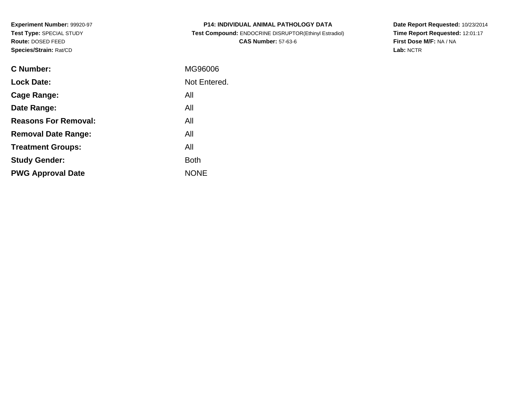**Experiment Number:** 99920-97**Test Type:** SPECIAL STUDY**Route:** DOSED FEED**Species/Strain:** Rat/CD

| <b>P14: INDIVIDUAL ANIMAL PATHOLOGY DATA</b>          |
|-------------------------------------------------------|
| Test Compound: ENDOCRINE DISRUPTOR(Ethinyl Estradiol) |
| <b>CAS Number: 57-63-6</b>                            |

**Date Report Requested:** 10/23/2014 **Time Report Requested:** 12:01:17**First Dose M/F:** NA / NA**Lab:** NCTR

| C Number:                   | MG96006      |
|-----------------------------|--------------|
| <b>Lock Date:</b>           | Not Entered. |
| Cage Range:                 | All          |
| Date Range:                 | All          |
| <b>Reasons For Removal:</b> | All          |
| <b>Removal Date Range:</b>  | All          |
| <b>Treatment Groups:</b>    | All          |
| <b>Study Gender:</b>        | <b>Both</b>  |
| <b>PWG Approval Date</b>    | <b>NONE</b>  |
|                             |              |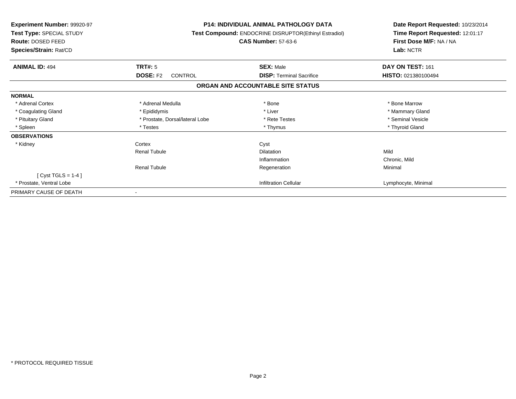| <b>Experiment Number: 99920-97</b><br>Test Type: SPECIAL STUDY<br><b>Route: DOSED FEED</b><br>Species/Strain: Rat/CD | <b>P14: INDIVIDUAL ANIMAL PATHOLOGY DATA</b><br><b>Test Compound: ENDOCRINE DISRUPTOR(Ethinyl Estradiol)</b><br><b>CAS Number: 57-63-6</b> |                                   | Date Report Requested: 10/23/2014<br>Time Report Requested: 12:01:17<br>First Dose M/F: NA / NA<br>Lab: NCTR |
|----------------------------------------------------------------------------------------------------------------------|--------------------------------------------------------------------------------------------------------------------------------------------|-----------------------------------|--------------------------------------------------------------------------------------------------------------|
| <b>ANIMAL ID: 494</b>                                                                                                | TRT#: 5                                                                                                                                    | <b>SEX: Male</b>                  | DAY ON TEST: 161                                                                                             |
|                                                                                                                      | <b>DOSE: F2</b><br>CONTROL                                                                                                                 | <b>DISP: Terminal Sacrifice</b>   | HISTO: 021380100494                                                                                          |
|                                                                                                                      |                                                                                                                                            | ORGAN AND ACCOUNTABLE SITE STATUS |                                                                                                              |
| <b>NORMAL</b>                                                                                                        |                                                                                                                                            |                                   |                                                                                                              |
| * Adrenal Cortex                                                                                                     | * Adrenal Medulla                                                                                                                          | * Bone                            | * Bone Marrow                                                                                                |
| * Coagulating Gland                                                                                                  | * Epididymis                                                                                                                               | * Liver                           | * Mammary Gland                                                                                              |
| * Pituitary Gland                                                                                                    | * Prostate, Dorsal/lateral Lobe                                                                                                            | * Rete Testes                     | * Seminal Vesicle                                                                                            |
| * Spleen                                                                                                             | * Testes                                                                                                                                   | * Thymus                          | * Thyroid Gland                                                                                              |
| <b>OBSERVATIONS</b>                                                                                                  |                                                                                                                                            |                                   |                                                                                                              |
| * Kidney                                                                                                             | Cortex                                                                                                                                     | Cyst                              |                                                                                                              |
|                                                                                                                      | Renal Tubule                                                                                                                               | <b>Dilatation</b>                 | Mild                                                                                                         |
|                                                                                                                      |                                                                                                                                            | Inflammation                      | Chronic, Mild                                                                                                |
|                                                                                                                      | <b>Renal Tubule</b>                                                                                                                        | Regeneration                      | Minimal                                                                                                      |
| $[Cyst TGLS = 1-4]$                                                                                                  |                                                                                                                                            |                                   |                                                                                                              |
| * Prostate, Ventral Lobe                                                                                             |                                                                                                                                            | <b>Infiltration Cellular</b>      | Lymphocyte, Minimal                                                                                          |
| PRIMARY CAUSE OF DEATH                                                                                               | $\blacksquare$                                                                                                                             |                                   |                                                                                                              |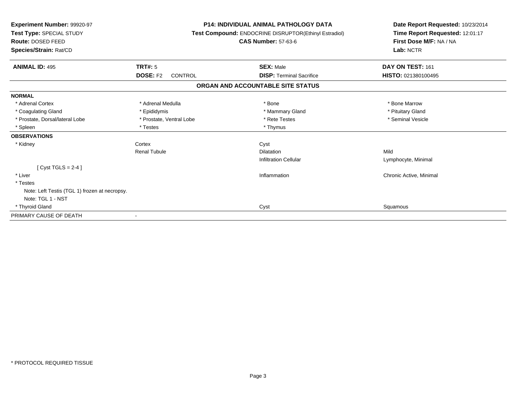| Experiment Number: 99920-97<br>Test Type: SPECIAL STUDY<br>Route: DOSED FEED<br>Species/Strain: Rat/CD |                            | <b>P14: INDIVIDUAL ANIMAL PATHOLOGY DATA</b><br>Test Compound: ENDOCRINE DISRUPTOR(Ethinyl Estradiol)<br><b>CAS Number: 57-63-6</b> | Date Report Requested: 10/23/2014<br>Time Report Requested: 12:01:17<br>First Dose M/F: NA / NA<br>Lab: NCTR |
|--------------------------------------------------------------------------------------------------------|----------------------------|-------------------------------------------------------------------------------------------------------------------------------------|--------------------------------------------------------------------------------------------------------------|
| <b>ANIMAL ID: 495</b>                                                                                  | <b>TRT#: 5</b>             | <b>SEX: Male</b>                                                                                                                    | DAY ON TEST: 161                                                                                             |
|                                                                                                        | <b>DOSE: F2</b><br>CONTROL | <b>DISP: Terminal Sacrifice</b>                                                                                                     | HISTO: 021380100495                                                                                          |
|                                                                                                        |                            | ORGAN AND ACCOUNTABLE SITE STATUS                                                                                                   |                                                                                                              |
| <b>NORMAL</b>                                                                                          |                            |                                                                                                                                     |                                                                                                              |
| * Adrenal Cortex                                                                                       | * Adrenal Medulla          | * Bone                                                                                                                              | * Bone Marrow                                                                                                |
| * Coagulating Gland                                                                                    | * Epididymis               | * Mammary Gland                                                                                                                     | * Pituitary Gland                                                                                            |
| * Prostate, Dorsal/lateral Lobe                                                                        | * Prostate, Ventral Lobe   | * Rete Testes                                                                                                                       | * Seminal Vesicle                                                                                            |
| * Spleen                                                                                               | * Testes                   | * Thymus                                                                                                                            |                                                                                                              |
| <b>OBSERVATIONS</b>                                                                                    |                            |                                                                                                                                     |                                                                                                              |
| * Kidney                                                                                               | Cortex                     | Cyst                                                                                                                                |                                                                                                              |
|                                                                                                        | <b>Renal Tubule</b>        | Dilatation                                                                                                                          | Mild                                                                                                         |
|                                                                                                        |                            | <b>Infiltration Cellular</b>                                                                                                        | Lymphocyte, Minimal                                                                                          |
| $Cyst TGLS = 2-4$                                                                                      |                            |                                                                                                                                     |                                                                                                              |
| * Liver                                                                                                |                            | Inflammation                                                                                                                        | Chronic Active, Minimal                                                                                      |
| * Testes                                                                                               |                            |                                                                                                                                     |                                                                                                              |
| Note: Left Testis (TGL 1) frozen at necropsy.                                                          |                            |                                                                                                                                     |                                                                                                              |
| Note: TGL 1 - NST                                                                                      |                            |                                                                                                                                     |                                                                                                              |
| * Thyroid Gland                                                                                        |                            | Cyst                                                                                                                                | Squamous                                                                                                     |
| PRIMARY CAUSE OF DEATH                                                                                 |                            |                                                                                                                                     |                                                                                                              |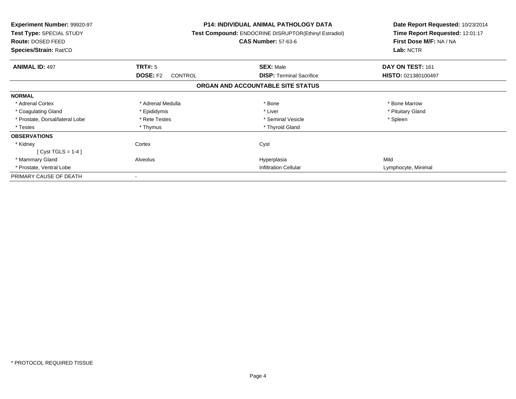| <b>Experiment Number: 99920-97</b><br>Test Type: SPECIAL STUDY<br>Route: DOSED FEED<br>Species/Strain: Rat/CD |                                   | <b>P14: INDIVIDUAL ANIMAL PATHOLOGY DATA</b><br><b>Test Compound: ENDOCRINE DISRUPTOR(Ethinyl Estradiol)</b><br><b>CAS Number: 57-63-6</b> |                     |
|---------------------------------------------------------------------------------------------------------------|-----------------------------------|--------------------------------------------------------------------------------------------------------------------------------------------|---------------------|
| <b>ANIMAL ID: 497</b>                                                                                         | TRT#: 5                           | <b>SEX: Male</b>                                                                                                                           | DAY ON TEST: 161    |
|                                                                                                               | <b>DOSE: F2</b><br><b>CONTROL</b> | <b>DISP:</b> Terminal Sacrifice                                                                                                            | HISTO: 021380100497 |
|                                                                                                               |                                   | ORGAN AND ACCOUNTABLE SITE STATUS                                                                                                          |                     |
| <b>NORMAL</b>                                                                                                 |                                   |                                                                                                                                            |                     |
| * Adrenal Cortex                                                                                              | * Adrenal Medulla                 | * Bone                                                                                                                                     | * Bone Marrow       |
| * Coagulating Gland                                                                                           | * Epididymis                      | * Liver                                                                                                                                    | * Pituitary Gland   |
| * Prostate, Dorsal/lateral Lobe                                                                               | * Rete Testes                     | * Seminal Vesicle                                                                                                                          | * Spleen            |
| * Testes                                                                                                      | * Thymus                          | * Thyroid Gland                                                                                                                            |                     |
| <b>OBSERVATIONS</b>                                                                                           |                                   |                                                                                                                                            |                     |
| * Kidney                                                                                                      | Cortex                            | Cyst                                                                                                                                       |                     |
| [ Cyst TGLS = $1-4$ ]                                                                                         |                                   |                                                                                                                                            |                     |
| * Mammary Gland                                                                                               | Alveolus                          | Hyperplasia                                                                                                                                | Mild                |
| * Prostate, Ventral Lobe                                                                                      |                                   | <b>Infiltration Cellular</b>                                                                                                               | Lymphocyte, Minimal |
| PRIMARY CAUSE OF DEATH                                                                                        |                                   |                                                                                                                                            |                     |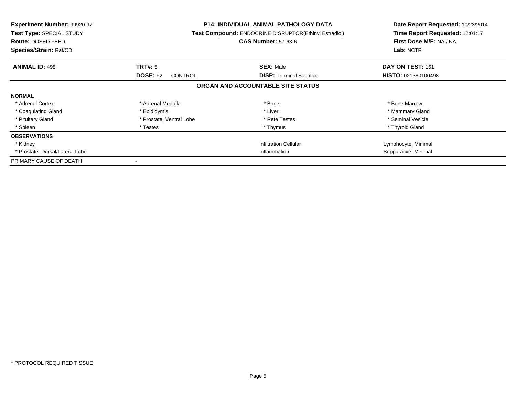| Experiment Number: 99920-97<br>Test Type: SPECIAL STUDY<br>Route: DOSED FEED<br>Species/Strain: Rat/CD |                                   | <b>P14: INDIVIDUAL ANIMAL PATHOLOGY DATA</b><br><b>Test Compound: ENDOCRINE DISRUPTOR(Ethinyl Estradiol)</b><br><b>CAS Number: 57-63-6</b> | Date Report Requested: 10/23/2014<br>Time Report Requested: 12:01:17<br>First Dose M/F: NA / NA<br>Lab: NCTR |
|--------------------------------------------------------------------------------------------------------|-----------------------------------|--------------------------------------------------------------------------------------------------------------------------------------------|--------------------------------------------------------------------------------------------------------------|
| <b>ANIMAL ID: 498</b>                                                                                  | TRT#: 5                           | <b>SEX: Male</b>                                                                                                                           | DAY ON TEST: 161                                                                                             |
|                                                                                                        | <b>DOSE: F2</b><br><b>CONTROL</b> | <b>DISP:</b> Terminal Sacrifice                                                                                                            | <b>HISTO: 021380100498</b>                                                                                   |
|                                                                                                        |                                   | ORGAN AND ACCOUNTABLE SITE STATUS                                                                                                          |                                                                                                              |
| <b>NORMAL</b>                                                                                          |                                   |                                                                                                                                            |                                                                                                              |
| * Adrenal Cortex                                                                                       | * Adrenal Medulla                 | * Bone                                                                                                                                     | * Bone Marrow                                                                                                |
| * Coagulating Gland                                                                                    | * Epididymis                      | * Liver                                                                                                                                    | * Mammary Gland                                                                                              |
| * Pituitary Gland                                                                                      | * Prostate, Ventral Lobe          | * Rete Testes                                                                                                                              | * Seminal Vesicle                                                                                            |
| * Spleen                                                                                               | * Testes                          | * Thymus                                                                                                                                   | * Thyroid Gland                                                                                              |
| <b>OBSERVATIONS</b>                                                                                    |                                   |                                                                                                                                            |                                                                                                              |
| * Kidney                                                                                               |                                   | <b>Infiltration Cellular</b>                                                                                                               | Lymphocyte, Minimal                                                                                          |
| * Prostate, Dorsal/Lateral Lobe                                                                        |                                   | Inflammation                                                                                                                               | Suppurative, Minimal                                                                                         |
| PRIMARY CAUSE OF DEATH                                                                                 |                                   |                                                                                                                                            |                                                                                                              |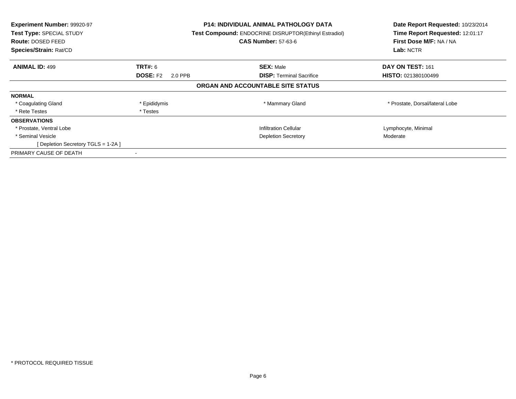| Experiment Number: 99920-97<br><b>Test Type: SPECIAL STUDY</b><br>Route: DOSED FEED<br>Species/Strain: Rat/CD |                            | <b>P14: INDIVIDUAL ANIMAL PATHOLOGY DATA</b><br>Test Compound: ENDOCRINE DISRUPTOR(Ethinyl Estradiol)<br><b>CAS Number: 57-63-6</b> | Date Report Requested: 10/23/2014<br>Time Report Requested: 12:01:17<br>First Dose M/F: NA / NA<br>Lab: NCTR |
|---------------------------------------------------------------------------------------------------------------|----------------------------|-------------------------------------------------------------------------------------------------------------------------------------|--------------------------------------------------------------------------------------------------------------|
| <b>ANIMAL ID: 499</b>                                                                                         | <b>TRT#: 6</b>             | <b>SEX: Male</b>                                                                                                                    | DAY ON TEST: 161                                                                                             |
|                                                                                                               | <b>DOSE: F2</b><br>2.0 PPB | <b>DISP:</b> Terminal Sacrifice                                                                                                     | <b>HISTO: 021380100499</b>                                                                                   |
|                                                                                                               |                            | ORGAN AND ACCOUNTABLE SITE STATUS                                                                                                   |                                                                                                              |
| <b>NORMAL</b>                                                                                                 |                            |                                                                                                                                     |                                                                                                              |
| * Coagulating Gland                                                                                           | * Epididymis               | * Mammary Gland                                                                                                                     | * Prostate, Dorsal/lateral Lobe                                                                              |
| * Rete Testes                                                                                                 | * Testes                   |                                                                                                                                     |                                                                                                              |
| <b>OBSERVATIONS</b>                                                                                           |                            |                                                                                                                                     |                                                                                                              |
| * Prostate, Ventral Lobe                                                                                      |                            | <b>Infiltration Cellular</b>                                                                                                        | Lymphocyte, Minimal                                                                                          |
| * Seminal Vesicle                                                                                             |                            | <b>Depletion Secretory</b>                                                                                                          | Moderate                                                                                                     |
| [Depletion Secretory TGLS = 1-2A ]                                                                            |                            |                                                                                                                                     |                                                                                                              |
| PRIMARY CAUSE OF DEATH                                                                                        |                            |                                                                                                                                     |                                                                                                              |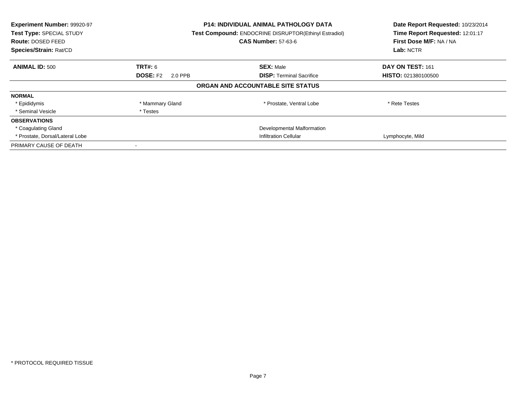| Experiment Number: 99920-97<br>Test Type: SPECIAL STUDY<br><b>Route: DOSED FEED</b><br>Species/Strain: Rat/CD |                            | <b>P14: INDIVIDUAL ANIMAL PATHOLOGY DATA</b><br><b>Test Compound: ENDOCRINE DISRUPTOR(Ethinyl Estradiol)</b><br><b>CAS Number: 57-63-6</b> | Date Report Requested: 10/23/2014<br>Time Report Requested: 12:01:17<br>First Dose M/F: NA / NA<br>Lab: NCTR |
|---------------------------------------------------------------------------------------------------------------|----------------------------|--------------------------------------------------------------------------------------------------------------------------------------------|--------------------------------------------------------------------------------------------------------------|
| <b>ANIMAL ID: 500</b>                                                                                         | <b>TRT#:</b> 6             | <b>SEX: Male</b>                                                                                                                           | DAY ON TEST: 161                                                                                             |
|                                                                                                               | <b>DOSE: F2</b><br>2.0 PPB | <b>DISP:</b> Terminal Sacrifice                                                                                                            | <b>HISTO: 021380100500</b>                                                                                   |
|                                                                                                               |                            | ORGAN AND ACCOUNTABLE SITE STATUS                                                                                                          |                                                                                                              |
| <b>NORMAL</b>                                                                                                 |                            |                                                                                                                                            |                                                                                                              |
| * Epididymis                                                                                                  | * Mammary Gland            | * Prostate, Ventral Lobe                                                                                                                   | * Rete Testes                                                                                                |
| * Seminal Vesicle                                                                                             | * Testes                   |                                                                                                                                            |                                                                                                              |
| <b>OBSERVATIONS</b>                                                                                           |                            |                                                                                                                                            |                                                                                                              |
| * Coagulating Gland                                                                                           |                            | Developmental Malformation                                                                                                                 |                                                                                                              |
| * Prostate, Dorsal/Lateral Lobe                                                                               |                            | <b>Infiltration Cellular</b>                                                                                                               | Lymphocyte, Mild                                                                                             |
| PRIMARY CAUSE OF DEATH                                                                                        |                            |                                                                                                                                            |                                                                                                              |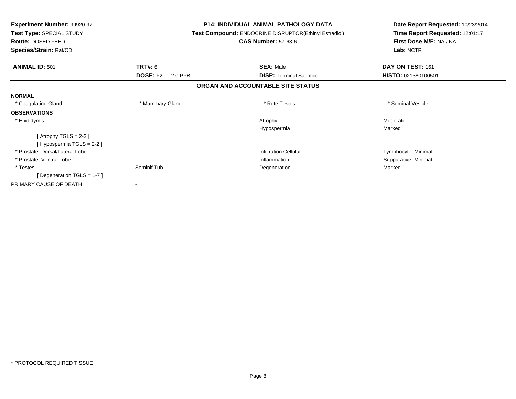| <b>Experiment Number: 99920-97</b><br>Test Type: SPECIAL STUDY<br>Route: DOSED FEED | <b>P14: INDIVIDUAL ANIMAL PATHOLOGY DATA</b><br><b>Test Compound: ENDOCRINE DISRUPTOR(Ethinyl Estradiol)</b><br><b>CAS Number: 57-63-6</b> |                                   | Date Report Requested: 10/23/2014<br>Time Report Requested: 12:01:17<br>First Dose M/F: NA / NA |
|-------------------------------------------------------------------------------------|--------------------------------------------------------------------------------------------------------------------------------------------|-----------------------------------|-------------------------------------------------------------------------------------------------|
| Species/Strain: Rat/CD                                                              |                                                                                                                                            |                                   | Lab: NCTR                                                                                       |
| <b>ANIMAL ID: 501</b>                                                               | <b>TRT#: 6</b>                                                                                                                             | <b>SEX: Male</b>                  | DAY ON TEST: 161                                                                                |
|                                                                                     | <b>DOSE: F2</b><br>2.0 PPB                                                                                                                 | <b>DISP: Terminal Sacrifice</b>   | HISTO: 021380100501                                                                             |
|                                                                                     |                                                                                                                                            | ORGAN AND ACCOUNTABLE SITE STATUS |                                                                                                 |
| <b>NORMAL</b>                                                                       |                                                                                                                                            |                                   |                                                                                                 |
| * Coagulating Gland                                                                 | * Mammary Gland                                                                                                                            | * Rete Testes                     | * Seminal Vesicle                                                                               |
| <b>OBSERVATIONS</b>                                                                 |                                                                                                                                            |                                   |                                                                                                 |
| * Epididymis                                                                        |                                                                                                                                            | Atrophy                           | Moderate                                                                                        |
|                                                                                     |                                                                                                                                            | Hypospermia                       | Marked                                                                                          |
| [Atrophy TGLS = $2-2$ ]                                                             |                                                                                                                                            |                                   |                                                                                                 |
| [Hypospermia TGLS = 2-2]                                                            |                                                                                                                                            |                                   |                                                                                                 |
| * Prostate, Dorsal/Lateral Lobe                                                     |                                                                                                                                            | <b>Infiltration Cellular</b>      | Lymphocyte, Minimal                                                                             |
| * Prostate, Ventral Lobe                                                            |                                                                                                                                            | Inflammation                      | Suppurative, Minimal                                                                            |
| * Testes                                                                            | Seminif Tub                                                                                                                                | Degeneration                      | Marked                                                                                          |
| [Degeneration TGLS = 1-7]                                                           |                                                                                                                                            |                                   |                                                                                                 |
| PRIMARY CAUSE OF DEATH                                                              |                                                                                                                                            |                                   |                                                                                                 |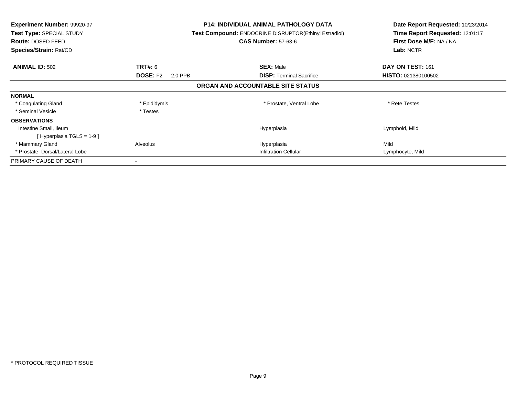| <b>Experiment Number: 99920-97</b><br><b>Test Type: SPECIAL STUDY</b><br>Route: DOSED FEED<br>Species/Strain: Rat/CD |                            | <b>P14: INDIVIDUAL ANIMAL PATHOLOGY DATA</b><br>Test Compound: ENDOCRINE DISRUPTOR(Ethinyl Estradiol)<br><b>CAS Number: 57-63-6</b> | Date Report Requested: 10/23/2014<br>Time Report Requested: 12:01:17<br>First Dose M/F: NA / NA<br>Lab: NCTR |
|----------------------------------------------------------------------------------------------------------------------|----------------------------|-------------------------------------------------------------------------------------------------------------------------------------|--------------------------------------------------------------------------------------------------------------|
| <b>ANIMAL ID: 502</b>                                                                                                | TRT#: 6                    | <b>SEX: Male</b>                                                                                                                    | DAY ON TEST: 161                                                                                             |
|                                                                                                                      | <b>DOSE: F2</b><br>2.0 PPB | <b>DISP: Terminal Sacrifice</b>                                                                                                     | <b>HISTO: 021380100502</b>                                                                                   |
|                                                                                                                      |                            | ORGAN AND ACCOUNTABLE SITE STATUS                                                                                                   |                                                                                                              |
| <b>NORMAL</b>                                                                                                        |                            |                                                                                                                                     |                                                                                                              |
| * Coagulating Gland                                                                                                  | * Epididymis               | * Prostate, Ventral Lobe                                                                                                            | * Rete Testes                                                                                                |
| * Seminal Vesicle                                                                                                    | * Testes                   |                                                                                                                                     |                                                                                                              |
| <b>OBSERVATIONS</b>                                                                                                  |                            |                                                                                                                                     |                                                                                                              |
| Intestine Small, Ileum                                                                                               |                            | Hyperplasia                                                                                                                         | Lymphoid, Mild                                                                                               |
| [Hyperplasia TGLS = $1-9$ ]                                                                                          |                            |                                                                                                                                     |                                                                                                              |
| * Mammary Gland                                                                                                      | Alveolus                   | Hyperplasia                                                                                                                         | Mild                                                                                                         |
| * Prostate, Dorsal/Lateral Lobe                                                                                      |                            | <b>Infiltration Cellular</b>                                                                                                        | Lymphocyte, Mild                                                                                             |
| PRIMARY CAUSE OF DEATH                                                                                               |                            |                                                                                                                                     |                                                                                                              |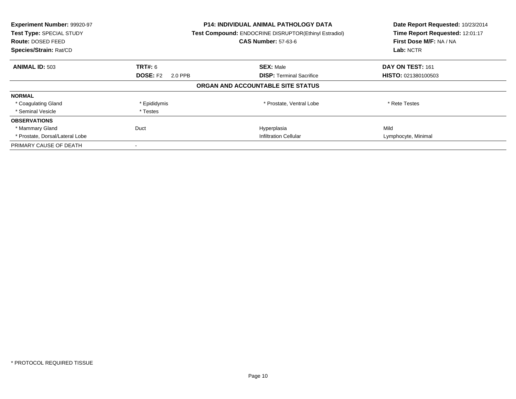| Experiment Number: 99920-97<br>Test Type: SPECIAL STUDY<br>Route: DOSED FEED<br>Species/Strain: Rat/CD |                            | <b>P14: INDIVIDUAL ANIMAL PATHOLOGY DATA</b><br><b>Test Compound: ENDOCRINE DISRUPTOR(Ethinyl Estradiol)</b><br><b>CAS Number: 57-63-6</b> | Date Report Requested: 10/23/2014<br>Time Report Requested: 12:01:17<br>First Dose M/F: NA / NA<br>Lab: NCTR |
|--------------------------------------------------------------------------------------------------------|----------------------------|--------------------------------------------------------------------------------------------------------------------------------------------|--------------------------------------------------------------------------------------------------------------|
| <b>ANIMAL ID: 503</b>                                                                                  | TRT#: 6                    | <b>SEX: Male</b>                                                                                                                           | DAY ON TEST: 161                                                                                             |
|                                                                                                        | <b>DOSE: F2</b><br>2.0 PPB | <b>DISP:</b> Terminal Sacrifice                                                                                                            | <b>HISTO: 021380100503</b>                                                                                   |
|                                                                                                        |                            | ORGAN AND ACCOUNTABLE SITE STATUS                                                                                                          |                                                                                                              |
| <b>NORMAL</b>                                                                                          |                            |                                                                                                                                            |                                                                                                              |
| * Coagulating Gland                                                                                    | * Epididymis               | * Prostate, Ventral Lobe                                                                                                                   | * Rete Testes                                                                                                |
| * Seminal Vesicle                                                                                      | * Testes                   |                                                                                                                                            |                                                                                                              |
| <b>OBSERVATIONS</b>                                                                                    |                            |                                                                                                                                            |                                                                                                              |
| * Mammary Gland                                                                                        | Duct                       | Hyperplasia                                                                                                                                | Mild                                                                                                         |
| * Prostate, Dorsal/Lateral Lobe                                                                        |                            | <b>Infiltration Cellular</b>                                                                                                               | Lymphocyte, Minimal                                                                                          |
| PRIMARY CAUSE OF DEATH                                                                                 |                            |                                                                                                                                            |                                                                                                              |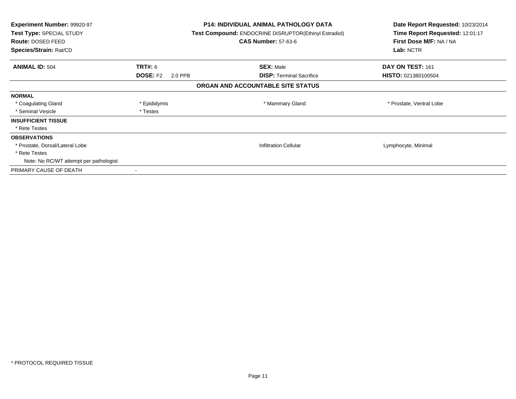| Experiment Number: 99920-97<br>Test Type: SPECIAL STUDY<br>Route: DOSED FEED<br>Species/Strain: Rat/CD |                            | <b>P14: INDIVIDUAL ANIMAL PATHOLOGY DATA</b><br><b>Test Compound: ENDOCRINE DISRUPTOR(Ethinyl Estradiol)</b><br><b>CAS Number: 57-63-6</b> | Date Report Requested: 10/23/2014<br>Time Report Requested: 12:01:17<br>First Dose M/F: NA / NA<br>Lab: NCTR |
|--------------------------------------------------------------------------------------------------------|----------------------------|--------------------------------------------------------------------------------------------------------------------------------------------|--------------------------------------------------------------------------------------------------------------|
| <b>ANIMAL ID: 504</b>                                                                                  | TRT#: 6                    | <b>SEX: Male</b>                                                                                                                           | DAY ON TEST: 161                                                                                             |
|                                                                                                        | <b>DOSE: F2</b><br>2.0 PPB | <b>DISP:</b> Terminal Sacrifice                                                                                                            | <b>HISTO: 021380100504</b>                                                                                   |
|                                                                                                        |                            | ORGAN AND ACCOUNTABLE SITE STATUS                                                                                                          |                                                                                                              |
| <b>NORMAL</b>                                                                                          |                            |                                                                                                                                            |                                                                                                              |
| * Coagulating Gland                                                                                    | * Epididymis               | * Mammary Gland                                                                                                                            | * Prostate, Ventral Lobe                                                                                     |
| * Seminal Vesicle                                                                                      | * Testes                   |                                                                                                                                            |                                                                                                              |
| <b>INSUFFICIENT TISSUE</b>                                                                             |                            |                                                                                                                                            |                                                                                                              |
| * Rete Testes                                                                                          |                            |                                                                                                                                            |                                                                                                              |
| <b>OBSERVATIONS</b>                                                                                    |                            |                                                                                                                                            |                                                                                                              |
| * Prostate, Dorsal/Lateral Lobe                                                                        |                            | <b>Infiltration Cellular</b>                                                                                                               | Lymphocyte, Minimal                                                                                          |
| * Rete Testes                                                                                          |                            |                                                                                                                                            |                                                                                                              |
| Note: No RC/WT attempt per pathologist                                                                 |                            |                                                                                                                                            |                                                                                                              |
| PRIMARY CAUSE OF DEATH                                                                                 |                            |                                                                                                                                            |                                                                                                              |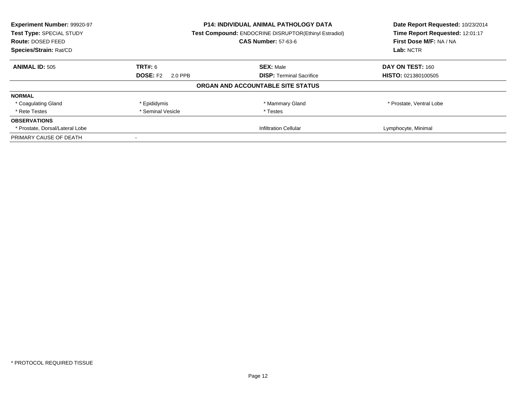| Experiment Number: 99920-97<br>Test Type: SPECIAL STUDY<br><b>Route: DOSED FEED</b> |                            | P14: INDIVIDUAL ANIMAL PATHOLOGY DATA<br>Test Compound: ENDOCRINE DISRUPTOR(Ethinyl Estradiol)<br><b>CAS Number: 57-63-6</b> |                            |
|-------------------------------------------------------------------------------------|----------------------------|------------------------------------------------------------------------------------------------------------------------------|----------------------------|
| Species/Strain: Rat/CD                                                              |                            |                                                                                                                              | Lab: NCTR                  |
| <b>ANIMAL ID: 505</b>                                                               | TRT#: 6                    | <b>SEX: Male</b>                                                                                                             | DAY ON TEST: 160           |
|                                                                                     | <b>DOSE: F2</b><br>2.0 PPB | <b>DISP:</b> Terminal Sacrifice                                                                                              | <b>HISTO: 021380100505</b> |
|                                                                                     |                            | ORGAN AND ACCOUNTABLE SITE STATUS                                                                                            |                            |
| <b>NORMAL</b>                                                                       |                            |                                                                                                                              |                            |
| * Coagulating Gland                                                                 | * Epididymis               | * Mammary Gland                                                                                                              | * Prostate, Ventral Lobe   |
| * Rete Testes                                                                       | * Seminal Vesicle          | * Testes                                                                                                                     |                            |
| <b>OBSERVATIONS</b>                                                                 |                            |                                                                                                                              |                            |
| * Prostate, Dorsal/Lateral Lobe                                                     |                            | <b>Infiltration Cellular</b>                                                                                                 | Lymphocyte, Minimal        |
| PRIMARY CAUSE OF DEATH                                                              |                            |                                                                                                                              |                            |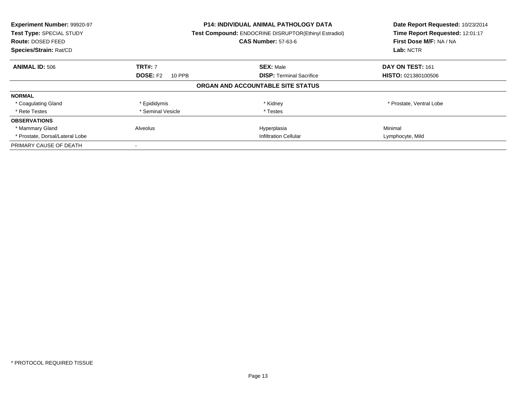| Experiment Number: 99920-97<br>Test Type: SPECIAL STUDY<br>Route: DOSED FEED<br>Species/Strain: Rat/CD |                           | <b>P14: INDIVIDUAL ANIMAL PATHOLOGY DATA</b><br>Test Compound: ENDOCRINE DISRUPTOR(Ethinyl Estradiol)<br><b>CAS Number: 57-63-6</b> | Date Report Requested: 10/23/2014<br>Time Report Requested: 12:01:17<br>First Dose M/F: NA / NA<br>Lab: NCTR |
|--------------------------------------------------------------------------------------------------------|---------------------------|-------------------------------------------------------------------------------------------------------------------------------------|--------------------------------------------------------------------------------------------------------------|
| <b>ANIMAL ID: 506</b>                                                                                  | <b>TRT#: 7</b>            | <b>SEX: Male</b>                                                                                                                    | DAY ON TEST: 161                                                                                             |
|                                                                                                        | <b>DOSE: F2</b><br>10 PPB | <b>DISP:</b> Terminal Sacrifice                                                                                                     | <b>HISTO: 021380100506</b>                                                                                   |
|                                                                                                        |                           | ORGAN AND ACCOUNTABLE SITE STATUS                                                                                                   |                                                                                                              |
| <b>NORMAL</b>                                                                                          |                           |                                                                                                                                     |                                                                                                              |
| * Coagulating Gland                                                                                    | * Epididymis              | * Kidney                                                                                                                            | * Prostate, Ventral Lobe                                                                                     |
| * Rete Testes                                                                                          | * Seminal Vesicle         | * Testes                                                                                                                            |                                                                                                              |
| <b>OBSERVATIONS</b>                                                                                    |                           |                                                                                                                                     |                                                                                                              |
| * Mammary Gland                                                                                        | Alveolus                  | Hyperplasia                                                                                                                         | Minimal                                                                                                      |
| * Prostate, Dorsal/Lateral Lobe                                                                        |                           | <b>Infiltration Cellular</b>                                                                                                        | Lymphocyte, Mild                                                                                             |
| PRIMARY CAUSE OF DEATH                                                                                 |                           |                                                                                                                                     |                                                                                                              |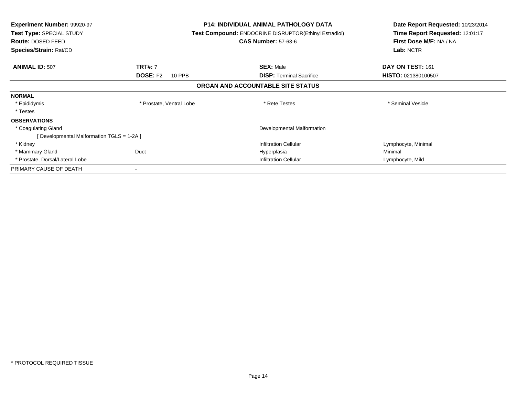| <b>Experiment Number: 99920-97</b><br>Test Type: SPECIAL STUDY<br><b>Route: DOSED FEED</b><br>Species/Strain: Rat/CD |                           | <b>P14: INDIVIDUAL ANIMAL PATHOLOGY DATA</b><br>Test Compound: ENDOCRINE DISRUPTOR(Ethinyl Estradiol)<br><b>CAS Number: 57-63-6</b> | Date Report Requested: 10/23/2014<br>Time Report Requested: 12:01:17<br>First Dose M/F: NA / NA<br>Lab: NCTR |
|----------------------------------------------------------------------------------------------------------------------|---------------------------|-------------------------------------------------------------------------------------------------------------------------------------|--------------------------------------------------------------------------------------------------------------|
| <b>ANIMAL ID: 507</b>                                                                                                | <b>TRT#: 7</b>            | <b>SEX: Male</b>                                                                                                                    | DAY ON TEST: 161                                                                                             |
|                                                                                                                      | <b>DOSE: F2</b><br>10 PPB | <b>DISP:</b> Terminal Sacrifice                                                                                                     | HISTO: 021380100507                                                                                          |
|                                                                                                                      |                           | ORGAN AND ACCOUNTABLE SITE STATUS                                                                                                   |                                                                                                              |
| <b>NORMAL</b>                                                                                                        |                           |                                                                                                                                     |                                                                                                              |
| * Epididymis                                                                                                         | * Prostate, Ventral Lobe  | * Rete Testes                                                                                                                       | * Seminal Vesicle                                                                                            |
| * Testes                                                                                                             |                           |                                                                                                                                     |                                                                                                              |
| <b>OBSERVATIONS</b>                                                                                                  |                           |                                                                                                                                     |                                                                                                              |
| * Coagulating Gland                                                                                                  |                           | Developmental Malformation                                                                                                          |                                                                                                              |
| [Developmental Malformation TGLS = 1-2A]                                                                             |                           |                                                                                                                                     |                                                                                                              |
| * Kidney                                                                                                             |                           | <b>Infiltration Cellular</b>                                                                                                        | Lymphocyte, Minimal                                                                                          |
| * Mammary Gland                                                                                                      | Duct                      | Hyperplasia                                                                                                                         | Minimal                                                                                                      |
| * Prostate, Dorsal/Lateral Lobe                                                                                      |                           | <b>Infiltration Cellular</b>                                                                                                        | Lymphocyte, Mild                                                                                             |
| PRIMARY CAUSE OF DEATH                                                                                               |                           |                                                                                                                                     |                                                                                                              |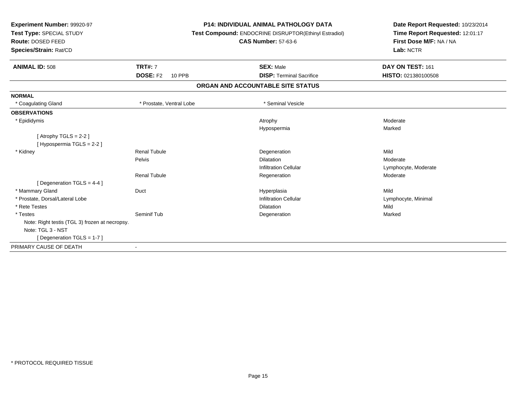| Experiment Number: 99920-97<br>Test Type: SPECIAL STUDY<br>Route: DOSED FEED<br>Species/Strain: Rat/CD |                                             | <b>P14: INDIVIDUAL ANIMAL PATHOLOGY DATA</b><br>Test Compound: ENDOCRINE DISRUPTOR(Ethinyl Estradiol)<br><b>CAS Number: 57-63-6</b> | Date Report Requested: 10/23/2014<br>Time Report Requested: 12:01:17<br>First Dose M/F: NA / NA<br>Lab: NCTR |
|--------------------------------------------------------------------------------------------------------|---------------------------------------------|-------------------------------------------------------------------------------------------------------------------------------------|--------------------------------------------------------------------------------------------------------------|
| <b>ANIMAL ID: 508</b>                                                                                  | <b>TRT#: 7</b><br><b>DOSE: F2</b><br>10 PPB | <b>SEX: Male</b><br><b>DISP: Terminal Sacrifice</b>                                                                                 | DAY ON TEST: 161<br>HISTO: 021380100508                                                                      |
|                                                                                                        |                                             | ORGAN AND ACCOUNTABLE SITE STATUS                                                                                                   |                                                                                                              |
| <b>NORMAL</b>                                                                                          |                                             |                                                                                                                                     |                                                                                                              |
| * Coagulating Gland                                                                                    | * Prostate, Ventral Lobe                    | * Seminal Vesicle                                                                                                                   |                                                                                                              |
| <b>OBSERVATIONS</b>                                                                                    |                                             |                                                                                                                                     |                                                                                                              |
| * Epididymis                                                                                           |                                             | Atrophy<br>Hypospermia                                                                                                              | Moderate<br>Marked                                                                                           |
| [Atrophy TGLS = $2-2$ ]<br>[Hypospermia TGLS = 2-2]                                                    |                                             |                                                                                                                                     |                                                                                                              |
| * Kidney                                                                                               | Renal Tubule                                | Degeneration                                                                                                                        | Mild                                                                                                         |
|                                                                                                        | Pelvis                                      | <b>Dilatation</b>                                                                                                                   | Moderate                                                                                                     |
|                                                                                                        |                                             | <b>Infiltration Cellular</b>                                                                                                        | Lymphocyte, Moderate                                                                                         |
| [ Degeneration TGLS = 4-4 ]                                                                            | <b>Renal Tubule</b>                         | Regeneration                                                                                                                        | Moderate                                                                                                     |
| * Mammary Gland                                                                                        | Duct                                        | Hyperplasia                                                                                                                         | Mild                                                                                                         |
| * Prostate, Dorsal/Lateral Lobe                                                                        |                                             | <b>Infiltration Cellular</b>                                                                                                        | Lymphocyte, Minimal                                                                                          |
| * Rete Testes                                                                                          |                                             | <b>Dilatation</b>                                                                                                                   | Mild                                                                                                         |
| * Testes                                                                                               | Seminif Tub                                 | Degeneration                                                                                                                        | Marked                                                                                                       |
| Note: Right testis (TGL 3) frozen at necropsy.                                                         |                                             |                                                                                                                                     |                                                                                                              |
| Note: TGL 3 - NST                                                                                      |                                             |                                                                                                                                     |                                                                                                              |
| [ Degeneration TGLS = $1-7$ ]                                                                          |                                             |                                                                                                                                     |                                                                                                              |
| PRIMARY CAUSE OF DEATH                                                                                 | $\overline{\phantom{a}}$                    |                                                                                                                                     |                                                                                                              |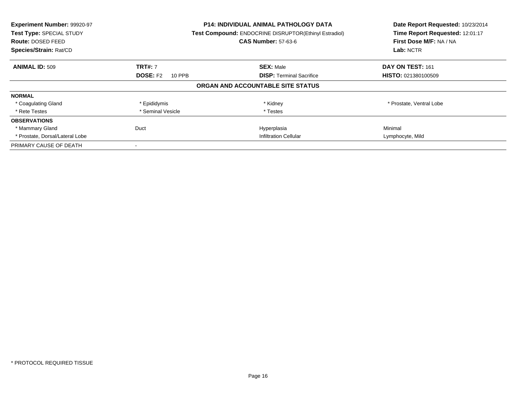| Experiment Number: 99920-97<br>Test Type: SPECIAL STUDY<br><b>Route: DOSED FEED</b><br>Species/Strain: Rat/CD |                           | <b>P14: INDIVIDUAL ANIMAL PATHOLOGY DATA</b><br>Test Compound: ENDOCRINE DISRUPTOR(Ethinyl Estradiol)<br><b>CAS Number: 57-63-6</b> | Date Report Requested: 10/23/2014<br>Time Report Requested: 12:01:17<br>First Dose M/F: NA / NA<br>Lab: NCTR |
|---------------------------------------------------------------------------------------------------------------|---------------------------|-------------------------------------------------------------------------------------------------------------------------------------|--------------------------------------------------------------------------------------------------------------|
| <b>ANIMAL ID: 509</b>                                                                                         | <b>TRT#: 7</b>            | <b>SEX: Male</b>                                                                                                                    | DAY ON TEST: 161                                                                                             |
|                                                                                                               | <b>DOSE: F2</b><br>10 PPB | <b>DISP:</b> Terminal Sacrifice                                                                                                     | <b>HISTO: 021380100509</b>                                                                                   |
|                                                                                                               |                           | ORGAN AND ACCOUNTABLE SITE STATUS                                                                                                   |                                                                                                              |
| <b>NORMAL</b>                                                                                                 |                           |                                                                                                                                     |                                                                                                              |
| * Coagulating Gland                                                                                           | * Epididymis              | * Kidney                                                                                                                            | * Prostate, Ventral Lobe                                                                                     |
| * Rete Testes                                                                                                 | * Seminal Vesicle         | * Testes                                                                                                                            |                                                                                                              |
| <b>OBSERVATIONS</b>                                                                                           |                           |                                                                                                                                     |                                                                                                              |
| * Mammary Gland                                                                                               | Duct                      | Hyperplasia                                                                                                                         | Minimal                                                                                                      |
| * Prostate, Dorsal/Lateral Lobe                                                                               |                           | <b>Infiltration Cellular</b>                                                                                                        | Lymphocyte, Mild                                                                                             |
| PRIMARY CAUSE OF DEATH                                                                                        |                           |                                                                                                                                     |                                                                                                              |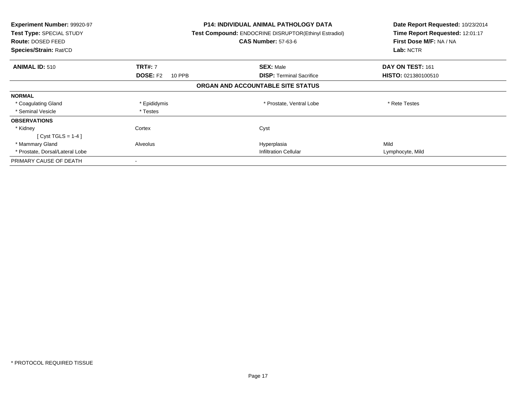| <b>Experiment Number: 99920-97</b><br><b>Test Type: SPECIAL STUDY</b><br>Route: DOSED FEED<br>Species/Strain: Rat/CD |                           | <b>P14: INDIVIDUAL ANIMAL PATHOLOGY DATA</b><br><b>Test Compound: ENDOCRINE DISRUPTOR(Ethinyl Estradiol)</b><br><b>CAS Number: 57-63-6</b> | Date Report Requested: 10/23/2014<br>Time Report Requested: 12:01:17<br>First Dose M/F: NA / NA<br>Lab: NCTR |
|----------------------------------------------------------------------------------------------------------------------|---------------------------|--------------------------------------------------------------------------------------------------------------------------------------------|--------------------------------------------------------------------------------------------------------------|
| <b>ANIMAL ID: 510</b>                                                                                                | <b>TRT#: 7</b>            | <b>SEX: Male</b>                                                                                                                           | DAY ON TEST: 161                                                                                             |
|                                                                                                                      | <b>DOSE: F2</b><br>10 PPB | <b>DISP:</b> Terminal Sacrifice                                                                                                            | <b>HISTO: 021380100510</b>                                                                                   |
|                                                                                                                      |                           | ORGAN AND ACCOUNTABLE SITE STATUS                                                                                                          |                                                                                                              |
| <b>NORMAL</b>                                                                                                        |                           |                                                                                                                                            |                                                                                                              |
| * Coagulating Gland                                                                                                  | * Epididymis              | * Prostate, Ventral Lobe                                                                                                                   | * Rete Testes                                                                                                |
| * Seminal Vesicle                                                                                                    | * Testes                  |                                                                                                                                            |                                                                                                              |
| <b>OBSERVATIONS</b>                                                                                                  |                           |                                                                                                                                            |                                                                                                              |
| * Kidney                                                                                                             | Cortex                    | Cyst                                                                                                                                       |                                                                                                              |
| [Cyst TGLS = $1-4$ ]                                                                                                 |                           |                                                                                                                                            |                                                                                                              |
| * Mammary Gland                                                                                                      | Alveolus                  | Hyperplasia                                                                                                                                | Mild                                                                                                         |
| * Prostate, Dorsal/Lateral Lobe                                                                                      |                           | <b>Infiltration Cellular</b>                                                                                                               | Lymphocyte, Mild                                                                                             |
| PRIMARY CAUSE OF DEATH                                                                                               |                           |                                                                                                                                            |                                                                                                              |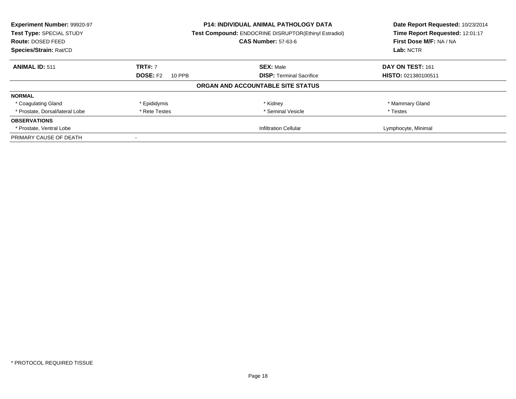| Experiment Number: 99920-97                                                       |                           | <b>P14: INDIVIDUAL ANIMAL PATHOLOGY DATA</b> | Date Report Requested: 10/23/2014 |
|-----------------------------------------------------------------------------------|---------------------------|----------------------------------------------|-----------------------------------|
| Test Compound: ENDOCRINE DISRUPTOR(Ethinyl Estradiol)<br>Test Type: SPECIAL STUDY |                           |                                              | Time Report Requested: 12:01:17   |
| <b>Route: DOSED FEED</b>                                                          |                           | <b>CAS Number: 57-63-6</b>                   | First Dose M/F: NA / NA           |
| Species/Strain: Rat/CD                                                            |                           |                                              | Lab: NCTR                         |
| <b>ANIMAL ID: 511</b>                                                             | <b>TRT#: 7</b>            | <b>SEX: Male</b>                             | DAY ON TEST: 161                  |
|                                                                                   | <b>DOSE: F2</b><br>10 PPB | <b>DISP:</b> Terminal Sacrifice              | <b>HISTO: 021380100511</b>        |
|                                                                                   |                           | ORGAN AND ACCOUNTABLE SITE STATUS            |                                   |
| <b>NORMAL</b>                                                                     |                           |                                              |                                   |
| * Coagulating Gland                                                               | * Epididymis              | * Kidney                                     | * Mammary Gland                   |
| * Prostate, Dorsal/lateral Lobe                                                   | * Rete Testes             | * Seminal Vesicle                            | * Testes                          |
| <b>OBSERVATIONS</b>                                                               |                           |                                              |                                   |
| * Prostate, Ventral Lobe                                                          |                           | <b>Infiltration Cellular</b>                 | Lymphocyte, Minimal               |
| PRIMARY CAUSE OF DEATH                                                            |                           |                                              |                                   |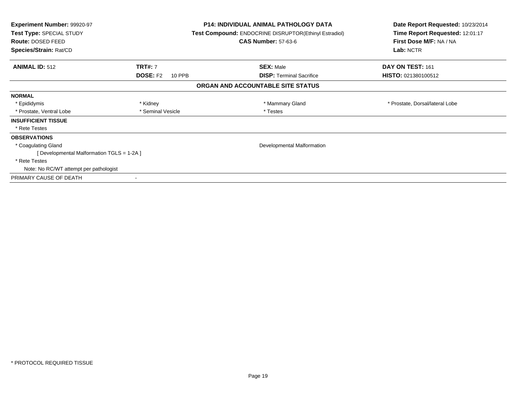| <b>Experiment Number: 99920-97</b><br>Test Type: SPECIAL STUDY<br><b>Route: DOSED FEED</b><br>Species/Strain: Rat/CD |                                             | <b>P14: INDIVIDUAL ANIMAL PATHOLOGY DATA</b><br>Test Compound: ENDOCRINE DISRUPTOR(Ethinyl Estradiol)<br><b>CAS Number: 57-63-6</b> | Date Report Requested: 10/23/2014<br>Time Report Requested: 12:01:17<br>First Dose M/F: NA / NA<br>Lab: NCTR |
|----------------------------------------------------------------------------------------------------------------------|---------------------------------------------|-------------------------------------------------------------------------------------------------------------------------------------|--------------------------------------------------------------------------------------------------------------|
| <b>ANIMAL ID: 512</b>                                                                                                | <b>TRT#: 7</b><br><b>DOSE: F2</b><br>10 PPB | <b>SEX: Male</b><br><b>DISP:</b> Terminal Sacrifice                                                                                 | DAY ON TEST: 161<br>HISTO: 021380100512                                                                      |
|                                                                                                                      |                                             | ORGAN AND ACCOUNTABLE SITE STATUS                                                                                                   |                                                                                                              |
|                                                                                                                      |                                             |                                                                                                                                     |                                                                                                              |
| <b>NORMAL</b>                                                                                                        |                                             |                                                                                                                                     |                                                                                                              |
| * Epididymis                                                                                                         | * Kidney                                    | * Mammary Gland                                                                                                                     | * Prostate, Dorsal/lateral Lobe                                                                              |
| * Prostate, Ventral Lobe                                                                                             | * Seminal Vesicle                           | * Testes                                                                                                                            |                                                                                                              |
| <b>INSUFFICIENT TISSUE</b>                                                                                           |                                             |                                                                                                                                     |                                                                                                              |
| * Rete Testes                                                                                                        |                                             |                                                                                                                                     |                                                                                                              |
| <b>OBSERVATIONS</b>                                                                                                  |                                             |                                                                                                                                     |                                                                                                              |
| * Coagulating Gland                                                                                                  |                                             | Developmental Malformation                                                                                                          |                                                                                                              |
| [ Developmental Malformation TGLS = 1-2A ]                                                                           |                                             |                                                                                                                                     |                                                                                                              |
| * Rete Testes                                                                                                        |                                             |                                                                                                                                     |                                                                                                              |
| Note: No RC/WT attempt per pathologist                                                                               |                                             |                                                                                                                                     |                                                                                                              |
| PRIMARY CAUSE OF DEATH                                                                                               |                                             |                                                                                                                                     |                                                                                                              |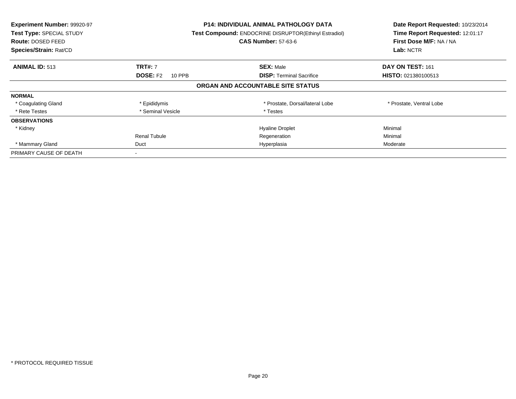| Experiment Number: 99920-97<br>Test Type: SPECIAL STUDY<br><b>Route: DOSED FEED</b><br>Species/Strain: Rat/CD | P14: INDIVIDUAL ANIMAL PATHOLOGY DATA<br>Test Compound: ENDOCRINE DISRUPTOR(Ethinyl Estradiol)<br><b>CAS Number: 57-63-6</b> |                                   | Date Report Requested: 10/23/2014<br>Time Report Requested: 12:01:17<br>First Dose M/F: NA / NA<br>Lab: NCTR |
|---------------------------------------------------------------------------------------------------------------|------------------------------------------------------------------------------------------------------------------------------|-----------------------------------|--------------------------------------------------------------------------------------------------------------|
| <b>ANIMAL ID: 513</b>                                                                                         | <b>TRT#: 7</b>                                                                                                               | <b>SEX: Male</b>                  | DAY ON TEST: 161                                                                                             |
|                                                                                                               | <b>DOSE: F2</b><br>10 PPB                                                                                                    | <b>DISP:</b> Terminal Sacrifice   | <b>HISTO: 021380100513</b>                                                                                   |
|                                                                                                               |                                                                                                                              | ORGAN AND ACCOUNTABLE SITE STATUS |                                                                                                              |
| <b>NORMAL</b>                                                                                                 |                                                                                                                              |                                   |                                                                                                              |
| * Coagulating Gland                                                                                           | * Epididymis                                                                                                                 | * Prostate, Dorsal/lateral Lobe   | * Prostate, Ventral Lobe                                                                                     |
| * Rete Testes                                                                                                 | * Seminal Vesicle                                                                                                            | * Testes                          |                                                                                                              |
| <b>OBSERVATIONS</b>                                                                                           |                                                                                                                              |                                   |                                                                                                              |
| * Kidney                                                                                                      |                                                                                                                              | <b>Hyaline Droplet</b>            | Minimal                                                                                                      |
|                                                                                                               | Renal Tubule                                                                                                                 | Regeneration                      | Minimal                                                                                                      |
| * Mammary Gland                                                                                               | Duct                                                                                                                         | Hyperplasia                       | Moderate                                                                                                     |
| PRIMARY CAUSE OF DEATH                                                                                        |                                                                                                                              |                                   |                                                                                                              |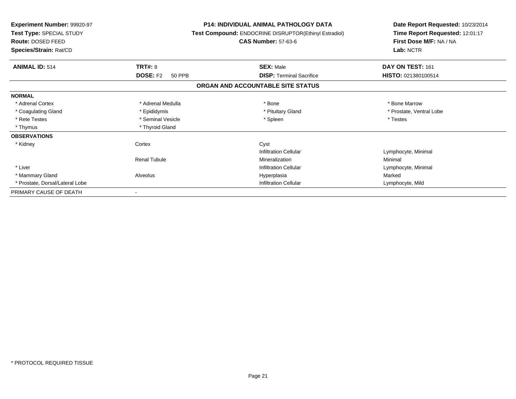| Experiment Number: 99920-97<br>Test Type: SPECIAL STUDY<br>Route: DOSED FEED<br>Species/Strain: Rat/CD |                                  | <b>P14: INDIVIDUAL ANIMAL PATHOLOGY DATA</b><br>Test Compound: ENDOCRINE DISRUPTOR(Ethinyl Estradiol)<br><b>CAS Number: 57-63-6</b> | Date Report Requested: 10/23/2014<br>Time Report Requested: 12:01:17<br>First Dose M/F: NA / NA<br>Lab: NCTR |
|--------------------------------------------------------------------------------------------------------|----------------------------------|-------------------------------------------------------------------------------------------------------------------------------------|--------------------------------------------------------------------------------------------------------------|
| <b>ANIMAL ID: 514</b>                                                                                  | <b>TRT#: 8</b>                   | <b>SEX: Male</b>                                                                                                                    | DAY ON TEST: 161                                                                                             |
|                                                                                                        | <b>DOSE: F2</b><br><b>50 PPB</b> | <b>DISP:</b> Terminal Sacrifice                                                                                                     | HISTO: 021380100514                                                                                          |
|                                                                                                        |                                  | ORGAN AND ACCOUNTABLE SITE STATUS                                                                                                   |                                                                                                              |
| <b>NORMAL</b>                                                                                          |                                  |                                                                                                                                     |                                                                                                              |
| * Adrenal Cortex                                                                                       | * Adrenal Medulla                | * Bone                                                                                                                              | * Bone Marrow                                                                                                |
| * Coagulating Gland                                                                                    | * Epididymis                     | * Pituitary Gland                                                                                                                   | * Prostate, Ventral Lobe                                                                                     |
| * Rete Testes                                                                                          | * Seminal Vesicle                | * Spleen                                                                                                                            | * Testes                                                                                                     |
| * Thymus                                                                                               | * Thyroid Gland                  |                                                                                                                                     |                                                                                                              |
| <b>OBSERVATIONS</b>                                                                                    |                                  |                                                                                                                                     |                                                                                                              |
| * Kidney                                                                                               | Cortex                           | Cyst                                                                                                                                |                                                                                                              |
|                                                                                                        |                                  | <b>Infiltration Cellular</b>                                                                                                        | Lymphocyte, Minimal                                                                                          |
|                                                                                                        | <b>Renal Tubule</b>              | Mineralization                                                                                                                      | Minimal                                                                                                      |
| * Liver                                                                                                |                                  | <b>Infiltration Cellular</b>                                                                                                        | Lymphocyte, Minimal                                                                                          |
| * Mammary Gland                                                                                        | Alveolus                         | Hyperplasia                                                                                                                         | Marked                                                                                                       |
| * Prostate, Dorsal/Lateral Lobe                                                                        |                                  | <b>Infiltration Cellular</b>                                                                                                        | Lymphocyte, Mild                                                                                             |
| PRIMARY CAUSE OF DEATH                                                                                 |                                  |                                                                                                                                     |                                                                                                              |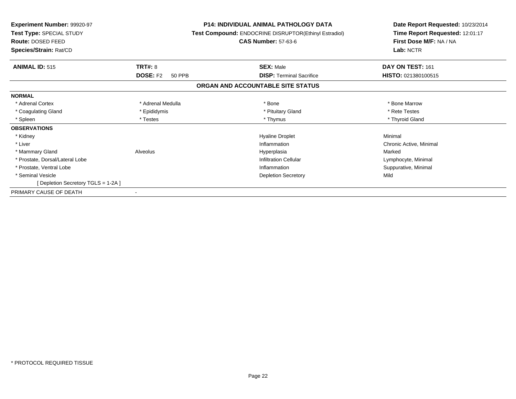| Experiment Number: 99920-97<br>Test Type: SPECIAL STUDY<br>Route: DOSED FEED<br><b>Species/Strain: Rat/CD</b> |                                  | <b>P14: INDIVIDUAL ANIMAL PATHOLOGY DATA</b><br>Test Compound: ENDOCRINE DISRUPTOR(Ethinyl Estradiol)<br><b>CAS Number: 57-63-6</b> | Date Report Requested: 10/23/2014<br>Time Report Requested: 12:01:17<br>First Dose M/F: NA / NA<br>Lab: NCTR |
|---------------------------------------------------------------------------------------------------------------|----------------------------------|-------------------------------------------------------------------------------------------------------------------------------------|--------------------------------------------------------------------------------------------------------------|
| <b>ANIMAL ID: 515</b>                                                                                         | <b>TRT#: 8</b>                   | <b>SEX: Male</b>                                                                                                                    | DAY ON TEST: 161                                                                                             |
|                                                                                                               | <b>DOSE: F2</b><br><b>50 PPB</b> | <b>DISP:</b> Terminal Sacrifice                                                                                                     | HISTO: 021380100515                                                                                          |
|                                                                                                               |                                  | ORGAN AND ACCOUNTABLE SITE STATUS                                                                                                   |                                                                                                              |
| <b>NORMAL</b>                                                                                                 |                                  |                                                                                                                                     |                                                                                                              |
| * Adrenal Cortex                                                                                              | * Adrenal Medulla                | * Bone                                                                                                                              | * Bone Marrow                                                                                                |
| * Coagulating Gland                                                                                           | * Epididymis                     | * Pituitary Gland                                                                                                                   | * Rete Testes                                                                                                |
| * Spleen                                                                                                      | * Testes                         | * Thymus                                                                                                                            | * Thyroid Gland                                                                                              |
| <b>OBSERVATIONS</b>                                                                                           |                                  |                                                                                                                                     |                                                                                                              |
| * Kidney                                                                                                      |                                  | <b>Hyaline Droplet</b>                                                                                                              | Minimal                                                                                                      |
| * Liver                                                                                                       |                                  | Inflammation                                                                                                                        | Chronic Active, Minimal                                                                                      |
| * Mammary Gland                                                                                               | Alveolus                         | Hyperplasia                                                                                                                         | Marked                                                                                                       |
| * Prostate, Dorsal/Lateral Lobe                                                                               |                                  | Infiltration Cellular                                                                                                               | Lymphocyte, Minimal                                                                                          |
| * Prostate, Ventral Lobe                                                                                      |                                  | Inflammation                                                                                                                        | Suppurative, Minimal                                                                                         |
| * Seminal Vesicle                                                                                             |                                  | <b>Depletion Secretory</b>                                                                                                          | Mild                                                                                                         |
| [Depletion Secretory TGLS = 1-2A]                                                                             |                                  |                                                                                                                                     |                                                                                                              |
| PRIMARY CAUSE OF DEATH                                                                                        |                                  |                                                                                                                                     |                                                                                                              |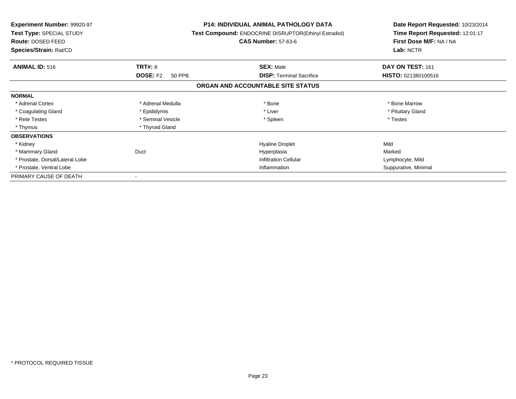| <b>Experiment Number: 99920-97</b><br>Test Type: SPECIAL STUDY<br>Route: DOSED FEED<br>Species/Strain: Rat/CD |                                      | <b>P14: INDIVIDUAL ANIMAL PATHOLOGY DATA</b><br>Test Compound: ENDOCRINE DISRUPTOR(Ethinyl Estradiol)<br><b>CAS Number: 57-63-6</b> | Date Report Requested: 10/23/2014<br>Time Report Requested: 12:01:17<br>First Dose M/F: NA / NA<br>Lab: NCTR |  |
|---------------------------------------------------------------------------------------------------------------|--------------------------------------|-------------------------------------------------------------------------------------------------------------------------------------|--------------------------------------------------------------------------------------------------------------|--|
|                                                                                                               |                                      |                                                                                                                                     |                                                                                                              |  |
| <b>ANIMAL ID: 516</b>                                                                                         | TRT#: 8<br><b>DOSE: F2</b><br>50 PPB | <b>SEX: Male</b><br><b>DISP: Terminal Sacrifice</b>                                                                                 | DAY ON TEST: 161<br>HISTO: 021380100516                                                                      |  |
|                                                                                                               |                                      | ORGAN AND ACCOUNTABLE SITE STATUS                                                                                                   |                                                                                                              |  |
| <b>NORMAL</b>                                                                                                 |                                      |                                                                                                                                     |                                                                                                              |  |
| * Adrenal Cortex                                                                                              | * Adrenal Medulla                    | * Bone                                                                                                                              | * Bone Marrow                                                                                                |  |
| * Coagulating Gland                                                                                           | * Epididymis                         | * Liver                                                                                                                             | * Pituitary Gland                                                                                            |  |
| * Rete Testes                                                                                                 | * Seminal Vesicle                    | * Spleen                                                                                                                            | * Testes                                                                                                     |  |
| * Thymus                                                                                                      | * Thyroid Gland                      |                                                                                                                                     |                                                                                                              |  |
| <b>OBSERVATIONS</b>                                                                                           |                                      |                                                                                                                                     |                                                                                                              |  |
| * Kidney                                                                                                      |                                      | <b>Hyaline Droplet</b>                                                                                                              | Mild                                                                                                         |  |
| * Mammary Gland                                                                                               | Duct                                 | Hyperplasia                                                                                                                         | Marked                                                                                                       |  |
| * Prostate, Dorsal/Lateral Lobe                                                                               |                                      | <b>Infiltration Cellular</b>                                                                                                        | Lymphocyte, Mild                                                                                             |  |
| * Prostate, Ventral Lobe                                                                                      |                                      | Inflammation                                                                                                                        | Suppurative, Minimal                                                                                         |  |
| PRIMARY CAUSE OF DEATH                                                                                        |                                      |                                                                                                                                     |                                                                                                              |  |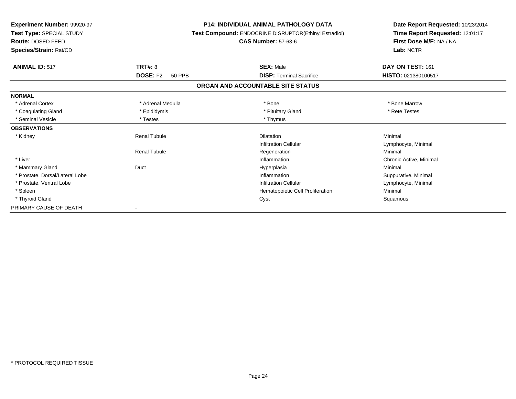| <b>Experiment Number: 99920-97</b><br>Test Type: SPECIAL STUDY<br><b>Route: DOSED FEED</b><br>Species/Strain: Rat/CD |                                  | <b>P14: INDIVIDUAL ANIMAL PATHOLOGY DATA</b><br>Test Compound: ENDOCRINE DISRUPTOR(Ethinyl Estradiol)<br><b>CAS Number: 57-63-6</b> | Date Report Requested: 10/23/2014<br>Time Report Requested: 12:01:17<br>First Dose M/F: NA / NA<br>Lab: NCTR |
|----------------------------------------------------------------------------------------------------------------------|----------------------------------|-------------------------------------------------------------------------------------------------------------------------------------|--------------------------------------------------------------------------------------------------------------|
| <b>ANIMAL ID: 517</b>                                                                                                | TRT#: 8                          | <b>SEX: Male</b>                                                                                                                    | DAY ON TEST: 161                                                                                             |
|                                                                                                                      | <b>DOSE: F2</b><br><b>50 PPB</b> | <b>DISP: Terminal Sacrifice</b>                                                                                                     | HISTO: 021380100517                                                                                          |
|                                                                                                                      |                                  | ORGAN AND ACCOUNTABLE SITE STATUS                                                                                                   |                                                                                                              |
| <b>NORMAL</b>                                                                                                        |                                  |                                                                                                                                     |                                                                                                              |
| * Adrenal Cortex                                                                                                     | * Adrenal Medulla                | * Bone                                                                                                                              | * Bone Marrow                                                                                                |
| * Coagulating Gland                                                                                                  | * Epididymis                     | * Pituitary Gland                                                                                                                   | * Rete Testes                                                                                                |
| * Seminal Vesicle                                                                                                    | * Testes                         | * Thymus                                                                                                                            |                                                                                                              |
| <b>OBSERVATIONS</b>                                                                                                  |                                  |                                                                                                                                     |                                                                                                              |
| * Kidney                                                                                                             | <b>Renal Tubule</b>              | <b>Dilatation</b>                                                                                                                   | Minimal                                                                                                      |
|                                                                                                                      |                                  | <b>Infiltration Cellular</b>                                                                                                        | Lymphocyte, Minimal                                                                                          |
|                                                                                                                      | <b>Renal Tubule</b>              | Regeneration                                                                                                                        | Minimal                                                                                                      |
| * Liver                                                                                                              |                                  | Inflammation                                                                                                                        | Chronic Active, Minimal                                                                                      |
| * Mammary Gland                                                                                                      | Duct                             | Hyperplasia                                                                                                                         | Minimal                                                                                                      |
| * Prostate, Dorsal/Lateral Lobe                                                                                      |                                  | Inflammation                                                                                                                        | Suppurative, Minimal                                                                                         |
| * Prostate, Ventral Lobe                                                                                             |                                  | <b>Infiltration Cellular</b>                                                                                                        | Lymphocyte, Minimal                                                                                          |
| * Spleen                                                                                                             |                                  | Hematopoietic Cell Proliferation                                                                                                    | Minimal                                                                                                      |
| * Thyroid Gland                                                                                                      |                                  | Cyst                                                                                                                                | Squamous                                                                                                     |
| PRIMARY CAUSE OF DEATH                                                                                               |                                  |                                                                                                                                     |                                                                                                              |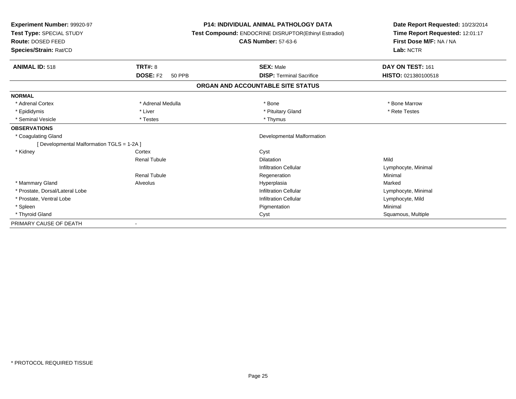| Experiment Number: 99920-97<br>Test Type: SPECIAL STUDY<br><b>Route: DOSED FEED</b><br>Species/Strain: Rat/CD |                                  | <b>P14: INDIVIDUAL ANIMAL PATHOLOGY DATA</b><br>Test Compound: ENDOCRINE DISRUPTOR(Ethinyl Estradiol)<br><b>CAS Number: 57-63-6</b> | Date Report Requested: 10/23/2014<br>Time Report Requested: 12:01:17<br>First Dose M/F: NA / NA<br>Lab: NCTR |
|---------------------------------------------------------------------------------------------------------------|----------------------------------|-------------------------------------------------------------------------------------------------------------------------------------|--------------------------------------------------------------------------------------------------------------|
|                                                                                                               |                                  |                                                                                                                                     |                                                                                                              |
| <b>ANIMAL ID: 518</b>                                                                                         | <b>TRT#: 8</b>                   | <b>SEX: Male</b>                                                                                                                    | DAY ON TEST: 161                                                                                             |
|                                                                                                               | <b>DOSE: F2</b><br><b>50 PPB</b> | <b>DISP: Terminal Sacrifice</b>                                                                                                     | HISTO: 021380100518                                                                                          |
|                                                                                                               |                                  | ORGAN AND ACCOUNTABLE SITE STATUS                                                                                                   |                                                                                                              |
| <b>NORMAL</b>                                                                                                 |                                  |                                                                                                                                     |                                                                                                              |
| * Adrenal Cortex                                                                                              | * Adrenal Medulla                | * Bone                                                                                                                              | * Bone Marrow                                                                                                |
| * Epididymis                                                                                                  | * Liver                          | * Pituitary Gland                                                                                                                   | * Rete Testes                                                                                                |
| * Seminal Vesicle                                                                                             | * Testes                         | * Thymus                                                                                                                            |                                                                                                              |
| <b>OBSERVATIONS</b>                                                                                           |                                  |                                                                                                                                     |                                                                                                              |
| * Coagulating Gland                                                                                           |                                  | Developmental Malformation                                                                                                          |                                                                                                              |
| [ Developmental Malformation TGLS = 1-2A ]                                                                    |                                  |                                                                                                                                     |                                                                                                              |
| * Kidney                                                                                                      | Cortex                           | Cyst                                                                                                                                |                                                                                                              |
|                                                                                                               | <b>Renal Tubule</b>              | <b>Dilatation</b>                                                                                                                   | Mild                                                                                                         |
|                                                                                                               |                                  | <b>Infiltration Cellular</b>                                                                                                        | Lymphocyte, Minimal                                                                                          |
|                                                                                                               | <b>Renal Tubule</b>              | Regeneration                                                                                                                        | Minimal                                                                                                      |
| * Mammary Gland                                                                                               | Alveolus                         | Hyperplasia                                                                                                                         | Marked                                                                                                       |
| * Prostate, Dorsal/Lateral Lobe                                                                               |                                  | <b>Infiltration Cellular</b>                                                                                                        | Lymphocyte, Minimal                                                                                          |
| * Prostate, Ventral Lobe                                                                                      |                                  | <b>Infiltration Cellular</b>                                                                                                        | Lymphocyte, Mild                                                                                             |
| * Spleen                                                                                                      |                                  | Pigmentation                                                                                                                        | Minimal                                                                                                      |
| * Thyroid Gland                                                                                               |                                  | Cyst                                                                                                                                | Squamous, Multiple                                                                                           |
| PRIMARY CAUSE OF DEATH                                                                                        |                                  |                                                                                                                                     |                                                                                                              |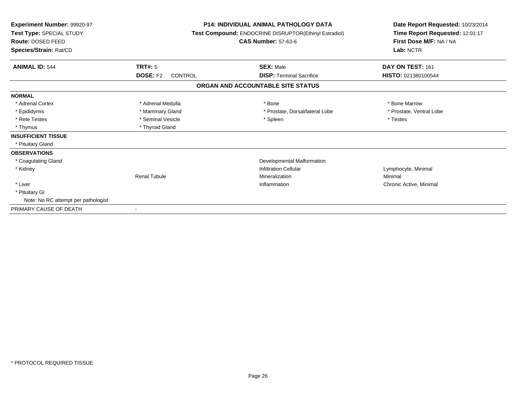| Experiment Number: 99920-97<br>Test Type: SPECIAL STUDY<br>Route: DOSED FEED<br>Species/Strain: Rat/CD | <b>P14: INDIVIDUAL ANIMAL PATHOLOGY DATA</b><br>Test Compound: ENDOCRINE DISRUPTOR(Ethinyl Estradiol)<br><b>CAS Number: 57-63-6</b> |                                   | Date Report Requested: 10/23/2014<br>Time Report Requested: 12:01:17<br>First Dose M/F: NA / NA<br>Lab: NCTR |  |
|--------------------------------------------------------------------------------------------------------|-------------------------------------------------------------------------------------------------------------------------------------|-----------------------------------|--------------------------------------------------------------------------------------------------------------|--|
| <b>ANIMAL ID: 544</b>                                                                                  | <b>TRT#: 5</b>                                                                                                                      | <b>SEX: Male</b>                  | DAY ON TEST: 161                                                                                             |  |
|                                                                                                        | <b>DOSE: F2</b><br><b>CONTROL</b>                                                                                                   | <b>DISP: Terminal Sacrifice</b>   | HISTO: 021380100544                                                                                          |  |
|                                                                                                        |                                                                                                                                     | ORGAN AND ACCOUNTABLE SITE STATUS |                                                                                                              |  |
| <b>NORMAL</b>                                                                                          |                                                                                                                                     |                                   |                                                                                                              |  |
| * Adrenal Cortex                                                                                       | * Adrenal Medulla                                                                                                                   | * Bone                            | * Bone Marrow                                                                                                |  |
| * Epididymis                                                                                           | * Mammary Gland                                                                                                                     | * Prostate, Dorsal/lateral Lobe   | * Prostate, Ventral Lobe                                                                                     |  |
| * Rete Testes                                                                                          | * Seminal Vesicle                                                                                                                   | * Spleen                          | * Testes                                                                                                     |  |
| * Thymus                                                                                               | * Thyroid Gland                                                                                                                     |                                   |                                                                                                              |  |
| <b>INSUFFICIENT TISSUE</b>                                                                             |                                                                                                                                     |                                   |                                                                                                              |  |
| * Pituitary Gland                                                                                      |                                                                                                                                     |                                   |                                                                                                              |  |
| <b>OBSERVATIONS</b>                                                                                    |                                                                                                                                     |                                   |                                                                                                              |  |
| * Coagulating Gland                                                                                    |                                                                                                                                     | Developmental Malformation        |                                                                                                              |  |
| * Kidney                                                                                               |                                                                                                                                     | <b>Infiltration Cellular</b>      | Lymphocyte, Minimal                                                                                          |  |
|                                                                                                        | <b>Renal Tubule</b>                                                                                                                 | Mineralization                    | Minimal                                                                                                      |  |
| * Liver                                                                                                |                                                                                                                                     | Inflammation                      | Chronic Active, Minimal                                                                                      |  |
| * Pituitary GI                                                                                         |                                                                                                                                     |                                   |                                                                                                              |  |
| Note: No RC attempt per pathologist                                                                    |                                                                                                                                     |                                   |                                                                                                              |  |
| PRIMARY CAUSE OF DEATH                                                                                 | $\sim$                                                                                                                              |                                   |                                                                                                              |  |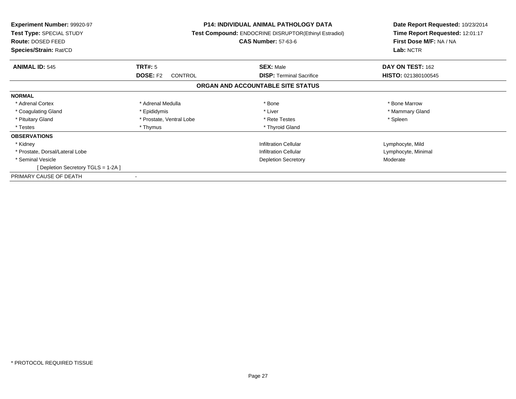| Experiment Number: 99920-97<br>Test Type: SPECIAL STUDY<br>Route: DOSED FEED<br>Species/Strain: Rat/CD | <b>P14: INDIVIDUAL ANIMAL PATHOLOGY DATA</b><br><b>Test Compound: ENDOCRINE DISRUPTOR(Ethinyl Estradiol)</b><br><b>CAS Number: 57-63-6</b> |                                   | Date Report Requested: 10/23/2014<br>Time Report Requested: 12:01:17<br>First Dose M/F: NA / NA<br>Lab: NCTR |
|--------------------------------------------------------------------------------------------------------|--------------------------------------------------------------------------------------------------------------------------------------------|-----------------------------------|--------------------------------------------------------------------------------------------------------------|
| <b>ANIMAL ID: 545</b>                                                                                  | <b>TRT#: 5</b>                                                                                                                             | <b>SEX: Male</b>                  | DAY ON TEST: 162                                                                                             |
|                                                                                                        | <b>DOSE: F2</b><br><b>CONTROL</b>                                                                                                          | <b>DISP:</b> Terminal Sacrifice   | HISTO: 021380100545                                                                                          |
|                                                                                                        |                                                                                                                                            | ORGAN AND ACCOUNTABLE SITE STATUS |                                                                                                              |
| <b>NORMAL</b>                                                                                          |                                                                                                                                            |                                   |                                                                                                              |
| * Adrenal Cortex                                                                                       | * Adrenal Medulla                                                                                                                          | * Bone                            | * Bone Marrow                                                                                                |
| * Coagulating Gland                                                                                    | * Epididymis                                                                                                                               | * Liver                           | * Mammary Gland                                                                                              |
| * Pituitary Gland                                                                                      | * Prostate, Ventral Lobe                                                                                                                   | * Rete Testes                     | * Spleen                                                                                                     |
| * Testes                                                                                               | * Thymus                                                                                                                                   | * Thyroid Gland                   |                                                                                                              |
| <b>OBSERVATIONS</b>                                                                                    |                                                                                                                                            |                                   |                                                                                                              |
| * Kidney                                                                                               |                                                                                                                                            | <b>Infiltration Cellular</b>      | Lymphocyte, Mild                                                                                             |
| * Prostate, Dorsal/Lateral Lobe                                                                        |                                                                                                                                            | <b>Infiltration Cellular</b>      | Lymphocyte, Minimal                                                                                          |
| * Seminal Vesicle                                                                                      |                                                                                                                                            | <b>Depletion Secretory</b>        | Moderate                                                                                                     |
| [ Depletion Secretory TGLS = 1-2A ]                                                                    |                                                                                                                                            |                                   |                                                                                                              |
| PRIMARY CAUSE OF DEATH                                                                                 | $\,$ $\,$                                                                                                                                  |                                   |                                                                                                              |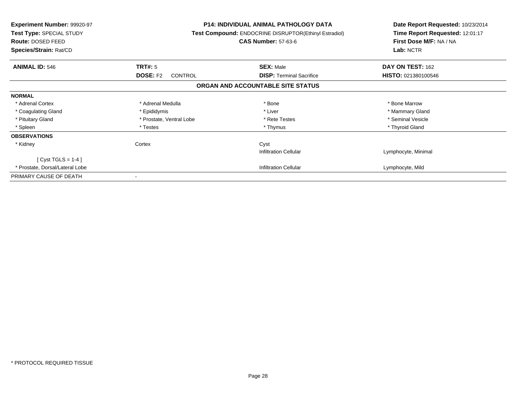| <b>Experiment Number: 99920-97</b><br>Test Type: SPECIAL STUDY<br>Route: DOSED FEED<br>Species/Strain: Rat/CD |                                   | <b>P14: INDIVIDUAL ANIMAL PATHOLOGY DATA</b><br>Test Compound: ENDOCRINE DISRUPTOR(Ethinyl Estradiol)<br><b>CAS Number: 57-63-6</b> | Date Report Requested: 10/23/2014<br>Time Report Requested: 12:01:17<br>First Dose M/F: NA / NA<br>Lab: NCTR |
|---------------------------------------------------------------------------------------------------------------|-----------------------------------|-------------------------------------------------------------------------------------------------------------------------------------|--------------------------------------------------------------------------------------------------------------|
| <b>ANIMAL ID: 546</b>                                                                                         | TRT#: 5                           | <b>SEX: Male</b>                                                                                                                    | DAY ON TEST: 162                                                                                             |
|                                                                                                               | <b>DOSE: F2</b><br><b>CONTROL</b> | <b>DISP:</b> Terminal Sacrifice                                                                                                     | HISTO: 021380100546                                                                                          |
|                                                                                                               |                                   | ORGAN AND ACCOUNTABLE SITE STATUS                                                                                                   |                                                                                                              |
| <b>NORMAL</b>                                                                                                 |                                   |                                                                                                                                     |                                                                                                              |
| * Adrenal Cortex                                                                                              | * Adrenal Medulla                 | * Bone                                                                                                                              | * Bone Marrow                                                                                                |
| * Coagulating Gland                                                                                           | * Epididymis                      | * Liver                                                                                                                             | * Mammary Gland                                                                                              |
| * Pituitary Gland                                                                                             | * Prostate, Ventral Lobe          | * Rete Testes                                                                                                                       | * Seminal Vesicle                                                                                            |
| * Spleen                                                                                                      | * Testes                          | * Thymus                                                                                                                            | * Thyroid Gland                                                                                              |
| <b>OBSERVATIONS</b>                                                                                           |                                   |                                                                                                                                     |                                                                                                              |
| * Kidney                                                                                                      | Cortex                            | Cyst                                                                                                                                |                                                                                                              |
|                                                                                                               |                                   | <b>Infiltration Cellular</b>                                                                                                        | Lymphocyte, Minimal                                                                                          |
| [ Cyst TGLS = $1-4$ ]                                                                                         |                                   |                                                                                                                                     |                                                                                                              |
| * Prostate, Dorsal/Lateral Lobe                                                                               |                                   | <b>Infiltration Cellular</b>                                                                                                        | Lymphocyte, Mild                                                                                             |
| PRIMARY CAUSE OF DEATH                                                                                        |                                   |                                                                                                                                     |                                                                                                              |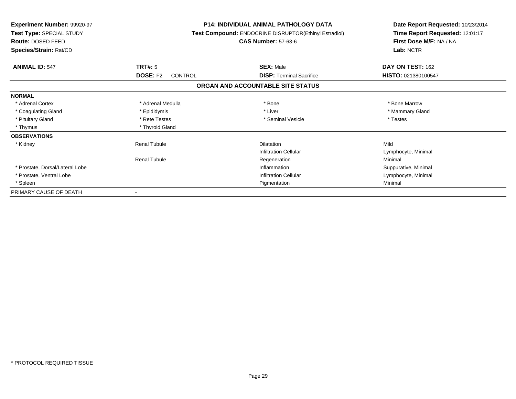| <b>Experiment Number: 99920-97</b><br>Test Type: SPECIAL STUDY<br>Route: DOSED FEED<br>Species/Strain: Rat/CD |                            | <b>P14: INDIVIDUAL ANIMAL PATHOLOGY DATA</b><br><b>Test Compound: ENDOCRINE DISRUPTOR(Ethinyl Estradiol)</b><br><b>CAS Number: 57-63-6</b> | Date Report Requested: 10/23/2014<br>Time Report Requested: 12:01:17<br>First Dose M/F: NA / NA<br>Lab: NCTR |
|---------------------------------------------------------------------------------------------------------------|----------------------------|--------------------------------------------------------------------------------------------------------------------------------------------|--------------------------------------------------------------------------------------------------------------|
| <b>ANIMAL ID: 547</b>                                                                                         | TRT#: 5                    | <b>SEX: Male</b>                                                                                                                           | DAY ON TEST: 162                                                                                             |
|                                                                                                               | <b>DOSE: F2</b><br>CONTROL | <b>DISP: Terminal Sacrifice</b>                                                                                                            | HISTO: 021380100547                                                                                          |
|                                                                                                               |                            | ORGAN AND ACCOUNTABLE SITE STATUS                                                                                                          |                                                                                                              |
| <b>NORMAL</b>                                                                                                 |                            |                                                                                                                                            |                                                                                                              |
| * Adrenal Cortex                                                                                              | * Adrenal Medulla          | * Bone                                                                                                                                     | * Bone Marrow                                                                                                |
| * Coagulating Gland                                                                                           | * Epididymis               | * Liver                                                                                                                                    | * Mammary Gland                                                                                              |
| * Pituitary Gland                                                                                             | * Rete Testes              | * Seminal Vesicle                                                                                                                          | * Testes                                                                                                     |
| * Thymus                                                                                                      | * Thyroid Gland            |                                                                                                                                            |                                                                                                              |
| <b>OBSERVATIONS</b>                                                                                           |                            |                                                                                                                                            |                                                                                                              |
| * Kidney                                                                                                      | <b>Renal Tubule</b>        | <b>Dilatation</b>                                                                                                                          | Mild                                                                                                         |
|                                                                                                               |                            | <b>Infiltration Cellular</b>                                                                                                               | Lymphocyte, Minimal                                                                                          |
|                                                                                                               | <b>Renal Tubule</b>        | Regeneration                                                                                                                               | Minimal                                                                                                      |
| * Prostate, Dorsal/Lateral Lobe                                                                               |                            | Inflammation                                                                                                                               | Suppurative, Minimal                                                                                         |
| * Prostate, Ventral Lobe                                                                                      |                            | <b>Infiltration Cellular</b>                                                                                                               | Lymphocyte, Minimal                                                                                          |
| * Spleen                                                                                                      |                            | Pigmentation                                                                                                                               | Minimal                                                                                                      |
| PRIMARY CAUSE OF DEATH                                                                                        |                            |                                                                                                                                            |                                                                                                              |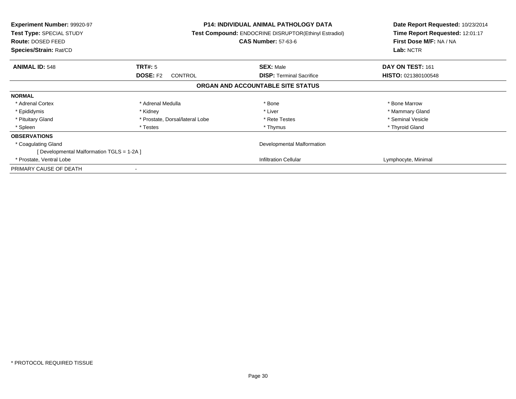| <b>Experiment Number: 99920-97</b><br>Test Type: SPECIAL STUDY<br>Route: DOSED FEED<br>Species/Strain: Rat/CD |                                   | <b>P14: INDIVIDUAL ANIMAL PATHOLOGY DATA</b><br><b>Test Compound: ENDOCRINE DISRUPTOR(Ethinyl Estradiol)</b><br><b>CAS Number: 57-63-6</b> | Date Report Requested: 10/23/2014<br>Time Report Requested: 12:01:17<br>First Dose M/F: NA / NA<br>Lab: NCTR |
|---------------------------------------------------------------------------------------------------------------|-----------------------------------|--------------------------------------------------------------------------------------------------------------------------------------------|--------------------------------------------------------------------------------------------------------------|
| <b>ANIMAL ID: 548</b>                                                                                         | TRT#: 5                           | <b>SEX: Male</b>                                                                                                                           | DAY ON TEST: 161                                                                                             |
|                                                                                                               | <b>DOSE: F2</b><br><b>CONTROL</b> | <b>DISP:</b> Terminal Sacrifice                                                                                                            | HISTO: 021380100548                                                                                          |
|                                                                                                               |                                   | ORGAN AND ACCOUNTABLE SITE STATUS                                                                                                          |                                                                                                              |
| <b>NORMAL</b>                                                                                                 |                                   |                                                                                                                                            |                                                                                                              |
| * Adrenal Cortex                                                                                              | * Adrenal Medulla                 | * Bone                                                                                                                                     | * Bone Marrow                                                                                                |
| * Epididymis                                                                                                  | * Kidney                          | * Liver                                                                                                                                    | * Mammary Gland                                                                                              |
| * Pituitary Gland                                                                                             | * Prostate, Dorsal/lateral Lobe   | * Rete Testes                                                                                                                              | * Seminal Vesicle                                                                                            |
| * Spleen                                                                                                      | * Testes                          | * Thymus                                                                                                                                   | * Thyroid Gland                                                                                              |
| <b>OBSERVATIONS</b>                                                                                           |                                   |                                                                                                                                            |                                                                                                              |
| * Coagulating Gland                                                                                           |                                   | Developmental Malformation                                                                                                                 |                                                                                                              |
| [ Developmental Malformation TGLS = 1-2A ]                                                                    |                                   |                                                                                                                                            |                                                                                                              |
| * Prostate, Ventral Lobe                                                                                      |                                   | <b>Infiltration Cellular</b>                                                                                                               | Lymphocyte, Minimal                                                                                          |
| PRIMARY CAUSE OF DEATH                                                                                        |                                   |                                                                                                                                            |                                                                                                              |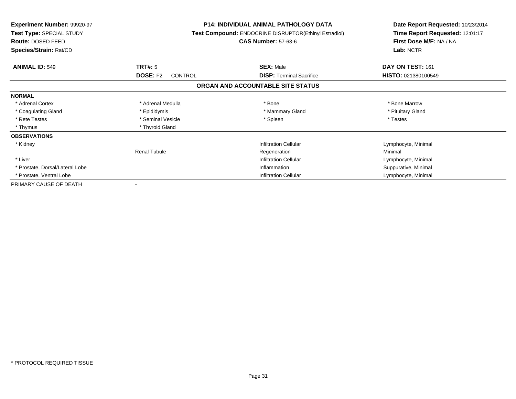| <b>Experiment Number: 99920-97</b><br>Test Type: SPECIAL STUDY<br>Route: DOSED FEED<br>Species/Strain: Rat/CD |                            | <b>P14: INDIVIDUAL ANIMAL PATHOLOGY DATA</b><br>Test Compound: ENDOCRINE DISRUPTOR(Ethinyl Estradiol)<br><b>CAS Number: 57-63-6</b> | Date Report Requested: 10/23/2014<br>Time Report Requested: 12:01:17<br>First Dose M/F: NA / NA<br>Lab: NCTR |
|---------------------------------------------------------------------------------------------------------------|----------------------------|-------------------------------------------------------------------------------------------------------------------------------------|--------------------------------------------------------------------------------------------------------------|
| <b>ANIMAL ID: 549</b>                                                                                         | <b>TRT#: 5</b>             | <b>SEX: Male</b>                                                                                                                    | DAY ON TEST: 161                                                                                             |
|                                                                                                               | <b>DOSE: F2</b><br>CONTROL | <b>DISP:</b> Terminal Sacrifice                                                                                                     | <b>HISTO: 021380100549</b>                                                                                   |
|                                                                                                               |                            | ORGAN AND ACCOUNTABLE SITE STATUS                                                                                                   |                                                                                                              |
| <b>NORMAL</b>                                                                                                 |                            |                                                                                                                                     |                                                                                                              |
| * Adrenal Cortex                                                                                              | * Adrenal Medulla          | * Bone                                                                                                                              | * Bone Marrow                                                                                                |
| * Coagulating Gland                                                                                           | * Epididymis               | * Mammary Gland                                                                                                                     | * Pituitary Gland                                                                                            |
| * Rete Testes                                                                                                 | * Seminal Vesicle          | * Spleen                                                                                                                            | * Testes                                                                                                     |
| * Thymus                                                                                                      | * Thyroid Gland            |                                                                                                                                     |                                                                                                              |
| <b>OBSERVATIONS</b>                                                                                           |                            |                                                                                                                                     |                                                                                                              |
| * Kidney                                                                                                      |                            | <b>Infiltration Cellular</b>                                                                                                        | Lymphocyte, Minimal                                                                                          |
|                                                                                                               | <b>Renal Tubule</b>        | Regeneration                                                                                                                        | Minimal                                                                                                      |
| * Liver                                                                                                       |                            | <b>Infiltration Cellular</b>                                                                                                        | Lymphocyte, Minimal                                                                                          |
| * Prostate, Dorsal/Lateral Lobe                                                                               |                            | Inflammation                                                                                                                        | Suppurative, Minimal                                                                                         |
| * Prostate, Ventral Lobe                                                                                      |                            | <b>Infiltration Cellular</b>                                                                                                        | Lymphocyte, Minimal                                                                                          |
| PRIMARY CAUSE OF DEATH                                                                                        |                            |                                                                                                                                     |                                                                                                              |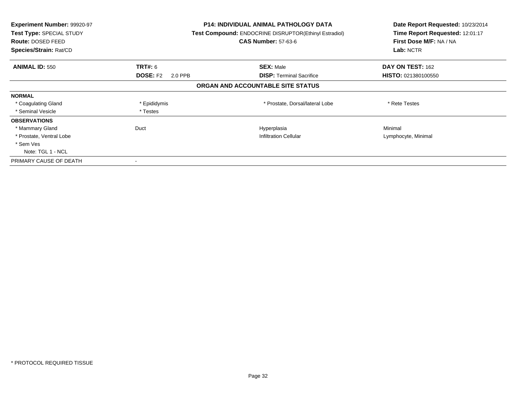| Experiment Number: 99920-97<br>Test Type: SPECIAL STUDY<br><b>Route: DOSED FEED</b><br>Species/Strain: Rat/CD |                            | <b>P14: INDIVIDUAL ANIMAL PATHOLOGY DATA</b><br>Test Compound: ENDOCRINE DISRUPTOR(Ethinyl Estradiol)<br><b>CAS Number: 57-63-6</b> | Date Report Requested: 10/23/2014<br>Time Report Requested: 12:01:17<br>First Dose M/F: NA / NA<br>Lab: NCTR |
|---------------------------------------------------------------------------------------------------------------|----------------------------|-------------------------------------------------------------------------------------------------------------------------------------|--------------------------------------------------------------------------------------------------------------|
| <b>ANIMAL ID: 550</b>                                                                                         | <b>TRT#:</b> 6             | <b>SEX: Male</b>                                                                                                                    | DAY ON TEST: 162                                                                                             |
|                                                                                                               | <b>DOSE: F2</b><br>2.0 PPB | <b>DISP:</b> Terminal Sacrifice                                                                                                     | <b>HISTO: 021380100550</b>                                                                                   |
|                                                                                                               |                            | ORGAN AND ACCOUNTABLE SITE STATUS                                                                                                   |                                                                                                              |
| <b>NORMAL</b>                                                                                                 |                            |                                                                                                                                     |                                                                                                              |
| * Coagulating Gland                                                                                           | * Epididymis               | * Prostate, Dorsal/lateral Lobe                                                                                                     | * Rete Testes                                                                                                |
| * Seminal Vesicle                                                                                             | * Testes                   |                                                                                                                                     |                                                                                                              |
| <b>OBSERVATIONS</b>                                                                                           |                            |                                                                                                                                     |                                                                                                              |
| * Mammary Gland                                                                                               | Duct                       | Hyperplasia                                                                                                                         | Minimal                                                                                                      |
| * Prostate, Ventral Lobe                                                                                      |                            | <b>Infiltration Cellular</b>                                                                                                        | Lymphocyte, Minimal                                                                                          |
| * Sem Ves                                                                                                     |                            |                                                                                                                                     |                                                                                                              |
| Note: TGL 1 - NCL                                                                                             |                            |                                                                                                                                     |                                                                                                              |
| PRIMARY CAUSE OF DEATH                                                                                        |                            |                                                                                                                                     |                                                                                                              |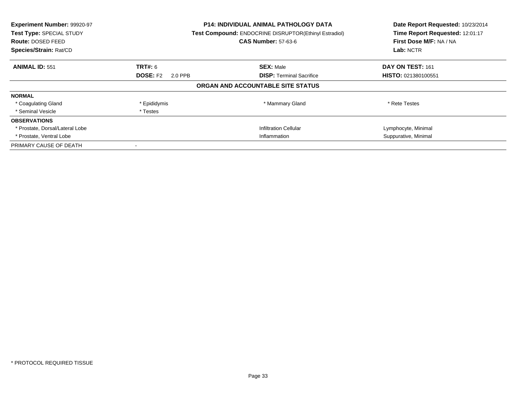| Experiment Number: 99920-97<br>Test Type: SPECIAL STUDY<br><b>Route: DOSED FEED</b><br>Species/Strain: Rat/CD |                            | <b>P14: INDIVIDUAL ANIMAL PATHOLOGY DATA</b><br><b>Test Compound: ENDOCRINE DISRUPTOR(Ethinyl Estradiol)</b><br><b>CAS Number: 57-63-6</b> | Date Report Requested: 10/23/2014<br>Time Report Requested: 12:01:17<br>First Dose M/F: NA / NA<br>Lab: NCTR |
|---------------------------------------------------------------------------------------------------------------|----------------------------|--------------------------------------------------------------------------------------------------------------------------------------------|--------------------------------------------------------------------------------------------------------------|
| <b>ANIMAL ID: 551</b>                                                                                         | TRT#: 6                    | <b>SEX: Male</b>                                                                                                                           | DAY ON TEST: 161                                                                                             |
|                                                                                                               | <b>DOSE: F2</b><br>2.0 PPB | <b>DISP:</b> Terminal Sacrifice                                                                                                            | <b>HISTO: 021380100551</b>                                                                                   |
|                                                                                                               |                            | ORGAN AND ACCOUNTABLE SITE STATUS                                                                                                          |                                                                                                              |
| <b>NORMAL</b>                                                                                                 |                            |                                                                                                                                            |                                                                                                              |
| * Coagulating Gland                                                                                           | * Epididymis               | * Mammary Gland                                                                                                                            | * Rete Testes                                                                                                |
| * Seminal Vesicle                                                                                             | * Testes                   |                                                                                                                                            |                                                                                                              |
| <b>OBSERVATIONS</b>                                                                                           |                            |                                                                                                                                            |                                                                                                              |
| * Prostate, Dorsal/Lateral Lobe                                                                               |                            | <b>Infiltration Cellular</b>                                                                                                               | Lymphocyte, Minimal                                                                                          |
| * Prostate, Ventral Lobe                                                                                      | Inflammation               |                                                                                                                                            | Suppurative, Minimal                                                                                         |
| PRIMARY CAUSE OF DEATH                                                                                        |                            |                                                                                                                                            |                                                                                                              |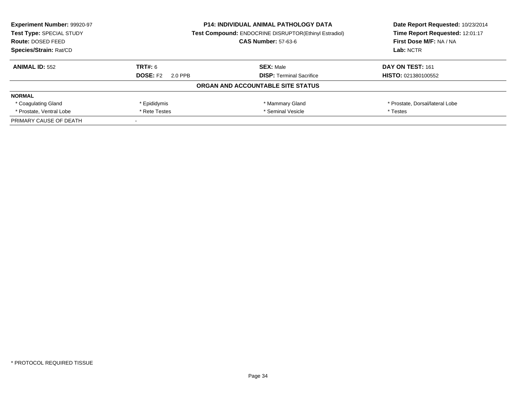| <b>P14: INDIVIDUAL ANIMAL PATHOLOGY DATA</b><br><b>Experiment Number: 99920-97</b> |                            |                                                              | Date Report Requested: 10/23/2014 |
|------------------------------------------------------------------------------------|----------------------------|--------------------------------------------------------------|-----------------------------------|
| Test Type: SPECIAL STUDY                                                           |                            | <b>Test Compound: ENDOCRINE DISRUPTOR(Ethinyl Estradiol)</b> |                                   |
| Route: DOSED FEED                                                                  |                            | <b>CAS Number: 57-63-6</b>                                   | First Dose M/F: NA / NA           |
| Species/Strain: Rat/CD                                                             |                            |                                                              | Lab: NCTR                         |
| <b>ANIMAL ID: 552</b>                                                              | TRT#: 6                    | <b>SEX: Male</b>                                             | DAY ON TEST: 161                  |
|                                                                                    | <b>DOSE: F2</b><br>2.0 PPB | <b>DISP: Terminal Sacrifice</b>                              | HISTO: 021380100552               |
|                                                                                    |                            | ORGAN AND ACCOUNTABLE SITE STATUS                            |                                   |
| <b>NORMAL</b>                                                                      |                            |                                                              |                                   |
| * Coagulating Gland                                                                | * Epididymis               | * Mammary Gland                                              | * Prostate, Dorsal/lateral Lobe   |
| * Prostate, Ventral Lobe                                                           | * Rete Testes              | * Seminal Vesicle                                            | * Testes                          |
| PRIMARY CAUSE OF DEATH                                                             |                            |                                                              |                                   |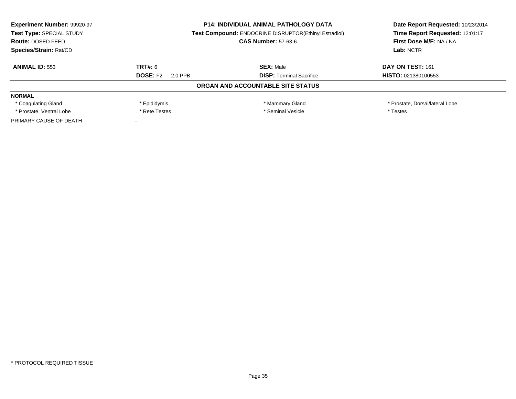| <b>Experiment Number: 99920-97</b><br>Test Type: SPECIAL STUDY | <b>P14: INDIVIDUAL ANIMAL PATHOLOGY DATA</b><br><b>Test Compound: ENDOCRINE DISRUPTOR(Ethinyl Estradiol)</b> |                                   | Date Report Requested: 10/23/2014<br>Time Report Requested: 12:01:17 |  |
|----------------------------------------------------------------|--------------------------------------------------------------------------------------------------------------|-----------------------------------|----------------------------------------------------------------------|--|
| <b>Route: DOSED FEED</b>                                       |                                                                                                              | <b>CAS Number: 57-63-6</b>        | First Dose M/F: NA / NA                                              |  |
| Species/Strain: Rat/CD                                         |                                                                                                              |                                   | Lab: NCTR                                                            |  |
| <b>ANIMAL ID: 553</b>                                          | TRT#: 6                                                                                                      | <b>SEX: Male</b>                  | DAY ON TEST: 161                                                     |  |
|                                                                | <b>DOSE: F2</b><br>2.0 PPB                                                                                   | <b>DISP:</b> Terminal Sacrifice   | <b>HISTO: 021380100553</b>                                           |  |
|                                                                |                                                                                                              | ORGAN AND ACCOUNTABLE SITE STATUS |                                                                      |  |
| <b>NORMAL</b>                                                  |                                                                                                              |                                   |                                                                      |  |
| * Coagulating Gland                                            | * Epididymis                                                                                                 | * Mammary Gland                   | * Prostate, Dorsal/lateral Lobe                                      |  |
| * Prostate, Ventral Lobe                                       | * Seminal Vesicle<br>* Rete Testes                                                                           |                                   | * Testes                                                             |  |
| PRIMARY CAUSE OF DEATH                                         |                                                                                                              |                                   |                                                                      |  |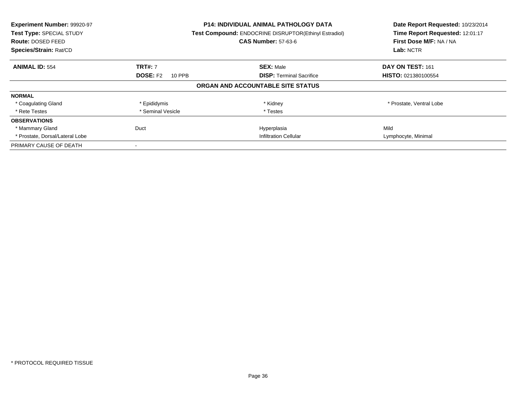| Experiment Number: 99920-97<br>Test Type: SPECIAL STUDY<br><b>Route: DOSED FEED</b><br>Species/Strain: Rat/CD | <b>P14: INDIVIDUAL ANIMAL PATHOLOGY DATA</b><br>Test Compound: ENDOCRINE DISRUPTOR(Ethinyl Estradiol)<br><b>CAS Number: 57-63-6</b> |                                   | Date Report Requested: 10/23/2014<br>Time Report Requested: 12:01:17<br>First Dose M/F: NA / NA<br>Lab: NCTR |
|---------------------------------------------------------------------------------------------------------------|-------------------------------------------------------------------------------------------------------------------------------------|-----------------------------------|--------------------------------------------------------------------------------------------------------------|
| <b>ANIMAL ID: 554</b>                                                                                         | <b>TRT#: 7</b>                                                                                                                      | <b>SEX: Male</b>                  | DAY ON TEST: 161                                                                                             |
|                                                                                                               | <b>DOSE: F2</b><br>10 PPB                                                                                                           | <b>DISP:</b> Terminal Sacrifice   | <b>HISTO: 021380100554</b>                                                                                   |
|                                                                                                               |                                                                                                                                     | ORGAN AND ACCOUNTABLE SITE STATUS |                                                                                                              |
| <b>NORMAL</b>                                                                                                 |                                                                                                                                     |                                   |                                                                                                              |
| * Coagulating Gland                                                                                           | * Epididymis                                                                                                                        | * Kidney                          | * Prostate, Ventral Lobe                                                                                     |
| * Rete Testes                                                                                                 | * Seminal Vesicle                                                                                                                   | * Testes                          |                                                                                                              |
| <b>OBSERVATIONS</b>                                                                                           |                                                                                                                                     |                                   |                                                                                                              |
| * Mammary Gland                                                                                               | Duct                                                                                                                                | Hyperplasia                       | Mild                                                                                                         |
| * Prostate, Dorsal/Lateral Lobe                                                                               |                                                                                                                                     | <b>Infiltration Cellular</b>      | Lymphocyte, Minimal                                                                                          |
| PRIMARY CAUSE OF DEATH                                                                                        |                                                                                                                                     |                                   |                                                                                                              |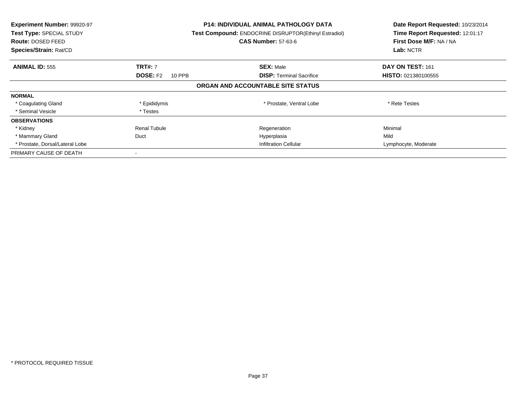| Experiment Number: 99920-97<br>Test Type: SPECIAL STUDY<br><b>Route: DOSED FEED</b><br>Species/Strain: Rat/CD |                           | <b>P14: INDIVIDUAL ANIMAL PATHOLOGY DATA</b><br>Test Compound: ENDOCRINE DISRUPTOR(Ethinyl Estradiol)<br><b>CAS Number: 57-63-6</b> | Date Report Requested: 10/23/2014<br>Time Report Requested: 12:01:17<br>First Dose M/F: NA / NA<br>Lab: NCTR |
|---------------------------------------------------------------------------------------------------------------|---------------------------|-------------------------------------------------------------------------------------------------------------------------------------|--------------------------------------------------------------------------------------------------------------|
| <b>ANIMAL ID: 555</b>                                                                                         | <b>TRT#: 7</b>            | <b>SEX: Male</b>                                                                                                                    | DAY ON TEST: 161                                                                                             |
|                                                                                                               | <b>DOSE: F2</b><br>10 PPB | <b>DISP:</b> Terminal Sacrifice                                                                                                     | <b>HISTO: 021380100555</b>                                                                                   |
|                                                                                                               |                           | ORGAN AND ACCOUNTABLE SITE STATUS                                                                                                   |                                                                                                              |
| <b>NORMAL</b>                                                                                                 |                           |                                                                                                                                     |                                                                                                              |
| * Coagulating Gland                                                                                           | * Epididymis              | * Prostate, Ventral Lobe                                                                                                            | * Rete Testes                                                                                                |
| * Seminal Vesicle                                                                                             | * Testes                  |                                                                                                                                     |                                                                                                              |
| <b>OBSERVATIONS</b>                                                                                           |                           |                                                                                                                                     |                                                                                                              |
| * Kidney                                                                                                      | <b>Renal Tubule</b>       | Regeneration                                                                                                                        | Minimal                                                                                                      |
| * Mammary Gland                                                                                               | Duct                      | Hyperplasia                                                                                                                         | Mild                                                                                                         |
| * Prostate, Dorsal/Lateral Lobe                                                                               |                           | <b>Infiltration Cellular</b>                                                                                                        | Lymphocyte, Moderate                                                                                         |
| PRIMARY CAUSE OF DEATH                                                                                        |                           |                                                                                                                                     |                                                                                                              |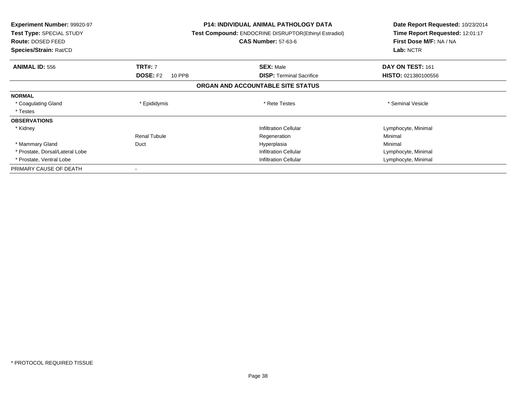| <b>Experiment Number: 99920-97</b><br>Test Type: SPECIAL STUDY<br>Route: DOSED FEED<br>Species/Strain: Rat/CD |                           | <b>P14: INDIVIDUAL ANIMAL PATHOLOGY DATA</b><br>Test Compound: ENDOCRINE DISRUPTOR(Ethinyl Estradiol)<br><b>CAS Number: 57-63-6</b> | Date Report Requested: 10/23/2014<br>Time Report Requested: 12:01:17<br>First Dose M/F: NA / NA<br>Lab: NCTR |
|---------------------------------------------------------------------------------------------------------------|---------------------------|-------------------------------------------------------------------------------------------------------------------------------------|--------------------------------------------------------------------------------------------------------------|
| <b>ANIMAL ID: 556</b>                                                                                         | <b>TRT#: 7</b>            | <b>SEX: Male</b>                                                                                                                    | DAY ON TEST: 161                                                                                             |
|                                                                                                               | <b>DOSE: F2</b><br>10 PPB | <b>DISP:</b> Terminal Sacrifice                                                                                                     | <b>HISTO: 021380100556</b>                                                                                   |
|                                                                                                               |                           | ORGAN AND ACCOUNTABLE SITE STATUS                                                                                                   |                                                                                                              |
| <b>NORMAL</b>                                                                                                 |                           |                                                                                                                                     |                                                                                                              |
| * Coagulating Gland                                                                                           | * Epididymis              | * Rete Testes                                                                                                                       | * Seminal Vesicle                                                                                            |
| * Testes                                                                                                      |                           |                                                                                                                                     |                                                                                                              |
| <b>OBSERVATIONS</b>                                                                                           |                           |                                                                                                                                     |                                                                                                              |
| * Kidney                                                                                                      |                           | <b>Infiltration Cellular</b>                                                                                                        | Lymphocyte, Minimal                                                                                          |
|                                                                                                               | <b>Renal Tubule</b>       | Regeneration                                                                                                                        | Minimal                                                                                                      |
| * Mammary Gland                                                                                               | Duct                      | Hyperplasia                                                                                                                         | Minimal                                                                                                      |
| * Prostate, Dorsal/Lateral Lobe                                                                               |                           | <b>Infiltration Cellular</b>                                                                                                        | Lymphocyte, Minimal                                                                                          |
| * Prostate, Ventral Lobe                                                                                      |                           | <b>Infiltration Cellular</b>                                                                                                        | Lymphocyte, Minimal                                                                                          |
| PRIMARY CAUSE OF DEATH                                                                                        |                           |                                                                                                                                     |                                                                                                              |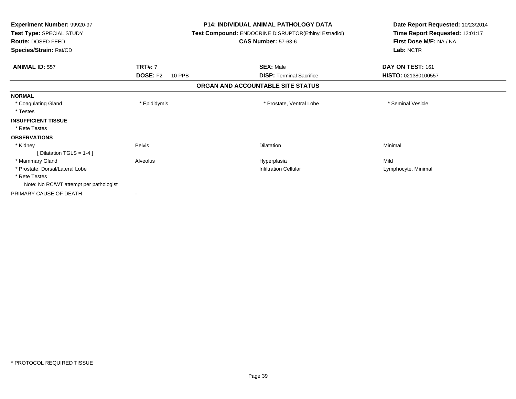| <b>Experiment Number: 99920-97</b><br>Test Type: SPECIAL STUDY<br>Route: DOSED FEED<br>Species/Strain: Rat/CD |                                  | <b>P14: INDIVIDUAL ANIMAL PATHOLOGY DATA</b><br>Test Compound: ENDOCRINE DISRUPTOR(Ethinyl Estradiol)<br><b>CAS Number: 57-63-6</b> |                                 | Date Report Requested: 10/23/2014<br>Time Report Requested: 12:01:17<br>First Dose M/F: NA / NA<br>Lab: NCTR |  |
|---------------------------------------------------------------------------------------------------------------|----------------------------------|-------------------------------------------------------------------------------------------------------------------------------------|---------------------------------|--------------------------------------------------------------------------------------------------------------|--|
| <b>ANIMAL ID: 557</b>                                                                                         | <b>TRT#: 7</b>                   |                                                                                                                                     | <b>SEX: Male</b>                | DAY ON TEST: 161                                                                                             |  |
|                                                                                                               | <b>DOSE: F2</b><br><b>10 PPB</b> |                                                                                                                                     | <b>DISP:</b> Terminal Sacrifice | <b>HISTO: 021380100557</b>                                                                                   |  |
|                                                                                                               |                                  | ORGAN AND ACCOUNTABLE SITE STATUS                                                                                                   |                                 |                                                                                                              |  |
| <b>NORMAL</b>                                                                                                 |                                  |                                                                                                                                     |                                 |                                                                                                              |  |
| * Coagulating Gland                                                                                           | * Epididymis                     |                                                                                                                                     | * Prostate, Ventral Lobe        | * Seminal Vesicle                                                                                            |  |
| * Testes                                                                                                      |                                  |                                                                                                                                     |                                 |                                                                                                              |  |
| <b>INSUFFICIENT TISSUE</b>                                                                                    |                                  |                                                                                                                                     |                                 |                                                                                                              |  |
| * Rete Testes                                                                                                 |                                  |                                                                                                                                     |                                 |                                                                                                              |  |
| <b>OBSERVATIONS</b>                                                                                           |                                  |                                                                                                                                     |                                 |                                                                                                              |  |
| * Kidney                                                                                                      | Pelvis                           |                                                                                                                                     | <b>Dilatation</b>               | Minimal                                                                                                      |  |
| [ Dilatation TGLS = $1-4$ ]                                                                                   |                                  |                                                                                                                                     |                                 |                                                                                                              |  |
| * Mammary Gland                                                                                               | Alveolus                         |                                                                                                                                     | Hyperplasia                     | Mild                                                                                                         |  |
| * Prostate, Dorsal/Lateral Lobe                                                                               |                                  |                                                                                                                                     | <b>Infiltration Cellular</b>    | Lymphocyte, Minimal                                                                                          |  |
| * Rete Testes                                                                                                 |                                  |                                                                                                                                     |                                 |                                                                                                              |  |
| Note: No RC/WT attempt per pathologist                                                                        |                                  |                                                                                                                                     |                                 |                                                                                                              |  |
| PRIMARY CAUSE OF DEATH                                                                                        | $\overline{\phantom{a}}$         |                                                                                                                                     |                                 |                                                                                                              |  |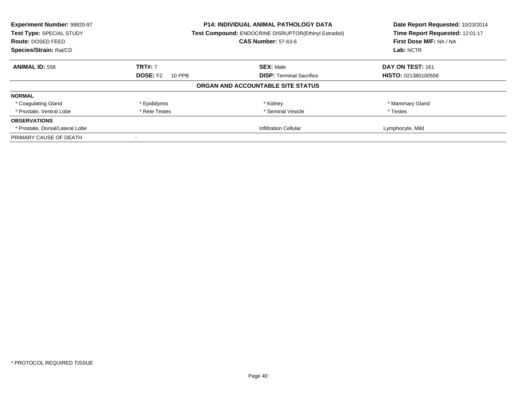| Experiment Number: 99920-97<br><b>P14: INDIVIDUAL ANIMAL PATHOLOGY DATA</b><br>Test Compound: ENDOCRINE DISRUPTOR(Ethinyl Estradiol)<br>Test Type: SPECIAL STUDY |                           |                                   | Date Report Requested: 10/23/2014 |
|------------------------------------------------------------------------------------------------------------------------------------------------------------------|---------------------------|-----------------------------------|-----------------------------------|
|                                                                                                                                                                  |                           |                                   | Time Report Requested: 12:01:17   |
| Route: DOSED FEED                                                                                                                                                |                           | <b>CAS Number: 57-63-6</b>        | First Dose M/F: NA / NA           |
| Species/Strain: Rat/CD                                                                                                                                           |                           |                                   | Lab: NCTR                         |
| <b>ANIMAL ID: 558</b>                                                                                                                                            | <b>TRT#: 7</b>            | <b>SEX: Male</b>                  | DAY ON TEST: 161                  |
|                                                                                                                                                                  | <b>DOSE: F2</b><br>10 PPB | <b>DISP:</b> Terminal Sacrifice   | HISTO: 021380100558               |
|                                                                                                                                                                  |                           | ORGAN AND ACCOUNTABLE SITE STATUS |                                   |
| <b>NORMAL</b>                                                                                                                                                    |                           |                                   |                                   |
| * Coagulating Gland                                                                                                                                              | * Epididymis              | * Kidney                          | * Mammary Gland                   |
| * Prostate. Ventral Lobe                                                                                                                                         | * Rete Testes             | * Seminal Vesicle                 | * Testes                          |
| <b>OBSERVATIONS</b>                                                                                                                                              |                           |                                   |                                   |
| * Prostate, Dorsal/Lateral Lobe                                                                                                                                  |                           | <b>Infiltration Cellular</b>      | Lymphocyte, Mild                  |
| PRIMARY CAUSE OF DEATH                                                                                                                                           |                           |                                   |                                   |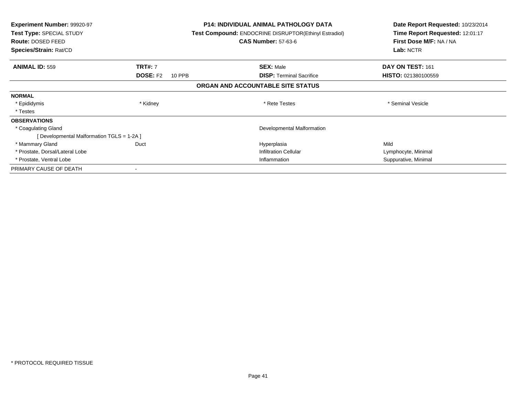| <b>Experiment Number: 99920-97</b><br>Test Type: SPECIAL STUDY<br><b>Route: DOSED FEED</b><br>Species/Strain: Rat/CD |                           | <b>P14: INDIVIDUAL ANIMAL PATHOLOGY DATA</b><br>Test Compound: ENDOCRINE DISRUPTOR(Ethinyl Estradiol)<br><b>CAS Number: 57-63-6</b> | Date Report Requested: 10/23/2014<br>Time Report Requested: 12:01:17<br>First Dose M/F: NA / NA<br>Lab: NCTR |
|----------------------------------------------------------------------------------------------------------------------|---------------------------|-------------------------------------------------------------------------------------------------------------------------------------|--------------------------------------------------------------------------------------------------------------|
| <b>ANIMAL ID: 559</b>                                                                                                | <b>TRT#: 7</b>            | <b>SEX: Male</b>                                                                                                                    | DAY ON TEST: 161                                                                                             |
|                                                                                                                      | <b>DOSE: F2</b><br>10 PPB | <b>DISP:</b> Terminal Sacrifice                                                                                                     | <b>HISTO: 021380100559</b>                                                                                   |
|                                                                                                                      |                           | ORGAN AND ACCOUNTABLE SITE STATUS                                                                                                   |                                                                                                              |
| <b>NORMAL</b>                                                                                                        |                           |                                                                                                                                     |                                                                                                              |
| * Epididymis                                                                                                         | * Kidney                  | * Rete Testes                                                                                                                       | * Seminal Vesicle                                                                                            |
| * Testes                                                                                                             |                           |                                                                                                                                     |                                                                                                              |
| <b>OBSERVATIONS</b>                                                                                                  |                           |                                                                                                                                     |                                                                                                              |
| * Coagulating Gland                                                                                                  |                           | Developmental Malformation                                                                                                          |                                                                                                              |
| [Developmental Malformation TGLS = 1-2A]                                                                             |                           |                                                                                                                                     |                                                                                                              |
| * Mammary Gland                                                                                                      | Duct                      | Hyperplasia                                                                                                                         | Mild                                                                                                         |
| * Prostate, Dorsal/Lateral Lobe                                                                                      |                           | <b>Infiltration Cellular</b>                                                                                                        | Lymphocyte, Minimal                                                                                          |
| * Prostate, Ventral Lobe                                                                                             |                           | Inflammation                                                                                                                        | Suppurative, Minimal                                                                                         |
| PRIMARY CAUSE OF DEATH                                                                                               |                           |                                                                                                                                     |                                                                                                              |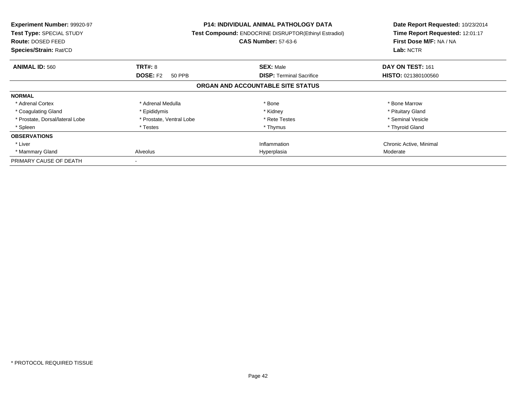| Experiment Number: 99920-97<br>Test Type: SPECIAL STUDY<br>Route: DOSED FEED<br>Species/Strain: Rat/CD |                                  | <b>P14: INDIVIDUAL ANIMAL PATHOLOGY DATA</b><br>Test Compound: ENDOCRINE DISRUPTOR(Ethinyl Estradiol)<br><b>CAS Number: 57-63-6</b> | Date Report Requested: 10/23/2014<br>Time Report Requested: 12:01:17<br>First Dose M/F: NA / NA<br>Lab: NCTR |
|--------------------------------------------------------------------------------------------------------|----------------------------------|-------------------------------------------------------------------------------------------------------------------------------------|--------------------------------------------------------------------------------------------------------------|
| <b>ANIMAL ID: 560</b>                                                                                  | <b>TRT#: 8</b>                   | <b>SEX: Male</b>                                                                                                                    | DAY ON TEST: 161                                                                                             |
|                                                                                                        | <b>DOSE: F2</b><br><b>50 PPB</b> | <b>DISP: Terminal Sacrifice</b>                                                                                                     | <b>HISTO: 021380100560</b>                                                                                   |
|                                                                                                        |                                  | ORGAN AND ACCOUNTABLE SITE STATUS                                                                                                   |                                                                                                              |
| <b>NORMAL</b>                                                                                          |                                  |                                                                                                                                     |                                                                                                              |
| * Adrenal Cortex                                                                                       | * Adrenal Medulla                | * Bone                                                                                                                              | * Bone Marrow                                                                                                |
| * Coagulating Gland                                                                                    | * Epididymis                     | * Kidney                                                                                                                            | * Pituitary Gland                                                                                            |
| * Prostate, Dorsal/lateral Lobe                                                                        | * Prostate, Ventral Lobe         | * Rete Testes                                                                                                                       | * Seminal Vesicle                                                                                            |
| * Spleen                                                                                               | * Testes                         | * Thymus                                                                                                                            | * Thyroid Gland                                                                                              |
| <b>OBSERVATIONS</b>                                                                                    |                                  |                                                                                                                                     |                                                                                                              |
| * Liver                                                                                                |                                  | Inflammation                                                                                                                        | Chronic Active, Minimal                                                                                      |
| * Mammary Gland                                                                                        | Alveolus                         | Hyperplasia                                                                                                                         | Moderate                                                                                                     |
| PRIMARY CAUSE OF DEATH                                                                                 |                                  |                                                                                                                                     |                                                                                                              |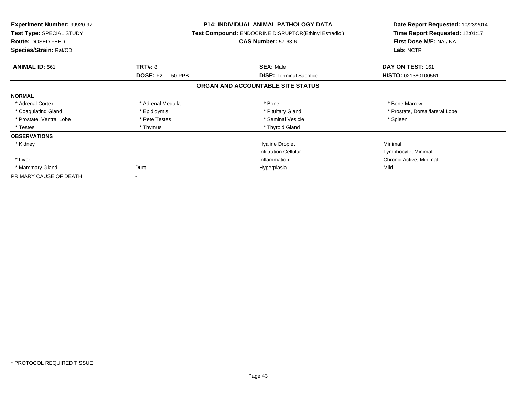| <b>Experiment Number: 99920-97</b><br>Test Type: SPECIAL STUDY<br>Route: DOSED FEED<br>Species/Strain: Rat/CD |                           | <b>P14: INDIVIDUAL ANIMAL PATHOLOGY DATA</b><br>Test Compound: ENDOCRINE DISRUPTOR(Ethinyl Estradiol)<br><b>CAS Number: 57-63-6</b> | Date Report Requested: 10/23/2014<br>Time Report Requested: 12:01:17<br>First Dose M/F: NA / NA<br>Lab: NCTR |
|---------------------------------------------------------------------------------------------------------------|---------------------------|-------------------------------------------------------------------------------------------------------------------------------------|--------------------------------------------------------------------------------------------------------------|
| <b>ANIMAL ID: 561</b>                                                                                         | TRT#: 8                   | <b>SEX: Male</b>                                                                                                                    | DAY ON TEST: 161                                                                                             |
|                                                                                                               | <b>DOSE: F2</b><br>50 PPB | <b>DISP: Terminal Sacrifice</b>                                                                                                     | HISTO: 021380100561                                                                                          |
|                                                                                                               |                           | ORGAN AND ACCOUNTABLE SITE STATUS                                                                                                   |                                                                                                              |
| <b>NORMAL</b>                                                                                                 |                           |                                                                                                                                     |                                                                                                              |
| * Adrenal Cortex                                                                                              | * Adrenal Medulla         | * Bone                                                                                                                              | * Bone Marrow                                                                                                |
| * Coagulating Gland                                                                                           | * Epididymis              | * Pituitary Gland                                                                                                                   | * Prostate, Dorsal/lateral Lobe                                                                              |
| * Prostate, Ventral Lobe                                                                                      | * Rete Testes             | * Seminal Vesicle                                                                                                                   | * Spleen                                                                                                     |
| * Testes                                                                                                      | * Thymus                  | * Thyroid Gland                                                                                                                     |                                                                                                              |
| <b>OBSERVATIONS</b>                                                                                           |                           |                                                                                                                                     |                                                                                                              |
| * Kidney                                                                                                      |                           | <b>Hyaline Droplet</b>                                                                                                              | Minimal                                                                                                      |
|                                                                                                               |                           | <b>Infiltration Cellular</b>                                                                                                        | Lymphocyte, Minimal                                                                                          |
| * Liver                                                                                                       |                           | Inflammation                                                                                                                        | Chronic Active, Minimal                                                                                      |
| * Mammary Gland                                                                                               | Duct                      | Hyperplasia                                                                                                                         | Mild                                                                                                         |
| PRIMARY CAUSE OF DEATH                                                                                        |                           |                                                                                                                                     |                                                                                                              |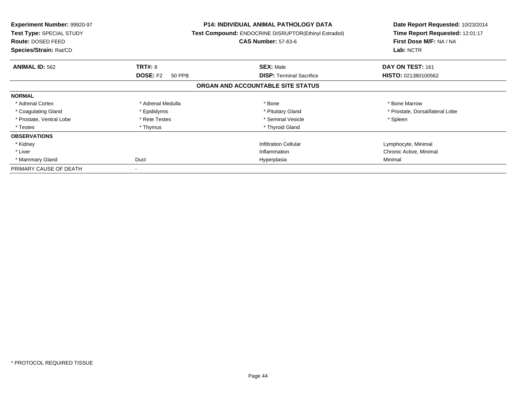| <b>Experiment Number: 99920-97</b><br><b>Test Type: SPECIAL STUDY</b><br><b>Route: DOSED FEED</b><br>Species/Strain: Rat/CD |                           | <b>P14: INDIVIDUAL ANIMAL PATHOLOGY DATA</b><br>Test Compound: ENDOCRINE DISRUPTOR(Ethinyl Estradiol)<br><b>CAS Number: 57-63-6</b> | Date Report Requested: 10/23/2014<br>Time Report Requested: 12:01:17<br>First Dose M/F: NA / NA<br>Lab: NCTR |
|-----------------------------------------------------------------------------------------------------------------------------|---------------------------|-------------------------------------------------------------------------------------------------------------------------------------|--------------------------------------------------------------------------------------------------------------|
| <b>ANIMAL ID: 562</b>                                                                                                       | <b>TRT#: 8</b>            | <b>SEX: Male</b>                                                                                                                    | DAY ON TEST: 161                                                                                             |
|                                                                                                                             | <b>DOSE: F2</b><br>50 PPB | <b>DISP:</b> Terminal Sacrifice                                                                                                     | HISTO: 021380100562                                                                                          |
|                                                                                                                             |                           | ORGAN AND ACCOUNTABLE SITE STATUS                                                                                                   |                                                                                                              |
| <b>NORMAL</b>                                                                                                               |                           |                                                                                                                                     |                                                                                                              |
| * Adrenal Cortex                                                                                                            | * Adrenal Medulla         | * Bone                                                                                                                              | * Bone Marrow                                                                                                |
| * Coagulating Gland                                                                                                         | * Epididymis              | * Pituitary Gland                                                                                                                   | * Prostate, Dorsal/lateral Lobe                                                                              |
| * Prostate, Ventral Lobe                                                                                                    | * Rete Testes             | * Seminal Vesicle                                                                                                                   | * Spleen                                                                                                     |
| * Testes                                                                                                                    | * Thymus                  | * Thyroid Gland                                                                                                                     |                                                                                                              |
| <b>OBSERVATIONS</b>                                                                                                         |                           |                                                                                                                                     |                                                                                                              |
| * Kidney                                                                                                                    |                           | <b>Infiltration Cellular</b>                                                                                                        | Lymphocyte, Minimal                                                                                          |
| * Liver                                                                                                                     |                           | Inflammation                                                                                                                        | Chronic Active, Minimal                                                                                      |
| * Mammary Gland                                                                                                             | Duct                      | Hyperplasia                                                                                                                         | Minimal                                                                                                      |
| PRIMARY CAUSE OF DEATH                                                                                                      |                           |                                                                                                                                     |                                                                                                              |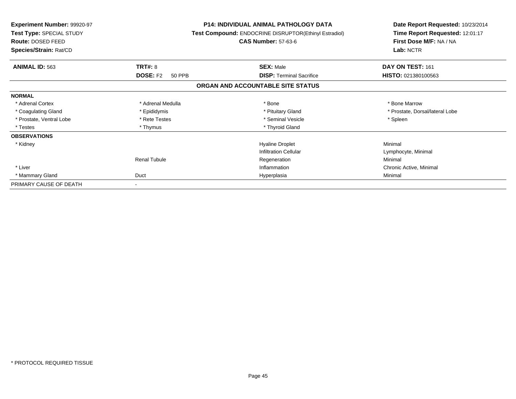| <b>Experiment Number: 99920-97</b><br>Test Type: SPECIAL STUDY<br><b>Route: DOSED FEED</b> |                           | <b>P14: INDIVIDUAL ANIMAL PATHOLOGY DATA</b><br><b>Test Compound: ENDOCRINE DISRUPTOR(Ethinyl Estradiol)</b><br><b>CAS Number: 57-63-6</b> | Date Report Requested: 10/23/2014<br>Time Report Requested: 12:01:17<br>First Dose M/F: NA / NA |
|--------------------------------------------------------------------------------------------|---------------------------|--------------------------------------------------------------------------------------------------------------------------------------------|-------------------------------------------------------------------------------------------------|
| Species/Strain: Rat/CD                                                                     |                           |                                                                                                                                            | Lab: NCTR                                                                                       |
| <b>ANIMAL ID: 563</b>                                                                      | <b>TRT#: 8</b>            | <b>SEX: Male</b>                                                                                                                           | DAY ON TEST: 161                                                                                |
|                                                                                            | <b>DOSE: F2</b><br>50 PPB | <b>DISP: Terminal Sacrifice</b>                                                                                                            | HISTO: 021380100563                                                                             |
|                                                                                            |                           | ORGAN AND ACCOUNTABLE SITE STATUS                                                                                                          |                                                                                                 |
| <b>NORMAL</b>                                                                              |                           |                                                                                                                                            |                                                                                                 |
| * Adrenal Cortex                                                                           | * Adrenal Medulla         | * Bone                                                                                                                                     | * Bone Marrow                                                                                   |
| * Coagulating Gland                                                                        | * Epididymis              | * Pituitary Gland                                                                                                                          | * Prostate, Dorsal/lateral Lobe                                                                 |
| * Prostate, Ventral Lobe                                                                   | * Rete Testes             | * Seminal Vesicle                                                                                                                          | * Spleen                                                                                        |
| * Testes                                                                                   | * Thymus                  | * Thyroid Gland                                                                                                                            |                                                                                                 |
| <b>OBSERVATIONS</b>                                                                        |                           |                                                                                                                                            |                                                                                                 |
| * Kidney                                                                                   |                           | <b>Hyaline Droplet</b>                                                                                                                     | Minimal                                                                                         |
|                                                                                            |                           | <b>Infiltration Cellular</b>                                                                                                               | Lymphocyte, Minimal                                                                             |
|                                                                                            | <b>Renal Tubule</b>       | Regeneration                                                                                                                               | Minimal                                                                                         |
| * Liver                                                                                    |                           | Inflammation                                                                                                                               | Chronic Active, Minimal                                                                         |
| * Mammary Gland                                                                            | Duct                      | Hyperplasia                                                                                                                                | Minimal                                                                                         |
| PRIMARY CAUSE OF DEATH                                                                     |                           |                                                                                                                                            |                                                                                                 |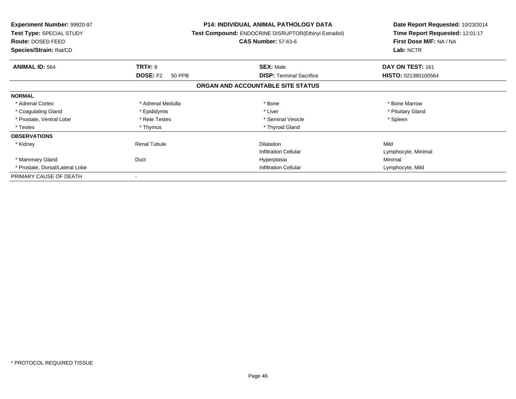| <b>Experiment Number: 99920-97</b><br>Test Type: SPECIAL STUDY<br><b>Route: DOSED FEED</b><br>Species/Strain: Rat/CD |                           | <b>P14: INDIVIDUAL ANIMAL PATHOLOGY DATA</b><br>Test Compound: ENDOCRINE DISRUPTOR(Ethinyl Estradiol)<br><b>CAS Number: 57-63-6</b> | Date Report Requested: 10/23/2014<br>Time Report Requested: 12:01:17<br>First Dose M/F: NA / NA<br>Lab: NCTR |
|----------------------------------------------------------------------------------------------------------------------|---------------------------|-------------------------------------------------------------------------------------------------------------------------------------|--------------------------------------------------------------------------------------------------------------|
| <b>ANIMAL ID: 564</b>                                                                                                | TRT#: 8                   | <b>SEX: Male</b>                                                                                                                    | DAY ON TEST: 161                                                                                             |
|                                                                                                                      | <b>DOSE: F2</b><br>50 PPB | <b>DISP:</b> Terminal Sacrifice                                                                                                     | <b>HISTO: 021380100564</b>                                                                                   |
|                                                                                                                      |                           | ORGAN AND ACCOUNTABLE SITE STATUS                                                                                                   |                                                                                                              |
| <b>NORMAL</b>                                                                                                        |                           |                                                                                                                                     |                                                                                                              |
| * Adrenal Cortex                                                                                                     | * Adrenal Medulla         | * Bone                                                                                                                              | * Bone Marrow                                                                                                |
| * Coagulating Gland                                                                                                  | * Epididymis              | * Liver                                                                                                                             | * Pituitary Gland                                                                                            |
| * Prostate, Ventral Lobe                                                                                             | * Rete Testes             | * Seminal Vesicle                                                                                                                   | * Spleen                                                                                                     |
| * Testes                                                                                                             | * Thymus                  | * Thyroid Gland                                                                                                                     |                                                                                                              |
| <b>OBSERVATIONS</b>                                                                                                  |                           |                                                                                                                                     |                                                                                                              |
| * Kidney                                                                                                             | <b>Renal Tubule</b>       | <b>Dilatation</b>                                                                                                                   | Mild                                                                                                         |
|                                                                                                                      |                           | <b>Infiltration Cellular</b>                                                                                                        | Lymphocyte, Minimal                                                                                          |
| * Mammary Gland                                                                                                      | Duct                      | Hyperplasia                                                                                                                         | Minimal                                                                                                      |
| * Prostate, Dorsal/Lateral Lobe                                                                                      |                           | <b>Infiltration Cellular</b>                                                                                                        | Lymphocyte, Mild                                                                                             |
| PRIMARY CAUSE OF DEATH                                                                                               |                           |                                                                                                                                     |                                                                                                              |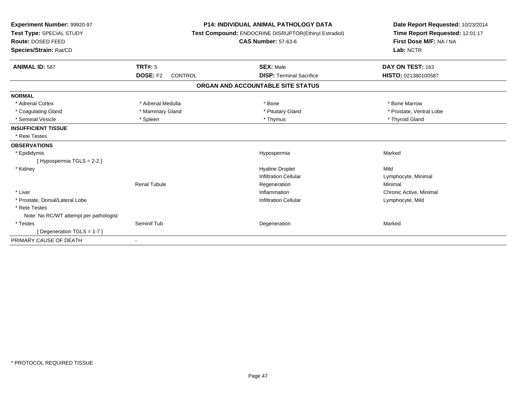| <b>Experiment Number: 99920-97</b><br>Test Type: SPECIAL STUDY<br>Route: DOSED FEED<br>Species/Strain: Rat/CD |                                   | <b>P14: INDIVIDUAL ANIMAL PATHOLOGY DATA</b><br>Test Compound: ENDOCRINE DISRUPTOR(Ethinyl Estradiol)<br><b>CAS Number: 57-63-6</b> | Date Report Requested: 10/23/2014<br>Time Report Requested: 12:01:17<br>First Dose M/F: NA / NA<br>Lab: NCTR |  |
|---------------------------------------------------------------------------------------------------------------|-----------------------------------|-------------------------------------------------------------------------------------------------------------------------------------|--------------------------------------------------------------------------------------------------------------|--|
| <b>ANIMAL ID: 587</b>                                                                                         | <b>TRT#: 5</b>                    | <b>SEX: Male</b>                                                                                                                    | DAY ON TEST: 163                                                                                             |  |
|                                                                                                               | <b>DOSE: F2</b><br><b>CONTROL</b> | <b>DISP: Terminal Sacrifice</b>                                                                                                     | HISTO: 021380100587                                                                                          |  |
|                                                                                                               |                                   | ORGAN AND ACCOUNTABLE SITE STATUS                                                                                                   |                                                                                                              |  |
| <b>NORMAL</b>                                                                                                 |                                   |                                                                                                                                     |                                                                                                              |  |
| * Adrenal Cortex                                                                                              | * Adrenal Medulla                 | * Bone                                                                                                                              | * Bone Marrow                                                                                                |  |
| * Coagulating Gland                                                                                           | * Mammary Gland                   | * Pituitary Gland                                                                                                                   | * Prostate, Ventral Lobe                                                                                     |  |
| * Seminal Vesicle                                                                                             | * Spleen                          | * Thymus                                                                                                                            | * Thyroid Gland                                                                                              |  |
| <b>INSUFFICIENT TISSUE</b>                                                                                    |                                   |                                                                                                                                     |                                                                                                              |  |
| * Rete Testes                                                                                                 |                                   |                                                                                                                                     |                                                                                                              |  |
| <b>OBSERVATIONS</b>                                                                                           |                                   |                                                                                                                                     |                                                                                                              |  |
| * Epididymis                                                                                                  |                                   | Hypospermia                                                                                                                         | Marked                                                                                                       |  |
| [Hypospermia TGLS = 2-2]                                                                                      |                                   |                                                                                                                                     |                                                                                                              |  |
| * Kidney                                                                                                      |                                   | <b>Hyaline Droplet</b>                                                                                                              | Mild                                                                                                         |  |
|                                                                                                               |                                   | <b>Infiltration Cellular</b>                                                                                                        | Lymphocyte, Minimal                                                                                          |  |
|                                                                                                               | <b>Renal Tubule</b>               | Regeneration                                                                                                                        | Minimal                                                                                                      |  |
| * Liver                                                                                                       |                                   | Inflammation                                                                                                                        | Chronic Active, Minimal                                                                                      |  |
| * Prostate, Dorsal/Lateral Lobe                                                                               |                                   | <b>Infiltration Cellular</b>                                                                                                        | Lymphocyte, Mild                                                                                             |  |
| * Rete Testes                                                                                                 |                                   |                                                                                                                                     |                                                                                                              |  |
| Note: No RC/WT attempt per pathologist                                                                        |                                   |                                                                                                                                     |                                                                                                              |  |
| * Testes                                                                                                      | Seminif Tub                       | Degeneration                                                                                                                        | Marked                                                                                                       |  |
| [Degeneration TGLS = 1-7]                                                                                     |                                   |                                                                                                                                     |                                                                                                              |  |
| PRIMARY CAUSE OF DEATH                                                                                        |                                   |                                                                                                                                     |                                                                                                              |  |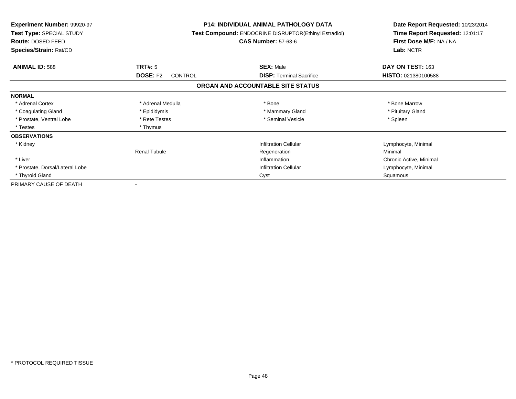| <b>Experiment Number: 99920-97</b><br>Test Type: SPECIAL STUDY<br>Route: DOSED FEED<br>Species/Strain: Rat/CD |                                   | <b>P14: INDIVIDUAL ANIMAL PATHOLOGY DATA</b><br>Test Compound: ENDOCRINE DISRUPTOR(Ethinyl Estradiol)<br><b>CAS Number: 57-63-6</b> | Date Report Requested: 10/23/2014<br>Time Report Requested: 12:01:17<br>First Dose M/F: NA / NA<br>Lab: NCTR |  |
|---------------------------------------------------------------------------------------------------------------|-----------------------------------|-------------------------------------------------------------------------------------------------------------------------------------|--------------------------------------------------------------------------------------------------------------|--|
| <b>ANIMAL ID: 588</b>                                                                                         | <b>TRT#: 5</b>                    | <b>SEX: Male</b>                                                                                                                    | DAY ON TEST: 163                                                                                             |  |
|                                                                                                               | <b>DOSE: F2</b><br><b>CONTROL</b> | <b>DISP: Terminal Sacrifice</b>                                                                                                     | HISTO: 021380100588                                                                                          |  |
|                                                                                                               |                                   | ORGAN AND ACCOUNTABLE SITE STATUS                                                                                                   |                                                                                                              |  |
| <b>NORMAL</b>                                                                                                 |                                   |                                                                                                                                     |                                                                                                              |  |
| * Adrenal Cortex                                                                                              | * Adrenal Medulla                 | * Bone                                                                                                                              | * Bone Marrow                                                                                                |  |
| * Coagulating Gland                                                                                           | * Epididymis                      | * Mammary Gland                                                                                                                     | * Pituitary Gland                                                                                            |  |
| * Prostate, Ventral Lobe                                                                                      | * Rete Testes                     | * Seminal Vesicle                                                                                                                   | * Spleen                                                                                                     |  |
| * Testes                                                                                                      | * Thymus                          |                                                                                                                                     |                                                                                                              |  |
| <b>OBSERVATIONS</b>                                                                                           |                                   |                                                                                                                                     |                                                                                                              |  |
| * Kidney                                                                                                      |                                   | <b>Infiltration Cellular</b>                                                                                                        | Lymphocyte, Minimal                                                                                          |  |
|                                                                                                               | <b>Renal Tubule</b>               | Regeneration                                                                                                                        | Minimal                                                                                                      |  |
| * Liver                                                                                                       |                                   | Inflammation                                                                                                                        | Chronic Active, Minimal                                                                                      |  |
| * Prostate, Dorsal/Lateral Lobe                                                                               |                                   | <b>Infiltration Cellular</b>                                                                                                        | Lymphocyte, Minimal                                                                                          |  |
| * Thyroid Gland                                                                                               |                                   | Cyst                                                                                                                                | Squamous                                                                                                     |  |
| PRIMARY CAUSE OF DEATH                                                                                        |                                   |                                                                                                                                     |                                                                                                              |  |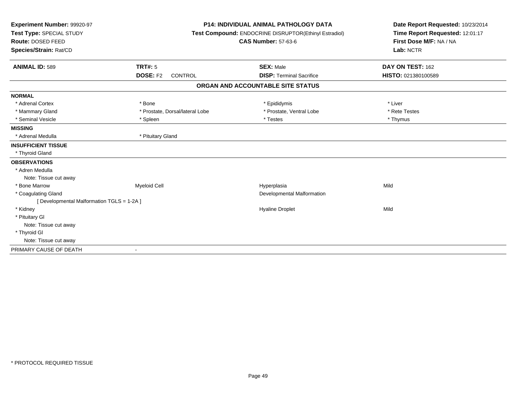| Experiment Number: 99920-97<br>Test Type: SPECIAL STUDY<br>Route: DOSED FEED<br>Species/Strain: Rat/CD |                                   | <b>P14: INDIVIDUAL ANIMAL PATHOLOGY DATA</b><br>Test Compound: ENDOCRINE DISRUPTOR(Ethinyl Estradiol)<br><b>CAS Number: 57-63-6</b> | Date Report Requested: 10/23/2014<br>Time Report Requested: 12:01:17<br>First Dose M/F: NA / NA<br>Lab: NCTR |
|--------------------------------------------------------------------------------------------------------|-----------------------------------|-------------------------------------------------------------------------------------------------------------------------------------|--------------------------------------------------------------------------------------------------------------|
| <b>ANIMAL ID: 589</b>                                                                                  | TRT#: 5                           | <b>SEX: Male</b>                                                                                                                    | DAY ON TEST: 162                                                                                             |
|                                                                                                        | <b>DOSE: F2</b><br><b>CONTROL</b> | <b>DISP: Terminal Sacrifice</b>                                                                                                     | HISTO: 021380100589                                                                                          |
|                                                                                                        |                                   | ORGAN AND ACCOUNTABLE SITE STATUS                                                                                                   |                                                                                                              |
| <b>NORMAL</b>                                                                                          |                                   |                                                                                                                                     |                                                                                                              |
| * Adrenal Cortex                                                                                       | * Bone                            | * Epididymis                                                                                                                        | * Liver                                                                                                      |
| * Mammary Gland                                                                                        | * Prostate, Dorsal/lateral Lobe   | * Prostate, Ventral Lobe                                                                                                            | * Rete Testes                                                                                                |
| * Seminal Vesicle                                                                                      | * Spleen                          | * Testes                                                                                                                            | * Thymus                                                                                                     |
| <b>MISSING</b>                                                                                         |                                   |                                                                                                                                     |                                                                                                              |
| * Adrenal Medulla                                                                                      | * Pituitary Gland                 |                                                                                                                                     |                                                                                                              |
| <b>INSUFFICIENT TISSUE</b>                                                                             |                                   |                                                                                                                                     |                                                                                                              |
| * Thyroid Gland                                                                                        |                                   |                                                                                                                                     |                                                                                                              |
| <b>OBSERVATIONS</b>                                                                                    |                                   |                                                                                                                                     |                                                                                                              |
| * Adren Medulla                                                                                        |                                   |                                                                                                                                     |                                                                                                              |
| Note: Tissue cut away                                                                                  |                                   |                                                                                                                                     |                                                                                                              |
| * Bone Marrow                                                                                          | <b>Myeloid Cell</b>               | Hyperplasia                                                                                                                         | Mild                                                                                                         |
| * Coagulating Gland                                                                                    |                                   | Developmental Malformation                                                                                                          |                                                                                                              |
| [Developmental Malformation TGLS = 1-2A]                                                               |                                   |                                                                                                                                     |                                                                                                              |
| * Kidney                                                                                               |                                   | <b>Hyaline Droplet</b>                                                                                                              | Mild                                                                                                         |
| * Pituitary Gl                                                                                         |                                   |                                                                                                                                     |                                                                                                              |
| Note: Tissue cut away                                                                                  |                                   |                                                                                                                                     |                                                                                                              |
| * Thyroid GI                                                                                           |                                   |                                                                                                                                     |                                                                                                              |
| Note: Tissue cut away                                                                                  |                                   |                                                                                                                                     |                                                                                                              |
| PRIMARY CAUSE OF DEATH                                                                                 |                                   |                                                                                                                                     |                                                                                                              |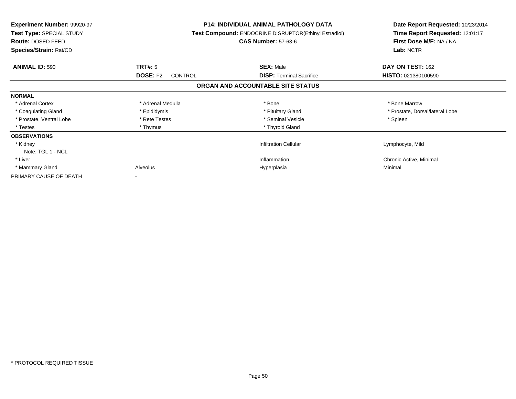| <b>Experiment Number: 99920-97</b><br>Test Type: SPECIAL STUDY<br>Route: DOSED FEED<br>Species/Strain: Rat/CD |                                   | <b>P14: INDIVIDUAL ANIMAL PATHOLOGY DATA</b><br>Test Compound: ENDOCRINE DISRUPTOR(Ethinyl Estradiol)<br><b>CAS Number: 57-63-6</b> | Date Report Requested: 10/23/2014<br>Time Report Requested: 12:01:17<br>First Dose M/F: NA / NA<br>Lab: NCTR |
|---------------------------------------------------------------------------------------------------------------|-----------------------------------|-------------------------------------------------------------------------------------------------------------------------------------|--------------------------------------------------------------------------------------------------------------|
| <b>ANIMAL ID: 590</b>                                                                                         | TRT#: 5                           | <b>SEX: Male</b>                                                                                                                    | DAY ON TEST: 162                                                                                             |
|                                                                                                               | <b>DOSE: F2</b><br><b>CONTROL</b> | <b>DISP: Terminal Sacrifice</b>                                                                                                     | HISTO: 021380100590                                                                                          |
|                                                                                                               |                                   | ORGAN AND ACCOUNTABLE SITE STATUS                                                                                                   |                                                                                                              |
| <b>NORMAL</b>                                                                                                 |                                   |                                                                                                                                     |                                                                                                              |
| * Adrenal Cortex                                                                                              | * Adrenal Medulla                 | * Bone                                                                                                                              | * Bone Marrow                                                                                                |
| * Coagulating Gland                                                                                           | * Epididymis                      | * Pituitary Gland                                                                                                                   | * Prostate, Dorsal/lateral Lobe                                                                              |
| * Prostate. Ventral Lobe                                                                                      | * Rete Testes                     | * Seminal Vesicle                                                                                                                   | * Spleen                                                                                                     |
| * Testes                                                                                                      | * Thymus                          | * Thyroid Gland                                                                                                                     |                                                                                                              |
| <b>OBSERVATIONS</b>                                                                                           |                                   |                                                                                                                                     |                                                                                                              |
| * Kidney                                                                                                      |                                   | <b>Infiltration Cellular</b>                                                                                                        | Lymphocyte, Mild                                                                                             |
| Note: TGL 1 - NCL                                                                                             |                                   |                                                                                                                                     |                                                                                                              |
| * Liver                                                                                                       |                                   | Inflammation                                                                                                                        | Chronic Active, Minimal                                                                                      |
| * Mammary Gland                                                                                               | Alveolus                          | Hyperplasia                                                                                                                         | Minimal                                                                                                      |
| PRIMARY CAUSE OF DEATH                                                                                        |                                   |                                                                                                                                     |                                                                                                              |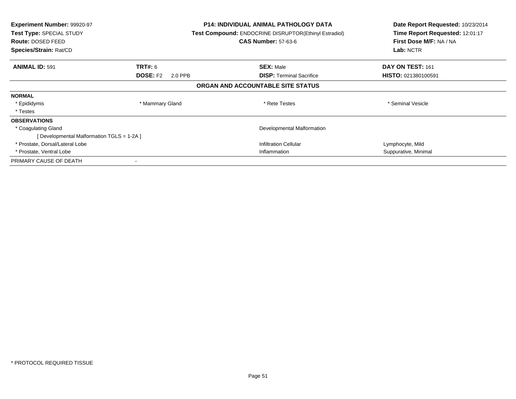| <b>Experiment Number: 99920-97</b><br>Test Type: SPECIAL STUDY<br>Route: DOSED FEED<br>Species/Strain: Rat/CD |                            | <b>P14: INDIVIDUAL ANIMAL PATHOLOGY DATA</b><br><b>Test Compound: ENDOCRINE DISRUPTOR(Ethinyl Estradiol)</b><br><b>CAS Number: 57-63-6</b> | Date Report Requested: 10/23/2014<br>Time Report Requested: 12:01:17<br>First Dose M/F: NA / NA<br>Lab: NCTR |
|---------------------------------------------------------------------------------------------------------------|----------------------------|--------------------------------------------------------------------------------------------------------------------------------------------|--------------------------------------------------------------------------------------------------------------|
| <b>ANIMAL ID: 591</b>                                                                                         | <b>TRT#: 6</b>             | <b>SEX: Male</b>                                                                                                                           | DAY ON TEST: 161                                                                                             |
|                                                                                                               | <b>DOSE: F2</b><br>2.0 PPB | <b>DISP:</b> Terminal Sacrifice                                                                                                            | <b>HISTO: 021380100591</b>                                                                                   |
|                                                                                                               |                            | ORGAN AND ACCOUNTABLE SITE STATUS                                                                                                          |                                                                                                              |
| <b>NORMAL</b>                                                                                                 |                            |                                                                                                                                            |                                                                                                              |
| * Epididymis                                                                                                  | * Mammary Gland            | * Rete Testes                                                                                                                              | * Seminal Vesicle                                                                                            |
| * Testes                                                                                                      |                            |                                                                                                                                            |                                                                                                              |
| <b>OBSERVATIONS</b>                                                                                           |                            |                                                                                                                                            |                                                                                                              |
| * Coagulating Gland                                                                                           |                            | Developmental Malformation                                                                                                                 |                                                                                                              |
| [Developmental Malformation TGLS = 1-2A ]                                                                     |                            |                                                                                                                                            |                                                                                                              |
| * Prostate, Dorsal/Lateral Lobe                                                                               |                            | <b>Infiltration Cellular</b>                                                                                                               | Lymphocyte, Mild                                                                                             |
| * Prostate, Ventral Lobe                                                                                      |                            | Inflammation                                                                                                                               | Suppurative, Minimal                                                                                         |
| PRIMARY CAUSE OF DEATH                                                                                        |                            |                                                                                                                                            |                                                                                                              |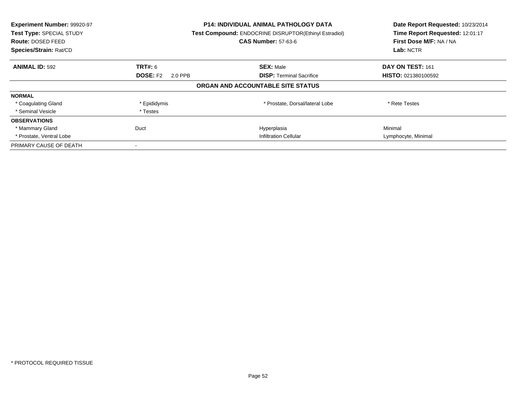| Experiment Number: 99920-97<br>Test Type: SPECIAL STUDY<br><b>Route: DOSED FEED</b><br>Species/Strain: Rat/CD |                            | <b>P14: INDIVIDUAL ANIMAL PATHOLOGY DATA</b><br><b>Test Compound: ENDOCRINE DISRUPTOR(Ethinyl Estradiol)</b><br><b>CAS Number: 57-63-6</b> | Date Report Requested: 10/23/2014<br>Time Report Requested: 12:01:17<br>First Dose M/F: NA / NA<br>Lab: NCTR |
|---------------------------------------------------------------------------------------------------------------|----------------------------|--------------------------------------------------------------------------------------------------------------------------------------------|--------------------------------------------------------------------------------------------------------------|
| <b>ANIMAL ID: 592</b>                                                                                         | <b>TRT#: 6</b>             | <b>SEX: Male</b>                                                                                                                           | DAY ON TEST: 161                                                                                             |
|                                                                                                               | <b>DOSE: F2</b><br>2.0 PPB | <b>DISP:</b> Terminal Sacrifice                                                                                                            | HISTO: 021380100592                                                                                          |
|                                                                                                               |                            | ORGAN AND ACCOUNTABLE SITE STATUS                                                                                                          |                                                                                                              |
| <b>NORMAL</b>                                                                                                 |                            |                                                                                                                                            |                                                                                                              |
| * Coagulating Gland                                                                                           | * Epididymis               | * Prostate, Dorsal/lateral Lobe                                                                                                            | * Rete Testes                                                                                                |
| * Seminal Vesicle                                                                                             | * Testes                   |                                                                                                                                            |                                                                                                              |
| <b>OBSERVATIONS</b>                                                                                           |                            |                                                                                                                                            |                                                                                                              |
| * Mammary Gland                                                                                               | Duct                       | Hyperplasia                                                                                                                                | Minimal                                                                                                      |
| * Prostate, Ventral Lobe                                                                                      |                            | <b>Infiltration Cellular</b>                                                                                                               | Lymphocyte, Minimal                                                                                          |
| PRIMARY CAUSE OF DEATH                                                                                        |                            |                                                                                                                                            |                                                                                                              |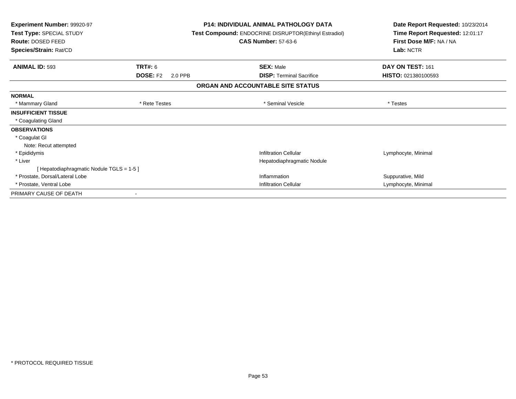| Experiment Number: 99920-97<br>Test Type: SPECIAL STUDY<br>Route: DOSED FEED<br>Species/Strain: Rat/CD |                            | <b>P14: INDIVIDUAL ANIMAL PATHOLOGY DATA</b><br><b>Test Compound: ENDOCRINE DISRUPTOR(Ethinyl Estradiol)</b><br><b>CAS Number: 57-63-6</b> | Date Report Requested: 10/23/2014<br>Time Report Requested: 12:01:17<br>First Dose M/F: NA / NA<br>Lab: NCTR |
|--------------------------------------------------------------------------------------------------------|----------------------------|--------------------------------------------------------------------------------------------------------------------------------------------|--------------------------------------------------------------------------------------------------------------|
| <b>ANIMAL ID: 593</b>                                                                                  | TRT#: 6                    | <b>SEX: Male</b>                                                                                                                           | DAY ON TEST: 161                                                                                             |
|                                                                                                        | <b>DOSE: F2</b><br>2.0 PPB | <b>DISP:</b> Terminal Sacrifice                                                                                                            | HISTO: 021380100593                                                                                          |
|                                                                                                        |                            | ORGAN AND ACCOUNTABLE SITE STATUS                                                                                                          |                                                                                                              |
| <b>NORMAL</b>                                                                                          |                            |                                                                                                                                            |                                                                                                              |
| * Mammary Gland                                                                                        | * Rete Testes              | * Seminal Vesicle                                                                                                                          | * Testes                                                                                                     |
| <b>INSUFFICIENT TISSUE</b>                                                                             |                            |                                                                                                                                            |                                                                                                              |
| * Coagulating Gland                                                                                    |                            |                                                                                                                                            |                                                                                                              |
| <b>OBSERVATIONS</b>                                                                                    |                            |                                                                                                                                            |                                                                                                              |
| * Coagulat GI                                                                                          |                            |                                                                                                                                            |                                                                                                              |
| Note: Recut attempted                                                                                  |                            |                                                                                                                                            |                                                                                                              |
| * Epididymis                                                                                           |                            | <b>Infiltration Cellular</b>                                                                                                               | Lymphocyte, Minimal                                                                                          |
| * Liver                                                                                                |                            | Hepatodiaphragmatic Nodule                                                                                                                 |                                                                                                              |
| [Hepatodiaphragmatic Nodule TGLS = 1-5]                                                                |                            |                                                                                                                                            |                                                                                                              |
| * Prostate, Dorsal/Lateral Lobe                                                                        |                            | Inflammation                                                                                                                               | Suppurative, Mild                                                                                            |
| * Prostate, Ventral Lobe                                                                               |                            | <b>Infiltration Cellular</b>                                                                                                               | Lymphocyte, Minimal                                                                                          |
| PRIMARY CAUSE OF DEATH                                                                                 |                            |                                                                                                                                            |                                                                                                              |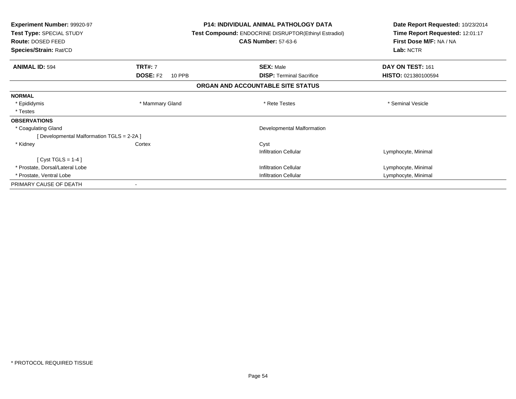| <b>Experiment Number: 99920-97</b><br>Test Type: SPECIAL STUDY<br><b>Route: DOSED FEED</b><br>Species/Strain: Rat/CD |                           | <b>P14: INDIVIDUAL ANIMAL PATHOLOGY DATA</b><br>Test Compound: ENDOCRINE DISRUPTOR(Ethinyl Estradiol)<br><b>CAS Number: 57-63-6</b> | Date Report Requested: 10/23/2014<br>Time Report Requested: 12:01:17<br>First Dose M/F: NA / NA<br>Lab: NCTR |
|----------------------------------------------------------------------------------------------------------------------|---------------------------|-------------------------------------------------------------------------------------------------------------------------------------|--------------------------------------------------------------------------------------------------------------|
| <b>ANIMAL ID: 594</b>                                                                                                | <b>TRT#: 7</b>            | <b>SEX: Male</b>                                                                                                                    | DAY ON TEST: 161                                                                                             |
|                                                                                                                      | <b>DOSE: F2</b><br>10 PPB | <b>DISP:</b> Terminal Sacrifice                                                                                                     | HISTO: 021380100594                                                                                          |
|                                                                                                                      |                           | ORGAN AND ACCOUNTABLE SITE STATUS                                                                                                   |                                                                                                              |
| <b>NORMAL</b>                                                                                                        |                           |                                                                                                                                     |                                                                                                              |
| * Epididymis                                                                                                         | * Mammary Gland           | * Rete Testes                                                                                                                       | * Seminal Vesicle                                                                                            |
| * Testes                                                                                                             |                           |                                                                                                                                     |                                                                                                              |
| <b>OBSERVATIONS</b>                                                                                                  |                           |                                                                                                                                     |                                                                                                              |
| * Coagulating Gland                                                                                                  |                           | Developmental Malformation                                                                                                          |                                                                                                              |
| [ Developmental Malformation TGLS = 2-2A ]                                                                           |                           |                                                                                                                                     |                                                                                                              |
| * Kidney                                                                                                             | Cortex                    | Cyst                                                                                                                                |                                                                                                              |
|                                                                                                                      |                           | <b>Infiltration Cellular</b>                                                                                                        | Lymphocyte, Minimal                                                                                          |
| [Cyst TGLS = $1-4$ ]                                                                                                 |                           |                                                                                                                                     |                                                                                                              |
| * Prostate, Dorsal/Lateral Lobe                                                                                      |                           | <b>Infiltration Cellular</b>                                                                                                        | Lymphocyte, Minimal                                                                                          |
| * Prostate, Ventral Lobe                                                                                             |                           | Infiltration Cellular                                                                                                               | Lymphocyte, Minimal                                                                                          |
| PRIMARY CAUSE OF DEATH                                                                                               |                           |                                                                                                                                     |                                                                                                              |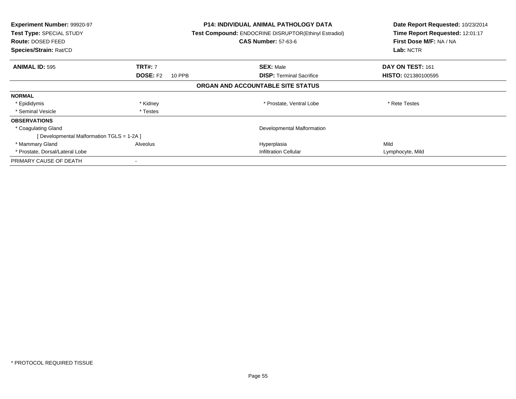| <b>Experiment Number: 99920-97</b><br>Test Type: SPECIAL STUDY<br>Route: DOSED FEED<br>Species/Strain: Rat/CD |                           | P14: INDIVIDUAL ANIMAL PATHOLOGY DATA<br><b>Test Compound: ENDOCRINE DISRUPTOR(Ethinyl Estradiol)</b><br><b>CAS Number: 57-63-6</b> | Date Report Requested: 10/23/2014<br>Time Report Requested: 12:01:17<br>First Dose M/F: NA / NA<br>Lab: NCTR |
|---------------------------------------------------------------------------------------------------------------|---------------------------|-------------------------------------------------------------------------------------------------------------------------------------|--------------------------------------------------------------------------------------------------------------|
| <b>ANIMAL ID: 595</b>                                                                                         | <b>TRT#: 7</b>            | <b>SEX: Male</b>                                                                                                                    | DAY ON TEST: 161                                                                                             |
|                                                                                                               | <b>DOSE: F2</b><br>10 PPB | <b>DISP:</b> Terminal Sacrifice                                                                                                     | <b>HISTO: 021380100595</b>                                                                                   |
|                                                                                                               |                           | ORGAN AND ACCOUNTABLE SITE STATUS                                                                                                   |                                                                                                              |
| <b>NORMAL</b>                                                                                                 |                           |                                                                                                                                     |                                                                                                              |
| * Epididymis                                                                                                  | * Kidney                  | * Prostate, Ventral Lobe                                                                                                            | * Rete Testes                                                                                                |
| * Seminal Vesicle                                                                                             | * Testes                  |                                                                                                                                     |                                                                                                              |
| <b>OBSERVATIONS</b>                                                                                           |                           |                                                                                                                                     |                                                                                                              |
| * Coagulating Gland                                                                                           |                           | Developmental Malformation                                                                                                          |                                                                                                              |
| [ Developmental Malformation TGLS = 1-2A ]                                                                    |                           |                                                                                                                                     |                                                                                                              |
| * Mammary Gland                                                                                               | Alveolus                  | Hyperplasia                                                                                                                         | Mild                                                                                                         |
| * Prostate, Dorsal/Lateral Lobe                                                                               |                           | <b>Infiltration Cellular</b>                                                                                                        | Lymphocyte, Mild                                                                                             |
| PRIMARY CAUSE OF DEATH                                                                                        |                           |                                                                                                                                     |                                                                                                              |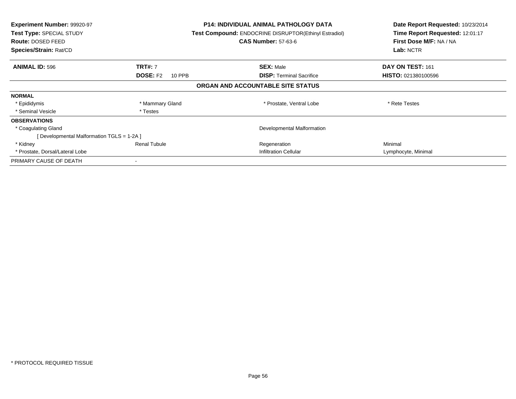| <b>Experiment Number: 99920-97</b><br>Test Type: SPECIAL STUDY<br>Route: DOSED FEED<br>Species/Strain: Rat/CD |                           | <b>P14: INDIVIDUAL ANIMAL PATHOLOGY DATA</b><br><b>Test Compound: ENDOCRINE DISRUPTOR(Ethinyl Estradiol)</b><br><b>CAS Number: 57-63-6</b> | Date Report Requested: 10/23/2014<br>Time Report Requested: 12:01:17<br>First Dose M/F: NA / NA<br>Lab: NCTR |
|---------------------------------------------------------------------------------------------------------------|---------------------------|--------------------------------------------------------------------------------------------------------------------------------------------|--------------------------------------------------------------------------------------------------------------|
| <b>ANIMAL ID: 596</b>                                                                                         | <b>TRT#: 7</b>            | <b>SEX: Male</b>                                                                                                                           | DAY ON TEST: 161                                                                                             |
|                                                                                                               | <b>DOSE: F2</b><br>10 PPB | <b>DISP:</b> Terminal Sacrifice                                                                                                            | <b>HISTO: 021380100596</b>                                                                                   |
|                                                                                                               |                           | ORGAN AND ACCOUNTABLE SITE STATUS                                                                                                          |                                                                                                              |
| <b>NORMAL</b>                                                                                                 |                           |                                                                                                                                            |                                                                                                              |
| * Epididymis                                                                                                  | * Mammary Gland           | * Prostate, Ventral Lobe                                                                                                                   | * Rete Testes                                                                                                |
| * Seminal Vesicle                                                                                             | * Testes                  |                                                                                                                                            |                                                                                                              |
| <b>OBSERVATIONS</b>                                                                                           |                           |                                                                                                                                            |                                                                                                              |
| * Coagulating Gland                                                                                           |                           | Developmental Malformation                                                                                                                 |                                                                                                              |
| [Developmental Malformation TGLS = 1-2A ]                                                                     |                           |                                                                                                                                            |                                                                                                              |
| * Kidney                                                                                                      | <b>Renal Tubule</b>       | Regeneration                                                                                                                               | Minimal                                                                                                      |
| * Prostate, Dorsal/Lateral Lobe                                                                               |                           | <b>Infiltration Cellular</b>                                                                                                               | Lymphocyte, Minimal                                                                                          |
| PRIMARY CAUSE OF DEATH                                                                                        |                           |                                                                                                                                            |                                                                                                              |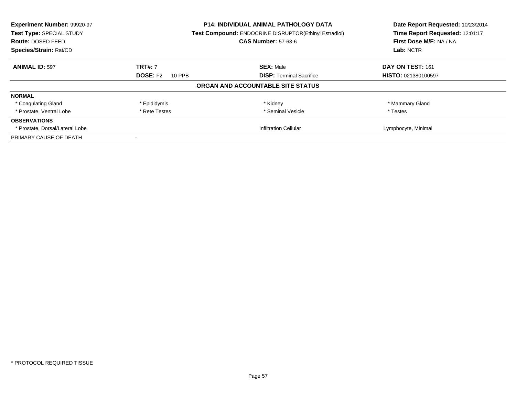| Experiment Number: 99920-97     |                                                       | <b>P14: INDIVIDUAL ANIMAL PATHOLOGY DATA</b> | Date Report Requested: 10/23/2014<br>Time Report Requested: 12:01:17 |
|---------------------------------|-------------------------------------------------------|----------------------------------------------|----------------------------------------------------------------------|
| Test Type: SPECIAL STUDY        | Test Compound: ENDOCRINE DISRUPTOR(Ethinyl Estradiol) |                                              |                                                                      |
| Route: DOSED FEED               |                                                       | <b>CAS Number: 57-63-6</b>                   | First Dose M/F: NA / NA                                              |
| Species/Strain: Rat/CD          |                                                       |                                              | Lab: NCTR                                                            |
| <b>ANIMAL ID: 597</b>           | <b>TRT#: 7</b>                                        | <b>SEX: Male</b>                             | DAY ON TEST: 161                                                     |
|                                 | <b>DOSE: F2</b><br>10 PPB                             | <b>DISP:</b> Terminal Sacrifice              | HISTO: 021380100597                                                  |
|                                 |                                                       | ORGAN AND ACCOUNTABLE SITE STATUS            |                                                                      |
| <b>NORMAL</b>                   |                                                       |                                              |                                                                      |
| * Coagulating Gland             | * Epididymis                                          | * Kidney                                     | * Mammary Gland                                                      |
| * Prostate. Ventral Lobe        | * Rete Testes                                         | * Seminal Vesicle                            | * Testes                                                             |
| <b>OBSERVATIONS</b>             |                                                       |                                              |                                                                      |
| * Prostate, Dorsal/Lateral Lobe |                                                       | <b>Infiltration Cellular</b>                 | Lymphocyte, Minimal                                                  |
| PRIMARY CAUSE OF DEATH          |                                                       |                                              |                                                                      |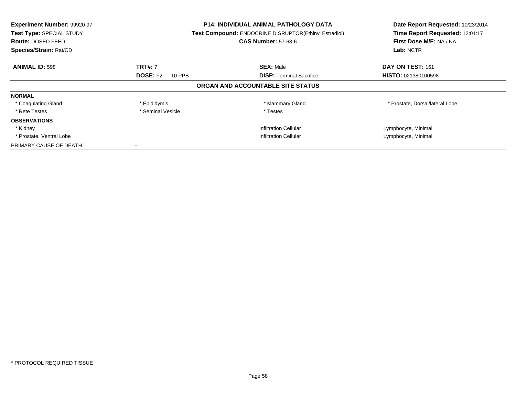| Experiment Number: 99920-97<br>Test Type: SPECIAL STUDY<br><b>Route: DOSED FEED</b><br>Species/Strain: Rat/CD |                           | <b>P14: INDIVIDUAL ANIMAL PATHOLOGY DATA</b><br><b>Test Compound: ENDOCRINE DISRUPTOR(Ethinyl Estradiol)</b><br><b>CAS Number: 57-63-6</b> | Date Report Requested: 10/23/2014<br>Time Report Requested: 12:01:17<br>First Dose M/F: NA / NA<br>Lab: NCTR |
|---------------------------------------------------------------------------------------------------------------|---------------------------|--------------------------------------------------------------------------------------------------------------------------------------------|--------------------------------------------------------------------------------------------------------------|
| <b>ANIMAL ID: 598</b>                                                                                         | <b>TRT#: 7</b>            | <b>SEX: Male</b>                                                                                                                           | DAY ON TEST: 161                                                                                             |
|                                                                                                               | <b>DOSE: F2</b><br>10 PPB | <b>DISP:</b> Terminal Sacrifice                                                                                                            | HISTO: 021380100598                                                                                          |
|                                                                                                               |                           | ORGAN AND ACCOUNTABLE SITE STATUS                                                                                                          |                                                                                                              |
| <b>NORMAL</b>                                                                                                 |                           |                                                                                                                                            |                                                                                                              |
| * Coagulating Gland                                                                                           | * Epididymis              | * Mammary Gland                                                                                                                            | * Prostate, Dorsal/lateral Lobe                                                                              |
| * Rete Testes                                                                                                 | * Seminal Vesicle         | * Testes                                                                                                                                   |                                                                                                              |
| <b>OBSERVATIONS</b>                                                                                           |                           |                                                                                                                                            |                                                                                                              |
| * Kidney                                                                                                      |                           | <b>Infiltration Cellular</b>                                                                                                               | Lymphocyte, Minimal                                                                                          |
| * Prostate, Ventral Lobe                                                                                      |                           | <b>Infiltration Cellular</b>                                                                                                               | Lymphocyte, Minimal                                                                                          |
| PRIMARY CAUSE OF DEATH                                                                                        |                           |                                                                                                                                            |                                                                                                              |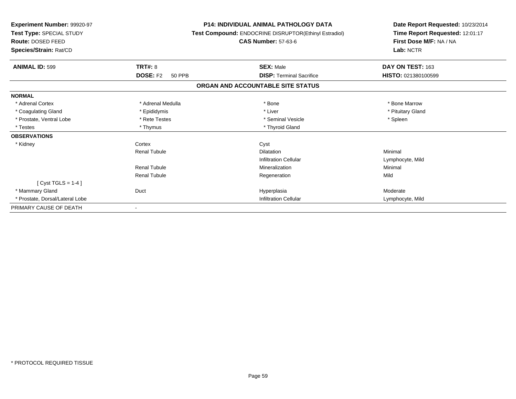| Experiment Number: 99920-97<br>Test Type: SPECIAL STUDY<br><b>Route: DOSED FEED</b><br>Species/Strain: Rat/CD |                                  | <b>P14: INDIVIDUAL ANIMAL PATHOLOGY DATA</b><br>Test Compound: ENDOCRINE DISRUPTOR(Ethinyl Estradiol)<br><b>CAS Number: 57-63-6</b> | Date Report Requested: 10/23/2014<br>Time Report Requested: 12:01:17<br>First Dose M/F: NA / NA<br>Lab: NCTR |
|---------------------------------------------------------------------------------------------------------------|----------------------------------|-------------------------------------------------------------------------------------------------------------------------------------|--------------------------------------------------------------------------------------------------------------|
| <b>ANIMAL ID: 599</b>                                                                                         | TRT#: 8                          | <b>SEX: Male</b>                                                                                                                    | DAY ON TEST: 163                                                                                             |
|                                                                                                               | <b>DOSE: F2</b><br><b>50 PPB</b> | <b>DISP: Terminal Sacrifice</b>                                                                                                     | HISTO: 021380100599                                                                                          |
|                                                                                                               |                                  | ORGAN AND ACCOUNTABLE SITE STATUS                                                                                                   |                                                                                                              |
| <b>NORMAL</b>                                                                                                 |                                  |                                                                                                                                     |                                                                                                              |
| * Adrenal Cortex                                                                                              | * Adrenal Medulla                | * Bone                                                                                                                              | * Bone Marrow                                                                                                |
| * Coagulating Gland                                                                                           | * Epididymis                     | * Liver                                                                                                                             | * Pituitary Gland                                                                                            |
| * Prostate, Ventral Lobe                                                                                      | * Rete Testes                    | * Seminal Vesicle                                                                                                                   | * Spleen                                                                                                     |
| * Testes                                                                                                      | * Thymus                         | * Thyroid Gland                                                                                                                     |                                                                                                              |
| <b>OBSERVATIONS</b>                                                                                           |                                  |                                                                                                                                     |                                                                                                              |
| * Kidney                                                                                                      | Cortex                           | Cyst                                                                                                                                |                                                                                                              |
|                                                                                                               | <b>Renal Tubule</b>              | <b>Dilatation</b>                                                                                                                   | Minimal                                                                                                      |
|                                                                                                               |                                  | <b>Infiltration Cellular</b>                                                                                                        | Lymphocyte, Mild                                                                                             |
|                                                                                                               | Renal Tubule                     | Mineralization                                                                                                                      | Minimal                                                                                                      |
|                                                                                                               | <b>Renal Tubule</b>              | Regeneration                                                                                                                        | Mild                                                                                                         |
| [Cyst TGLS = $1-4$ ]                                                                                          |                                  |                                                                                                                                     |                                                                                                              |
| * Mammary Gland                                                                                               | Duct                             | Hyperplasia                                                                                                                         | Moderate                                                                                                     |
| * Prostate, Dorsal/Lateral Lobe                                                                               |                                  | <b>Infiltration Cellular</b>                                                                                                        | Lymphocyte, Mild                                                                                             |
| PRIMARY CAUSE OF DEATH                                                                                        |                                  |                                                                                                                                     |                                                                                                              |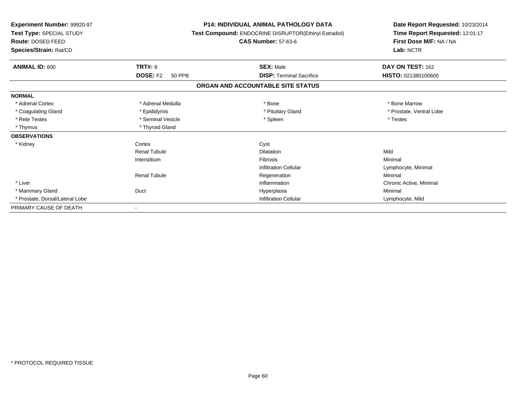| Experiment Number: 99920-97<br>Test Type: SPECIAL STUDY<br><b>Route: DOSED FEED</b><br>Species/Strain: Rat/CD |                                  | <b>P14: INDIVIDUAL ANIMAL PATHOLOGY DATA</b><br>Test Compound: ENDOCRINE DISRUPTOR(Ethinyl Estradiol)<br><b>CAS Number: 57-63-6</b> | Date Report Requested: 10/23/2014<br>Time Report Requested: 12:01:17<br>First Dose M/F: NA / NA<br>Lab: NCTR |
|---------------------------------------------------------------------------------------------------------------|----------------------------------|-------------------------------------------------------------------------------------------------------------------------------------|--------------------------------------------------------------------------------------------------------------|
| <b>ANIMAL ID: 600</b>                                                                                         | <b>TRT#: 8</b>                   | <b>SEX: Male</b>                                                                                                                    | DAY ON TEST: 162                                                                                             |
|                                                                                                               | <b>DOSE: F2</b><br><b>50 PPB</b> | <b>DISP: Terminal Sacrifice</b>                                                                                                     | HISTO: 021380100600                                                                                          |
|                                                                                                               |                                  | ORGAN AND ACCOUNTABLE SITE STATUS                                                                                                   |                                                                                                              |
| <b>NORMAL</b>                                                                                                 |                                  |                                                                                                                                     |                                                                                                              |
| * Adrenal Cortex                                                                                              | * Adrenal Medulla                | * Bone                                                                                                                              | * Bone Marrow                                                                                                |
| * Coagulating Gland                                                                                           | * Epididymis                     | * Pituitary Gland                                                                                                                   | * Prostate, Ventral Lobe                                                                                     |
| * Rete Testes                                                                                                 | * Seminal Vesicle                | * Spleen                                                                                                                            | * Testes                                                                                                     |
| * Thymus                                                                                                      | * Thyroid Gland                  |                                                                                                                                     |                                                                                                              |
| <b>OBSERVATIONS</b>                                                                                           |                                  |                                                                                                                                     |                                                                                                              |
| * Kidney                                                                                                      | Cortex                           | Cyst                                                                                                                                |                                                                                                              |
|                                                                                                               | <b>Renal Tubule</b>              | <b>Dilatation</b>                                                                                                                   | Mild                                                                                                         |
|                                                                                                               | Interstitium                     | Fibrosis                                                                                                                            | Minimal                                                                                                      |
|                                                                                                               |                                  | <b>Infiltration Cellular</b>                                                                                                        | Lymphocyte, Minimal                                                                                          |
|                                                                                                               | <b>Renal Tubule</b>              | Regeneration                                                                                                                        | Minimal                                                                                                      |
| * Liver                                                                                                       |                                  | Inflammation                                                                                                                        | Chronic Active, Minimal                                                                                      |
| * Mammary Gland                                                                                               | Duct                             | Hyperplasia                                                                                                                         | Minimal                                                                                                      |
| * Prostate, Dorsal/Lateral Lobe                                                                               |                                  | <b>Infiltration Cellular</b>                                                                                                        | Lymphocyte, Mild                                                                                             |
| PRIMARY CAUSE OF DEATH                                                                                        |                                  |                                                                                                                                     |                                                                                                              |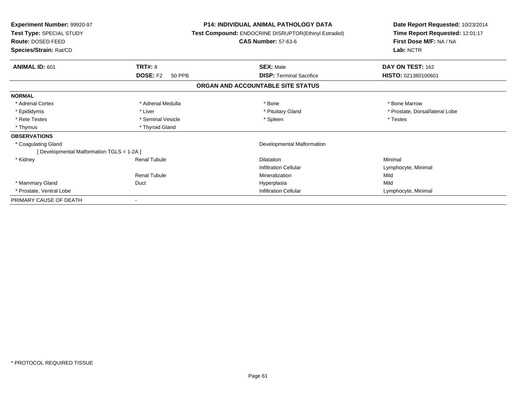| <b>Experiment Number: 99920-97</b><br>Test Type: SPECIAL STUDY<br><b>Route: DOSED FEED</b><br>Species/Strain: Rat/CD |                           | <b>P14: INDIVIDUAL ANIMAL PATHOLOGY DATA</b><br>Test Compound: ENDOCRINE DISRUPTOR(Ethinyl Estradiol)<br><b>CAS Number: 57-63-6</b> | Date Report Requested: 10/23/2014<br>Time Report Requested: 12:01:17<br>First Dose M/F: NA / NA<br>Lab: NCTR |
|----------------------------------------------------------------------------------------------------------------------|---------------------------|-------------------------------------------------------------------------------------------------------------------------------------|--------------------------------------------------------------------------------------------------------------|
| <b>ANIMAL ID: 601</b>                                                                                                | TRT#: 8                   | <b>SEX: Male</b>                                                                                                                    | DAY ON TEST: 162                                                                                             |
|                                                                                                                      | <b>DOSE: F2</b><br>50 PPB | <b>DISP:</b> Terminal Sacrifice                                                                                                     | <b>HISTO: 021380100601</b>                                                                                   |
|                                                                                                                      |                           | ORGAN AND ACCOUNTABLE SITE STATUS                                                                                                   |                                                                                                              |
| <b>NORMAL</b>                                                                                                        |                           |                                                                                                                                     |                                                                                                              |
| * Adrenal Cortex                                                                                                     | * Adrenal Medulla         | * Bone                                                                                                                              | * Bone Marrow                                                                                                |
| * Epididymis                                                                                                         | * Liver                   | * Pituitary Gland                                                                                                                   | * Prostate, Dorsal/lateral Lobe                                                                              |
| * Rete Testes                                                                                                        | * Seminal Vesicle         | * Spleen                                                                                                                            | * Testes                                                                                                     |
| * Thymus                                                                                                             | * Thyroid Gland           |                                                                                                                                     |                                                                                                              |
| <b>OBSERVATIONS</b>                                                                                                  |                           |                                                                                                                                     |                                                                                                              |
| * Coagulating Gland                                                                                                  |                           | Developmental Malformation                                                                                                          |                                                                                                              |
| [ Developmental Malformation TGLS = 1-2A ]                                                                           |                           |                                                                                                                                     |                                                                                                              |
| * Kidney                                                                                                             | <b>Renal Tubule</b>       | <b>Dilatation</b>                                                                                                                   | Minimal                                                                                                      |
|                                                                                                                      |                           | <b>Infiltration Cellular</b>                                                                                                        | Lymphocyte, Minimal                                                                                          |
|                                                                                                                      | <b>Renal Tubule</b>       | Mineralization                                                                                                                      | Mild                                                                                                         |
| * Mammary Gland                                                                                                      | Duct                      | Hyperplasia                                                                                                                         | Mild                                                                                                         |
| * Prostate, Ventral Lobe                                                                                             |                           | <b>Infiltration Cellular</b>                                                                                                        | Lymphocyte, Minimal                                                                                          |
| PRIMARY CAUSE OF DEATH                                                                                               |                           |                                                                                                                                     |                                                                                                              |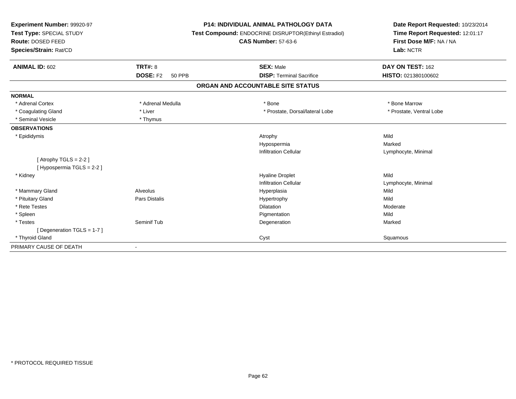| Experiment Number: 99920-97<br>Test Type: SPECIAL STUDY<br>Route: DOSED FEED<br>Species/Strain: Rat/CD<br><b>ANIMAL ID: 602</b> | <b>TRT#: 8</b><br><b>DOSE: F2</b><br><b>50 PPB</b> | <b>P14: INDIVIDUAL ANIMAL PATHOLOGY DATA</b><br>Test Compound: ENDOCRINE DISRUPTOR(Ethinyl Estradiol)<br><b>CAS Number: 57-63-6</b><br><b>SEX: Male</b><br><b>DISP: Terminal Sacrifice</b> | Date Report Requested: 10/23/2014<br>Time Report Requested: 12:01:17<br>First Dose M/F: NA / NA<br>Lab: NCTR<br>DAY ON TEST: 162<br>HISTO: 021380100602 |
|---------------------------------------------------------------------------------------------------------------------------------|----------------------------------------------------|--------------------------------------------------------------------------------------------------------------------------------------------------------------------------------------------|---------------------------------------------------------------------------------------------------------------------------------------------------------|
|                                                                                                                                 |                                                    | ORGAN AND ACCOUNTABLE SITE STATUS                                                                                                                                                          |                                                                                                                                                         |
| <b>NORMAL</b>                                                                                                                   |                                                    |                                                                                                                                                                                            |                                                                                                                                                         |
| * Adrenal Cortex                                                                                                                | * Adrenal Medulla                                  | * Bone                                                                                                                                                                                     | * Bone Marrow                                                                                                                                           |
| * Coagulating Gland                                                                                                             | * Liver                                            | * Prostate, Dorsal/lateral Lobe                                                                                                                                                            | * Prostate, Ventral Lobe                                                                                                                                |
| * Seminal Vesicle                                                                                                               | * Thymus                                           |                                                                                                                                                                                            |                                                                                                                                                         |
| <b>OBSERVATIONS</b>                                                                                                             |                                                    |                                                                                                                                                                                            |                                                                                                                                                         |
| * Epididymis                                                                                                                    |                                                    | Atrophy                                                                                                                                                                                    | Mild                                                                                                                                                    |
|                                                                                                                                 |                                                    | Hypospermia                                                                                                                                                                                | Marked                                                                                                                                                  |
|                                                                                                                                 |                                                    | <b>Infiltration Cellular</b>                                                                                                                                                               | Lymphocyte, Minimal                                                                                                                                     |
| [Atrophy TGLS = $2-2$ ]<br>[Hypospermia TGLS = 2-2]                                                                             |                                                    |                                                                                                                                                                                            |                                                                                                                                                         |
| * Kidney                                                                                                                        |                                                    | <b>Hyaline Droplet</b>                                                                                                                                                                     | Mild                                                                                                                                                    |
|                                                                                                                                 |                                                    | <b>Infiltration Cellular</b>                                                                                                                                                               | Lymphocyte, Minimal                                                                                                                                     |
| * Mammary Gland                                                                                                                 | Alveolus                                           | Hyperplasia                                                                                                                                                                                | Mild                                                                                                                                                    |
| * Pituitary Gland                                                                                                               | Pars Distalis                                      | Hypertrophy                                                                                                                                                                                | Mild                                                                                                                                                    |
| * Rete Testes                                                                                                                   |                                                    | <b>Dilatation</b>                                                                                                                                                                          | Moderate                                                                                                                                                |
| * Spleen                                                                                                                        |                                                    | Pigmentation                                                                                                                                                                               | Mild                                                                                                                                                    |
| * Testes                                                                                                                        | Seminif Tub                                        | Degeneration                                                                                                                                                                               | Marked                                                                                                                                                  |
| [Degeneration TGLS = 1-7]                                                                                                       |                                                    |                                                                                                                                                                                            |                                                                                                                                                         |
| * Thyroid Gland                                                                                                                 |                                                    | Cyst                                                                                                                                                                                       | Squamous                                                                                                                                                |
| PRIMARY CAUSE OF DEATH                                                                                                          |                                                    |                                                                                                                                                                                            |                                                                                                                                                         |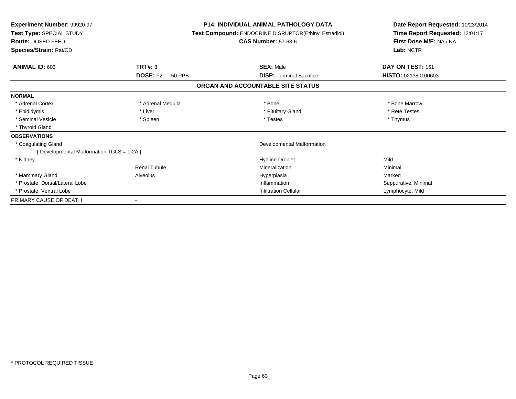| Experiment Number: 99920-97<br>Test Type: SPECIAL STUDY<br>Route: DOSED FEED<br>Species/Strain: Rat/CD |                                  | <b>P14: INDIVIDUAL ANIMAL PATHOLOGY DATA</b><br><b>Test Compound: ENDOCRINE DISRUPTOR(Ethinyl Estradiol)</b><br><b>CAS Number: 57-63-6</b> | Date Report Requested: 10/23/2014<br>Time Report Requested: 12:01:17<br>First Dose M/F: NA / NA<br>Lab: NCTR |  |
|--------------------------------------------------------------------------------------------------------|----------------------------------|--------------------------------------------------------------------------------------------------------------------------------------------|--------------------------------------------------------------------------------------------------------------|--|
| ANIMAL ID: 603                                                                                         | <b>TRT#: 8</b>                   | <b>SEX: Male</b>                                                                                                                           | DAY ON TEST: 161                                                                                             |  |
|                                                                                                        | <b>DOSE: F2</b><br><b>50 PPB</b> | <b>DISP: Terminal Sacrifice</b>                                                                                                            | HISTO: 021380100603                                                                                          |  |
|                                                                                                        |                                  | ORGAN AND ACCOUNTABLE SITE STATUS                                                                                                          |                                                                                                              |  |
| <b>NORMAL</b>                                                                                          |                                  |                                                                                                                                            |                                                                                                              |  |
| * Adrenal Cortex                                                                                       | * Adrenal Medulla                | * Bone                                                                                                                                     | * Bone Marrow                                                                                                |  |
| * Epididymis                                                                                           | * Liver                          | * Pituitary Gland                                                                                                                          | * Rete Testes                                                                                                |  |
| * Seminal Vesicle                                                                                      | * Spleen                         | * Testes                                                                                                                                   | * Thymus                                                                                                     |  |
| * Thyroid Gland                                                                                        |                                  |                                                                                                                                            |                                                                                                              |  |
| <b>OBSERVATIONS</b>                                                                                    |                                  |                                                                                                                                            |                                                                                                              |  |
| * Coagulating Gland                                                                                    |                                  | Developmental Malformation                                                                                                                 |                                                                                                              |  |
| [ Developmental Malformation TGLS = 1-2A ]                                                             |                                  |                                                                                                                                            |                                                                                                              |  |
| * Kidney                                                                                               |                                  | <b>Hyaline Droplet</b>                                                                                                                     | Mild                                                                                                         |  |
|                                                                                                        | <b>Renal Tubule</b>              | Mineralization                                                                                                                             | Minimal                                                                                                      |  |
| * Mammary Gland                                                                                        | Alveolus                         | Hyperplasia                                                                                                                                | Marked                                                                                                       |  |
| * Prostate, Dorsal/Lateral Lobe                                                                        |                                  | Inflammation                                                                                                                               | Suppurative, Minimal                                                                                         |  |
| * Prostate, Ventral Lobe                                                                               |                                  | <b>Infiltration Cellular</b>                                                                                                               | Lymphocyte, Mild                                                                                             |  |
| PRIMARY CAUSE OF DEATH                                                                                 |                                  |                                                                                                                                            |                                                                                                              |  |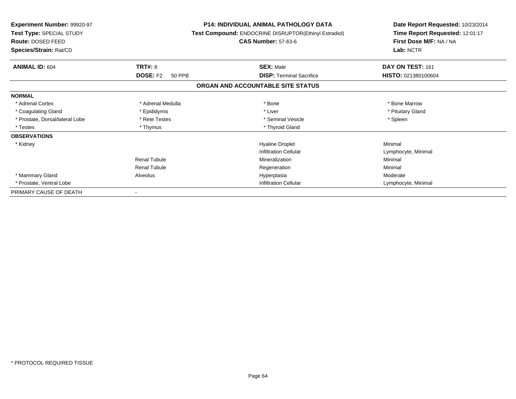| <b>Experiment Number: 99920-97</b><br>Test Type: SPECIAL STUDY<br>Route: DOSED FEED<br>Species/Strain: Rat/CD |                                  | <b>P14: INDIVIDUAL ANIMAL PATHOLOGY DATA</b><br>Test Compound: ENDOCRINE DISRUPTOR(Ethinyl Estradiol)<br><b>CAS Number: 57-63-6</b> | Date Report Requested: 10/23/2014<br>Time Report Requested: 12:01:17<br>First Dose M/F: NA / NA<br>Lab: NCTR |
|---------------------------------------------------------------------------------------------------------------|----------------------------------|-------------------------------------------------------------------------------------------------------------------------------------|--------------------------------------------------------------------------------------------------------------|
| <b>ANIMAL ID: 604</b>                                                                                         | TRT#: 8                          | <b>SEX: Male</b>                                                                                                                    | DAY ON TEST: 161                                                                                             |
|                                                                                                               | <b>DOSE: F2</b><br><b>50 PPB</b> | <b>DISP:</b> Terminal Sacrifice                                                                                                     | HISTO: 021380100604                                                                                          |
|                                                                                                               |                                  | ORGAN AND ACCOUNTABLE SITE STATUS                                                                                                   |                                                                                                              |
| <b>NORMAL</b>                                                                                                 |                                  |                                                                                                                                     |                                                                                                              |
| * Adrenal Cortex                                                                                              | * Adrenal Medulla                | * Bone                                                                                                                              | * Bone Marrow                                                                                                |
| * Coagulating Gland                                                                                           | * Epididymis                     | * Liver                                                                                                                             | * Pituitary Gland                                                                                            |
| * Prostate, Dorsal/lateral Lobe                                                                               | * Rete Testes                    | * Seminal Vesicle                                                                                                                   | * Spleen                                                                                                     |
| * Testes                                                                                                      | * Thymus                         | * Thyroid Gland                                                                                                                     |                                                                                                              |
| <b>OBSERVATIONS</b>                                                                                           |                                  |                                                                                                                                     |                                                                                                              |
| * Kidney                                                                                                      |                                  | <b>Hyaline Droplet</b>                                                                                                              | Minimal                                                                                                      |
|                                                                                                               |                                  | <b>Infiltration Cellular</b>                                                                                                        | Lymphocyte, Minimal                                                                                          |
|                                                                                                               | Renal Tubule                     | Mineralization                                                                                                                      | Minimal                                                                                                      |
|                                                                                                               | <b>Renal Tubule</b>              | Regeneration                                                                                                                        | Minimal                                                                                                      |
| * Mammary Gland                                                                                               | Alveolus                         | Hyperplasia                                                                                                                         | Moderate                                                                                                     |
| * Prostate, Ventral Lobe                                                                                      |                                  | <b>Infiltration Cellular</b>                                                                                                        | Lymphocyte, Minimal                                                                                          |
| PRIMARY CAUSE OF DEATH                                                                                        |                                  |                                                                                                                                     |                                                                                                              |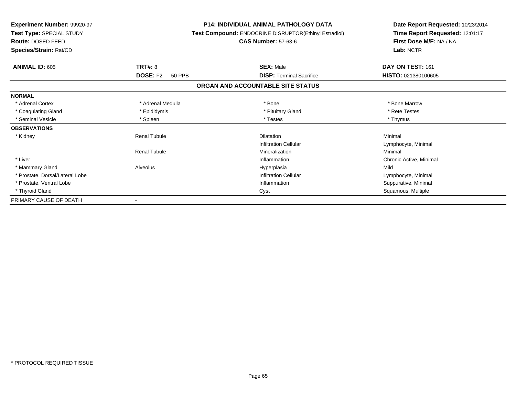| <b>Experiment Number: 99920-97</b><br>Test Type: SPECIAL STUDY<br><b>Route: DOSED FEED</b> |                                  | <b>P14: INDIVIDUAL ANIMAL PATHOLOGY DATA</b><br>Test Compound: ENDOCRINE DISRUPTOR(Ethinyl Estradiol)<br><b>CAS Number: 57-63-6</b> | Date Report Requested: 10/23/2014<br>Time Report Requested: 12:01:17<br>First Dose M/F: NA / NA<br>Lab: NCTR |  |
|--------------------------------------------------------------------------------------------|----------------------------------|-------------------------------------------------------------------------------------------------------------------------------------|--------------------------------------------------------------------------------------------------------------|--|
| Species/Strain: Rat/CD                                                                     |                                  |                                                                                                                                     |                                                                                                              |  |
| <b>ANIMAL ID: 605</b>                                                                      | <b>TRT#: 8</b>                   | <b>SEX: Male</b>                                                                                                                    | DAY ON TEST: 161                                                                                             |  |
|                                                                                            | <b>DOSE: F2</b><br><b>50 PPB</b> | <b>DISP: Terminal Sacrifice</b>                                                                                                     | HISTO: 021380100605                                                                                          |  |
|                                                                                            |                                  | ORGAN AND ACCOUNTABLE SITE STATUS                                                                                                   |                                                                                                              |  |
| <b>NORMAL</b>                                                                              |                                  |                                                                                                                                     |                                                                                                              |  |
| * Adrenal Cortex                                                                           | * Adrenal Medulla                | * Bone                                                                                                                              | * Bone Marrow                                                                                                |  |
| * Coagulating Gland                                                                        | * Epididymis                     | * Pituitary Gland                                                                                                                   | * Rete Testes                                                                                                |  |
| * Seminal Vesicle                                                                          | * Spleen                         | * Testes                                                                                                                            | * Thymus                                                                                                     |  |
| <b>OBSERVATIONS</b>                                                                        |                                  |                                                                                                                                     |                                                                                                              |  |
| * Kidney                                                                                   | <b>Renal Tubule</b>              | Dilatation                                                                                                                          | Minimal                                                                                                      |  |
|                                                                                            |                                  | <b>Infiltration Cellular</b>                                                                                                        | Lymphocyte, Minimal                                                                                          |  |
|                                                                                            | <b>Renal Tubule</b>              | Mineralization                                                                                                                      | Minimal                                                                                                      |  |
| * Liver                                                                                    |                                  | Inflammation                                                                                                                        | Chronic Active, Minimal                                                                                      |  |
| * Mammary Gland                                                                            | Alveolus                         | Hyperplasia                                                                                                                         | Mild                                                                                                         |  |
| * Prostate, Dorsal/Lateral Lobe                                                            |                                  | <b>Infiltration Cellular</b>                                                                                                        | Lymphocyte, Minimal                                                                                          |  |
| * Prostate, Ventral Lobe                                                                   |                                  | Inflammation                                                                                                                        | Suppurative, Minimal                                                                                         |  |
| * Thyroid Gland                                                                            |                                  | Cyst                                                                                                                                | Squamous, Multiple                                                                                           |  |
| PRIMARY CAUSE OF DEATH                                                                     |                                  |                                                                                                                                     |                                                                                                              |  |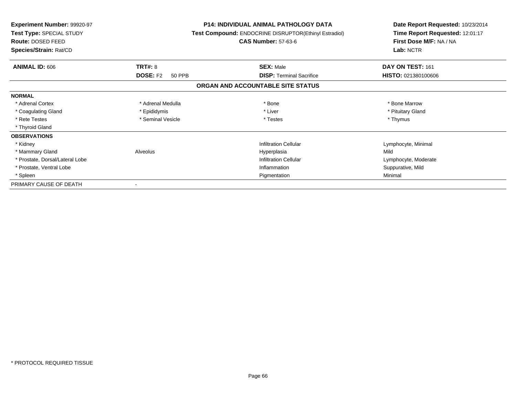| Experiment Number: 99920-97<br>Test Type: SPECIAL STUDY<br>Route: DOSED FEED<br>Species/Strain: Rat/CD |                           | <b>P14: INDIVIDUAL ANIMAL PATHOLOGY DATA</b><br>Test Compound: ENDOCRINE DISRUPTOR(Ethinyl Estradiol)<br><b>CAS Number: 57-63-6</b> | Date Report Requested: 10/23/2014<br>Time Report Requested: 12:01:17<br>First Dose M/F: NA / NA<br>Lab: NCTR |
|--------------------------------------------------------------------------------------------------------|---------------------------|-------------------------------------------------------------------------------------------------------------------------------------|--------------------------------------------------------------------------------------------------------------|
|                                                                                                        |                           |                                                                                                                                     |                                                                                                              |
| <b>ANIMAL ID: 606</b>                                                                                  | <b>TRT#: 8</b>            | <b>SEX: Male</b>                                                                                                                    | DAY ON TEST: 161                                                                                             |
|                                                                                                        | <b>DOSE: F2</b><br>50 PPB | <b>DISP: Terminal Sacrifice</b>                                                                                                     | HISTO: 021380100606                                                                                          |
|                                                                                                        |                           | ORGAN AND ACCOUNTABLE SITE STATUS                                                                                                   |                                                                                                              |
| <b>NORMAL</b>                                                                                          |                           |                                                                                                                                     |                                                                                                              |
| * Adrenal Cortex                                                                                       | * Adrenal Medulla         | * Bone                                                                                                                              | * Bone Marrow                                                                                                |
| * Coagulating Gland                                                                                    | * Epididymis              | * Liver                                                                                                                             | * Pituitary Gland                                                                                            |
| * Rete Testes                                                                                          | * Seminal Vesicle         | * Testes                                                                                                                            | * Thymus                                                                                                     |
| * Thyroid Gland                                                                                        |                           |                                                                                                                                     |                                                                                                              |
| <b>OBSERVATIONS</b>                                                                                    |                           |                                                                                                                                     |                                                                                                              |
| * Kidney                                                                                               |                           | <b>Infiltration Cellular</b>                                                                                                        | Lymphocyte, Minimal                                                                                          |
| * Mammary Gland                                                                                        | Alveolus                  | Hyperplasia                                                                                                                         | Mild                                                                                                         |
| * Prostate, Dorsal/Lateral Lobe                                                                        |                           | <b>Infiltration Cellular</b>                                                                                                        | Lymphocyte, Moderate                                                                                         |
| * Prostate, Ventral Lobe                                                                               |                           | Inflammation                                                                                                                        | Suppurative, Mild                                                                                            |
| * Spleen                                                                                               |                           | Pigmentation                                                                                                                        | Minimal                                                                                                      |
| PRIMARY CAUSE OF DEATH                                                                                 |                           |                                                                                                                                     |                                                                                                              |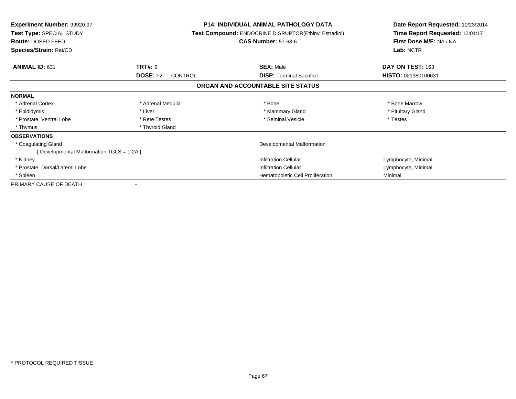| <b>Experiment Number: 99920-97</b><br>Test Type: SPECIAL STUDY<br><b>Route: DOSED FEED</b><br>Species/Strain: Rat/CD |                            | <b>P14: INDIVIDUAL ANIMAL PATHOLOGY DATA</b><br>Test Compound: ENDOCRINE DISRUPTOR(Ethinyl Estradiol)<br><b>CAS Number: 57-63-6</b> | Date Report Requested: 10/23/2014<br>Time Report Requested: 12:01:17<br>First Dose M/F: NA / NA<br>Lab: NCTR |  |
|----------------------------------------------------------------------------------------------------------------------|----------------------------|-------------------------------------------------------------------------------------------------------------------------------------|--------------------------------------------------------------------------------------------------------------|--|
| <b>ANIMAL ID: 631</b>                                                                                                | TRT#: 5                    | <b>SEX: Male</b>                                                                                                                    | DAY ON TEST: 163                                                                                             |  |
|                                                                                                                      | <b>DOSE: F2</b><br>CONTROL | <b>DISP:</b> Terminal Sacrifice                                                                                                     | HISTO: 021380100631                                                                                          |  |
|                                                                                                                      |                            | ORGAN AND ACCOUNTABLE SITE STATUS                                                                                                   |                                                                                                              |  |
| <b>NORMAL</b>                                                                                                        |                            |                                                                                                                                     |                                                                                                              |  |
| * Adrenal Cortex                                                                                                     | * Adrenal Medulla          | * Bone                                                                                                                              | * Bone Marrow                                                                                                |  |
| * Epididymis                                                                                                         | * Liver                    | * Mammary Gland                                                                                                                     | * Pituitary Gland                                                                                            |  |
| * Prostate, Ventral Lobe                                                                                             | * Rete Testes              | * Seminal Vesicle                                                                                                                   | * Testes                                                                                                     |  |
| * Thymus                                                                                                             | * Thyroid Gland            |                                                                                                                                     |                                                                                                              |  |
| <b>OBSERVATIONS</b>                                                                                                  |                            |                                                                                                                                     |                                                                                                              |  |
| * Coagulating Gland                                                                                                  |                            | Developmental Malformation                                                                                                          |                                                                                                              |  |
| [ Developmental Malformation TGLS = 1-2A ]                                                                           |                            |                                                                                                                                     |                                                                                                              |  |
| * Kidney                                                                                                             |                            | <b>Infiltration Cellular</b>                                                                                                        | Lymphocyte, Minimal                                                                                          |  |
| * Prostate, Dorsal/Lateral Lobe                                                                                      |                            | <b>Infiltration Cellular</b>                                                                                                        | Lymphocyte, Minimal                                                                                          |  |
| * Spleen                                                                                                             |                            | Hematopoietic Cell Proliferation                                                                                                    | Minimal                                                                                                      |  |
| PRIMARY CAUSE OF DEATH                                                                                               |                            |                                                                                                                                     |                                                                                                              |  |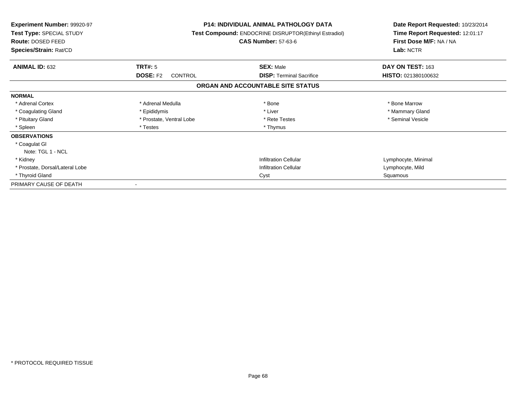| <b>Experiment Number: 99920-97</b><br>Test Type: SPECIAL STUDY<br>Route: DOSED FEED<br>Species/Strain: Rat/CD |                                   | <b>P14: INDIVIDUAL ANIMAL PATHOLOGY DATA</b><br>Test Compound: ENDOCRINE DISRUPTOR(Ethinyl Estradiol)<br><b>CAS Number: 57-63-6</b> | Date Report Requested: 10/23/2014<br>Time Report Requested: 12:01:17<br>First Dose M/F: NA / NA<br>Lab: NCTR |
|---------------------------------------------------------------------------------------------------------------|-----------------------------------|-------------------------------------------------------------------------------------------------------------------------------------|--------------------------------------------------------------------------------------------------------------|
| <b>ANIMAL ID: 632</b>                                                                                         | <b>TRT#: 5</b>                    | <b>SEX: Male</b>                                                                                                                    | DAY ON TEST: 163                                                                                             |
|                                                                                                               | <b>DOSE: F2</b><br><b>CONTROL</b> | <b>DISP: Terminal Sacrifice</b>                                                                                                     | HISTO: 021380100632                                                                                          |
|                                                                                                               |                                   | ORGAN AND ACCOUNTABLE SITE STATUS                                                                                                   |                                                                                                              |
| <b>NORMAL</b>                                                                                                 |                                   |                                                                                                                                     |                                                                                                              |
| * Adrenal Cortex                                                                                              | * Adrenal Medulla                 | * Bone                                                                                                                              | * Bone Marrow                                                                                                |
| * Coagulating Gland                                                                                           | * Epididymis                      | * Liver                                                                                                                             | * Mammary Gland                                                                                              |
| * Pituitary Gland                                                                                             | * Prostate, Ventral Lobe          | * Rete Testes                                                                                                                       | * Seminal Vesicle                                                                                            |
| * Spleen                                                                                                      | * Testes                          | * Thymus                                                                                                                            |                                                                                                              |
| <b>OBSERVATIONS</b>                                                                                           |                                   |                                                                                                                                     |                                                                                                              |
| * Coagulat GI                                                                                                 |                                   |                                                                                                                                     |                                                                                                              |
| Note: TGL 1 - NCL                                                                                             |                                   |                                                                                                                                     |                                                                                                              |
| * Kidney                                                                                                      |                                   | <b>Infiltration Cellular</b>                                                                                                        | Lymphocyte, Minimal                                                                                          |
| * Prostate, Dorsal/Lateral Lobe                                                                               |                                   | <b>Infiltration Cellular</b>                                                                                                        | Lymphocyte, Mild                                                                                             |
| * Thyroid Gland                                                                                               |                                   | Cyst                                                                                                                                | Squamous                                                                                                     |
| PRIMARY CAUSE OF DEATH                                                                                        |                                   |                                                                                                                                     |                                                                                                              |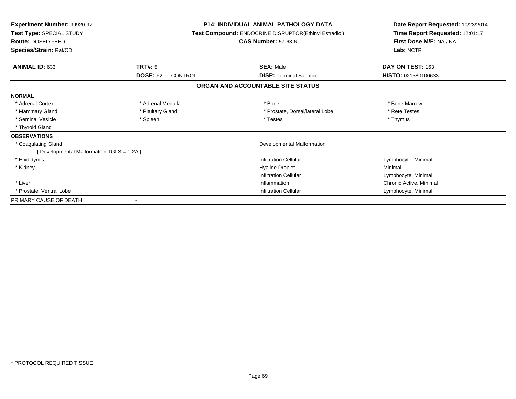| <b>Experiment Number: 99920-97</b><br>Test Type: SPECIAL STUDY<br><b>Route: DOSED FEED</b><br>Species/Strain: Rat/CD |                                   | <b>P14: INDIVIDUAL ANIMAL PATHOLOGY DATA</b><br>Test Compound: ENDOCRINE DISRUPTOR(Ethinyl Estradiol)<br><b>CAS Number: 57-63-6</b> | Date Report Requested: 10/23/2014<br>Time Report Requested: 12:01:17<br>First Dose M/F: NA / NA<br>Lab: NCTR |
|----------------------------------------------------------------------------------------------------------------------|-----------------------------------|-------------------------------------------------------------------------------------------------------------------------------------|--------------------------------------------------------------------------------------------------------------|
| ANIMAL ID: 633                                                                                                       | <b>TRT#: 5</b>                    | <b>SEX: Male</b>                                                                                                                    | DAY ON TEST: 163                                                                                             |
|                                                                                                                      | <b>DOSE: F2</b><br><b>CONTROL</b> | <b>DISP: Terminal Sacrifice</b>                                                                                                     | HISTO: 021380100633                                                                                          |
|                                                                                                                      |                                   | ORGAN AND ACCOUNTABLE SITE STATUS                                                                                                   |                                                                                                              |
| <b>NORMAL</b>                                                                                                        |                                   |                                                                                                                                     |                                                                                                              |
| * Adrenal Cortex                                                                                                     | * Adrenal Medulla                 | * Bone                                                                                                                              | * Bone Marrow                                                                                                |
| * Mammary Gland                                                                                                      | * Pituitary Gland                 | * Prostate, Dorsal/lateral Lobe                                                                                                     | * Rete Testes                                                                                                |
| * Seminal Vesicle                                                                                                    | * Spleen                          | * Testes                                                                                                                            | * Thymus                                                                                                     |
| * Thyroid Gland                                                                                                      |                                   |                                                                                                                                     |                                                                                                              |
| <b>OBSERVATIONS</b>                                                                                                  |                                   |                                                                                                                                     |                                                                                                              |
| * Coagulating Gland                                                                                                  |                                   | Developmental Malformation                                                                                                          |                                                                                                              |
| [ Developmental Malformation TGLS = 1-2A ]                                                                           |                                   |                                                                                                                                     |                                                                                                              |
| * Epididymis                                                                                                         |                                   | Infiltration Cellular                                                                                                               | Lymphocyte, Minimal                                                                                          |
| * Kidney                                                                                                             |                                   | <b>Hyaline Droplet</b>                                                                                                              | Minimal                                                                                                      |
|                                                                                                                      |                                   | <b>Infiltration Cellular</b>                                                                                                        | Lymphocyte, Minimal                                                                                          |
| * Liver                                                                                                              |                                   | Inflammation                                                                                                                        | Chronic Active, Minimal                                                                                      |
| * Prostate, Ventral Lobe                                                                                             |                                   | <b>Infiltration Cellular</b>                                                                                                        | Lymphocyte, Minimal                                                                                          |
| PRIMARY CAUSE OF DEATH                                                                                               |                                   |                                                                                                                                     |                                                                                                              |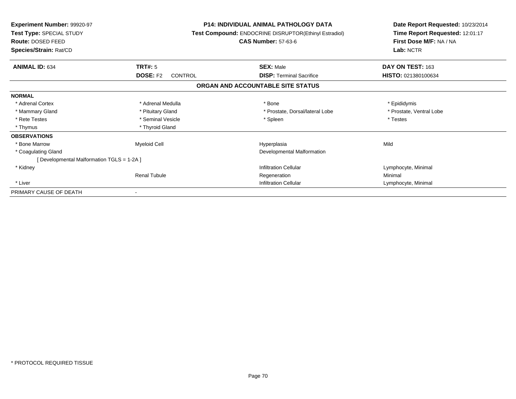| <b>Experiment Number: 99920-97</b><br>Test Type: SPECIAL STUDY<br><b>Route: DOSED FEED</b><br>Species/Strain: Rat/CD |                            | <b>P14: INDIVIDUAL ANIMAL PATHOLOGY DATA</b><br>Test Compound: ENDOCRINE DISRUPTOR(Ethinyl Estradiol)<br><b>CAS Number: 57-63-6</b> | Date Report Requested: 10/23/2014<br>Time Report Requested: 12:01:17<br>First Dose M/F: NA / NA<br>Lab: NCTR |
|----------------------------------------------------------------------------------------------------------------------|----------------------------|-------------------------------------------------------------------------------------------------------------------------------------|--------------------------------------------------------------------------------------------------------------|
| <b>ANIMAL ID: 634</b>                                                                                                | TRT#: 5                    | <b>SEX: Male</b>                                                                                                                    | DAY ON TEST: 163                                                                                             |
|                                                                                                                      | <b>DOSE: F2</b><br>CONTROL | <b>DISP:</b> Terminal Sacrifice                                                                                                     | HISTO: 021380100634                                                                                          |
|                                                                                                                      |                            | ORGAN AND ACCOUNTABLE SITE STATUS                                                                                                   |                                                                                                              |
| <b>NORMAL</b>                                                                                                        |                            |                                                                                                                                     |                                                                                                              |
| * Adrenal Cortex                                                                                                     | * Adrenal Medulla          | * Bone                                                                                                                              | * Epididymis                                                                                                 |
| * Mammary Gland                                                                                                      | * Pituitary Gland          | * Prostate, Dorsal/lateral Lobe                                                                                                     | * Prostate, Ventral Lobe                                                                                     |
| * Rete Testes                                                                                                        | * Seminal Vesicle          | * Spleen                                                                                                                            | * Testes                                                                                                     |
| * Thymus                                                                                                             | * Thyroid Gland            |                                                                                                                                     |                                                                                                              |
| <b>OBSERVATIONS</b>                                                                                                  |                            |                                                                                                                                     |                                                                                                              |
| * Bone Marrow                                                                                                        | <b>Myeloid Cell</b>        | Hyperplasia                                                                                                                         | Mild                                                                                                         |
| * Coagulating Gland                                                                                                  |                            | Developmental Malformation                                                                                                          |                                                                                                              |
| [ Developmental Malformation TGLS = 1-2A ]                                                                           |                            |                                                                                                                                     |                                                                                                              |
| * Kidney                                                                                                             |                            | <b>Infiltration Cellular</b>                                                                                                        | Lymphocyte, Minimal                                                                                          |
|                                                                                                                      | <b>Renal Tubule</b>        | Regeneration                                                                                                                        | Minimal                                                                                                      |
| * Liver                                                                                                              |                            | <b>Infiltration Cellular</b>                                                                                                        | Lymphocyte, Minimal                                                                                          |
| PRIMARY CAUSE OF DEATH                                                                                               |                            |                                                                                                                                     |                                                                                                              |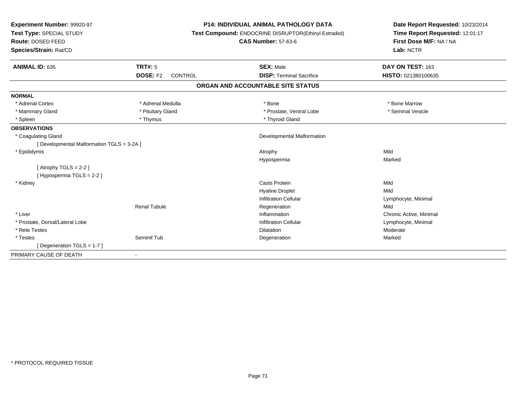| Experiment Number: 99920-97<br>Test Type: SPECIAL STUDY |                            | <b>P14: INDIVIDUAL ANIMAL PATHOLOGY DATA</b>          | Date Report Requested: 10/23/2014<br>Time Report Requested: 12:01:17 |
|---------------------------------------------------------|----------------------------|-------------------------------------------------------|----------------------------------------------------------------------|
|                                                         |                            | Test Compound: ENDOCRINE DISRUPTOR(Ethinyl Estradiol) |                                                                      |
| Route: DOSED FEED                                       |                            | <b>CAS Number: 57-63-6</b>                            | First Dose M/F: NA / NA                                              |
| Species/Strain: Rat/CD                                  |                            |                                                       | Lab: NCTR                                                            |
|                                                         |                            |                                                       |                                                                      |
| <b>ANIMAL ID: 635</b>                                   | <b>TRT#: 5</b>             | <b>SEX: Male</b>                                      | DAY ON TEST: 163                                                     |
|                                                         | <b>DOSE: F2</b><br>CONTROL | <b>DISP: Terminal Sacrifice</b>                       | HISTO: 021380100635                                                  |
|                                                         |                            | ORGAN AND ACCOUNTABLE SITE STATUS                     |                                                                      |
| <b>NORMAL</b>                                           |                            |                                                       |                                                                      |
| * Adrenal Cortex                                        | * Adrenal Medulla          | * Bone                                                | * Bone Marrow                                                        |
| * Mammary Gland                                         | * Pituitary Gland          | * Prostate, Ventral Lobe                              | * Seminal Vesicle                                                    |
| * Spleen                                                | * Thymus                   | * Thyroid Gland                                       |                                                                      |
| <b>OBSERVATIONS</b>                                     |                            |                                                       |                                                                      |
| * Coagulating Gland                                     |                            | Developmental Malformation                            |                                                                      |
| [ Developmental Malformation TGLS = 3-2A ]              |                            |                                                       |                                                                      |
| * Epididymis                                            |                            | Atrophy                                               | Mild                                                                 |
|                                                         |                            | Hypospermia                                           | Marked                                                               |
| [Atrophy TGLS = $2-2$ ]                                 |                            |                                                       |                                                                      |
| [Hypospermia TGLS = 2-2]                                |                            |                                                       |                                                                      |
| * Kidney                                                |                            | <b>Casts Protein</b>                                  | Mild                                                                 |
|                                                         |                            | <b>Hyaline Droplet</b>                                | Mild                                                                 |
|                                                         |                            | <b>Infiltration Cellular</b>                          | Lymphocyte, Minimal                                                  |
|                                                         | <b>Renal Tubule</b>        | Regeneration                                          | Mild                                                                 |
| * Liver                                                 |                            | Inflammation                                          | Chronic Active, Minimal                                              |
| * Prostate, Dorsal/Lateral Lobe                         |                            | <b>Infiltration Cellular</b>                          | Lymphocyte, Minimal                                                  |
| * Rete Testes                                           |                            | <b>Dilatation</b>                                     | Moderate                                                             |
| * Testes                                                | Seminif Tub                | Degeneration                                          | Marked                                                               |
| [Degeneration TGLS = $1-7$ ]                            |                            |                                                       |                                                                      |
| PRIMARY CAUSE OF DEATH                                  | $\overline{\phantom{a}}$   |                                                       |                                                                      |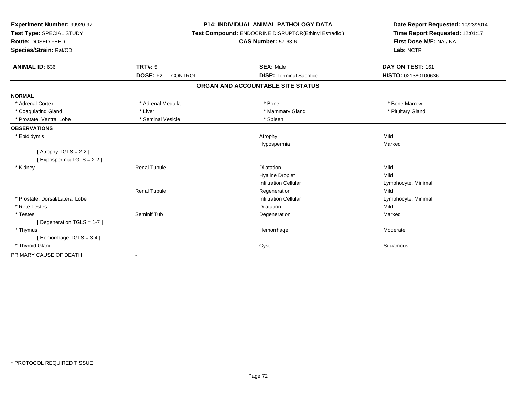| Experiment Number: 99920-97     | <b>P14: INDIVIDUAL ANIMAL PATHOLOGY DATA</b><br>Test Compound: ENDOCRINE DISRUPTOR(Ethinyl Estradiol) |                                   | Date Report Requested: 10/23/2014 |
|---------------------------------|-------------------------------------------------------------------------------------------------------|-----------------------------------|-----------------------------------|
| Test Type: SPECIAL STUDY        |                                                                                                       |                                   | Time Report Requested: 12:01:17   |
| Route: DOSED FEED               |                                                                                                       | <b>CAS Number: 57-63-6</b>        | First Dose M/F: NA / NA           |
| Species/Strain: Rat/CD          |                                                                                                       |                                   | Lab: NCTR                         |
| ANIMAL ID: 636                  | <b>TRT#: 5</b>                                                                                        | <b>SEX: Male</b>                  | DAY ON TEST: 161                  |
|                                 | <b>DOSE: F2</b><br>CONTROL                                                                            | <b>DISP: Terminal Sacrifice</b>   | HISTO: 021380100636               |
|                                 |                                                                                                       | ORGAN AND ACCOUNTABLE SITE STATUS |                                   |
| <b>NORMAL</b>                   |                                                                                                       |                                   |                                   |
| * Adrenal Cortex                | * Adrenal Medulla                                                                                     | * Bone                            | * Bone Marrow                     |
| * Coagulating Gland             | * Liver                                                                                               | * Mammary Gland                   | * Pituitary Gland                 |
| * Prostate, Ventral Lobe        | * Seminal Vesicle                                                                                     | * Spleen                          |                                   |
| <b>OBSERVATIONS</b>             |                                                                                                       |                                   |                                   |
| * Epididymis                    |                                                                                                       | Atrophy                           | Mild                              |
|                                 |                                                                                                       | Hypospermia                       | Marked                            |
| [Atrophy TGLS = $2-2$ ]         |                                                                                                       |                                   |                                   |
| [ Hypospermia TGLS = 2-2 ]      |                                                                                                       |                                   |                                   |
| * Kidney                        | <b>Renal Tubule</b>                                                                                   | <b>Dilatation</b>                 | Mild                              |
|                                 |                                                                                                       | <b>Hyaline Droplet</b>            | Mild                              |
|                                 |                                                                                                       | <b>Infiltration Cellular</b>      | Lymphocyte, Minimal               |
|                                 | <b>Renal Tubule</b>                                                                                   | Regeneration                      | Mild                              |
| * Prostate, Dorsal/Lateral Lobe |                                                                                                       | <b>Infiltration Cellular</b>      | Lymphocyte, Minimal               |
| * Rete Testes                   |                                                                                                       | <b>Dilatation</b>                 | Mild                              |
| * Testes                        | Seminif Tub                                                                                           | Degeneration                      | Marked                            |
| [ Degeneration TGLS = $1-7$ ]   |                                                                                                       |                                   |                                   |
| * Thymus                        |                                                                                                       | Hemorrhage                        | Moderate                          |
| [Hemorrhage TGLS = 3-4]         |                                                                                                       |                                   |                                   |
| * Thyroid Gland                 |                                                                                                       | Cyst                              | Squamous                          |
| PRIMARY CAUSE OF DEATH          |                                                                                                       |                                   |                                   |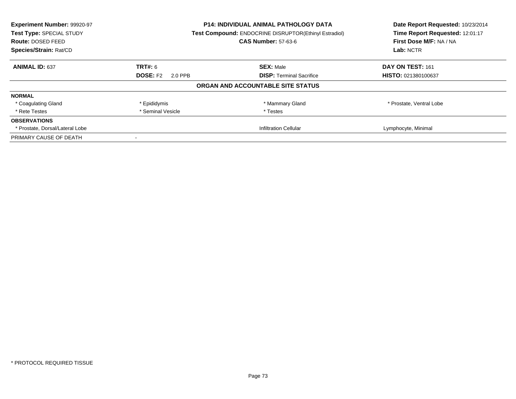| Experiment Number: 99920-97     | <b>P14: INDIVIDUAL ANIMAL PATHOLOGY DATA</b> |                                                       | Date Report Requested: 10/23/2014 |
|---------------------------------|----------------------------------------------|-------------------------------------------------------|-----------------------------------|
| Test Type: SPECIAL STUDY        |                                              | Test Compound: ENDOCRINE DISRUPTOR(Ethinyl Estradiol) | Time Report Requested: 12:01:17   |
| <b>Route: DOSED FEED</b>        |                                              | <b>CAS Number: 57-63-6</b>                            | First Dose M/F: NA / NA           |
| Species/Strain: Rat/CD          |                                              |                                                       | Lab: NCTR                         |
| <b>ANIMAL ID: 637</b>           | <b>TRT#: 6</b>                               | <b>SEX: Male</b>                                      | DAY ON TEST: 161                  |
|                                 | <b>DOSE: F2</b><br>2.0 PPB                   | <b>DISP:</b> Terminal Sacrifice                       | HISTO: 021380100637               |
|                                 |                                              | ORGAN AND ACCOUNTABLE SITE STATUS                     |                                   |
| <b>NORMAL</b>                   |                                              |                                                       |                                   |
| * Coagulating Gland             | * Epididymis                                 | * Mammary Gland                                       | * Prostate, Ventral Lobe          |
| * Rete Testes                   | * Seminal Vesicle                            | * Testes                                              |                                   |
| <b>OBSERVATIONS</b>             |                                              |                                                       |                                   |
| * Prostate, Dorsal/Lateral Lobe |                                              | <b>Infiltration Cellular</b>                          | Lymphocyte, Minimal               |
| PRIMARY CAUSE OF DEATH          |                                              |                                                       |                                   |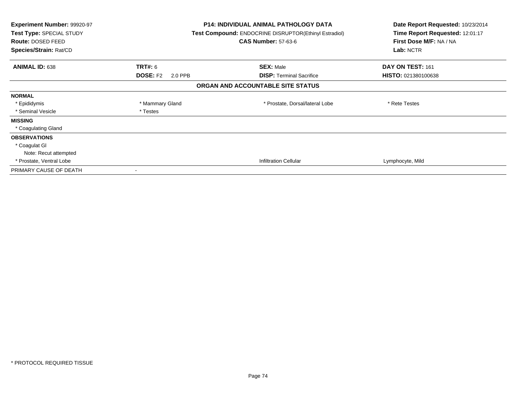| Experiment Number: 99920-97<br>Test Type: SPECIAL STUDY<br>Route: DOSED FEED<br>Species/Strain: Rat/CD |                            | <b>P14: INDIVIDUAL ANIMAL PATHOLOGY DATA</b><br><b>Test Compound: ENDOCRINE DISRUPTOR(Ethinyl Estradiol)</b><br><b>CAS Number: 57-63-6</b> | Date Report Requested: 10/23/2014<br>Time Report Requested: 12:01:17<br>First Dose M/F: NA / NA<br>Lab: NCTR |
|--------------------------------------------------------------------------------------------------------|----------------------------|--------------------------------------------------------------------------------------------------------------------------------------------|--------------------------------------------------------------------------------------------------------------|
| <b>ANIMAL ID: 638</b>                                                                                  | TRT#: 6                    | <b>SEX: Male</b>                                                                                                                           | DAY ON TEST: 161                                                                                             |
|                                                                                                        | <b>DOSE: F2</b><br>2.0 PPB | <b>DISP:</b> Terminal Sacrifice                                                                                                            | <b>HISTO: 021380100638</b>                                                                                   |
|                                                                                                        |                            | ORGAN AND ACCOUNTABLE SITE STATUS                                                                                                          |                                                                                                              |
| <b>NORMAL</b>                                                                                          |                            |                                                                                                                                            |                                                                                                              |
| * Epididymis                                                                                           | * Mammary Gland            | * Prostate, Dorsal/lateral Lobe                                                                                                            | * Rete Testes                                                                                                |
| * Seminal Vesicle                                                                                      | * Testes                   |                                                                                                                                            |                                                                                                              |
| <b>MISSING</b>                                                                                         |                            |                                                                                                                                            |                                                                                                              |
| * Coagulating Gland                                                                                    |                            |                                                                                                                                            |                                                                                                              |
| <b>OBSERVATIONS</b>                                                                                    |                            |                                                                                                                                            |                                                                                                              |
| * Coagulat GI                                                                                          |                            |                                                                                                                                            |                                                                                                              |
| Note: Recut attempted                                                                                  |                            |                                                                                                                                            |                                                                                                              |
| * Prostate, Ventral Lobe                                                                               |                            | <b>Infiltration Cellular</b>                                                                                                               | Lymphocyte, Mild                                                                                             |
| PRIMARY CAUSE OF DEATH                                                                                 |                            |                                                                                                                                            |                                                                                                              |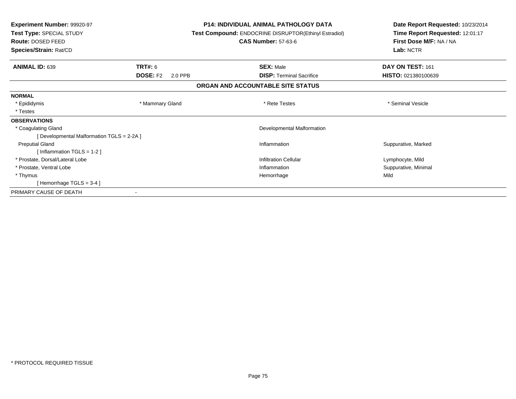| <b>Experiment Number: 99920-97</b><br>Test Type: SPECIAL STUDY<br>Route: DOSED FEED<br>Species/Strain: Rat/CD |                            | <b>P14: INDIVIDUAL ANIMAL PATHOLOGY DATA</b><br><b>Test Compound: ENDOCRINE DISRUPTOR(Ethinyl Estradiol)</b><br><b>CAS Number: 57-63-6</b> | Date Report Requested: 10/23/2014<br>Time Report Requested: 12:01:17<br>First Dose M/F: NA / NA<br>Lab: NCTR |
|---------------------------------------------------------------------------------------------------------------|----------------------------|--------------------------------------------------------------------------------------------------------------------------------------------|--------------------------------------------------------------------------------------------------------------|
| <b>ANIMAL ID: 639</b>                                                                                         | TRT#: 6                    | <b>SEX: Male</b>                                                                                                                           | DAY ON TEST: 161                                                                                             |
|                                                                                                               | <b>DOSE: F2</b><br>2.0 PPB | <b>DISP: Terminal Sacrifice</b>                                                                                                            | HISTO: 021380100639                                                                                          |
|                                                                                                               |                            | ORGAN AND ACCOUNTABLE SITE STATUS                                                                                                          |                                                                                                              |
| <b>NORMAL</b>                                                                                                 |                            |                                                                                                                                            |                                                                                                              |
| * Epididymis                                                                                                  | * Mammary Gland            | * Rete Testes                                                                                                                              | * Seminal Vesicle                                                                                            |
| * Testes                                                                                                      |                            |                                                                                                                                            |                                                                                                              |
| <b>OBSERVATIONS</b>                                                                                           |                            |                                                                                                                                            |                                                                                                              |
| * Coagulating Gland                                                                                           |                            | Developmental Malformation                                                                                                                 |                                                                                                              |
| [ Developmental Malformation TGLS = 2-2A ]                                                                    |                            |                                                                                                                                            |                                                                                                              |
| <b>Preputial Gland</b>                                                                                        |                            | Inflammation                                                                                                                               | Suppurative, Marked                                                                                          |
| [Inflammation TGLS = $1-2$ ]                                                                                  |                            |                                                                                                                                            |                                                                                                              |
| * Prostate, Dorsal/Lateral Lobe                                                                               |                            | <b>Infiltration Cellular</b>                                                                                                               | Lymphocyte, Mild                                                                                             |
| * Prostate, Ventral Lobe                                                                                      |                            | Inflammation                                                                                                                               | Suppurative, Minimal                                                                                         |
| * Thymus                                                                                                      |                            | Hemorrhage                                                                                                                                 | Mild                                                                                                         |
| [Hemorrhage TGLS = $3-4$ ]                                                                                    |                            |                                                                                                                                            |                                                                                                              |
| PRIMARY CAUSE OF DEATH                                                                                        |                            |                                                                                                                                            |                                                                                                              |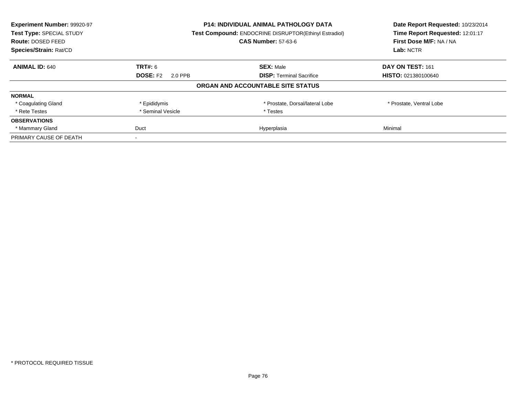| Experiment Number: 99920-97 |                                                       | <b>P14: INDIVIDUAL ANIMAL PATHOLOGY DATA</b> | Date Report Requested: 10/23/2014 |
|-----------------------------|-------------------------------------------------------|----------------------------------------------|-----------------------------------|
| Test Type: SPECIAL STUDY    | Test Compound: ENDOCRINE DISRUPTOR(Ethinyl Estradiol) |                                              | Time Report Requested: 12:01:17   |
| <b>Route: DOSED FEED</b>    |                                                       | <b>CAS Number: 57-63-6</b>                   | First Dose M/F: NA / NA           |
| Species/Strain: Rat/CD      |                                                       |                                              | Lab: NCTR                         |
| <b>ANIMAL ID: 640</b>       | <b>TRT#: 6</b>                                        | <b>SEX: Male</b>                             | DAY ON TEST: 161                  |
|                             | <b>DOSE: F2</b><br>2.0 PPB                            | <b>DISP:</b> Terminal Sacrifice              | HISTO: 021380100640               |
|                             |                                                       | ORGAN AND ACCOUNTABLE SITE STATUS            |                                   |
| <b>NORMAL</b>               |                                                       |                                              |                                   |
| * Coagulating Gland         | * Epididymis                                          | * Prostate, Dorsal/lateral Lobe              | * Prostate, Ventral Lobe          |
| * Rete Testes               | * Seminal Vesicle                                     | * Testes                                     |                                   |
| <b>OBSERVATIONS</b>         |                                                       |                                              |                                   |
| * Mammary Gland             | Duct                                                  | Hyperplasia                                  | Minimal                           |
| PRIMARY CAUSE OF DEATH      |                                                       |                                              |                                   |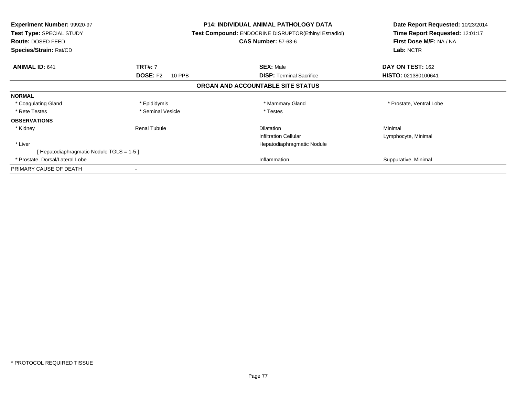| <b>Experiment Number: 99920-97</b><br>Test Type: SPECIAL STUDY<br>Route: DOSED FEED<br>Species/Strain: Rat/CD |                           | <b>P14: INDIVIDUAL ANIMAL PATHOLOGY DATA</b><br><b>Test Compound: ENDOCRINE DISRUPTOR(Ethinyl Estradiol)</b><br><b>CAS Number: 57-63-6</b> | Date Report Requested: 10/23/2014<br>Time Report Requested: 12:01:17<br>First Dose M/F: NA / NA<br>Lab: NCTR |
|---------------------------------------------------------------------------------------------------------------|---------------------------|--------------------------------------------------------------------------------------------------------------------------------------------|--------------------------------------------------------------------------------------------------------------|
| <b>ANIMAL ID: 641</b>                                                                                         | <b>TRT#: 7</b>            | <b>SEX: Male</b>                                                                                                                           | DAY ON TEST: 162                                                                                             |
|                                                                                                               | <b>DOSE: F2</b><br>10 PPB | <b>DISP:</b> Terminal Sacrifice                                                                                                            | HISTO: 021380100641                                                                                          |
|                                                                                                               |                           | ORGAN AND ACCOUNTABLE SITE STATUS                                                                                                          |                                                                                                              |
| <b>NORMAL</b>                                                                                                 |                           |                                                                                                                                            |                                                                                                              |
| * Coagulating Gland                                                                                           | * Epididymis              | * Mammary Gland                                                                                                                            | * Prostate, Ventral Lobe                                                                                     |
| * Rete Testes                                                                                                 | * Seminal Vesicle         | * Testes                                                                                                                                   |                                                                                                              |
| <b>OBSERVATIONS</b>                                                                                           |                           |                                                                                                                                            |                                                                                                              |
| * Kidney                                                                                                      | <b>Renal Tubule</b>       | <b>Dilatation</b>                                                                                                                          | Minimal                                                                                                      |
|                                                                                                               |                           | <b>Infiltration Cellular</b>                                                                                                               | Lymphocyte, Minimal                                                                                          |
| * Liver                                                                                                       |                           | Hepatodiaphragmatic Nodule                                                                                                                 |                                                                                                              |
| [Hepatodiaphragmatic Nodule TGLS = 1-5]                                                                       |                           |                                                                                                                                            |                                                                                                              |
| * Prostate, Dorsal/Lateral Lobe                                                                               |                           | Inflammation                                                                                                                               | Suppurative, Minimal                                                                                         |
| PRIMARY CAUSE OF DEATH                                                                                        |                           |                                                                                                                                            |                                                                                                              |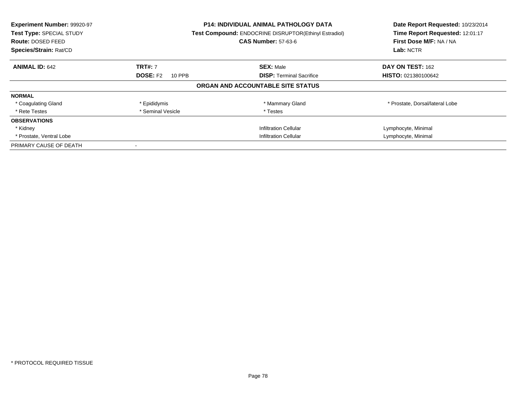| Experiment Number: 99920-97<br>Test Type: SPECIAL STUDY<br><b>Route: DOSED FEED</b><br>Species/Strain: Rat/CD |                           | <b>P14: INDIVIDUAL ANIMAL PATHOLOGY DATA</b><br>Test Compound: ENDOCRINE DISRUPTOR(Ethinyl Estradiol)<br><b>CAS Number: 57-63-6</b> | Date Report Requested: 10/23/2014<br>Time Report Requested: 12:01:17<br>First Dose M/F: NA / NA<br>Lab: NCTR |
|---------------------------------------------------------------------------------------------------------------|---------------------------|-------------------------------------------------------------------------------------------------------------------------------------|--------------------------------------------------------------------------------------------------------------|
| <b>ANIMAL ID: 642</b>                                                                                         | <b>TRT#: 7</b>            | <b>SEX: Male</b>                                                                                                                    | DAY ON TEST: 162                                                                                             |
|                                                                                                               | <b>DOSE: F2</b><br>10 PPB | <b>DISP:</b> Terminal Sacrifice                                                                                                     | <b>HISTO: 021380100642</b>                                                                                   |
|                                                                                                               |                           | ORGAN AND ACCOUNTABLE SITE STATUS                                                                                                   |                                                                                                              |
| <b>NORMAL</b>                                                                                                 |                           |                                                                                                                                     |                                                                                                              |
| * Coagulating Gland                                                                                           | * Epididymis              | * Mammary Gland                                                                                                                     | * Prostate, Dorsal/lateral Lobe                                                                              |
| * Rete Testes                                                                                                 | * Seminal Vesicle         | * Testes                                                                                                                            |                                                                                                              |
| <b>OBSERVATIONS</b>                                                                                           |                           |                                                                                                                                     |                                                                                                              |
| * Kidney                                                                                                      |                           | <b>Infiltration Cellular</b>                                                                                                        | Lymphocyte, Minimal                                                                                          |
| * Prostate, Ventral Lobe                                                                                      |                           | Infiltration Cellular                                                                                                               | Lymphocyte, Minimal                                                                                          |
| PRIMARY CAUSE OF DEATH                                                                                        |                           |                                                                                                                                     |                                                                                                              |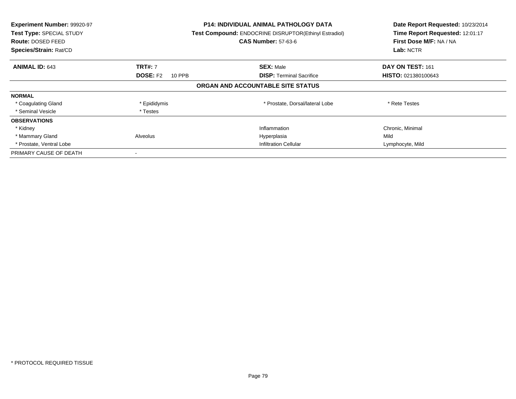| Experiment Number: 99920-97<br><b>Test Type: SPECIAL STUDY</b><br>Route: DOSED FEED<br>Species/Strain: Rat/CD |                           | <b>P14: INDIVIDUAL ANIMAL PATHOLOGY DATA</b><br>Test Compound: ENDOCRINE DISRUPTOR(Ethinyl Estradiol)<br><b>CAS Number: 57-63-6</b> | Date Report Requested: 10/23/2014<br>Time Report Requested: 12:01:17<br>First Dose M/F: NA / NA<br>Lab: NCTR |
|---------------------------------------------------------------------------------------------------------------|---------------------------|-------------------------------------------------------------------------------------------------------------------------------------|--------------------------------------------------------------------------------------------------------------|
| <b>ANIMAL ID: 643</b>                                                                                         | <b>TRT#: 7</b>            | <b>SEX: Male</b>                                                                                                                    | DAY ON TEST: 161                                                                                             |
|                                                                                                               | <b>DOSE: F2</b><br>10 PPB | <b>DISP:</b> Terminal Sacrifice                                                                                                     | HISTO: 021380100643                                                                                          |
|                                                                                                               |                           | ORGAN AND ACCOUNTABLE SITE STATUS                                                                                                   |                                                                                                              |
| <b>NORMAL</b>                                                                                                 |                           |                                                                                                                                     |                                                                                                              |
| * Coagulating Gland                                                                                           | * Epididymis              | * Prostate, Dorsal/lateral Lobe                                                                                                     | * Rete Testes                                                                                                |
| * Seminal Vesicle                                                                                             | * Testes                  |                                                                                                                                     |                                                                                                              |
| <b>OBSERVATIONS</b>                                                                                           |                           |                                                                                                                                     |                                                                                                              |
| * Kidney                                                                                                      |                           | Inflammation                                                                                                                        | Chronic, Minimal                                                                                             |
| * Mammary Gland                                                                                               | Alveolus                  | Hyperplasia                                                                                                                         | Mild                                                                                                         |
| * Prostate, Ventral Lobe                                                                                      |                           | <b>Infiltration Cellular</b>                                                                                                        | Lymphocyte, Mild                                                                                             |
| PRIMARY CAUSE OF DEATH                                                                                        |                           |                                                                                                                                     |                                                                                                              |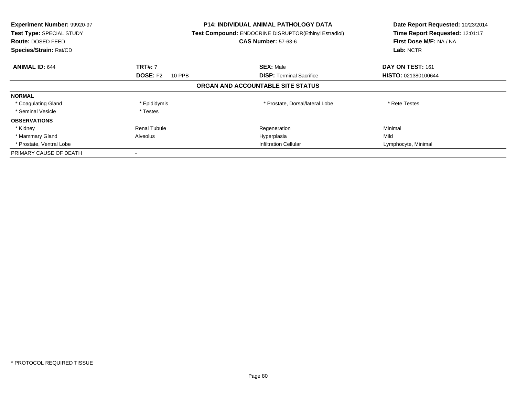| Experiment Number: 99920-97<br>Test Type: SPECIAL STUDY<br><b>Route: DOSED FEED</b><br>Species/Strain: Rat/CD |                           | <b>P14: INDIVIDUAL ANIMAL PATHOLOGY DATA</b><br>Test Compound: ENDOCRINE DISRUPTOR(Ethinyl Estradiol)<br><b>CAS Number: 57-63-6</b> | Date Report Requested: 10/23/2014<br>Time Report Requested: 12:01:17<br>First Dose M/F: NA / NA<br>Lab: NCTR |
|---------------------------------------------------------------------------------------------------------------|---------------------------|-------------------------------------------------------------------------------------------------------------------------------------|--------------------------------------------------------------------------------------------------------------|
| <b>ANIMAL ID: 644</b>                                                                                         | <b>TRT#: 7</b>            | <b>SEX: Male</b>                                                                                                                    | DAY ON TEST: 161                                                                                             |
|                                                                                                               | <b>DOSE: F2</b><br>10 PPB | <b>DISP:</b> Terminal Sacrifice                                                                                                     | <b>HISTO: 021380100644</b>                                                                                   |
|                                                                                                               |                           | ORGAN AND ACCOUNTABLE SITE STATUS                                                                                                   |                                                                                                              |
| <b>NORMAL</b>                                                                                                 |                           |                                                                                                                                     |                                                                                                              |
| * Coagulating Gland                                                                                           | * Epididymis              | * Prostate, Dorsal/lateral Lobe                                                                                                     | * Rete Testes                                                                                                |
| * Seminal Vesicle                                                                                             | * Testes                  |                                                                                                                                     |                                                                                                              |
| <b>OBSERVATIONS</b>                                                                                           |                           |                                                                                                                                     |                                                                                                              |
| * Kidney                                                                                                      | <b>Renal Tubule</b>       | Regeneration                                                                                                                        | Minimal                                                                                                      |
| * Mammary Gland                                                                                               | Alveolus                  | Hyperplasia                                                                                                                         | Mild                                                                                                         |
| * Prostate, Ventral Lobe                                                                                      |                           | <b>Infiltration Cellular</b>                                                                                                        | Lymphocyte, Minimal                                                                                          |
| PRIMARY CAUSE OF DEATH                                                                                        |                           |                                                                                                                                     |                                                                                                              |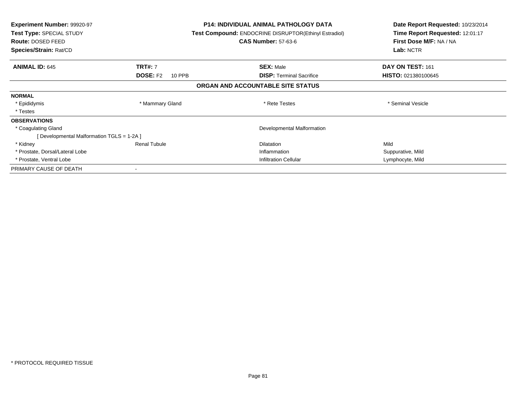| <b>Experiment Number: 99920-97</b><br>Test Type: SPECIAL STUDY<br><b>Route: DOSED FEED</b><br>Species/Strain: Rat/CD |                           | <b>P14: INDIVIDUAL ANIMAL PATHOLOGY DATA</b><br>Test Compound: ENDOCRINE DISRUPTOR(Ethinyl Estradiol)<br><b>CAS Number: 57-63-6</b> | Date Report Requested: 10/23/2014<br>Time Report Requested: 12:01:17<br>First Dose M/F: NA / NA<br>Lab: NCTR |
|----------------------------------------------------------------------------------------------------------------------|---------------------------|-------------------------------------------------------------------------------------------------------------------------------------|--------------------------------------------------------------------------------------------------------------|
| <b>ANIMAL ID: 645</b>                                                                                                | <b>TRT#: 7</b>            | <b>SEX: Male</b>                                                                                                                    | DAY ON TEST: 161                                                                                             |
|                                                                                                                      | <b>DOSE: F2</b><br>10 PPB | <b>DISP:</b> Terminal Sacrifice                                                                                                     | <b>HISTO: 021380100645</b>                                                                                   |
|                                                                                                                      |                           | ORGAN AND ACCOUNTABLE SITE STATUS                                                                                                   |                                                                                                              |
| <b>NORMAL</b>                                                                                                        |                           |                                                                                                                                     |                                                                                                              |
| * Epididymis                                                                                                         | * Mammary Gland           | * Rete Testes                                                                                                                       | * Seminal Vesicle                                                                                            |
| * Testes                                                                                                             |                           |                                                                                                                                     |                                                                                                              |
| <b>OBSERVATIONS</b>                                                                                                  |                           |                                                                                                                                     |                                                                                                              |
| * Coagulating Gland                                                                                                  |                           | Developmental Malformation                                                                                                          |                                                                                                              |
| [ Developmental Malformation TGLS = 1-2A ]                                                                           |                           |                                                                                                                                     |                                                                                                              |
| * Kidney                                                                                                             | <b>Renal Tubule</b>       | <b>Dilatation</b>                                                                                                                   | Mild                                                                                                         |
| * Prostate, Dorsal/Lateral Lobe                                                                                      |                           | Inflammation                                                                                                                        | Suppurative, Mild                                                                                            |
| * Prostate, Ventral Lobe                                                                                             |                           | Infiltration Cellular                                                                                                               | Lymphocyte, Mild                                                                                             |
| PRIMARY CAUSE OF DEATH                                                                                               |                           |                                                                                                                                     |                                                                                                              |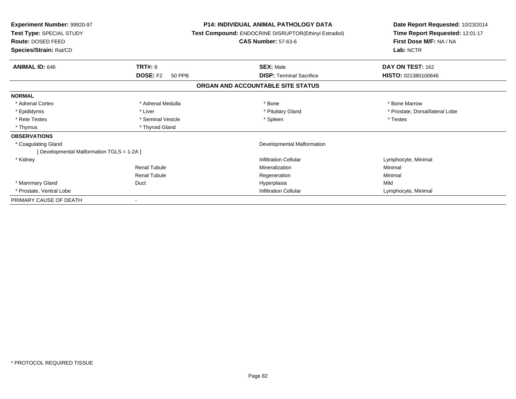| <b>Experiment Number: 99920-97</b><br>Test Type: SPECIAL STUDY<br>Route: DOSED FEED<br>Species/Strain: Rat/CD |                           | <b>P14: INDIVIDUAL ANIMAL PATHOLOGY DATA</b><br><b>Test Compound: ENDOCRINE DISRUPTOR(Ethinyl Estradiol)</b><br><b>CAS Number: 57-63-6</b> | Date Report Requested: 10/23/2014<br>Time Report Requested: 12:01:17<br>First Dose M/F: NA / NA<br>Lab: NCTR |
|---------------------------------------------------------------------------------------------------------------|---------------------------|--------------------------------------------------------------------------------------------------------------------------------------------|--------------------------------------------------------------------------------------------------------------|
| <b>ANIMAL ID: 646</b>                                                                                         | TRT#: 8                   | <b>SEX: Male</b>                                                                                                                           | DAY ON TEST: 162                                                                                             |
|                                                                                                               | <b>DOSE: F2</b><br>50 PPB | <b>DISP: Terminal Sacrifice</b>                                                                                                            | HISTO: 021380100646                                                                                          |
|                                                                                                               |                           | ORGAN AND ACCOUNTABLE SITE STATUS                                                                                                          |                                                                                                              |
| <b>NORMAL</b>                                                                                                 |                           |                                                                                                                                            |                                                                                                              |
| * Adrenal Cortex                                                                                              | * Adrenal Medulla         | * Bone                                                                                                                                     | * Bone Marrow                                                                                                |
| * Epididymis                                                                                                  | * Liver                   | * Pituitary Gland                                                                                                                          | * Prostate, Dorsal/lateral Lobe                                                                              |
| * Rete Testes                                                                                                 | * Seminal Vesicle         | * Spleen                                                                                                                                   | * Testes                                                                                                     |
| * Thymus                                                                                                      | * Thyroid Gland           |                                                                                                                                            |                                                                                                              |
| <b>OBSERVATIONS</b>                                                                                           |                           |                                                                                                                                            |                                                                                                              |
| * Coagulating Gland                                                                                           |                           | Developmental Malformation                                                                                                                 |                                                                                                              |
| [ Developmental Malformation TGLS = 1-2A ]                                                                    |                           |                                                                                                                                            |                                                                                                              |
| * Kidney                                                                                                      |                           | <b>Infiltration Cellular</b>                                                                                                               | Lymphocyte, Minimal                                                                                          |
|                                                                                                               | <b>Renal Tubule</b>       | Mineralization                                                                                                                             | Minimal                                                                                                      |
|                                                                                                               | <b>Renal Tubule</b>       | Regeneration                                                                                                                               | Minimal                                                                                                      |
| * Mammary Gland                                                                                               | Duct                      | Hyperplasia                                                                                                                                | Mild                                                                                                         |
| * Prostate, Ventral Lobe                                                                                      |                           | <b>Infiltration Cellular</b>                                                                                                               | Lymphocyte, Minimal                                                                                          |
| PRIMARY CAUSE OF DEATH                                                                                        |                           |                                                                                                                                            |                                                                                                              |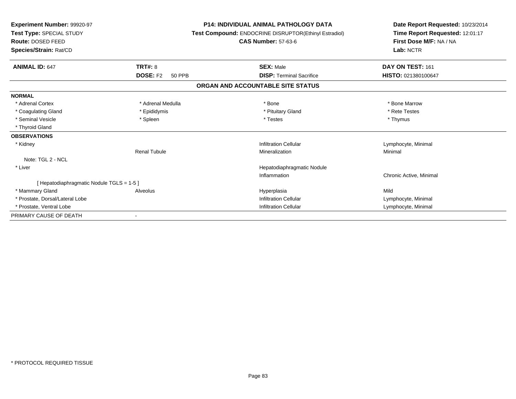| Experiment Number: 99920-97<br>Test Type: SPECIAL STUDY<br>Route: DOSED FEED<br>Species/Strain: Rat/CD |                           | <b>P14: INDIVIDUAL ANIMAL PATHOLOGY DATA</b><br>Test Compound: ENDOCRINE DISRUPTOR(Ethinyl Estradiol)<br><b>CAS Number: 57-63-6</b> | Date Report Requested: 10/23/2014<br>Time Report Requested: 12:01:17<br>First Dose M/F: NA / NA<br>Lab: NCTR |
|--------------------------------------------------------------------------------------------------------|---------------------------|-------------------------------------------------------------------------------------------------------------------------------------|--------------------------------------------------------------------------------------------------------------|
| <b>ANIMAL ID: 647</b>                                                                                  | TRT#: 8                   | <b>SEX: Male</b>                                                                                                                    | DAY ON TEST: 161                                                                                             |
|                                                                                                        | <b>DOSE: F2</b><br>50 PPB | <b>DISP: Terminal Sacrifice</b>                                                                                                     | HISTO: 021380100647                                                                                          |
|                                                                                                        |                           | ORGAN AND ACCOUNTABLE SITE STATUS                                                                                                   |                                                                                                              |
| <b>NORMAL</b>                                                                                          |                           |                                                                                                                                     |                                                                                                              |
| * Adrenal Cortex                                                                                       | * Adrenal Medulla         | * Bone                                                                                                                              | * Bone Marrow                                                                                                |
| * Coagulating Gland                                                                                    | * Epididymis              | * Pituitary Gland                                                                                                                   | * Rete Testes                                                                                                |
| * Seminal Vesicle                                                                                      | * Spleen                  | * Testes                                                                                                                            | * Thymus                                                                                                     |
| * Thyroid Gland                                                                                        |                           |                                                                                                                                     |                                                                                                              |
| <b>OBSERVATIONS</b>                                                                                    |                           |                                                                                                                                     |                                                                                                              |
| * Kidney                                                                                               |                           | <b>Infiltration Cellular</b>                                                                                                        | Lymphocyte, Minimal                                                                                          |
|                                                                                                        | <b>Renal Tubule</b>       | Mineralization                                                                                                                      | Minimal                                                                                                      |
| Note: TGL 2 - NCL                                                                                      |                           |                                                                                                                                     |                                                                                                              |
| * Liver                                                                                                |                           | Hepatodiaphragmatic Nodule                                                                                                          |                                                                                                              |
|                                                                                                        |                           | Inflammation                                                                                                                        | Chronic Active, Minimal                                                                                      |
| [ Hepatodiaphragmatic Nodule TGLS = 1-5 ]                                                              |                           |                                                                                                                                     |                                                                                                              |
| * Mammary Gland                                                                                        | Alveolus                  | Hyperplasia                                                                                                                         | Mild                                                                                                         |
| * Prostate, Dorsal/Lateral Lobe                                                                        |                           | <b>Infiltration Cellular</b>                                                                                                        | Lymphocyte, Minimal                                                                                          |
| * Prostate, Ventral Lobe                                                                               |                           | <b>Infiltration Cellular</b>                                                                                                        | Lymphocyte, Minimal                                                                                          |
| PRIMARY CAUSE OF DEATH                                                                                 |                           |                                                                                                                                     |                                                                                                              |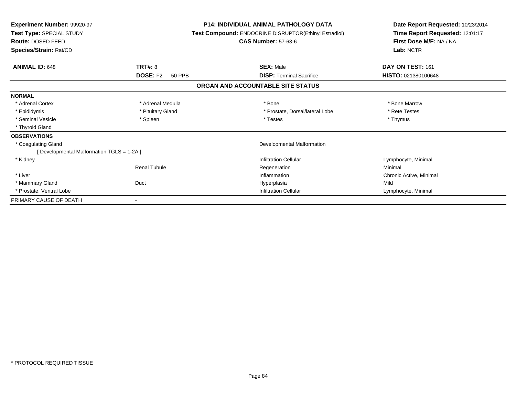| <b>Experiment Number: 99920-97</b><br>Test Type: SPECIAL STUDY<br>Route: DOSED FEED<br>Species/Strain: Rat/CD | <b>P14: INDIVIDUAL ANIMAL PATHOLOGY DATA</b><br>Test Compound: ENDOCRINE DISRUPTOR(Ethinyl Estradiol)<br><b>CAS Number: 57-63-6</b> |                                   | Date Report Requested: 10/23/2014<br>Time Report Requested: 12:01:17<br>First Dose M/F: NA / NA<br>Lab: NCTR |  |
|---------------------------------------------------------------------------------------------------------------|-------------------------------------------------------------------------------------------------------------------------------------|-----------------------------------|--------------------------------------------------------------------------------------------------------------|--|
| <b>ANIMAL ID: 648</b>                                                                                         | <b>TRT#: 8</b>                                                                                                                      | <b>SEX: Male</b>                  | DAY ON TEST: 161                                                                                             |  |
|                                                                                                               | <b>DOSE: F2</b><br>50 PPB                                                                                                           | <b>DISP: Terminal Sacrifice</b>   | HISTO: 021380100648                                                                                          |  |
|                                                                                                               |                                                                                                                                     | ORGAN AND ACCOUNTABLE SITE STATUS |                                                                                                              |  |
| <b>NORMAL</b>                                                                                                 |                                                                                                                                     |                                   |                                                                                                              |  |
| * Adrenal Cortex                                                                                              | * Adrenal Medulla                                                                                                                   | * Bone                            | * Bone Marrow                                                                                                |  |
| * Epididymis                                                                                                  | * Pituitary Gland                                                                                                                   | * Prostate, Dorsal/lateral Lobe   | * Rete Testes                                                                                                |  |
| * Seminal Vesicle                                                                                             | * Spleen                                                                                                                            | * Testes                          | * Thymus                                                                                                     |  |
| * Thyroid Gland                                                                                               |                                                                                                                                     |                                   |                                                                                                              |  |
| <b>OBSERVATIONS</b>                                                                                           |                                                                                                                                     |                                   |                                                                                                              |  |
| * Coagulating Gland                                                                                           |                                                                                                                                     | Developmental Malformation        |                                                                                                              |  |
| [ Developmental Malformation TGLS = 1-2A ]                                                                    |                                                                                                                                     |                                   |                                                                                                              |  |
| * Kidney                                                                                                      |                                                                                                                                     | Infiltration Cellular             | Lymphocyte, Minimal                                                                                          |  |
|                                                                                                               | <b>Renal Tubule</b>                                                                                                                 | Regeneration                      | Minimal                                                                                                      |  |
| * Liver                                                                                                       |                                                                                                                                     | Inflammation                      | Chronic Active, Minimal                                                                                      |  |
| * Mammary Gland                                                                                               | Duct                                                                                                                                | Hyperplasia                       | Mild                                                                                                         |  |
| * Prostate, Ventral Lobe                                                                                      |                                                                                                                                     | <b>Infiltration Cellular</b>      | Lymphocyte, Minimal                                                                                          |  |
| PRIMARY CAUSE OF DEATH                                                                                        |                                                                                                                                     |                                   |                                                                                                              |  |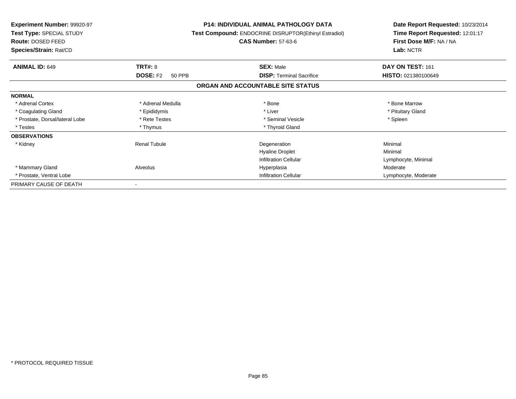| <b>Experiment Number: 99920-97</b><br>Test Type: SPECIAL STUDY<br><b>Route: DOSED FEED</b> |                           | <b>P14: INDIVIDUAL ANIMAL PATHOLOGY DATA</b><br>Test Compound: ENDOCRINE DISRUPTOR(Ethinyl Estradiol)<br><b>CAS Number: 57-63-6</b> | Date Report Requested: 10/23/2014<br>Time Report Requested: 12:01:17<br>First Dose M/F: NA / NA |
|--------------------------------------------------------------------------------------------|---------------------------|-------------------------------------------------------------------------------------------------------------------------------------|-------------------------------------------------------------------------------------------------|
| Species/Strain: Rat/CD                                                                     |                           |                                                                                                                                     | Lab: NCTR                                                                                       |
| <b>ANIMAL ID: 649</b>                                                                      | <b>TRT#: 8</b>            | <b>SEX: Male</b>                                                                                                                    | DAY ON TEST: 161                                                                                |
|                                                                                            | <b>DOSE: F2</b><br>50 PPB | <b>DISP:</b> Terminal Sacrifice                                                                                                     | HISTO: 021380100649                                                                             |
|                                                                                            |                           | ORGAN AND ACCOUNTABLE SITE STATUS                                                                                                   |                                                                                                 |
| <b>NORMAL</b>                                                                              |                           |                                                                                                                                     |                                                                                                 |
| * Adrenal Cortex                                                                           | * Adrenal Medulla         | * Bone                                                                                                                              | * Bone Marrow                                                                                   |
| * Coagulating Gland                                                                        | * Epididymis              | * Liver                                                                                                                             | * Pituitary Gland                                                                               |
| * Prostate, Dorsal/lateral Lobe                                                            | * Rete Testes             | * Seminal Vesicle                                                                                                                   | * Spleen                                                                                        |
| * Testes                                                                                   | * Thymus                  | * Thyroid Gland                                                                                                                     |                                                                                                 |
| <b>OBSERVATIONS</b>                                                                        |                           |                                                                                                                                     |                                                                                                 |
| * Kidney                                                                                   | <b>Renal Tubule</b>       | Degeneration                                                                                                                        | Minimal                                                                                         |
|                                                                                            |                           | <b>Hyaline Droplet</b>                                                                                                              | Minimal                                                                                         |
|                                                                                            |                           | <b>Infiltration Cellular</b>                                                                                                        | Lymphocyte, Minimal                                                                             |
| * Mammary Gland                                                                            | Alveolus                  | Hyperplasia                                                                                                                         | Moderate                                                                                        |
| * Prostate, Ventral Lobe                                                                   |                           | <b>Infiltration Cellular</b>                                                                                                        | Lymphocyte, Moderate                                                                            |
| PRIMARY CAUSE OF DEATH                                                                     |                           |                                                                                                                                     |                                                                                                 |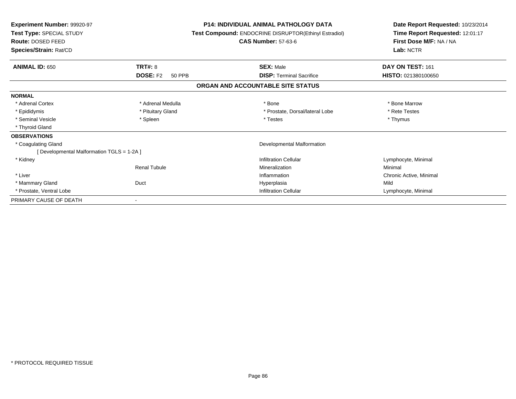| Experiment Number: 99920-97<br>Test Type: SPECIAL STUDY<br>Route: DOSED FEED<br>Species/Strain: Rat/CD |                                  | <b>P14: INDIVIDUAL ANIMAL PATHOLOGY DATA</b><br><b>Test Compound: ENDOCRINE DISRUPTOR(Ethinyl Estradiol)</b><br><b>CAS Number: 57-63-6</b> | Date Report Requested: 10/23/2014<br>Time Report Requested: 12:01:17<br>First Dose M/F: NA / NA<br>Lab: NCTR |  |
|--------------------------------------------------------------------------------------------------------|----------------------------------|--------------------------------------------------------------------------------------------------------------------------------------------|--------------------------------------------------------------------------------------------------------------|--|
| <b>ANIMAL ID: 650</b>                                                                                  | <b>TRT#: 8</b>                   | <b>SEX: Male</b>                                                                                                                           | DAY ON TEST: 161                                                                                             |  |
|                                                                                                        | <b>DOSE: F2</b><br><b>50 PPB</b> | <b>DISP: Terminal Sacrifice</b>                                                                                                            | HISTO: 021380100650                                                                                          |  |
|                                                                                                        |                                  | ORGAN AND ACCOUNTABLE SITE STATUS                                                                                                          |                                                                                                              |  |
| <b>NORMAL</b>                                                                                          |                                  |                                                                                                                                            |                                                                                                              |  |
| * Adrenal Cortex                                                                                       | * Adrenal Medulla                | * Bone                                                                                                                                     | * Bone Marrow                                                                                                |  |
| * Epididymis                                                                                           | * Pituitary Gland                | * Prostate, Dorsal/lateral Lobe                                                                                                            | * Rete Testes                                                                                                |  |
| * Seminal Vesicle                                                                                      | * Spleen                         | * Testes                                                                                                                                   | * Thymus                                                                                                     |  |
| * Thyroid Gland                                                                                        |                                  |                                                                                                                                            |                                                                                                              |  |
| <b>OBSERVATIONS</b>                                                                                    |                                  |                                                                                                                                            |                                                                                                              |  |
| * Coagulating Gland                                                                                    |                                  | Developmental Malformation                                                                                                                 |                                                                                                              |  |
| [ Developmental Malformation TGLS = 1-2A ]                                                             |                                  |                                                                                                                                            |                                                                                                              |  |
| * Kidney                                                                                               |                                  | <b>Infiltration Cellular</b>                                                                                                               | Lymphocyte, Minimal                                                                                          |  |
|                                                                                                        | <b>Renal Tubule</b>              | Mineralization                                                                                                                             | Minimal                                                                                                      |  |
| * Liver                                                                                                |                                  | Inflammation                                                                                                                               | Chronic Active, Minimal                                                                                      |  |
| * Mammary Gland                                                                                        | Duct                             | Hyperplasia                                                                                                                                | Mild                                                                                                         |  |
| * Prostate, Ventral Lobe                                                                               |                                  | <b>Infiltration Cellular</b>                                                                                                               | Lymphocyte, Minimal                                                                                          |  |
| PRIMARY CAUSE OF DEATH                                                                                 |                                  |                                                                                                                                            |                                                                                                              |  |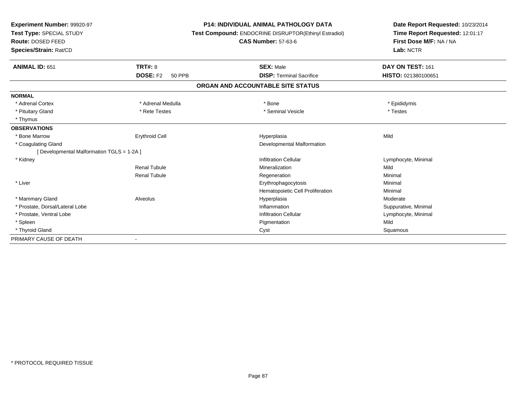| <b>Experiment Number: 99920-97</b><br>Test Type: SPECIAL STUDY<br>Route: DOSED FEED |                                  | <b>P14: INDIVIDUAL ANIMAL PATHOLOGY DATA</b><br>Test Compound: ENDOCRINE DISRUPTOR(Ethinyl Estradiol) | Date Report Requested: 10/23/2014<br>Time Report Requested: 12:01:17<br>First Dose M/F: NA / NA |  |
|-------------------------------------------------------------------------------------|----------------------------------|-------------------------------------------------------------------------------------------------------|-------------------------------------------------------------------------------------------------|--|
|                                                                                     |                                  | <b>CAS Number: 57-63-6</b>                                                                            |                                                                                                 |  |
| Species/Strain: Rat/CD                                                              |                                  |                                                                                                       | Lab: NCTR                                                                                       |  |
| <b>ANIMAL ID: 651</b>                                                               | TRT#: 8                          | <b>SEX: Male</b>                                                                                      | DAY ON TEST: 161                                                                                |  |
|                                                                                     | <b>DOSE: F2</b><br><b>50 PPB</b> | <b>DISP: Terminal Sacrifice</b>                                                                       | HISTO: 021380100651                                                                             |  |
|                                                                                     |                                  | ORGAN AND ACCOUNTABLE SITE STATUS                                                                     |                                                                                                 |  |
| <b>NORMAL</b>                                                                       |                                  |                                                                                                       |                                                                                                 |  |
| * Adrenal Cortex                                                                    | * Adrenal Medulla                | * Bone                                                                                                | * Epididymis                                                                                    |  |
| * Pituitary Gland                                                                   | * Rete Testes                    | * Seminal Vesicle                                                                                     | * Testes                                                                                        |  |
| * Thymus                                                                            |                                  |                                                                                                       |                                                                                                 |  |
| <b>OBSERVATIONS</b>                                                                 |                                  |                                                                                                       |                                                                                                 |  |
| * Bone Marrow                                                                       | <b>Erythroid Cell</b>            | Hyperplasia                                                                                           | Mild                                                                                            |  |
| * Coagulating Gland                                                                 |                                  | Developmental Malformation                                                                            |                                                                                                 |  |
| [Developmental Malformation TGLS = 1-2A]                                            |                                  |                                                                                                       |                                                                                                 |  |
| * Kidney                                                                            |                                  | <b>Infiltration Cellular</b>                                                                          | Lymphocyte, Minimal                                                                             |  |
|                                                                                     | <b>Renal Tubule</b>              | Mineralization                                                                                        | Mild                                                                                            |  |
|                                                                                     | <b>Renal Tubule</b>              | Regeneration                                                                                          | Minimal                                                                                         |  |
| * Liver                                                                             |                                  | Erythrophagocytosis                                                                                   | Minimal                                                                                         |  |
|                                                                                     |                                  | Hematopoietic Cell Proliferation                                                                      | Minimal                                                                                         |  |
| * Mammary Gland                                                                     | Alveolus                         | Hyperplasia                                                                                           | Moderate                                                                                        |  |
| * Prostate, Dorsal/Lateral Lobe                                                     |                                  | Inflammation                                                                                          | Suppurative, Minimal                                                                            |  |
| * Prostate, Ventral Lobe                                                            |                                  | <b>Infiltration Cellular</b>                                                                          | Lymphocyte, Minimal                                                                             |  |
| * Spleen                                                                            |                                  | Pigmentation                                                                                          | Mild                                                                                            |  |
| * Thyroid Gland                                                                     |                                  | Cyst                                                                                                  | Squamous                                                                                        |  |
| PRIMARY CAUSE OF DEATH                                                              |                                  |                                                                                                       |                                                                                                 |  |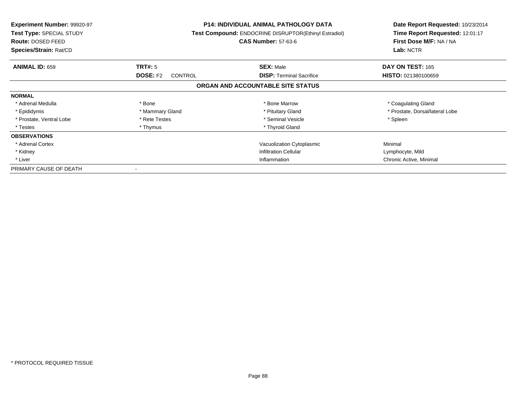| Experiment Number: 99920-97<br>Test Type: SPECIAL STUDY<br><b>Route: DOSED FEED</b><br>Species/Strain: Rat/CD |                                   | <b>P14: INDIVIDUAL ANIMAL PATHOLOGY DATA</b><br><b>Test Compound: ENDOCRINE DISRUPTOR(Ethinyl Estradiol)</b><br><b>CAS Number: 57-63-6</b> | Date Report Requested: 10/23/2014<br>Time Report Requested: 12:01:17<br>First Dose M/F: NA / NA<br>Lab: NCTR |
|---------------------------------------------------------------------------------------------------------------|-----------------------------------|--------------------------------------------------------------------------------------------------------------------------------------------|--------------------------------------------------------------------------------------------------------------|
| <b>ANIMAL ID: 659</b>                                                                                         | TRT#: 5                           | <b>SEX: Male</b>                                                                                                                           | <b>DAY ON TEST: 165</b>                                                                                      |
|                                                                                                               | <b>DOSE: F2</b><br><b>CONTROL</b> | <b>DISP:</b> Terminal Sacrifice                                                                                                            | HISTO: 021380100659                                                                                          |
|                                                                                                               |                                   | ORGAN AND ACCOUNTABLE SITE STATUS                                                                                                          |                                                                                                              |
| <b>NORMAL</b>                                                                                                 |                                   |                                                                                                                                            |                                                                                                              |
| * Adrenal Medulla                                                                                             | * Bone                            | * Bone Marrow                                                                                                                              | * Coagulating Gland                                                                                          |
| * Epididymis                                                                                                  | * Mammary Gland                   | * Pituitary Gland                                                                                                                          | * Prostate, Dorsal/lateral Lobe                                                                              |
| * Prostate, Ventral Lobe                                                                                      | * Rete Testes                     | * Seminal Vesicle                                                                                                                          | * Spleen                                                                                                     |
| * Testes                                                                                                      | * Thymus                          | * Thyroid Gland                                                                                                                            |                                                                                                              |
| <b>OBSERVATIONS</b>                                                                                           |                                   |                                                                                                                                            |                                                                                                              |
| * Adrenal Cortex                                                                                              |                                   | Vacuolization Cytoplasmic                                                                                                                  | Minimal                                                                                                      |
| * Kidney                                                                                                      |                                   | <b>Infiltration Cellular</b>                                                                                                               | Lymphocyte, Mild                                                                                             |
| * Liver                                                                                                       |                                   | Inflammation                                                                                                                               | Chronic Active, Minimal                                                                                      |
| PRIMARY CAUSE OF DEATH                                                                                        |                                   |                                                                                                                                            |                                                                                                              |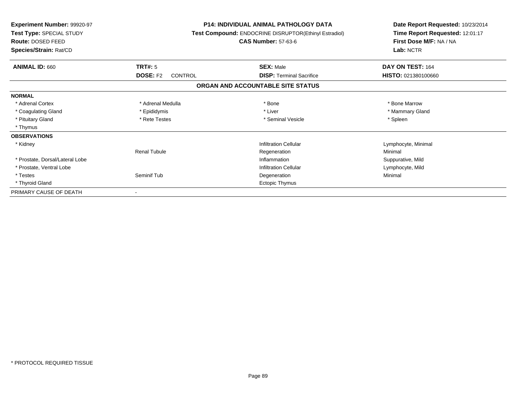| <b>Experiment Number: 99920-97</b><br>Test Type: SPECIAL STUDY<br>Route: DOSED FEED<br>Species/Strain: Rat/CD |                                   | <b>P14: INDIVIDUAL ANIMAL PATHOLOGY DATA</b><br>Test Compound: ENDOCRINE DISRUPTOR(Ethinyl Estradiol)<br><b>CAS Number: 57-63-6</b> | Date Report Requested: 10/23/2014<br>Time Report Requested: 12:01:17<br>First Dose M/F: NA / NA<br>Lab: NCTR |  |
|---------------------------------------------------------------------------------------------------------------|-----------------------------------|-------------------------------------------------------------------------------------------------------------------------------------|--------------------------------------------------------------------------------------------------------------|--|
|                                                                                                               |                                   |                                                                                                                                     |                                                                                                              |  |
| <b>ANIMAL ID: 660</b>                                                                                         | TRT#: 5                           | <b>SEX: Male</b>                                                                                                                    | DAY ON TEST: 164                                                                                             |  |
|                                                                                                               | <b>DOSE: F2</b><br><b>CONTROL</b> | <b>DISP: Terminal Sacrifice</b>                                                                                                     | HISTO: 021380100660                                                                                          |  |
|                                                                                                               |                                   | ORGAN AND ACCOUNTABLE SITE STATUS                                                                                                   |                                                                                                              |  |
| <b>NORMAL</b>                                                                                                 |                                   |                                                                                                                                     |                                                                                                              |  |
| * Adrenal Cortex                                                                                              | * Adrenal Medulla                 | * Bone                                                                                                                              | * Bone Marrow                                                                                                |  |
| * Coagulating Gland                                                                                           | * Epididymis                      | * Liver                                                                                                                             | * Mammary Gland                                                                                              |  |
| * Pituitary Gland                                                                                             | * Rete Testes                     | * Seminal Vesicle                                                                                                                   | * Spleen                                                                                                     |  |
| * Thymus                                                                                                      |                                   |                                                                                                                                     |                                                                                                              |  |
| <b>OBSERVATIONS</b>                                                                                           |                                   |                                                                                                                                     |                                                                                                              |  |
| * Kidney                                                                                                      |                                   | Infiltration Cellular                                                                                                               | Lymphocyte, Minimal                                                                                          |  |
|                                                                                                               | <b>Renal Tubule</b>               | Regeneration                                                                                                                        | Minimal                                                                                                      |  |
| * Prostate, Dorsal/Lateral Lobe                                                                               |                                   | Inflammation                                                                                                                        | Suppurative, Mild                                                                                            |  |
| * Prostate, Ventral Lobe                                                                                      |                                   | <b>Infiltration Cellular</b>                                                                                                        | Lymphocyte, Mild                                                                                             |  |
| * Testes                                                                                                      | Seminif Tub                       | Degeneration                                                                                                                        | Minimal                                                                                                      |  |
| * Thyroid Gland                                                                                               |                                   | Ectopic Thymus                                                                                                                      |                                                                                                              |  |
| PRIMARY CAUSE OF DEATH                                                                                        | $\overline{\phantom{a}}$          |                                                                                                                                     |                                                                                                              |  |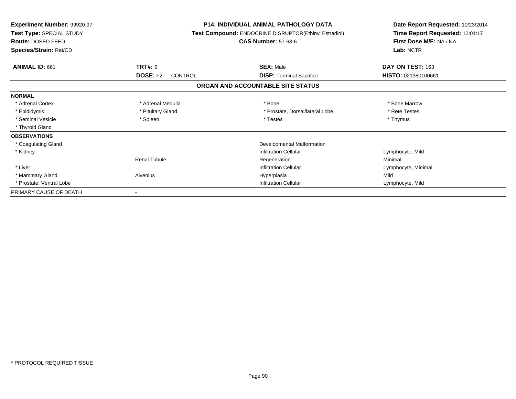| Experiment Number: 99920-97<br>Test Type: SPECIAL STUDY<br>Route: DOSED FEED<br>Species/Strain: Rat/CD |                                   | <b>P14: INDIVIDUAL ANIMAL PATHOLOGY DATA</b><br><b>Test Compound: ENDOCRINE DISRUPTOR(Ethinyl Estradiol)</b><br><b>CAS Number: 57-63-6</b> | Date Report Requested: 10/23/2014<br>Time Report Requested: 12:01:17<br>First Dose M/F: NA / NA<br>Lab: NCTR |
|--------------------------------------------------------------------------------------------------------|-----------------------------------|--------------------------------------------------------------------------------------------------------------------------------------------|--------------------------------------------------------------------------------------------------------------|
| ANIMAL ID: 661                                                                                         | TRT#: 5                           | <b>SEX: Male</b>                                                                                                                           | DAY ON TEST: 163                                                                                             |
|                                                                                                        | <b>DOSE: F2</b><br><b>CONTROL</b> | <b>DISP:</b> Terminal Sacrifice                                                                                                            | HISTO: 021380100661                                                                                          |
|                                                                                                        |                                   | ORGAN AND ACCOUNTABLE SITE STATUS                                                                                                          |                                                                                                              |
| <b>NORMAL</b>                                                                                          |                                   |                                                                                                                                            |                                                                                                              |
| * Adrenal Cortex                                                                                       | * Adrenal Medulla                 | * Bone                                                                                                                                     | * Bone Marrow                                                                                                |
| * Epididymis                                                                                           | * Pituitary Gland                 | * Prostate, Dorsal/lateral Lobe                                                                                                            | * Rete Testes                                                                                                |
| * Seminal Vesicle                                                                                      | * Spleen                          | * Testes                                                                                                                                   | * Thymus                                                                                                     |
| * Thyroid Gland                                                                                        |                                   |                                                                                                                                            |                                                                                                              |
| <b>OBSERVATIONS</b>                                                                                    |                                   |                                                                                                                                            |                                                                                                              |
| * Coagulating Gland                                                                                    |                                   | Developmental Malformation                                                                                                                 |                                                                                                              |
| * Kidney                                                                                               |                                   | Infiltration Cellular                                                                                                                      | Lymphocyte, Mild                                                                                             |
|                                                                                                        | <b>Renal Tubule</b>               | Regeneration                                                                                                                               | Minimal                                                                                                      |
| * Liver                                                                                                |                                   | Infiltration Cellular                                                                                                                      | Lymphocyte, Minimal                                                                                          |
| * Mammary Gland                                                                                        | Alveolus                          | Hyperplasia                                                                                                                                | Mild                                                                                                         |
| * Prostate, Ventral Lobe                                                                               |                                   | <b>Infiltration Cellular</b>                                                                                                               | Lymphocyte, Mild                                                                                             |
| PRIMARY CAUSE OF DEATH                                                                                 |                                   |                                                                                                                                            |                                                                                                              |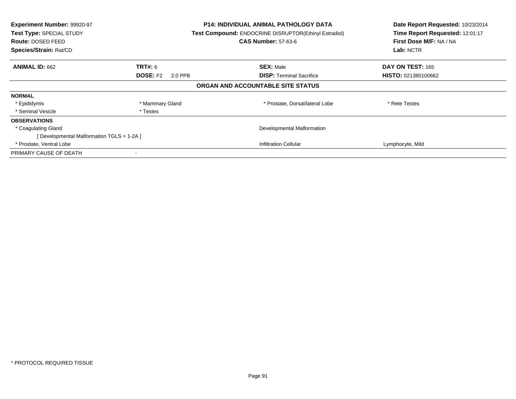| Experiment Number: 99920-97<br>Test Type: SPECIAL STUDY<br>Route: DOSED FEED<br>Species/Strain: Rat/CD |                            | <b>P14: INDIVIDUAL ANIMAL PATHOLOGY DATA</b><br>Test Compound: ENDOCRINE DISRUPTOR(Ethinyl Estradiol)<br><b>CAS Number: 57-63-6</b> |                            |
|--------------------------------------------------------------------------------------------------------|----------------------------|-------------------------------------------------------------------------------------------------------------------------------------|----------------------------|
| <b>ANIMAL ID: 662</b>                                                                                  | <b>TRT#:</b> 6             | <b>SEX: Male</b>                                                                                                                    | DAY ON TEST: 165           |
|                                                                                                        | <b>DOSE: F2</b><br>2.0 PPB | <b>DISP:</b> Terminal Sacrifice                                                                                                     | <b>HISTO: 021380100662</b> |
|                                                                                                        |                            | ORGAN AND ACCOUNTABLE SITE STATUS                                                                                                   |                            |
| <b>NORMAL</b>                                                                                          |                            |                                                                                                                                     |                            |
| * Epididymis                                                                                           | * Mammary Gland            | * Prostate, Dorsal/lateral Lobe                                                                                                     | * Rete Testes              |
| * Seminal Vesicle                                                                                      | * Testes                   |                                                                                                                                     |                            |
| <b>OBSERVATIONS</b>                                                                                    |                            |                                                                                                                                     |                            |
| * Coagulating Gland                                                                                    |                            | Developmental Malformation                                                                                                          |                            |
| [Developmental Malformation TGLS = 1-2A ]                                                              |                            |                                                                                                                                     |                            |
| * Prostate, Ventral Lobe                                                                               |                            | <b>Infiltration Cellular</b>                                                                                                        | Lymphocyte, Mild           |
| PRIMARY CAUSE OF DEATH                                                                                 |                            |                                                                                                                                     |                            |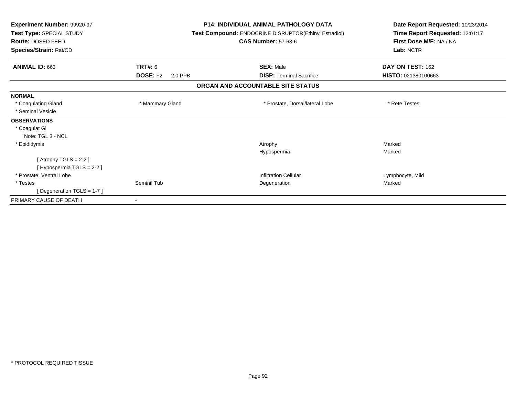| Experiment Number: 99920-97<br>Test Type: SPECIAL STUDY | <b>P14: INDIVIDUAL ANIMAL PATHOLOGY DATA</b><br>Test Compound: ENDOCRINE DISRUPTOR(Ethinyl Estradiol) |                                   | Date Report Requested: 10/23/2014<br>Time Report Requested: 12:01:17 |  |
|---------------------------------------------------------|-------------------------------------------------------------------------------------------------------|-----------------------------------|----------------------------------------------------------------------|--|
| Route: DOSED FEED<br>Species/Strain: Rat/CD             |                                                                                                       | <b>CAS Number: 57-63-6</b>        | First Dose M/F: NA / NA<br>Lab: NCTR                                 |  |
| ANIMAL ID: 663                                          | TRT#: 6                                                                                               | <b>SEX: Male</b>                  | DAY ON TEST: 162                                                     |  |
|                                                         | <b>DOSE: F2</b><br>2.0 PPB                                                                            | <b>DISP: Terminal Sacrifice</b>   | HISTO: 021380100663                                                  |  |
|                                                         |                                                                                                       | ORGAN AND ACCOUNTABLE SITE STATUS |                                                                      |  |
| <b>NORMAL</b>                                           |                                                                                                       |                                   |                                                                      |  |
| * Coagulating Gland                                     | * Mammary Gland                                                                                       | * Prostate, Dorsal/lateral Lobe   | * Rete Testes                                                        |  |
| * Seminal Vesicle                                       |                                                                                                       |                                   |                                                                      |  |
| <b>OBSERVATIONS</b>                                     |                                                                                                       |                                   |                                                                      |  |
| * Coagulat GI                                           |                                                                                                       |                                   |                                                                      |  |
| Note: TGL 3 - NCL                                       |                                                                                                       |                                   |                                                                      |  |
| * Epididymis                                            |                                                                                                       | Atrophy                           | Marked                                                               |  |
|                                                         |                                                                                                       | Hypospermia                       | Marked                                                               |  |
| [Atrophy TGLS = $2-2$ ]                                 |                                                                                                       |                                   |                                                                      |  |
| [Hypospermia TGLS = 2-2]                                |                                                                                                       |                                   |                                                                      |  |
| * Prostate, Ventral Lobe                                |                                                                                                       | Infiltration Cellular             | Lymphocyte, Mild                                                     |  |
| * Testes                                                | Seminif Tub                                                                                           | Degeneration                      | Marked                                                               |  |
| [Degeneration TGLS = 1-7]                               |                                                                                                       |                                   |                                                                      |  |
| PRIMARY CAUSE OF DEATH                                  |                                                                                                       |                                   |                                                                      |  |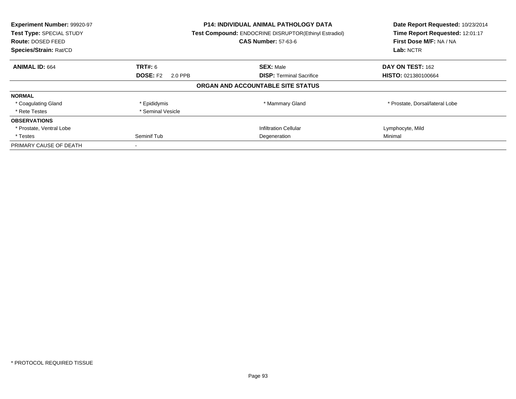| Experiment Number: 99920-97<br>Test Type: SPECIAL STUDY<br><b>Route: DOSED FEED</b><br>Species/Strain: Rat/CD |                            | <b>P14: INDIVIDUAL ANIMAL PATHOLOGY DATA</b><br><b>Test Compound: ENDOCRINE DISRUPTOR(Ethinyl Estradiol)</b><br><b>CAS Number: 57-63-6</b> | Date Report Requested: 10/23/2014<br>Time Report Requested: 12:01:17<br>First Dose M/F: NA / NA<br>Lab: NCTR |
|---------------------------------------------------------------------------------------------------------------|----------------------------|--------------------------------------------------------------------------------------------------------------------------------------------|--------------------------------------------------------------------------------------------------------------|
| <b>ANIMAL ID: 664</b>                                                                                         | <b>TRT#:</b> 6             | <b>SEX: Male</b>                                                                                                                           | DAY ON TEST: 162                                                                                             |
|                                                                                                               | <b>DOSE: F2</b><br>2.0 PPB | <b>DISP:</b> Terminal Sacrifice                                                                                                            | <b>HISTO: 021380100664</b>                                                                                   |
|                                                                                                               |                            | ORGAN AND ACCOUNTABLE SITE STATUS                                                                                                          |                                                                                                              |
| <b>NORMAL</b>                                                                                                 |                            |                                                                                                                                            |                                                                                                              |
| * Coagulating Gland                                                                                           | * Epididymis               | * Mammary Gland                                                                                                                            | * Prostate, Dorsal/lateral Lobe                                                                              |
| * Rete Testes                                                                                                 | * Seminal Vesicle          |                                                                                                                                            |                                                                                                              |
| <b>OBSERVATIONS</b>                                                                                           |                            |                                                                                                                                            |                                                                                                              |
| * Prostate, Ventral Lobe                                                                                      |                            | Infiltration Cellular                                                                                                                      | Lymphocyte, Mild                                                                                             |
| * Testes                                                                                                      | Seminif Tub                | Degeneration                                                                                                                               | Minimal                                                                                                      |
| PRIMARY CAUSE OF DEATH                                                                                        |                            |                                                                                                                                            |                                                                                                              |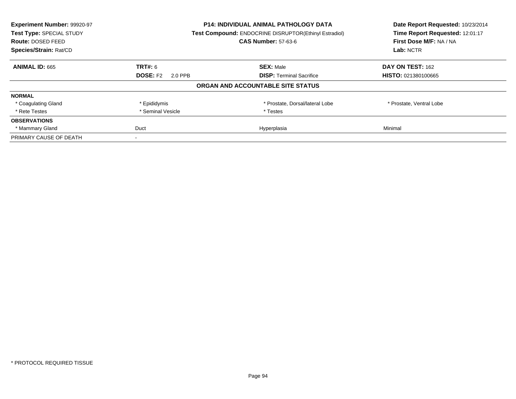| Experiment Number: 99920-97 | <b>P14: INDIVIDUAL ANIMAL PATHOLOGY DATA</b> |                                                       | Date Report Requested: 10/23/2014 |
|-----------------------------|----------------------------------------------|-------------------------------------------------------|-----------------------------------|
| Test Type: SPECIAL STUDY    |                                              | Test Compound: ENDOCRINE DISRUPTOR(Ethinyl Estradiol) | Time Report Requested: 12:01:17   |
| <b>Route: DOSED FEED</b>    |                                              | <b>CAS Number: 57-63-6</b>                            | First Dose M/F: NA / NA           |
| Species/Strain: Rat/CD      |                                              |                                                       |                                   |
| <b>ANIMAL ID: 665</b>       | <b>TRT#: 6</b>                               | <b>SEX: Male</b>                                      | DAY ON TEST: 162                  |
|                             | <b>DOSE: F2</b><br>2.0 PPB                   | <b>DISP:</b> Terminal Sacrifice                       | HISTO: 021380100665               |
|                             |                                              | ORGAN AND ACCOUNTABLE SITE STATUS                     |                                   |
| <b>NORMAL</b>               |                                              |                                                       |                                   |
| * Coagulating Gland         | * Epididymis                                 | * Prostate, Dorsal/lateral Lobe                       | * Prostate, Ventral Lobe          |
| * Rete Testes               | * Seminal Vesicle                            | * Testes                                              |                                   |
| <b>OBSERVATIONS</b>         |                                              |                                                       |                                   |
| * Mammary Gland             | Duct                                         | Hyperplasia                                           | Minimal                           |
| PRIMARY CAUSE OF DEATH      |                                              |                                                       |                                   |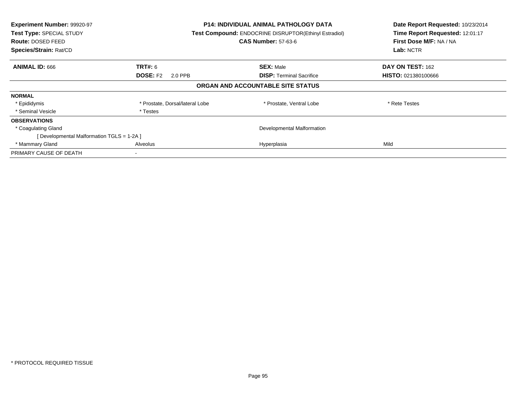| Experiment Number: 99920-97<br>Test Type: SPECIAL STUDY<br><b>Route: DOSED FEED</b><br>Species/Strain: Rat/CD |                                 | <b>P14: INDIVIDUAL ANIMAL PATHOLOGY DATA</b><br>Test Compound: ENDOCRINE DISRUPTOR(Ethinyl Estradiol)<br><b>CAS Number: 57-63-6</b> | Date Report Requested: 10/23/2014<br>Time Report Requested: 12:01:17<br>First Dose M/F: NA / NA<br>Lab: NCTR |
|---------------------------------------------------------------------------------------------------------------|---------------------------------|-------------------------------------------------------------------------------------------------------------------------------------|--------------------------------------------------------------------------------------------------------------|
| <b>ANIMAL ID: 666</b>                                                                                         | <b>TRT#:</b> 6                  | <b>SEX: Male</b>                                                                                                                    | DAY ON TEST: 162                                                                                             |
|                                                                                                               | <b>DOSE: F2</b><br>2.0 PPB      | <b>DISP:</b> Terminal Sacrifice                                                                                                     | <b>HISTO: 021380100666</b>                                                                                   |
|                                                                                                               |                                 | ORGAN AND ACCOUNTABLE SITE STATUS                                                                                                   |                                                                                                              |
| <b>NORMAL</b>                                                                                                 |                                 |                                                                                                                                     |                                                                                                              |
| * Epididymis                                                                                                  | * Prostate, Dorsal/lateral Lobe | * Prostate, Ventral Lobe                                                                                                            | * Rete Testes                                                                                                |
| * Seminal Vesicle                                                                                             | * Testes                        |                                                                                                                                     |                                                                                                              |
| <b>OBSERVATIONS</b>                                                                                           |                                 |                                                                                                                                     |                                                                                                              |
| * Coagulating Gland                                                                                           |                                 | Developmental Malformation                                                                                                          |                                                                                                              |
| [ Developmental Malformation TGLS = 1-2A ]                                                                    |                                 |                                                                                                                                     |                                                                                                              |
| * Mammary Gland                                                                                               | Alveolus                        | Hyperplasia                                                                                                                         | Mild                                                                                                         |
| PRIMARY CAUSE OF DEATH                                                                                        |                                 |                                                                                                                                     |                                                                                                              |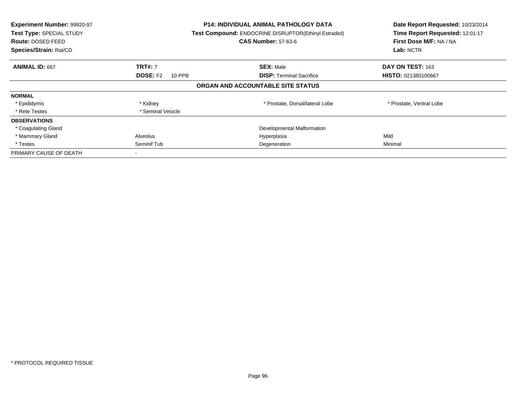| Experiment Number: 99920-97<br>Test Type: SPECIAL STUDY<br>Route: DOSED FEED<br>Species/Strain: Rat/CD | <b>P14: INDIVIDUAL ANIMAL PATHOLOGY DATA</b><br>Test Compound: ENDOCRINE DISRUPTOR(Ethinyl Estradiol)<br><b>CAS Number: 57-63-6</b> |                                   | Date Report Requested: 10/23/2014<br>Time Report Requested: 12:01:17<br>First Dose M/F: NA / NA<br>Lab: NCTR |
|--------------------------------------------------------------------------------------------------------|-------------------------------------------------------------------------------------------------------------------------------------|-----------------------------------|--------------------------------------------------------------------------------------------------------------|
| <b>ANIMAL ID: 667</b>                                                                                  | <b>TRT#: 7</b>                                                                                                                      | <b>SEX: Male</b>                  | DAY ON TEST: 163                                                                                             |
|                                                                                                        | <b>DOSE: F2</b><br>10 PPB                                                                                                           | <b>DISP: Terminal Sacrifice</b>   | HISTO: 021380100667                                                                                          |
|                                                                                                        |                                                                                                                                     | ORGAN AND ACCOUNTABLE SITE STATUS |                                                                                                              |
| <b>NORMAL</b>                                                                                          |                                                                                                                                     |                                   |                                                                                                              |
| * Epididymis                                                                                           | * Kidney                                                                                                                            | * Prostate, Dorsal/lateral Lobe   | * Prostate, Ventral Lobe                                                                                     |
| * Rete Testes                                                                                          | * Seminal Vesicle                                                                                                                   |                                   |                                                                                                              |
| <b>OBSERVATIONS</b>                                                                                    |                                                                                                                                     |                                   |                                                                                                              |
| * Coagulating Gland                                                                                    |                                                                                                                                     | Developmental Malformation        |                                                                                                              |
| * Mammary Gland                                                                                        | Alveolus                                                                                                                            | Hyperplasia                       | Mild                                                                                                         |
| * Testes                                                                                               | Seminif Tub                                                                                                                         | Degeneration                      | Minimal                                                                                                      |
| PRIMARY CAUSE OF DEATH                                                                                 |                                                                                                                                     |                                   |                                                                                                              |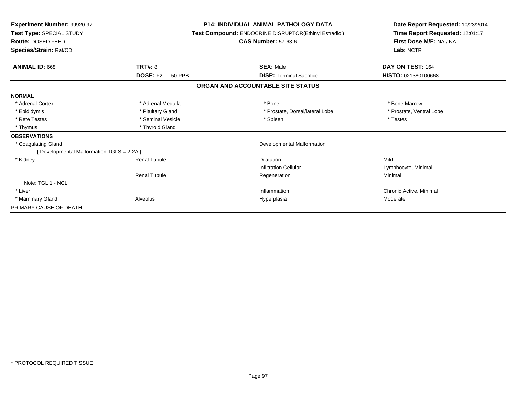| Experiment Number: 99920-97<br>Test Type: SPECIAL STUDY<br><b>Route: DOSED FEED</b><br>Species/Strain: Rat/CD |                                  | <b>P14: INDIVIDUAL ANIMAL PATHOLOGY DATA</b><br>Test Compound: ENDOCRINE DISRUPTOR(Ethinyl Estradiol)<br><b>CAS Number: 57-63-6</b> | Date Report Requested: 10/23/2014<br>Time Report Requested: 12:01:17<br>First Dose M/F: NA / NA<br>Lab: NCTR |
|---------------------------------------------------------------------------------------------------------------|----------------------------------|-------------------------------------------------------------------------------------------------------------------------------------|--------------------------------------------------------------------------------------------------------------|
|                                                                                                               |                                  |                                                                                                                                     |                                                                                                              |
| <b>ANIMAL ID: 668</b>                                                                                         | <b>TRT#: 8</b>                   | <b>SEX: Male</b>                                                                                                                    | DAY ON TEST: 164                                                                                             |
|                                                                                                               | <b>DOSE: F2</b><br><b>50 PPB</b> | <b>DISP:</b> Terminal Sacrifice                                                                                                     | HISTO: 021380100668                                                                                          |
|                                                                                                               |                                  | ORGAN AND ACCOUNTABLE SITE STATUS                                                                                                   |                                                                                                              |
| <b>NORMAL</b>                                                                                                 |                                  |                                                                                                                                     |                                                                                                              |
| * Adrenal Cortex                                                                                              | * Adrenal Medulla                | * Bone                                                                                                                              | * Bone Marrow                                                                                                |
| * Epididymis                                                                                                  | * Pituitary Gland                | * Prostate. Dorsal/lateral Lobe                                                                                                     | * Prostate, Ventral Lobe                                                                                     |
| * Rete Testes                                                                                                 | * Seminal Vesicle                | * Spleen                                                                                                                            | * Testes                                                                                                     |
| * Thymus                                                                                                      | * Thyroid Gland                  |                                                                                                                                     |                                                                                                              |
| <b>OBSERVATIONS</b>                                                                                           |                                  |                                                                                                                                     |                                                                                                              |
| * Coagulating Gland                                                                                           |                                  | Developmental Malformation                                                                                                          |                                                                                                              |
| [ Developmental Malformation TGLS = 2-2A ]                                                                    |                                  |                                                                                                                                     |                                                                                                              |
| * Kidney                                                                                                      | <b>Renal Tubule</b>              | <b>Dilatation</b>                                                                                                                   | Mild                                                                                                         |
|                                                                                                               |                                  | <b>Infiltration Cellular</b>                                                                                                        | Lymphocyte, Minimal                                                                                          |
|                                                                                                               | <b>Renal Tubule</b>              | Regeneration                                                                                                                        | Minimal                                                                                                      |
| Note: TGL 1 - NCL                                                                                             |                                  |                                                                                                                                     |                                                                                                              |
| * Liver                                                                                                       |                                  | Inflammation                                                                                                                        | Chronic Active, Minimal                                                                                      |
| * Mammary Gland                                                                                               | Alveolus                         | Hyperplasia                                                                                                                         | Moderate                                                                                                     |
| PRIMARY CAUSE OF DEATH                                                                                        |                                  |                                                                                                                                     |                                                                                                              |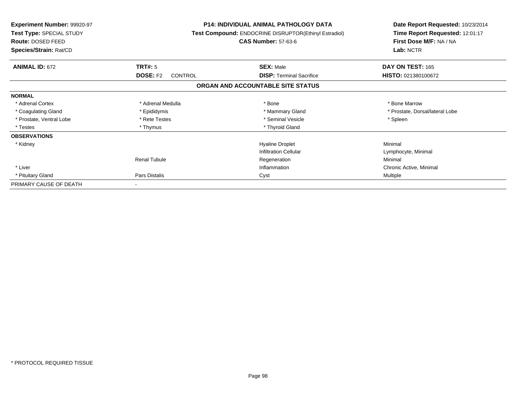| <b>Experiment Number: 99920-97</b><br>Test Type: SPECIAL STUDY<br>Route: DOSED FEED<br>Species/Strain: Rat/CD |                                   | <b>P14: INDIVIDUAL ANIMAL PATHOLOGY DATA</b><br>Test Compound: ENDOCRINE DISRUPTOR(Ethinyl Estradiol)<br><b>CAS Number: 57-63-6</b> | Date Report Requested: 10/23/2014<br>Time Report Requested: 12:01:17<br>First Dose M/F: NA / NA<br>Lab: NCTR |  |
|---------------------------------------------------------------------------------------------------------------|-----------------------------------|-------------------------------------------------------------------------------------------------------------------------------------|--------------------------------------------------------------------------------------------------------------|--|
|                                                                                                               |                                   |                                                                                                                                     |                                                                                                              |  |
| <b>ANIMAL ID: 672</b>                                                                                         | <b>TRT#: 5</b>                    | <b>SEX: Male</b>                                                                                                                    | DAY ON TEST: 165                                                                                             |  |
|                                                                                                               | <b>DOSE: F2</b><br><b>CONTROL</b> | <b>DISP:</b> Terminal Sacrifice                                                                                                     | HISTO: 021380100672                                                                                          |  |
|                                                                                                               |                                   | ORGAN AND ACCOUNTABLE SITE STATUS                                                                                                   |                                                                                                              |  |
| <b>NORMAL</b>                                                                                                 |                                   |                                                                                                                                     |                                                                                                              |  |
| * Adrenal Cortex                                                                                              | * Adrenal Medulla                 | * Bone                                                                                                                              | * Bone Marrow                                                                                                |  |
| * Coagulating Gland                                                                                           | * Epididymis                      | * Mammary Gland                                                                                                                     | * Prostate, Dorsal/lateral Lobe                                                                              |  |
| * Prostate, Ventral Lobe                                                                                      | * Rete Testes                     | * Seminal Vesicle                                                                                                                   | * Spleen                                                                                                     |  |
| * Testes                                                                                                      | * Thymus                          | * Thyroid Gland                                                                                                                     |                                                                                                              |  |
| <b>OBSERVATIONS</b>                                                                                           |                                   |                                                                                                                                     |                                                                                                              |  |
| * Kidney                                                                                                      |                                   | <b>Hyaline Droplet</b>                                                                                                              | Minimal                                                                                                      |  |
|                                                                                                               |                                   | Infiltration Cellular                                                                                                               | Lymphocyte, Minimal                                                                                          |  |
|                                                                                                               | <b>Renal Tubule</b>               | Regeneration                                                                                                                        | Minimal                                                                                                      |  |
| * Liver                                                                                                       |                                   | Inflammation                                                                                                                        | Chronic Active, Minimal                                                                                      |  |
| * Pituitary Gland                                                                                             | Pars Distalis                     | Cyst                                                                                                                                | Multiple                                                                                                     |  |
| PRIMARY CAUSE OF DEATH                                                                                        | $\sim$                            |                                                                                                                                     |                                                                                                              |  |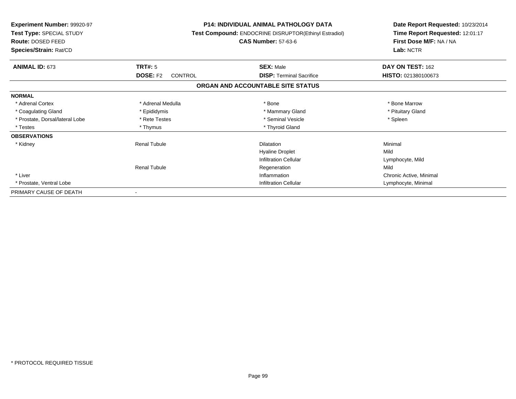| <b>Experiment Number: 99920-97</b><br>Test Type: SPECIAL STUDY<br><b>Route: DOSED FEED</b><br>Species/Strain: Rat/CD |                                   | <b>P14: INDIVIDUAL ANIMAL PATHOLOGY DATA</b><br><b>Test Compound: ENDOCRINE DISRUPTOR(Ethinyl Estradiol)</b><br><b>CAS Number: 57-63-6</b> | Date Report Requested: 10/23/2014<br>Time Report Requested: 12:01:17<br>First Dose M/F: NA / NA<br>Lab: NCTR |
|----------------------------------------------------------------------------------------------------------------------|-----------------------------------|--------------------------------------------------------------------------------------------------------------------------------------------|--------------------------------------------------------------------------------------------------------------|
| <b>ANIMAL ID: 673</b>                                                                                                | TRT#: 5                           | <b>SEX: Male</b>                                                                                                                           | DAY ON TEST: 162                                                                                             |
|                                                                                                                      | <b>DOSE: F2</b><br><b>CONTROL</b> | <b>DISP: Terminal Sacrifice</b>                                                                                                            | HISTO: 021380100673                                                                                          |
|                                                                                                                      |                                   | ORGAN AND ACCOUNTABLE SITE STATUS                                                                                                          |                                                                                                              |
| <b>NORMAL</b>                                                                                                        |                                   |                                                                                                                                            |                                                                                                              |
| * Adrenal Cortex                                                                                                     | * Adrenal Medulla                 | * Bone                                                                                                                                     | * Bone Marrow                                                                                                |
| * Coagulating Gland                                                                                                  | * Epididymis                      | * Mammary Gland                                                                                                                            | * Pituitary Gland                                                                                            |
| * Prostate, Dorsal/lateral Lobe                                                                                      | * Rete Testes                     | * Seminal Vesicle                                                                                                                          | * Spleen                                                                                                     |
| * Testes                                                                                                             | * Thymus                          | * Thyroid Gland                                                                                                                            |                                                                                                              |
| <b>OBSERVATIONS</b>                                                                                                  |                                   |                                                                                                                                            |                                                                                                              |
| * Kidney                                                                                                             | <b>Renal Tubule</b>               | <b>Dilatation</b>                                                                                                                          | Minimal                                                                                                      |
|                                                                                                                      |                                   | <b>Hyaline Droplet</b>                                                                                                                     | Mild                                                                                                         |
|                                                                                                                      |                                   | <b>Infiltration Cellular</b>                                                                                                               | Lymphocyte, Mild                                                                                             |
|                                                                                                                      | <b>Renal Tubule</b>               | Regeneration                                                                                                                               | Mild                                                                                                         |
| * Liver                                                                                                              |                                   | Inflammation                                                                                                                               | Chronic Active, Minimal                                                                                      |
| * Prostate, Ventral Lobe                                                                                             |                                   | <b>Infiltration Cellular</b>                                                                                                               | Lymphocyte, Minimal                                                                                          |
| PRIMARY CAUSE OF DEATH                                                                                               |                                   |                                                                                                                                            |                                                                                                              |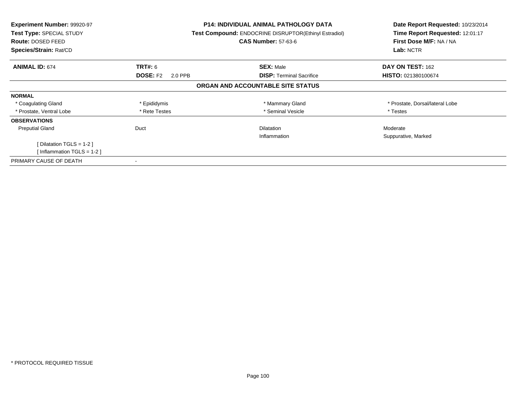| <b>Experiment Number: 99920-97</b><br>Test Type: SPECIAL STUDY<br><b>Route: DOSED FEED</b><br>Species/Strain: Rat/CD |                            | <b>P14: INDIVIDUAL ANIMAL PATHOLOGY DATA</b><br>Test Compound: ENDOCRINE DISRUPTOR(Ethinyl Estradiol)<br><b>CAS Number: 57-63-6</b> | Date Report Requested: 10/23/2014<br>Time Report Requested: 12:01:17<br>First Dose M/F: NA / NA<br>Lab: NCTR |  |
|----------------------------------------------------------------------------------------------------------------------|----------------------------|-------------------------------------------------------------------------------------------------------------------------------------|--------------------------------------------------------------------------------------------------------------|--|
|                                                                                                                      |                            |                                                                                                                                     |                                                                                                              |  |
| <b>ANIMAL ID: 674</b>                                                                                                | <b>TRT#: 6</b>             | <b>SEX: Male</b>                                                                                                                    | DAY ON TEST: 162                                                                                             |  |
|                                                                                                                      | <b>DOSE: F2</b><br>2.0 PPB | <b>DISP:</b> Terminal Sacrifice                                                                                                     | <b>HISTO: 021380100674</b>                                                                                   |  |
|                                                                                                                      |                            | ORGAN AND ACCOUNTABLE SITE STATUS                                                                                                   |                                                                                                              |  |
| <b>NORMAL</b>                                                                                                        |                            |                                                                                                                                     |                                                                                                              |  |
| * Coagulating Gland                                                                                                  | * Epididymis               | * Mammary Gland                                                                                                                     | * Prostate, Dorsal/lateral Lobe                                                                              |  |
| * Prostate, Ventral Lobe                                                                                             | * Rete Testes              | * Seminal Vesicle                                                                                                                   | * Testes                                                                                                     |  |
| <b>OBSERVATIONS</b>                                                                                                  |                            |                                                                                                                                     |                                                                                                              |  |
| <b>Preputial Gland</b>                                                                                               | Duct                       | <b>Dilatation</b>                                                                                                                   | Moderate                                                                                                     |  |
|                                                                                                                      |                            | Inflammation                                                                                                                        | Suppurative, Marked                                                                                          |  |
| [Dilatation TGLS = $1-2$ ]                                                                                           |                            |                                                                                                                                     |                                                                                                              |  |
| [Inflammation TGLS = 1-2]                                                                                            |                            |                                                                                                                                     |                                                                                                              |  |
| PRIMARY CAUSE OF DEATH                                                                                               |                            |                                                                                                                                     |                                                                                                              |  |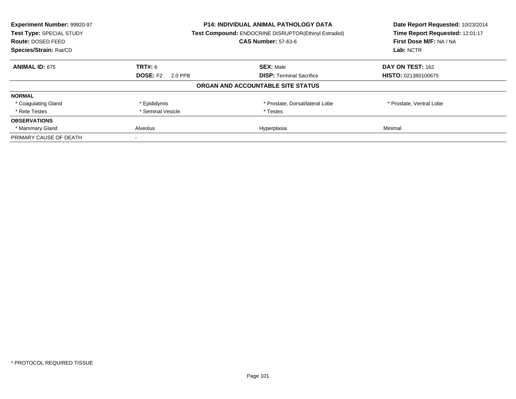| Experiment Number: 99920-97 | P14: INDIVIDUAL ANIMAL PATHOLOGY DATA |                                                       | Date Report Requested: 10/23/2014 |
|-----------------------------|---------------------------------------|-------------------------------------------------------|-----------------------------------|
| Test Type: SPECIAL STUDY    |                                       | Test Compound: ENDOCRINE DISRUPTOR(Ethinyl Estradiol) | Time Report Requested: 12:01:17   |
| Route: DOSED FEED           |                                       | <b>CAS Number: 57-63-6</b>                            | First Dose M/F: NA / NA           |
| Species/Strain: Rat/CD      |                                       |                                                       | Lab: NCTR                         |
| <b>ANIMAL ID: 675</b>       | <b>TRT#: 6</b>                        | <b>SEX: Male</b>                                      | DAY ON TEST: 162                  |
|                             | <b>DOSE: F2</b><br>2.0 PPB            | <b>DISP:</b> Terminal Sacrifice                       | HISTO: 021380100675               |
|                             |                                       | ORGAN AND ACCOUNTABLE SITE STATUS                     |                                   |
| <b>NORMAL</b>               |                                       |                                                       |                                   |
| * Coagulating Gland         | * Epididymis                          | * Prostate, Dorsal/lateral Lobe                       | * Prostate, Ventral Lobe          |
| * Rete Testes               | * Seminal Vesicle                     | * Testes                                              |                                   |
| <b>OBSERVATIONS</b>         |                                       |                                                       |                                   |
| * Mammary Gland             | <b>Alveolus</b>                       | Hyperplasia                                           | Minimal                           |
| PRIMARY CAUSE OF DEATH      |                                       |                                                       |                                   |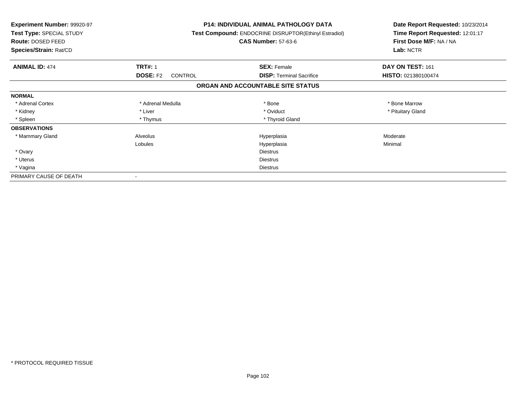| <b>Experiment Number: 99920-97</b><br>Test Type: SPECIAL STUDY<br>Route: DOSED FEED<br>Species/Strain: Rat/CD |                            | <b>P14: INDIVIDUAL ANIMAL PATHOLOGY DATA</b><br><b>Test Compound: ENDOCRINE DISRUPTOR(Ethinyl Estradiol)</b><br><b>CAS Number: 57-63-6</b> | Date Report Requested: 10/23/2014<br>Time Report Requested: 12:01:17<br>First Dose M/F: NA / NA<br>Lab: NCTR |
|---------------------------------------------------------------------------------------------------------------|----------------------------|--------------------------------------------------------------------------------------------------------------------------------------------|--------------------------------------------------------------------------------------------------------------|
| <b>ANIMAL ID: 474</b>                                                                                         | <b>TRT#: 1</b>             | <b>SEX: Female</b>                                                                                                                         | DAY ON TEST: 161                                                                                             |
|                                                                                                               | <b>DOSE: F2</b><br>CONTROL | <b>DISP:</b> Terminal Sacrifice                                                                                                            | HISTO: 021380100474                                                                                          |
|                                                                                                               |                            | ORGAN AND ACCOUNTABLE SITE STATUS                                                                                                          |                                                                                                              |
| <b>NORMAL</b>                                                                                                 |                            |                                                                                                                                            |                                                                                                              |
| * Adrenal Cortex                                                                                              | * Adrenal Medulla          | * Bone                                                                                                                                     | * Bone Marrow                                                                                                |
| * Kidney                                                                                                      | * Liver                    | * Oviduct                                                                                                                                  | * Pituitary Gland                                                                                            |
| * Spleen                                                                                                      | * Thymus                   | * Thyroid Gland                                                                                                                            |                                                                                                              |
| <b>OBSERVATIONS</b>                                                                                           |                            |                                                                                                                                            |                                                                                                              |
| * Mammary Gland                                                                                               | Alveolus                   | Hyperplasia                                                                                                                                | Moderate                                                                                                     |
|                                                                                                               | Lobules                    | Hyperplasia                                                                                                                                | Minimal                                                                                                      |
| * Ovary                                                                                                       |                            | <b>Diestrus</b>                                                                                                                            |                                                                                                              |
| * Uterus                                                                                                      |                            | <b>Diestrus</b>                                                                                                                            |                                                                                                              |
| * Vagina                                                                                                      |                            | Diestrus                                                                                                                                   |                                                                                                              |
| PRIMARY CAUSE OF DEATH                                                                                        |                            |                                                                                                                                            |                                                                                                              |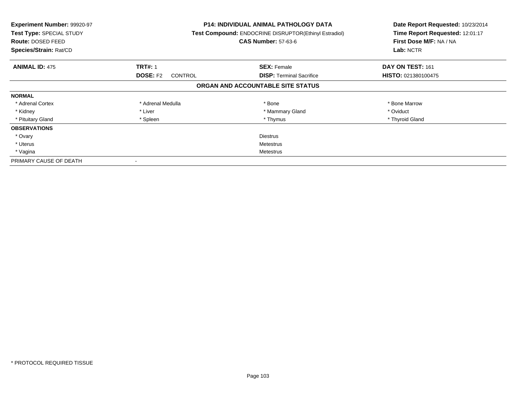| Experiment Number: 99920-97<br><b>Test Type: SPECIAL STUDY</b><br><b>Route: DOSED FEED</b><br>Species/Strain: Rat/CD |                                   | <b>P14: INDIVIDUAL ANIMAL PATHOLOGY DATA</b><br>Test Compound: ENDOCRINE DISRUPTOR(Ethinyl Estradiol)<br><b>CAS Number: 57-63-6</b> | Date Report Requested: 10/23/2014<br>Time Report Requested: 12:01:17<br>First Dose M/F: NA / NA<br>Lab: NCTR |
|----------------------------------------------------------------------------------------------------------------------|-----------------------------------|-------------------------------------------------------------------------------------------------------------------------------------|--------------------------------------------------------------------------------------------------------------|
| <b>ANIMAL ID: 475</b>                                                                                                | <b>TRT#: 1</b>                    | <b>SEX: Female</b>                                                                                                                  | DAY ON TEST: 161                                                                                             |
|                                                                                                                      | <b>DOSE: F2</b><br><b>CONTROL</b> | <b>DISP:</b> Terminal Sacrifice                                                                                                     | HISTO: 021380100475                                                                                          |
|                                                                                                                      |                                   | ORGAN AND ACCOUNTABLE SITE STATUS                                                                                                   |                                                                                                              |
| <b>NORMAL</b>                                                                                                        |                                   |                                                                                                                                     |                                                                                                              |
| * Adrenal Cortex                                                                                                     | * Adrenal Medulla                 | * Bone                                                                                                                              | * Bone Marrow                                                                                                |
| * Kidney                                                                                                             | * Liver                           | * Mammary Gland                                                                                                                     | * Oviduct                                                                                                    |
| * Pituitary Gland                                                                                                    | * Spleen                          | * Thymus                                                                                                                            | * Thyroid Gland                                                                                              |
| <b>OBSERVATIONS</b>                                                                                                  |                                   |                                                                                                                                     |                                                                                                              |
| * Ovary                                                                                                              |                                   | <b>Diestrus</b>                                                                                                                     |                                                                                                              |
| * Uterus                                                                                                             | Metestrus                         |                                                                                                                                     |                                                                                                              |
| * Vagina                                                                                                             | Metestrus                         |                                                                                                                                     |                                                                                                              |
| PRIMARY CAUSE OF DEATH                                                                                               |                                   |                                                                                                                                     |                                                                                                              |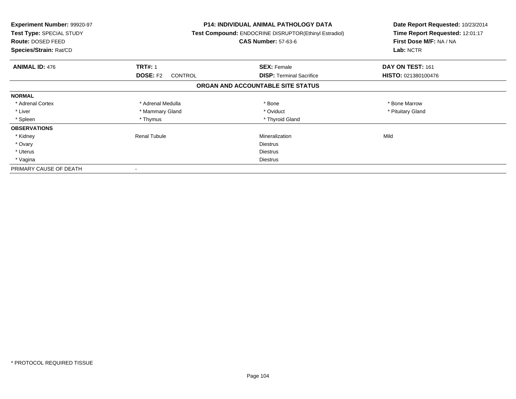| Experiment Number: 99920-97<br>Test Type: SPECIAL STUDY<br>Route: DOSED FEED<br>Species/Strain: Rat/CD |                                   | <b>P14: INDIVIDUAL ANIMAL PATHOLOGY DATA</b><br>Test Compound: ENDOCRINE DISRUPTOR(Ethinyl Estradiol)<br><b>CAS Number: 57-63-6</b> | Date Report Requested: 10/23/2014<br>Time Report Requested: 12:01:17<br>First Dose M/F: NA / NA<br>Lab: NCTR |
|--------------------------------------------------------------------------------------------------------|-----------------------------------|-------------------------------------------------------------------------------------------------------------------------------------|--------------------------------------------------------------------------------------------------------------|
| <b>ANIMAL ID: 476</b>                                                                                  | <b>TRT#: 1</b>                    | <b>SEX: Female</b>                                                                                                                  | DAY ON TEST: 161                                                                                             |
|                                                                                                        | <b>DOSE: F2</b><br><b>CONTROL</b> | <b>DISP:</b> Terminal Sacrifice                                                                                                     | HISTO: 021380100476                                                                                          |
|                                                                                                        |                                   | ORGAN AND ACCOUNTABLE SITE STATUS                                                                                                   |                                                                                                              |
| <b>NORMAL</b>                                                                                          |                                   |                                                                                                                                     |                                                                                                              |
| * Adrenal Cortex                                                                                       | * Adrenal Medulla                 | * Bone                                                                                                                              | * Bone Marrow                                                                                                |
| * Liver                                                                                                | * Mammary Gland                   | * Oviduct                                                                                                                           | * Pituitary Gland                                                                                            |
| * Spleen                                                                                               | * Thymus                          | * Thyroid Gland                                                                                                                     |                                                                                                              |
| <b>OBSERVATIONS</b>                                                                                    |                                   |                                                                                                                                     |                                                                                                              |
| * Kidney                                                                                               | <b>Renal Tubule</b>               | Mineralization                                                                                                                      | Mild                                                                                                         |
| * Ovary                                                                                                |                                   | <b>Diestrus</b>                                                                                                                     |                                                                                                              |
| * Uterus                                                                                               |                                   | Diestrus                                                                                                                            |                                                                                                              |
| * Vagina                                                                                               |                                   | Diestrus                                                                                                                            |                                                                                                              |
| PRIMARY CAUSE OF DEATH                                                                                 |                                   |                                                                                                                                     |                                                                                                              |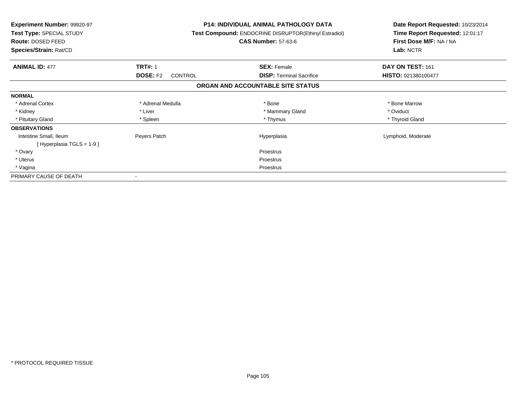| <b>Experiment Number: 99920-97</b><br>Test Type: SPECIAL STUDY<br>Route: DOSED FEED<br>Species/Strain: Rat/CD |                                   | <b>P14: INDIVIDUAL ANIMAL PATHOLOGY DATA</b><br>Test Compound: ENDOCRINE DISRUPTOR(Ethinyl Estradiol)<br><b>CAS Number: 57-63-6</b> | Date Report Requested: 10/23/2014<br>Time Report Requested: 12:01:17<br>First Dose M/F: NA / NA<br>Lab: NCTR |
|---------------------------------------------------------------------------------------------------------------|-----------------------------------|-------------------------------------------------------------------------------------------------------------------------------------|--------------------------------------------------------------------------------------------------------------|
| <b>ANIMAL ID: 477</b>                                                                                         | <b>TRT#: 1</b>                    | <b>SEX: Female</b>                                                                                                                  | DAY ON TEST: 161                                                                                             |
|                                                                                                               | <b>DOSE: F2</b><br><b>CONTROL</b> | <b>DISP:</b> Terminal Sacrifice                                                                                                     | HISTO: 021380100477                                                                                          |
|                                                                                                               |                                   | ORGAN AND ACCOUNTABLE SITE STATUS                                                                                                   |                                                                                                              |
| <b>NORMAL</b>                                                                                                 |                                   |                                                                                                                                     |                                                                                                              |
| * Adrenal Cortex                                                                                              | * Adrenal Medulla                 | * Bone                                                                                                                              | * Bone Marrow                                                                                                |
| * Kidney                                                                                                      | * Liver                           | * Mammary Gland                                                                                                                     | * Oviduct                                                                                                    |
| * Pituitary Gland                                                                                             | * Spleen                          | * Thymus                                                                                                                            | * Thyroid Gland                                                                                              |
| <b>OBSERVATIONS</b>                                                                                           |                                   |                                                                                                                                     |                                                                                                              |
| Intestine Small, Ileum                                                                                        | Peyers Patch                      | Hyperplasia                                                                                                                         | Lymphoid, Moderate                                                                                           |
| [Hyperplasia TGLS = $1-9$ ]                                                                                   |                                   |                                                                                                                                     |                                                                                                              |
| * Ovary                                                                                                       |                                   | <b>Proestrus</b>                                                                                                                    |                                                                                                              |
| * Uterus                                                                                                      |                                   | Proestrus                                                                                                                           |                                                                                                              |
| * Vagina                                                                                                      |                                   | Proestrus                                                                                                                           |                                                                                                              |
| PRIMARY CAUSE OF DEATH                                                                                        |                                   |                                                                                                                                     |                                                                                                              |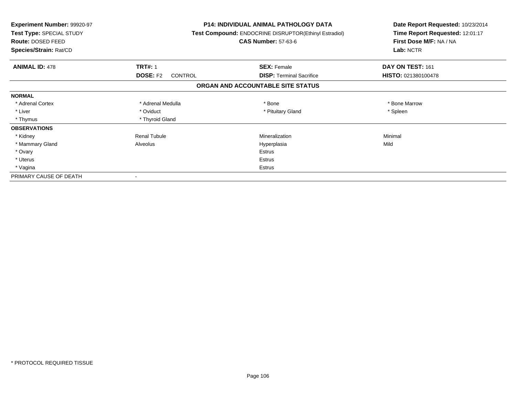| <b>Experiment Number: 99920-97</b><br>Test Type: SPECIAL STUDY<br>Route: DOSED FEED<br>Species/Strain: Rat/CD |                            | <b>P14: INDIVIDUAL ANIMAL PATHOLOGY DATA</b><br><b>Test Compound: ENDOCRINE DISRUPTOR(Ethinyl Estradiol)</b><br><b>CAS Number: 57-63-6</b> | Date Report Requested: 10/23/2014<br>Time Report Requested: 12:01:17<br>First Dose M/F: NA / NA<br>Lab: NCTR |
|---------------------------------------------------------------------------------------------------------------|----------------------------|--------------------------------------------------------------------------------------------------------------------------------------------|--------------------------------------------------------------------------------------------------------------|
| <b>ANIMAL ID: 478</b>                                                                                         | <b>TRT#: 1</b>             | <b>SEX: Female</b>                                                                                                                         | DAY ON TEST: 161                                                                                             |
|                                                                                                               | <b>DOSE: F2</b><br>CONTROL | <b>DISP: Terminal Sacrifice</b>                                                                                                            | HISTO: 021380100478                                                                                          |
|                                                                                                               |                            | ORGAN AND ACCOUNTABLE SITE STATUS                                                                                                          |                                                                                                              |
| <b>NORMAL</b>                                                                                                 |                            |                                                                                                                                            |                                                                                                              |
| * Adrenal Cortex                                                                                              | * Adrenal Medulla          | * Bone                                                                                                                                     | * Bone Marrow                                                                                                |
| * Liver                                                                                                       | * Oviduct                  | * Pituitary Gland                                                                                                                          | * Spleen                                                                                                     |
| * Thymus                                                                                                      | * Thyroid Gland            |                                                                                                                                            |                                                                                                              |
| <b>OBSERVATIONS</b>                                                                                           |                            |                                                                                                                                            |                                                                                                              |
| * Kidney                                                                                                      | <b>Renal Tubule</b>        | Mineralization                                                                                                                             | Minimal                                                                                                      |
| * Mammary Gland                                                                                               | Alveolus                   | Hyperplasia                                                                                                                                | Mild                                                                                                         |
| * Ovary                                                                                                       |                            | Estrus                                                                                                                                     |                                                                                                              |
| * Uterus                                                                                                      |                            | Estrus                                                                                                                                     |                                                                                                              |
| * Vagina                                                                                                      |                            | Estrus                                                                                                                                     |                                                                                                              |
| PRIMARY CAUSE OF DEATH                                                                                        |                            |                                                                                                                                            |                                                                                                              |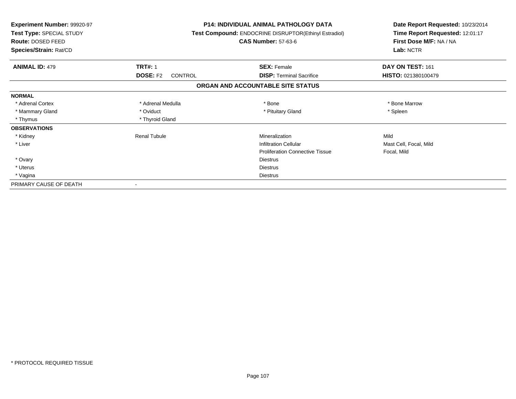| <b>Experiment Number: 99920-97</b><br>Test Type: SPECIAL STUDY<br>Route: DOSED FEED<br>Species/Strain: Rat/CD |                                                     | <b>P14: INDIVIDUAL ANIMAL PATHOLOGY DATA</b><br>Test Compound: ENDOCRINE DISRUPTOR(Ethinyl Estradiol)<br><b>CAS Number: 57-63-6</b> | Date Report Requested: 10/23/2014<br>Time Report Requested: 12:01:17<br>First Dose M/F: NA / NA<br>Lab: NCTR |  |
|---------------------------------------------------------------------------------------------------------------|-----------------------------------------------------|-------------------------------------------------------------------------------------------------------------------------------------|--------------------------------------------------------------------------------------------------------------|--|
|                                                                                                               |                                                     |                                                                                                                                     |                                                                                                              |  |
| <b>ANIMAL ID: 479</b>                                                                                         | <b>TRT#: 1</b><br><b>DOSE: F2</b><br><b>CONTROL</b> | <b>SEX: Female</b><br><b>DISP:</b> Terminal Sacrifice                                                                               | DAY ON TEST: 161<br>HISTO: 021380100479                                                                      |  |
|                                                                                                               |                                                     | ORGAN AND ACCOUNTABLE SITE STATUS                                                                                                   |                                                                                                              |  |
| <b>NORMAL</b>                                                                                                 |                                                     |                                                                                                                                     |                                                                                                              |  |
| * Adrenal Cortex                                                                                              | * Adrenal Medulla                                   | * Bone                                                                                                                              | * Bone Marrow                                                                                                |  |
| * Mammary Gland                                                                                               | * Oviduct                                           | * Pituitary Gland                                                                                                                   | * Spleen                                                                                                     |  |
| * Thymus                                                                                                      | * Thyroid Gland                                     |                                                                                                                                     |                                                                                                              |  |
| <b>OBSERVATIONS</b>                                                                                           |                                                     |                                                                                                                                     |                                                                                                              |  |
| * Kidney                                                                                                      | <b>Renal Tubule</b>                                 | Mineralization                                                                                                                      | Mild                                                                                                         |  |
| * Liver                                                                                                       |                                                     | <b>Infiltration Cellular</b>                                                                                                        | Mast Cell, Focal, Mild                                                                                       |  |
|                                                                                                               |                                                     | <b>Proliferation Connective Tissue</b>                                                                                              | Focal, Mild                                                                                                  |  |
| * Ovary                                                                                                       |                                                     | <b>Diestrus</b>                                                                                                                     |                                                                                                              |  |
| * Uterus                                                                                                      |                                                     | <b>Diestrus</b>                                                                                                                     |                                                                                                              |  |
| * Vagina                                                                                                      |                                                     | <b>Diestrus</b>                                                                                                                     |                                                                                                              |  |
| PRIMARY CAUSE OF DEATH                                                                                        |                                                     |                                                                                                                                     |                                                                                                              |  |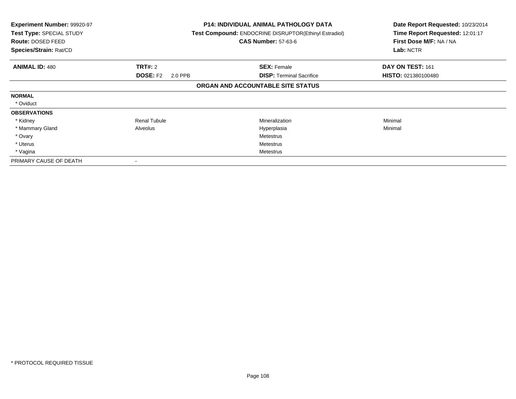| Experiment Number: 99920-97<br>Test Type: SPECIAL STUDY<br>Route: DOSED FEED<br>Species/Strain: Rat/CD |                            | <b>P14: INDIVIDUAL ANIMAL PATHOLOGY DATA</b><br>Test Compound: ENDOCRINE DISRUPTOR(Ethinyl Estradiol)<br><b>CAS Number: 57-63-6</b> | Date Report Requested: 10/23/2014<br>Time Report Requested: 12:01:17<br>First Dose M/F: NA / NA<br>Lab: NCTR |
|--------------------------------------------------------------------------------------------------------|----------------------------|-------------------------------------------------------------------------------------------------------------------------------------|--------------------------------------------------------------------------------------------------------------|
| <b>ANIMAL ID: 480</b>                                                                                  | <b>TRT#: 2</b>             | <b>SEX: Female</b>                                                                                                                  | DAY ON TEST: 161                                                                                             |
|                                                                                                        | <b>DOSE: F2</b><br>2.0 PPB | <b>DISP: Terminal Sacrifice</b>                                                                                                     | HISTO: 021380100480                                                                                          |
|                                                                                                        |                            | ORGAN AND ACCOUNTABLE SITE STATUS                                                                                                   |                                                                                                              |
| <b>NORMAL</b>                                                                                          |                            |                                                                                                                                     |                                                                                                              |
| * Oviduct                                                                                              |                            |                                                                                                                                     |                                                                                                              |
| <b>OBSERVATIONS</b>                                                                                    |                            |                                                                                                                                     |                                                                                                              |
| * Kidney                                                                                               | <b>Renal Tubule</b>        | <b>Mineralization</b>                                                                                                               | Minimal                                                                                                      |
| * Mammary Gland                                                                                        | Alveolus                   | Hyperplasia                                                                                                                         | Minimal                                                                                                      |
| * Ovary                                                                                                |                            | Metestrus                                                                                                                           |                                                                                                              |
| * Uterus                                                                                               |                            | Metestrus                                                                                                                           |                                                                                                              |
| * Vagina                                                                                               |                            | Metestrus                                                                                                                           |                                                                                                              |
| PRIMARY CAUSE OF DEATH                                                                                 |                            |                                                                                                                                     |                                                                                                              |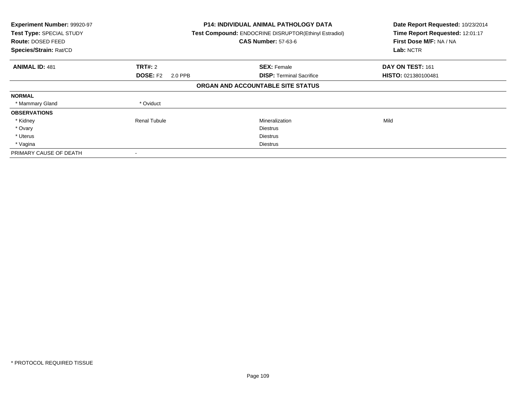| Experiment Number: 99920-97<br>Test Type: SPECIAL STUDY<br>Route: DOSED FEED<br>Species/Strain: Rat/CD |                            | <b>P14: INDIVIDUAL ANIMAL PATHOLOGY DATA</b><br>Test Compound: ENDOCRINE DISRUPTOR(Ethinyl Estradiol)<br><b>CAS Number: 57-63-6</b> | Date Report Requested: 10/23/2014<br>Time Report Requested: 12:01:17<br>First Dose M/F: NA / NA<br>Lab: NCTR |
|--------------------------------------------------------------------------------------------------------|----------------------------|-------------------------------------------------------------------------------------------------------------------------------------|--------------------------------------------------------------------------------------------------------------|
| <b>ANIMAL ID: 481</b>                                                                                  | <b>TRT#: 2</b>             | <b>SEX: Female</b>                                                                                                                  | DAY ON TEST: 161                                                                                             |
|                                                                                                        | <b>DOSE: F2</b><br>2.0 PPB | <b>DISP:</b> Terminal Sacrifice                                                                                                     | HISTO: 021380100481                                                                                          |
|                                                                                                        |                            | ORGAN AND ACCOUNTABLE SITE STATUS                                                                                                   |                                                                                                              |
| <b>NORMAL</b>                                                                                          |                            |                                                                                                                                     |                                                                                                              |
| * Mammary Gland                                                                                        | * Oviduct                  |                                                                                                                                     |                                                                                                              |
| <b>OBSERVATIONS</b>                                                                                    |                            |                                                                                                                                     |                                                                                                              |
| * Kidney                                                                                               | <b>Renal Tubule</b>        | Mineralization                                                                                                                      | Mild                                                                                                         |
| * Ovary                                                                                                |                            | <b>Diestrus</b>                                                                                                                     |                                                                                                              |
| * Uterus                                                                                               |                            | <b>Diestrus</b>                                                                                                                     |                                                                                                              |
| * Vagina                                                                                               |                            | Diestrus                                                                                                                            |                                                                                                              |
| PRIMARY CAUSE OF DEATH                                                                                 |                            |                                                                                                                                     |                                                                                                              |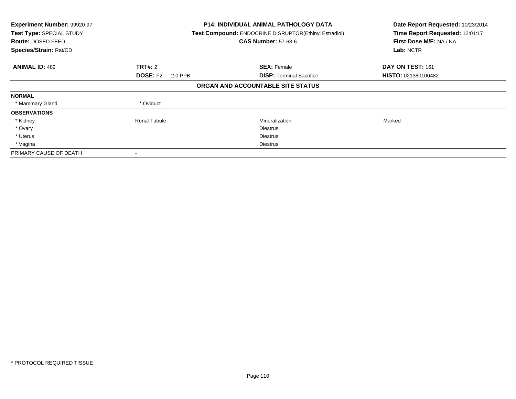| Experiment Number: 99920-97<br>Test Type: SPECIAL STUDY<br><b>Route: DOSED FEED</b><br>Species/Strain: Rat/CD |                            | <b>P14: INDIVIDUAL ANIMAL PATHOLOGY DATA</b><br>Test Compound: ENDOCRINE DISRUPTOR(Ethinyl Estradiol)<br><b>CAS Number: 57-63-6</b> | Date Report Requested: 10/23/2014<br>Time Report Requested: 12:01:17<br>First Dose M/F: NA / NA<br>Lab: NCTR |
|---------------------------------------------------------------------------------------------------------------|----------------------------|-------------------------------------------------------------------------------------------------------------------------------------|--------------------------------------------------------------------------------------------------------------|
| <b>ANIMAL ID: 482</b>                                                                                         | <b>TRT#: 2</b>             | <b>SEX: Female</b>                                                                                                                  | DAY ON TEST: 161                                                                                             |
|                                                                                                               | <b>DOSE: F2</b><br>2.0 PPB | <b>DISP:</b> Terminal Sacrifice                                                                                                     | <b>HISTO: 021380100482</b>                                                                                   |
|                                                                                                               |                            | ORGAN AND ACCOUNTABLE SITE STATUS                                                                                                   |                                                                                                              |
| <b>NORMAL</b>                                                                                                 |                            |                                                                                                                                     |                                                                                                              |
| * Mammary Gland                                                                                               | * Oviduct                  |                                                                                                                                     |                                                                                                              |
| <b>OBSERVATIONS</b>                                                                                           |                            |                                                                                                                                     |                                                                                                              |
| * Kidney                                                                                                      | Renal Tubule               | Mineralization                                                                                                                      | Marked                                                                                                       |
| * Ovary                                                                                                       |                            | <b>Diestrus</b>                                                                                                                     |                                                                                                              |
| * Uterus                                                                                                      |                            | <b>Diestrus</b>                                                                                                                     |                                                                                                              |
| * Vagina                                                                                                      |                            | Diestrus                                                                                                                            |                                                                                                              |
| PRIMARY CAUSE OF DEATH                                                                                        |                            |                                                                                                                                     |                                                                                                              |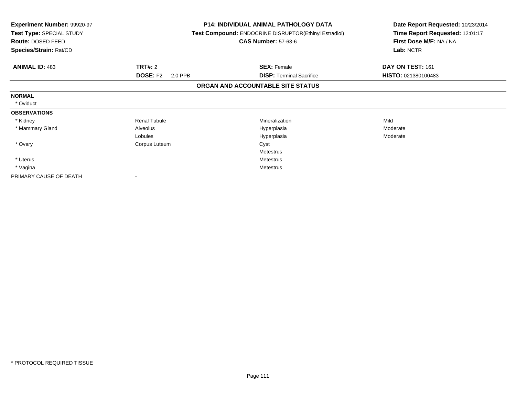| Experiment Number: 99920-97<br>Test Type: SPECIAL STUDY<br>Route: DOSED FEED<br>Species/Strain: Rat/CD |                            | <b>P14: INDIVIDUAL ANIMAL PATHOLOGY DATA</b><br>Test Compound: ENDOCRINE DISRUPTOR(Ethinyl Estradiol)<br><b>CAS Number: 57-63-6</b> | Date Report Requested: 10/23/2014<br>Time Report Requested: 12:01:17<br>First Dose M/F: NA / NA<br>Lab: NCTR |
|--------------------------------------------------------------------------------------------------------|----------------------------|-------------------------------------------------------------------------------------------------------------------------------------|--------------------------------------------------------------------------------------------------------------|
| <b>ANIMAL ID: 483</b>                                                                                  | TRT#: 2                    | <b>SEX: Female</b>                                                                                                                  | DAY ON TEST: 161                                                                                             |
|                                                                                                        | <b>DOSE: F2</b><br>2.0 PPB | <b>DISP:</b> Terminal Sacrifice                                                                                                     | HISTO: 021380100483                                                                                          |
|                                                                                                        |                            | ORGAN AND ACCOUNTABLE SITE STATUS                                                                                                   |                                                                                                              |
| <b>NORMAL</b>                                                                                          |                            |                                                                                                                                     |                                                                                                              |
| * Oviduct                                                                                              |                            |                                                                                                                                     |                                                                                                              |
| <b>OBSERVATIONS</b>                                                                                    |                            |                                                                                                                                     |                                                                                                              |
| * Kidney                                                                                               | <b>Renal Tubule</b>        | Mineralization                                                                                                                      | Mild                                                                                                         |
| * Mammary Gland                                                                                        | Alveolus                   | Hyperplasia                                                                                                                         | Moderate                                                                                                     |
|                                                                                                        | Lobules                    | Hyperplasia                                                                                                                         | Moderate                                                                                                     |
| * Ovary                                                                                                | Corpus Luteum              | Cyst                                                                                                                                |                                                                                                              |
|                                                                                                        |                            | Metestrus                                                                                                                           |                                                                                                              |
| * Uterus                                                                                               |                            | Metestrus                                                                                                                           |                                                                                                              |
| * Vagina                                                                                               |                            | <b>Metestrus</b>                                                                                                                    |                                                                                                              |
| PRIMARY CAUSE OF DEATH                                                                                 |                            |                                                                                                                                     |                                                                                                              |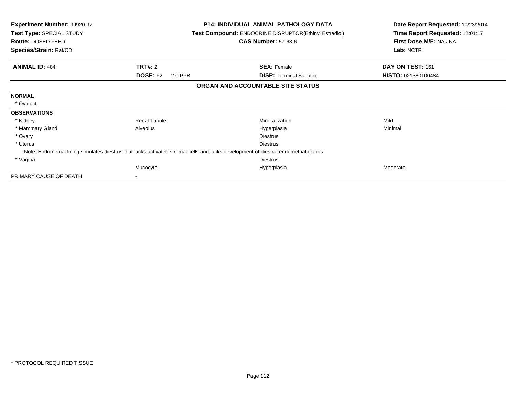|          | <b>CAS Number: 57-63-6</b>                                           | Date Report Requested: 10/23/2014<br>Time Report Requested: 12:01:17<br>First Dose M/F: NA / NA<br>Lab: NCTR                                                                                                                                                                                             |
|----------|----------------------------------------------------------------------|----------------------------------------------------------------------------------------------------------------------------------------------------------------------------------------------------------------------------------------------------------------------------------------------------------|
|          |                                                                      | DAY ON TEST: 161                                                                                                                                                                                                                                                                                         |
| 2.0 PPB  | <b>DISP:</b> Terminal Sacrifice                                      | HISTO: 021380100484                                                                                                                                                                                                                                                                                      |
|          |                                                                      |                                                                                                                                                                                                                                                                                                          |
|          |                                                                      |                                                                                                                                                                                                                                                                                                          |
|          |                                                                      |                                                                                                                                                                                                                                                                                                          |
|          |                                                                      |                                                                                                                                                                                                                                                                                                          |
|          | Mineralization                                                       | Mild                                                                                                                                                                                                                                                                                                     |
|          | Hyperplasia                                                          | Minimal                                                                                                                                                                                                                                                                                                  |
|          | <b>Diestrus</b>                                                      |                                                                                                                                                                                                                                                                                                          |
|          | <b>Diestrus</b>                                                      |                                                                                                                                                                                                                                                                                                          |
|          |                                                                      |                                                                                                                                                                                                                                                                                                          |
|          | <b>Diestrus</b>                                                      |                                                                                                                                                                                                                                                                                                          |
|          | Hyperplasia                                                          | Moderate                                                                                                                                                                                                                                                                                                 |
|          |                                                                      |                                                                                                                                                                                                                                                                                                          |
| Alveolus | <b>TRT#: 2</b><br><b>DOSE: F2</b><br><b>Renal Tubule</b><br>Mucocyte | P14: INDIVIDUAL ANIMAL PATHOLOGY DATA<br><b>Test Compound: ENDOCRINE DISRUPTOR(Ethinyl Estradiol)</b><br><b>SEX: Female</b><br>ORGAN AND ACCOUNTABLE SITE STATUS<br>Note: Endometrial lining simulates diestrus, but lacks activated stromal cells and lacks development of diestral endometrial glands. |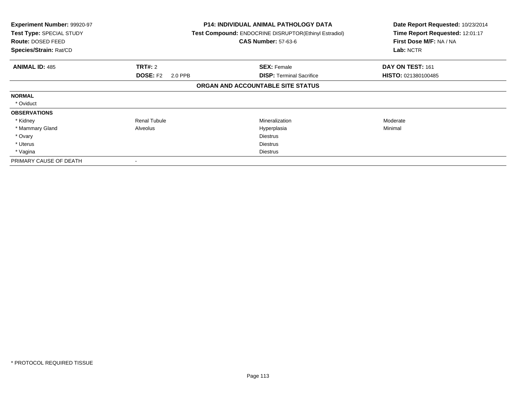| Experiment Number: 99920-97<br>Test Type: SPECIAL STUDY<br>Route: DOSED FEED<br>Species/Strain: Rat/CD |                            | <b>P14: INDIVIDUAL ANIMAL PATHOLOGY DATA</b><br>Test Compound: ENDOCRINE DISRUPTOR(Ethinyl Estradiol)<br><b>CAS Number: 57-63-6</b> | Date Report Requested: 10/23/2014<br>Time Report Requested: 12:01:17<br>First Dose M/F: NA / NA<br>Lab: NCTR |
|--------------------------------------------------------------------------------------------------------|----------------------------|-------------------------------------------------------------------------------------------------------------------------------------|--------------------------------------------------------------------------------------------------------------|
| <b>ANIMAL ID: 485</b>                                                                                  | <b>TRT#: 2</b>             | <b>SEX: Female</b>                                                                                                                  | DAY ON TEST: 161                                                                                             |
|                                                                                                        | <b>DOSE: F2</b><br>2.0 PPB | <b>DISP: Terminal Sacrifice</b>                                                                                                     | HISTO: 021380100485                                                                                          |
|                                                                                                        |                            | ORGAN AND ACCOUNTABLE SITE STATUS                                                                                                   |                                                                                                              |
| <b>NORMAL</b>                                                                                          |                            |                                                                                                                                     |                                                                                                              |
| * Oviduct                                                                                              |                            |                                                                                                                                     |                                                                                                              |
| <b>OBSERVATIONS</b>                                                                                    |                            |                                                                                                                                     |                                                                                                              |
| * Kidney                                                                                               | <b>Renal Tubule</b>        | <b>Mineralization</b>                                                                                                               | Moderate                                                                                                     |
| * Mammary Gland                                                                                        | Alveolus                   | Hyperplasia                                                                                                                         | Minimal                                                                                                      |
| * Ovary                                                                                                |                            | <b>Diestrus</b>                                                                                                                     |                                                                                                              |
| * Uterus                                                                                               |                            | <b>Diestrus</b>                                                                                                                     |                                                                                                              |
| * Vagina                                                                                               |                            | <b>Diestrus</b>                                                                                                                     |                                                                                                              |
| PRIMARY CAUSE OF DEATH                                                                                 |                            |                                                                                                                                     |                                                                                                              |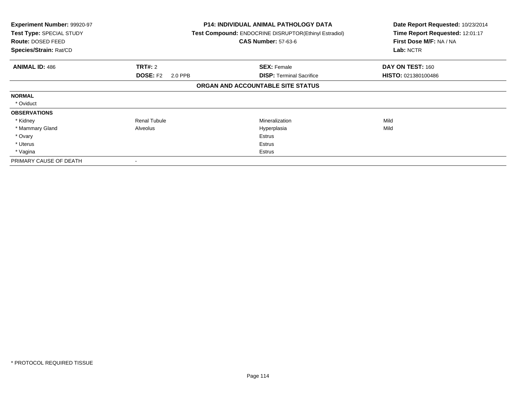| Experiment Number: 99920-97<br>Test Type: SPECIAL STUDY<br>Route: DOSED FEED<br>Species/Strain: Rat/CD |                            | <b>P14: INDIVIDUAL ANIMAL PATHOLOGY DATA</b><br>Test Compound: ENDOCRINE DISRUPTOR(Ethinyl Estradiol)<br><b>CAS Number: 57-63-6</b> | Date Report Requested: 10/23/2014<br>Time Report Requested: 12:01:17<br>First Dose M/F: NA / NA<br>Lab: NCTR |
|--------------------------------------------------------------------------------------------------------|----------------------------|-------------------------------------------------------------------------------------------------------------------------------------|--------------------------------------------------------------------------------------------------------------|
| <b>ANIMAL ID: 486</b>                                                                                  | <b>TRT#: 2</b>             | <b>SEX: Female</b>                                                                                                                  | DAY ON TEST: 160                                                                                             |
|                                                                                                        | <b>DOSE: F2</b><br>2.0 PPB | <b>DISP:</b> Terminal Sacrifice                                                                                                     | <b>HISTO: 021380100486</b>                                                                                   |
|                                                                                                        |                            | ORGAN AND ACCOUNTABLE SITE STATUS                                                                                                   |                                                                                                              |
| <b>NORMAL</b>                                                                                          |                            |                                                                                                                                     |                                                                                                              |
| * Oviduct                                                                                              |                            |                                                                                                                                     |                                                                                                              |
| <b>OBSERVATIONS</b>                                                                                    |                            |                                                                                                                                     |                                                                                                              |
| * Kidney                                                                                               | <b>Renal Tubule</b>        | Mineralization                                                                                                                      | Mild                                                                                                         |
| * Mammary Gland                                                                                        | Alveolus                   | Hyperplasia                                                                                                                         | Mild                                                                                                         |
| * Ovary                                                                                                |                            | <b>Estrus</b>                                                                                                                       |                                                                                                              |
| * Uterus                                                                                               |                            | Estrus                                                                                                                              |                                                                                                              |
| * Vagina                                                                                               |                            | Estrus                                                                                                                              |                                                                                                              |
| PRIMARY CAUSE OF DEATH                                                                                 |                            |                                                                                                                                     |                                                                                                              |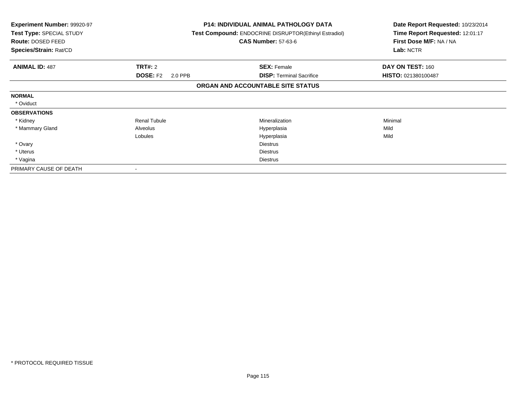| <b>Experiment Number: 99920-97</b><br>Test Type: SPECIAL STUDY<br>Route: DOSED FEED<br>Species/Strain: Rat/CD |                            | <b>P14: INDIVIDUAL ANIMAL PATHOLOGY DATA</b><br><b>Test Compound: ENDOCRINE DISRUPTOR(Ethinyl Estradiol)</b><br><b>CAS Number: 57-63-6</b> | Date Report Requested: 10/23/2014<br>Time Report Requested: 12:01:17<br>First Dose M/F: NA / NA<br>Lab: NCTR |
|---------------------------------------------------------------------------------------------------------------|----------------------------|--------------------------------------------------------------------------------------------------------------------------------------------|--------------------------------------------------------------------------------------------------------------|
| <b>ANIMAL ID: 487</b>                                                                                         | TRT#: 2                    | <b>SEX: Female</b>                                                                                                                         | DAY ON TEST: 160                                                                                             |
|                                                                                                               | <b>DOSE: F2</b><br>2.0 PPB | <b>DISP:</b> Terminal Sacrifice                                                                                                            | HISTO: 021380100487                                                                                          |
|                                                                                                               |                            | ORGAN AND ACCOUNTABLE SITE STATUS                                                                                                          |                                                                                                              |
| <b>NORMAL</b>                                                                                                 |                            |                                                                                                                                            |                                                                                                              |
| * Oviduct                                                                                                     |                            |                                                                                                                                            |                                                                                                              |
| <b>OBSERVATIONS</b>                                                                                           |                            |                                                                                                                                            |                                                                                                              |
| * Kidney                                                                                                      | <b>Renal Tubule</b>        | Mineralization                                                                                                                             | Minimal                                                                                                      |
| * Mammary Gland                                                                                               | Alveolus                   | Hyperplasia                                                                                                                                | Mild                                                                                                         |
|                                                                                                               | Lobules                    | Hyperplasia                                                                                                                                | Mild                                                                                                         |
| * Ovary                                                                                                       |                            | <b>Diestrus</b>                                                                                                                            |                                                                                                              |
| * Uterus                                                                                                      |                            | <b>Diestrus</b>                                                                                                                            |                                                                                                              |
| * Vagina                                                                                                      |                            | <b>Diestrus</b>                                                                                                                            |                                                                                                              |
| PRIMARY CAUSE OF DEATH                                                                                        |                            |                                                                                                                                            |                                                                                                              |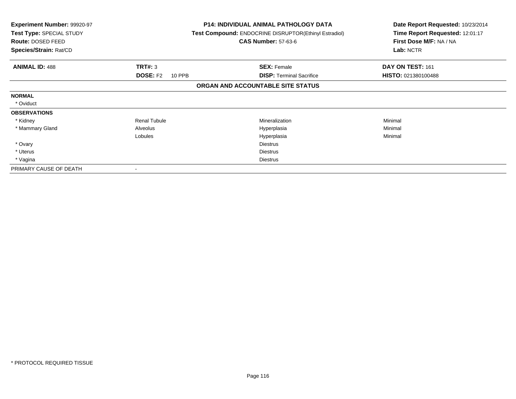| <b>Experiment Number: 99920-97</b><br>Test Type: SPECIAL STUDY<br>Route: DOSED FEED<br>Species/Strain: Rat/CD |                           | <b>P14: INDIVIDUAL ANIMAL PATHOLOGY DATA</b><br>Test Compound: ENDOCRINE DISRUPTOR(Ethinyl Estradiol)<br><b>CAS Number: 57-63-6</b> | Date Report Requested: 10/23/2014<br>Time Report Requested: 12:01:17<br>First Dose M/F: NA / NA<br>Lab: NCTR |
|---------------------------------------------------------------------------------------------------------------|---------------------------|-------------------------------------------------------------------------------------------------------------------------------------|--------------------------------------------------------------------------------------------------------------|
| <b>ANIMAL ID: 488</b>                                                                                         | TRT#: 3                   | <b>SEX: Female</b>                                                                                                                  | DAY ON TEST: 161                                                                                             |
|                                                                                                               | <b>DOSE: F2</b><br>10 PPB | <b>DISP: Terminal Sacrifice</b>                                                                                                     | HISTO: 021380100488                                                                                          |
|                                                                                                               |                           | ORGAN AND ACCOUNTABLE SITE STATUS                                                                                                   |                                                                                                              |
| <b>NORMAL</b>                                                                                                 |                           |                                                                                                                                     |                                                                                                              |
| * Oviduct                                                                                                     |                           |                                                                                                                                     |                                                                                                              |
| <b>OBSERVATIONS</b>                                                                                           |                           |                                                                                                                                     |                                                                                                              |
| * Kidney                                                                                                      | <b>Renal Tubule</b>       | <b>Mineralization</b>                                                                                                               | Minimal                                                                                                      |
| * Mammary Gland                                                                                               | Alveolus                  | Hyperplasia                                                                                                                         | Minimal                                                                                                      |
|                                                                                                               | Lobules                   | Hyperplasia                                                                                                                         | Minimal                                                                                                      |
| * Ovary                                                                                                       |                           | Diestrus                                                                                                                            |                                                                                                              |
| * Uterus                                                                                                      |                           | <b>Diestrus</b>                                                                                                                     |                                                                                                              |
| * Vagina                                                                                                      |                           | <b>Diestrus</b>                                                                                                                     |                                                                                                              |
| PRIMARY CAUSE OF DEATH                                                                                        |                           |                                                                                                                                     |                                                                                                              |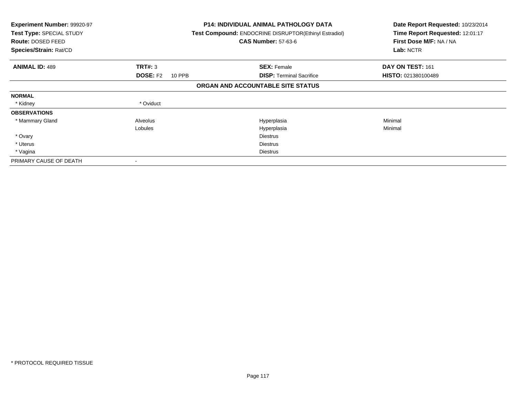| <b>Experiment Number: 99920-97</b><br>Test Type: SPECIAL STUDY<br>Route: DOSED FEED<br>Species/Strain: Rat/CD |                           | <b>P14: INDIVIDUAL ANIMAL PATHOLOGY DATA</b><br>Test Compound: ENDOCRINE DISRUPTOR(Ethinyl Estradiol)<br><b>CAS Number: 57-63-6</b> | Date Report Requested: 10/23/2014<br>Time Report Requested: 12:01:17<br>First Dose M/F: NA / NA<br>Lab: NCTR |
|---------------------------------------------------------------------------------------------------------------|---------------------------|-------------------------------------------------------------------------------------------------------------------------------------|--------------------------------------------------------------------------------------------------------------|
| <b>ANIMAL ID: 489</b>                                                                                         | <b>TRT#: 3</b>            | <b>SEX: Female</b>                                                                                                                  | DAY ON TEST: 161                                                                                             |
|                                                                                                               | <b>DOSE: F2</b><br>10 PPB | <b>DISP: Terminal Sacrifice</b>                                                                                                     | <b>HISTO: 021380100489</b>                                                                                   |
|                                                                                                               |                           | ORGAN AND ACCOUNTABLE SITE STATUS                                                                                                   |                                                                                                              |
| <b>NORMAL</b>                                                                                                 |                           |                                                                                                                                     |                                                                                                              |
| * Kidney                                                                                                      | * Oviduct                 |                                                                                                                                     |                                                                                                              |
| <b>OBSERVATIONS</b>                                                                                           |                           |                                                                                                                                     |                                                                                                              |
| * Mammary Gland                                                                                               | Alveolus                  | Hyperplasia                                                                                                                         | Minimal                                                                                                      |
|                                                                                                               | Lobules                   | Hyperplasia                                                                                                                         | Minimal                                                                                                      |
| * Ovary                                                                                                       |                           | <b>Diestrus</b>                                                                                                                     |                                                                                                              |
| * Uterus                                                                                                      |                           | <b>Diestrus</b>                                                                                                                     |                                                                                                              |
| * Vagina                                                                                                      |                           | <b>Diestrus</b>                                                                                                                     |                                                                                                              |
| PRIMARY CAUSE OF DEATH                                                                                        |                           |                                                                                                                                     |                                                                                                              |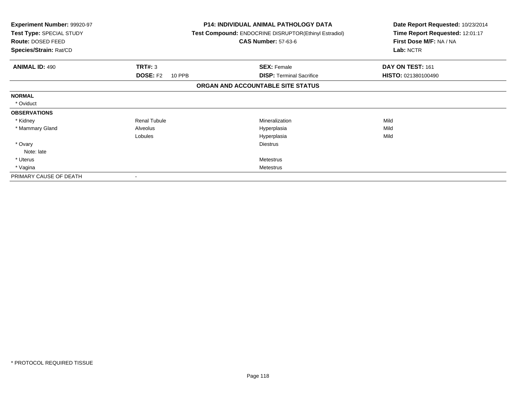| Experiment Number: 99920-97<br>Test Type: SPECIAL STUDY<br>Route: DOSED FEED<br>Species/Strain: Rat/CD |                           | <b>P14: INDIVIDUAL ANIMAL PATHOLOGY DATA</b><br>Test Compound: ENDOCRINE DISRUPTOR(Ethinyl Estradiol)<br><b>CAS Number: 57-63-6</b> | Date Report Requested: 10/23/2014<br>Time Report Requested: 12:01:17<br>First Dose M/F: NA / NA<br>Lab: NCTR |
|--------------------------------------------------------------------------------------------------------|---------------------------|-------------------------------------------------------------------------------------------------------------------------------------|--------------------------------------------------------------------------------------------------------------|
| <b>ANIMAL ID: 490</b>                                                                                  | <b>TRT#: 3</b>            | <b>SEX: Female</b>                                                                                                                  | DAY ON TEST: 161                                                                                             |
|                                                                                                        | <b>DOSE: F2</b><br>10 PPB | <b>DISP:</b> Terminal Sacrifice                                                                                                     | HISTO: 021380100490                                                                                          |
|                                                                                                        |                           | ORGAN AND ACCOUNTABLE SITE STATUS                                                                                                   |                                                                                                              |
| <b>NORMAL</b>                                                                                          |                           |                                                                                                                                     |                                                                                                              |
| * Oviduct                                                                                              |                           |                                                                                                                                     |                                                                                                              |
| <b>OBSERVATIONS</b>                                                                                    |                           |                                                                                                                                     |                                                                                                              |
| * Kidney                                                                                               | <b>Renal Tubule</b>       | Mineralization                                                                                                                      | Mild                                                                                                         |
| * Mammary Gland                                                                                        | Alveolus                  | Hyperplasia                                                                                                                         | Mild                                                                                                         |
|                                                                                                        | Lobules                   | Hyperplasia                                                                                                                         | Mild                                                                                                         |
| * Ovary                                                                                                |                           | <b>Diestrus</b>                                                                                                                     |                                                                                                              |
| Note: late                                                                                             |                           |                                                                                                                                     |                                                                                                              |
| * Uterus                                                                                               |                           | Metestrus                                                                                                                           |                                                                                                              |
| * Vagina                                                                                               |                           | <b>Metestrus</b>                                                                                                                    |                                                                                                              |
| PRIMARY CAUSE OF DEATH                                                                                 |                           |                                                                                                                                     |                                                                                                              |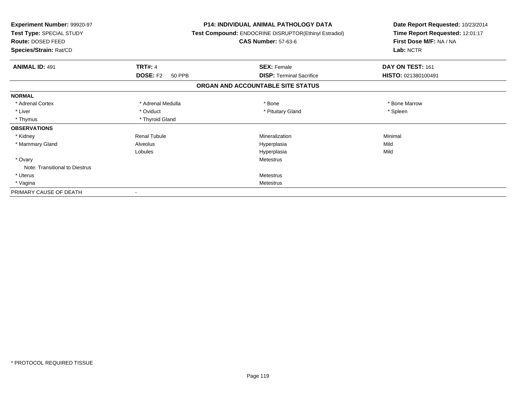| <b>Experiment Number: 99920-97</b><br>Test Type: SPECIAL STUDY<br>Route: DOSED FEED<br>Species/Strain: Rat/CD |                           | <b>P14: INDIVIDUAL ANIMAL PATHOLOGY DATA</b><br><b>Test Compound: ENDOCRINE DISRUPTOR(Ethinyl Estradiol)</b><br><b>CAS Number: 57-63-6</b> | Date Report Requested: 10/23/2014<br>Time Report Requested: 12:01:17<br>First Dose M/F: NA / NA<br>Lab: NCTR |
|---------------------------------------------------------------------------------------------------------------|---------------------------|--------------------------------------------------------------------------------------------------------------------------------------------|--------------------------------------------------------------------------------------------------------------|
| <b>ANIMAL ID: 491</b>                                                                                         | <b>TRT#: 4</b>            | <b>SEX: Female</b>                                                                                                                         | DAY ON TEST: 161                                                                                             |
|                                                                                                               | <b>DOSE: F2</b><br>50 PPB | <b>DISP: Terminal Sacrifice</b>                                                                                                            | HISTO: 021380100491                                                                                          |
|                                                                                                               |                           | ORGAN AND ACCOUNTABLE SITE STATUS                                                                                                          |                                                                                                              |
| <b>NORMAL</b>                                                                                                 |                           |                                                                                                                                            |                                                                                                              |
| * Adrenal Cortex                                                                                              | * Adrenal Medulla         | * Bone                                                                                                                                     | * Bone Marrow                                                                                                |
| * Liver                                                                                                       | * Oviduct                 | * Pituitary Gland                                                                                                                          | * Spleen                                                                                                     |
| * Thymus                                                                                                      | * Thyroid Gland           |                                                                                                                                            |                                                                                                              |
| <b>OBSERVATIONS</b>                                                                                           |                           |                                                                                                                                            |                                                                                                              |
| * Kidney                                                                                                      | <b>Renal Tubule</b>       | Mineralization                                                                                                                             | Minimal                                                                                                      |
| * Mammary Gland                                                                                               | Alveolus                  | Hyperplasia                                                                                                                                | Mild                                                                                                         |
|                                                                                                               | Lobules                   | Hyperplasia                                                                                                                                | Mild                                                                                                         |
| * Ovary                                                                                                       |                           | <b>Metestrus</b>                                                                                                                           |                                                                                                              |
| Note: Transitional to Diestrus                                                                                |                           |                                                                                                                                            |                                                                                                              |
| * Uterus                                                                                                      |                           | <b>Metestrus</b>                                                                                                                           |                                                                                                              |
| * Vagina                                                                                                      |                           | <b>Metestrus</b>                                                                                                                           |                                                                                                              |
| PRIMARY CAUSE OF DEATH                                                                                        |                           |                                                                                                                                            |                                                                                                              |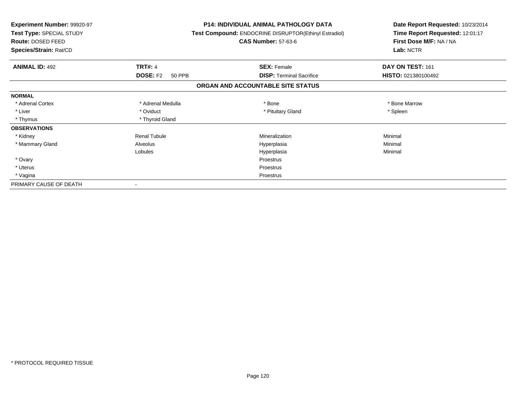| <b>Experiment Number: 99920-97</b><br>Test Type: SPECIAL STUDY<br>Route: DOSED FEED<br>Species/Strain: Rat/CD |                           | <b>P14: INDIVIDUAL ANIMAL PATHOLOGY DATA</b><br>Test Compound: ENDOCRINE DISRUPTOR(Ethinyl Estradiol)<br><b>CAS Number: 57-63-6</b> | Date Report Requested: 10/23/2014<br>Time Report Requested: 12:01:17<br>First Dose M/F: NA / NA<br>Lab: NCTR |
|---------------------------------------------------------------------------------------------------------------|---------------------------|-------------------------------------------------------------------------------------------------------------------------------------|--------------------------------------------------------------------------------------------------------------|
| <b>ANIMAL ID: 492</b>                                                                                         | <b>TRT#: 4</b>            | <b>SEX: Female</b>                                                                                                                  | DAY ON TEST: 161                                                                                             |
|                                                                                                               | <b>DOSE: F2</b><br>50 PPB | <b>DISP: Terminal Sacrifice</b>                                                                                                     | HISTO: 021380100492                                                                                          |
|                                                                                                               |                           | ORGAN AND ACCOUNTABLE SITE STATUS                                                                                                   |                                                                                                              |
| <b>NORMAL</b>                                                                                                 |                           |                                                                                                                                     |                                                                                                              |
| * Adrenal Cortex                                                                                              | * Adrenal Medulla         | * Bone                                                                                                                              | * Bone Marrow                                                                                                |
| * Liver                                                                                                       | * Oviduct                 | * Pituitary Gland                                                                                                                   | * Spleen                                                                                                     |
| * Thymus                                                                                                      | * Thyroid Gland           |                                                                                                                                     |                                                                                                              |
| <b>OBSERVATIONS</b>                                                                                           |                           |                                                                                                                                     |                                                                                                              |
| * Kidney                                                                                                      | <b>Renal Tubule</b>       | Mineralization                                                                                                                      | Minimal                                                                                                      |
| * Mammary Gland                                                                                               | Alveolus                  | Hyperplasia                                                                                                                         | Minimal                                                                                                      |
|                                                                                                               | Lobules                   | Hyperplasia                                                                                                                         | Minimal                                                                                                      |
| * Ovary                                                                                                       |                           | Proestrus                                                                                                                           |                                                                                                              |
| * Uterus                                                                                                      |                           | Proestrus                                                                                                                           |                                                                                                              |
| * Vagina                                                                                                      |                           | Proestrus                                                                                                                           |                                                                                                              |
| PRIMARY CAUSE OF DEATH                                                                                        |                           |                                                                                                                                     |                                                                                                              |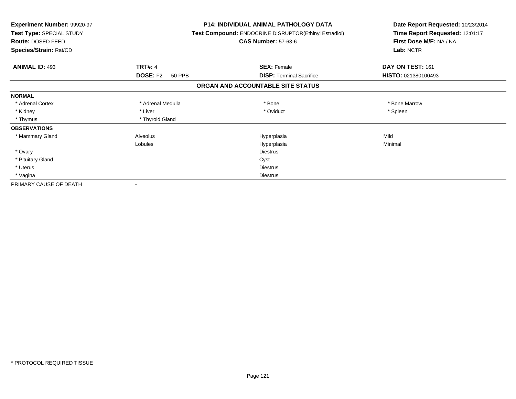| Experiment Number: 99920-97<br>Test Type: SPECIAL STUDY<br>Route: DOSED FEED<br>Species/Strain: Rat/CD |                           | <b>P14: INDIVIDUAL ANIMAL PATHOLOGY DATA</b><br>Test Compound: ENDOCRINE DISRUPTOR(Ethinyl Estradiol)<br><b>CAS Number: 57-63-6</b> | Date Report Requested: 10/23/2014<br>Time Report Requested: 12:01:17<br>First Dose M/F: NA / NA<br>Lab: NCTR |
|--------------------------------------------------------------------------------------------------------|---------------------------|-------------------------------------------------------------------------------------------------------------------------------------|--------------------------------------------------------------------------------------------------------------|
| <b>ANIMAL ID: 493</b>                                                                                  | <b>TRT#: 4</b>            | <b>SEX: Female</b>                                                                                                                  | DAY ON TEST: 161                                                                                             |
|                                                                                                        | <b>DOSE: F2</b><br>50 PPB | <b>DISP: Terminal Sacrifice</b>                                                                                                     | HISTO: 021380100493                                                                                          |
|                                                                                                        |                           | ORGAN AND ACCOUNTABLE SITE STATUS                                                                                                   |                                                                                                              |
| <b>NORMAL</b>                                                                                          |                           |                                                                                                                                     |                                                                                                              |
| * Adrenal Cortex                                                                                       | * Adrenal Medulla         | * Bone                                                                                                                              | * Bone Marrow                                                                                                |
| * Kidney                                                                                               | * Liver                   | * Oviduct                                                                                                                           | * Spleen                                                                                                     |
| * Thymus                                                                                               | * Thyroid Gland           |                                                                                                                                     |                                                                                                              |
| <b>OBSERVATIONS</b>                                                                                    |                           |                                                                                                                                     |                                                                                                              |
| * Mammary Gland                                                                                        | Alveolus                  | Hyperplasia                                                                                                                         | Mild                                                                                                         |
|                                                                                                        | Lobules                   | Hyperplasia                                                                                                                         | Minimal                                                                                                      |
| * Ovary                                                                                                |                           | <b>Diestrus</b>                                                                                                                     |                                                                                                              |
| * Pituitary Gland                                                                                      |                           | Cyst                                                                                                                                |                                                                                                              |
| * Uterus                                                                                               |                           | Diestrus                                                                                                                            |                                                                                                              |
| * Vagina                                                                                               |                           | <b>Diestrus</b>                                                                                                                     |                                                                                                              |
| PRIMARY CAUSE OF DEATH                                                                                 |                           |                                                                                                                                     |                                                                                                              |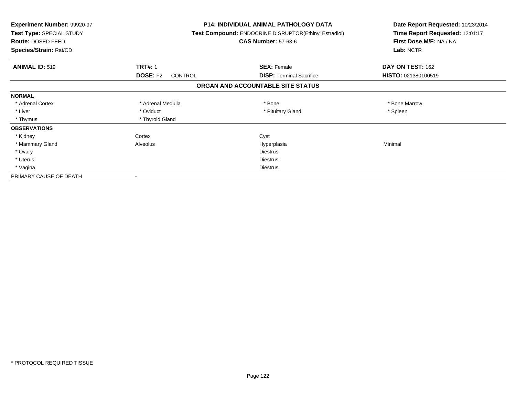| <b>Experiment Number: 99920-97</b><br>Test Type: SPECIAL STUDY<br>Route: DOSED FEED<br>Species/Strain: Rat/CD |                            | <b>P14: INDIVIDUAL ANIMAL PATHOLOGY DATA</b><br><b>Test Compound: ENDOCRINE DISRUPTOR(Ethinyl Estradiol)</b><br><b>CAS Number: 57-63-6</b> | Date Report Requested: 10/23/2014<br>Time Report Requested: 12:01:17<br>First Dose M/F: NA / NA<br>Lab: NCTR |
|---------------------------------------------------------------------------------------------------------------|----------------------------|--------------------------------------------------------------------------------------------------------------------------------------------|--------------------------------------------------------------------------------------------------------------|
| <b>ANIMAL ID: 519</b>                                                                                         | <b>TRT#: 1</b>             | <b>SEX: Female</b>                                                                                                                         | DAY ON TEST: 162                                                                                             |
|                                                                                                               | <b>DOSE: F2</b><br>CONTROL | <b>DISP:</b> Terminal Sacrifice                                                                                                            | HISTO: 021380100519                                                                                          |
|                                                                                                               |                            | ORGAN AND ACCOUNTABLE SITE STATUS                                                                                                          |                                                                                                              |
| <b>NORMAL</b>                                                                                                 |                            |                                                                                                                                            |                                                                                                              |
| * Adrenal Cortex                                                                                              | * Adrenal Medulla          | * Bone                                                                                                                                     | * Bone Marrow                                                                                                |
| * Liver                                                                                                       | * Oviduct                  | * Pituitary Gland                                                                                                                          | * Spleen                                                                                                     |
| * Thymus                                                                                                      | * Thyroid Gland            |                                                                                                                                            |                                                                                                              |
| <b>OBSERVATIONS</b>                                                                                           |                            |                                                                                                                                            |                                                                                                              |
| * Kidney                                                                                                      | Cortex                     | Cyst                                                                                                                                       |                                                                                                              |
| * Mammary Gland                                                                                               | Alveolus                   | Hyperplasia                                                                                                                                | Minimal                                                                                                      |
| * Ovary                                                                                                       |                            | <b>Diestrus</b>                                                                                                                            |                                                                                                              |
| * Uterus                                                                                                      |                            | <b>Diestrus</b>                                                                                                                            |                                                                                                              |
| * Vagina                                                                                                      |                            | <b>Diestrus</b>                                                                                                                            |                                                                                                              |
| PRIMARY CAUSE OF DEATH                                                                                        |                            |                                                                                                                                            |                                                                                                              |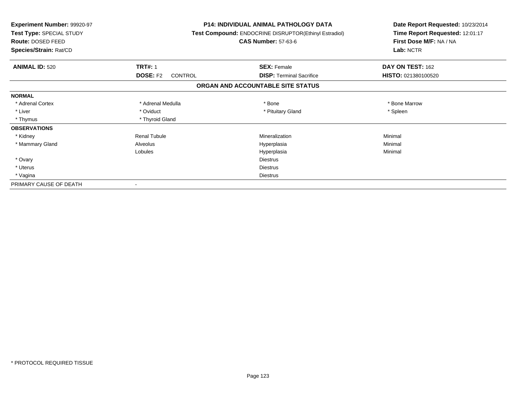| Experiment Number: 99920-97<br>Test Type: SPECIAL STUDY<br>Route: DOSED FEED<br>Species/Strain: Rat/CD |                            | <b>P14: INDIVIDUAL ANIMAL PATHOLOGY DATA</b><br>Test Compound: ENDOCRINE DISRUPTOR(Ethinyl Estradiol)<br><b>CAS Number: 57-63-6</b> | Date Report Requested: 10/23/2014<br>Time Report Requested: 12:01:17<br>First Dose M/F: NA / NA<br>Lab: NCTR |
|--------------------------------------------------------------------------------------------------------|----------------------------|-------------------------------------------------------------------------------------------------------------------------------------|--------------------------------------------------------------------------------------------------------------|
| <b>ANIMAL ID: 520</b>                                                                                  | <b>TRT#: 1</b>             | <b>SEX: Female</b>                                                                                                                  | DAY ON TEST: 162                                                                                             |
|                                                                                                        | <b>DOSE: F2</b><br>CONTROL | <b>DISP:</b> Terminal Sacrifice                                                                                                     | HISTO: 021380100520                                                                                          |
|                                                                                                        |                            | ORGAN AND ACCOUNTABLE SITE STATUS                                                                                                   |                                                                                                              |
| <b>NORMAL</b>                                                                                          |                            |                                                                                                                                     |                                                                                                              |
| * Adrenal Cortex                                                                                       | * Adrenal Medulla          | * Bone                                                                                                                              | * Bone Marrow                                                                                                |
| * Liver                                                                                                | * Oviduct                  | * Pituitary Gland                                                                                                                   | * Spleen                                                                                                     |
| * Thymus                                                                                               | * Thyroid Gland            |                                                                                                                                     |                                                                                                              |
| <b>OBSERVATIONS</b>                                                                                    |                            |                                                                                                                                     |                                                                                                              |
| * Kidney                                                                                               | <b>Renal Tubule</b>        | Mineralization                                                                                                                      | Minimal                                                                                                      |
| * Mammary Gland                                                                                        | Alveolus                   | Hyperplasia                                                                                                                         | Minimal                                                                                                      |
|                                                                                                        | Lobules                    | Hyperplasia                                                                                                                         | Minimal                                                                                                      |
| * Ovary                                                                                                |                            | <b>Diestrus</b>                                                                                                                     |                                                                                                              |
| * Uterus                                                                                               |                            | <b>Diestrus</b>                                                                                                                     |                                                                                                              |
| * Vagina                                                                                               |                            | <b>Diestrus</b>                                                                                                                     |                                                                                                              |
| PRIMARY CAUSE OF DEATH                                                                                 |                            |                                                                                                                                     |                                                                                                              |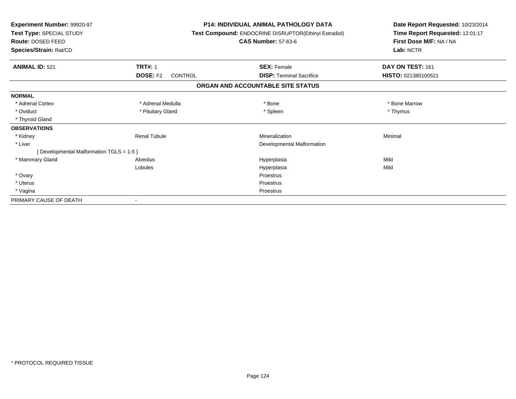| Experiment Number: 99920-97<br>Test Type: SPECIAL STUDY<br><b>Route: DOSED FEED</b><br>Species/Strain: Rat/CD |                                   | <b>P14: INDIVIDUAL ANIMAL PATHOLOGY DATA</b><br>Test Compound: ENDOCRINE DISRUPTOR(Ethinyl Estradiol)<br><b>CAS Number: 57-63-6</b> | Date Report Requested: 10/23/2014<br>Time Report Requested: 12:01:17<br>First Dose M/F: NA / NA<br>Lab: NCTR |
|---------------------------------------------------------------------------------------------------------------|-----------------------------------|-------------------------------------------------------------------------------------------------------------------------------------|--------------------------------------------------------------------------------------------------------------|
| <b>ANIMAL ID: 521</b>                                                                                         | <b>TRT#: 1</b>                    | <b>SEX: Female</b>                                                                                                                  | DAY ON TEST: 161                                                                                             |
|                                                                                                               | <b>DOSE: F2</b><br><b>CONTROL</b> | <b>DISP: Terminal Sacrifice</b>                                                                                                     | HISTO: 021380100521                                                                                          |
|                                                                                                               |                                   | ORGAN AND ACCOUNTABLE SITE STATUS                                                                                                   |                                                                                                              |
| <b>NORMAL</b>                                                                                                 |                                   |                                                                                                                                     |                                                                                                              |
| * Adrenal Cortex                                                                                              | * Adrenal Medulla                 | * Bone                                                                                                                              | * Bone Marrow                                                                                                |
| * Oviduct                                                                                                     | * Pituitary Gland                 | * Spleen                                                                                                                            | * Thymus                                                                                                     |
| * Thyroid Gland                                                                                               |                                   |                                                                                                                                     |                                                                                                              |
| <b>OBSERVATIONS</b>                                                                                           |                                   |                                                                                                                                     |                                                                                                              |
| * Kidney                                                                                                      | <b>Renal Tubule</b>               | Mineralization                                                                                                                      | Minimal                                                                                                      |
| * Liver                                                                                                       |                                   | Developmental Malformation                                                                                                          |                                                                                                              |
| [ Developmental Malformation TGLS = 1-5 ]                                                                     |                                   |                                                                                                                                     |                                                                                                              |
| * Mammary Gland                                                                                               | Alveolus                          | Hyperplasia                                                                                                                         | Mild                                                                                                         |
|                                                                                                               | Lobules                           | Hyperplasia                                                                                                                         | Mild                                                                                                         |
| * Ovary                                                                                                       |                                   | Proestrus                                                                                                                           |                                                                                                              |
| * Uterus                                                                                                      |                                   | Proestrus                                                                                                                           |                                                                                                              |
| * Vagina                                                                                                      |                                   | Proestrus                                                                                                                           |                                                                                                              |
| PRIMARY CAUSE OF DEATH                                                                                        |                                   |                                                                                                                                     |                                                                                                              |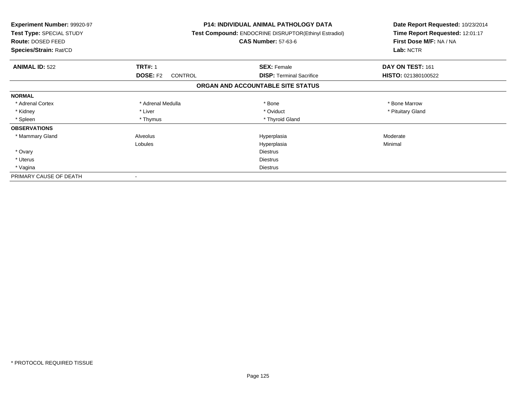| <b>Experiment Number: 99920-97</b><br>Test Type: SPECIAL STUDY<br>Route: DOSED FEED<br>Species/Strain: Rat/CD |                            | <b>P14: INDIVIDUAL ANIMAL PATHOLOGY DATA</b><br>Test Compound: ENDOCRINE DISRUPTOR(Ethinyl Estradiol)<br><b>CAS Number: 57-63-6</b> | Date Report Requested: 10/23/2014<br>Time Report Requested: 12:01:17<br>First Dose M/F: NA / NA<br>Lab: NCTR |
|---------------------------------------------------------------------------------------------------------------|----------------------------|-------------------------------------------------------------------------------------------------------------------------------------|--------------------------------------------------------------------------------------------------------------|
| <b>ANIMAL ID: 522</b>                                                                                         | <b>TRT#: 1</b>             | <b>SEX: Female</b>                                                                                                                  | DAY ON TEST: 161                                                                                             |
|                                                                                                               | <b>DOSE: F2</b><br>CONTROL | <b>DISP:</b> Terminal Sacrifice                                                                                                     | HISTO: 021380100522                                                                                          |
|                                                                                                               |                            | ORGAN AND ACCOUNTABLE SITE STATUS                                                                                                   |                                                                                                              |
| <b>NORMAL</b>                                                                                                 |                            |                                                                                                                                     |                                                                                                              |
| * Adrenal Cortex                                                                                              | * Adrenal Medulla          | * Bone                                                                                                                              | * Bone Marrow                                                                                                |
| * Kidney                                                                                                      | * Liver                    | * Oviduct                                                                                                                           | * Pituitary Gland                                                                                            |
| * Spleen                                                                                                      | * Thymus                   | * Thyroid Gland                                                                                                                     |                                                                                                              |
| <b>OBSERVATIONS</b>                                                                                           |                            |                                                                                                                                     |                                                                                                              |
| * Mammary Gland                                                                                               | Alveolus                   | Hyperplasia                                                                                                                         | Moderate                                                                                                     |
|                                                                                                               | Lobules                    | Hyperplasia                                                                                                                         | Minimal                                                                                                      |
| * Ovary                                                                                                       |                            | <b>Diestrus</b>                                                                                                                     |                                                                                                              |
| * Uterus                                                                                                      |                            | Diestrus                                                                                                                            |                                                                                                              |
| * Vagina                                                                                                      |                            | Diestrus                                                                                                                            |                                                                                                              |
| PRIMARY CAUSE OF DEATH                                                                                        |                            |                                                                                                                                     |                                                                                                              |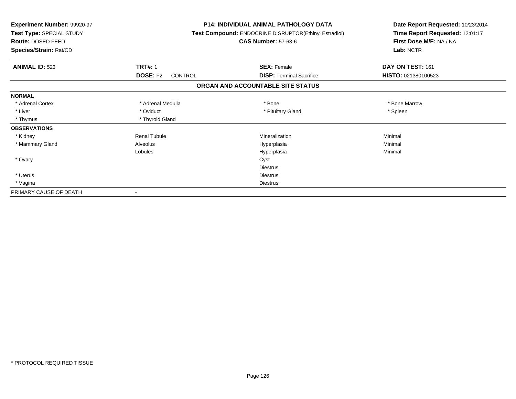| Experiment Number: 99920-97<br>Test Type: SPECIAL STUDY<br>Route: DOSED FEED<br>Species/Strain: Rat/CD |                            | <b>P14: INDIVIDUAL ANIMAL PATHOLOGY DATA</b><br>Test Compound: ENDOCRINE DISRUPTOR(Ethinyl Estradiol)<br><b>CAS Number: 57-63-6</b> | Date Report Requested: 10/23/2014<br>Time Report Requested: 12:01:17<br>First Dose M/F: NA / NA<br>Lab: NCTR |
|--------------------------------------------------------------------------------------------------------|----------------------------|-------------------------------------------------------------------------------------------------------------------------------------|--------------------------------------------------------------------------------------------------------------|
| <b>ANIMAL ID: 523</b>                                                                                  | <b>TRT#: 1</b>             | <b>SEX: Female</b>                                                                                                                  | DAY ON TEST: 161                                                                                             |
|                                                                                                        | <b>DOSE: F2</b><br>CONTROL | <b>DISP:</b> Terminal Sacrifice                                                                                                     | HISTO: 021380100523                                                                                          |
|                                                                                                        |                            | ORGAN AND ACCOUNTABLE SITE STATUS                                                                                                   |                                                                                                              |
| <b>NORMAL</b>                                                                                          |                            |                                                                                                                                     |                                                                                                              |
| * Adrenal Cortex                                                                                       | * Adrenal Medulla          | * Bone                                                                                                                              | * Bone Marrow                                                                                                |
| * Liver                                                                                                | * Oviduct                  | * Pituitary Gland                                                                                                                   | * Spleen                                                                                                     |
| * Thymus                                                                                               | * Thyroid Gland            |                                                                                                                                     |                                                                                                              |
| <b>OBSERVATIONS</b>                                                                                    |                            |                                                                                                                                     |                                                                                                              |
| * Kidney                                                                                               | <b>Renal Tubule</b>        | Mineralization                                                                                                                      | Minimal                                                                                                      |
| * Mammary Gland                                                                                        | Alveolus                   | Hyperplasia                                                                                                                         | Minimal                                                                                                      |
|                                                                                                        | Lobules                    | Hyperplasia                                                                                                                         | Minimal                                                                                                      |
| * Ovary                                                                                                |                            | Cyst                                                                                                                                |                                                                                                              |
|                                                                                                        |                            | <b>Diestrus</b>                                                                                                                     |                                                                                                              |
| * Uterus                                                                                               |                            | <b>Diestrus</b>                                                                                                                     |                                                                                                              |
| * Vagina                                                                                               |                            | <b>Diestrus</b>                                                                                                                     |                                                                                                              |
| PRIMARY CAUSE OF DEATH                                                                                 |                            |                                                                                                                                     |                                                                                                              |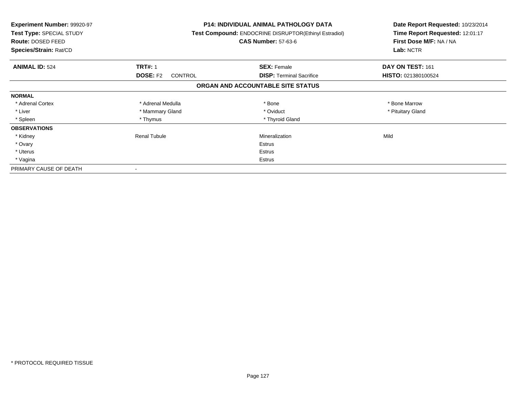| Experiment Number: 99920-97<br><b>Test Type: SPECIAL STUDY</b><br>Route: DOSED FEED<br>Species/Strain: Rat/CD |                                   | <b>P14: INDIVIDUAL ANIMAL PATHOLOGY DATA</b><br>Test Compound: ENDOCRINE DISRUPTOR(Ethinyl Estradiol)<br><b>CAS Number: 57-63-6</b> | Date Report Requested: 10/23/2014<br>Time Report Requested: 12:01:17<br>First Dose M/F: NA / NA<br>Lab: NCTR |
|---------------------------------------------------------------------------------------------------------------|-----------------------------------|-------------------------------------------------------------------------------------------------------------------------------------|--------------------------------------------------------------------------------------------------------------|
| <b>ANIMAL ID: 524</b>                                                                                         | <b>TRT#: 1</b>                    | <b>SEX: Female</b>                                                                                                                  | DAY ON TEST: 161                                                                                             |
|                                                                                                               | <b>DOSE: F2</b><br><b>CONTROL</b> | <b>DISP:</b> Terminal Sacrifice                                                                                                     | HISTO: 021380100524                                                                                          |
|                                                                                                               |                                   | ORGAN AND ACCOUNTABLE SITE STATUS                                                                                                   |                                                                                                              |
| <b>NORMAL</b>                                                                                                 |                                   |                                                                                                                                     |                                                                                                              |
| * Adrenal Cortex                                                                                              | * Adrenal Medulla                 | * Bone                                                                                                                              | * Bone Marrow                                                                                                |
| * Liver                                                                                                       | * Mammary Gland                   | * Oviduct                                                                                                                           | * Pituitary Gland                                                                                            |
| * Spleen                                                                                                      | * Thymus                          | * Thyroid Gland                                                                                                                     |                                                                                                              |
| <b>OBSERVATIONS</b>                                                                                           |                                   |                                                                                                                                     |                                                                                                              |
| * Kidney                                                                                                      | <b>Renal Tubule</b>               | Mineralization                                                                                                                      | Mild                                                                                                         |
| * Ovary                                                                                                       |                                   | <b>Estrus</b>                                                                                                                       |                                                                                                              |
| * Uterus                                                                                                      |                                   | Estrus                                                                                                                              |                                                                                                              |
| * Vagina                                                                                                      |                                   | Estrus                                                                                                                              |                                                                                                              |
| PRIMARY CAUSE OF DEATH                                                                                        |                                   |                                                                                                                                     |                                                                                                              |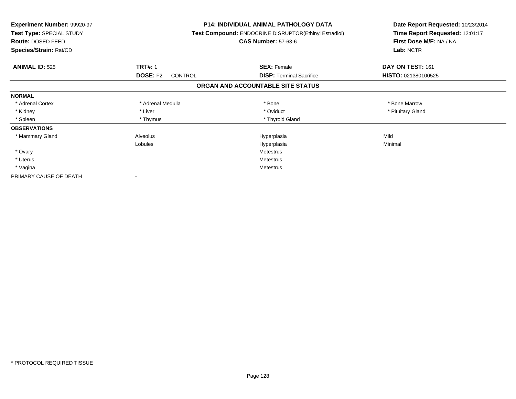| <b>Experiment Number: 99920-97</b><br>Test Type: SPECIAL STUDY<br>Route: DOSED FEED<br>Species/Strain: Rat/CD |                            | <b>P14: INDIVIDUAL ANIMAL PATHOLOGY DATA</b><br>Test Compound: ENDOCRINE DISRUPTOR(Ethinyl Estradiol)<br><b>CAS Number: 57-63-6</b> | Date Report Requested: 10/23/2014<br>Time Report Requested: 12:01:17<br>First Dose M/F: NA / NA<br>Lab: NCTR |
|---------------------------------------------------------------------------------------------------------------|----------------------------|-------------------------------------------------------------------------------------------------------------------------------------|--------------------------------------------------------------------------------------------------------------|
| <b>ANIMAL ID: 525</b>                                                                                         | <b>TRT#: 1</b>             | <b>SEX: Female</b>                                                                                                                  | DAY ON TEST: 161                                                                                             |
|                                                                                                               | <b>DOSE: F2</b><br>CONTROL | <b>DISP:</b> Terminal Sacrifice                                                                                                     | HISTO: 021380100525                                                                                          |
|                                                                                                               |                            | ORGAN AND ACCOUNTABLE SITE STATUS                                                                                                   |                                                                                                              |
| <b>NORMAL</b>                                                                                                 |                            |                                                                                                                                     |                                                                                                              |
| * Adrenal Cortex                                                                                              | * Adrenal Medulla          | * Bone                                                                                                                              | * Bone Marrow                                                                                                |
| * Kidney                                                                                                      | * Liver                    | * Oviduct                                                                                                                           | * Pituitary Gland                                                                                            |
| * Spleen                                                                                                      | * Thymus                   | * Thyroid Gland                                                                                                                     |                                                                                                              |
| <b>OBSERVATIONS</b>                                                                                           |                            |                                                                                                                                     |                                                                                                              |
| * Mammary Gland                                                                                               | Alveolus                   | Hyperplasia                                                                                                                         | Mild                                                                                                         |
|                                                                                                               | Lobules                    | Hyperplasia                                                                                                                         | Minimal                                                                                                      |
| * Ovary                                                                                                       |                            | Metestrus                                                                                                                           |                                                                                                              |
| * Uterus                                                                                                      |                            | Metestrus                                                                                                                           |                                                                                                              |
| * Vagina                                                                                                      |                            | Metestrus                                                                                                                           |                                                                                                              |
| PRIMARY CAUSE OF DEATH                                                                                        |                            |                                                                                                                                     |                                                                                                              |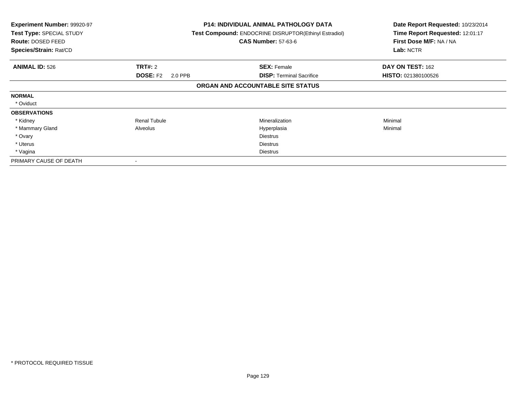| Experiment Number: 99920-97<br>Test Type: SPECIAL STUDY<br>Route: DOSED FEED<br>Species/Strain: Rat/CD |                            | <b>P14: INDIVIDUAL ANIMAL PATHOLOGY DATA</b><br>Test Compound: ENDOCRINE DISRUPTOR(Ethinyl Estradiol)<br><b>CAS Number: 57-63-6</b> | Date Report Requested: 10/23/2014<br>Time Report Requested: 12:01:17<br>First Dose M/F: NA / NA<br>Lab: NCTR |
|--------------------------------------------------------------------------------------------------------|----------------------------|-------------------------------------------------------------------------------------------------------------------------------------|--------------------------------------------------------------------------------------------------------------|
| <b>ANIMAL ID: 526</b>                                                                                  | TRT#: 2                    | <b>SEX: Female</b>                                                                                                                  | DAY ON TEST: 162                                                                                             |
|                                                                                                        | <b>DOSE: F2</b><br>2.0 PPB | <b>DISP: Terminal Sacrifice</b>                                                                                                     | <b>HISTO: 021380100526</b>                                                                                   |
|                                                                                                        |                            | ORGAN AND ACCOUNTABLE SITE STATUS                                                                                                   |                                                                                                              |
| <b>NORMAL</b>                                                                                          |                            |                                                                                                                                     |                                                                                                              |
| * Oviduct                                                                                              |                            |                                                                                                                                     |                                                                                                              |
| <b>OBSERVATIONS</b>                                                                                    |                            |                                                                                                                                     |                                                                                                              |
| * Kidney                                                                                               | <b>Renal Tubule</b>        | <b>Mineralization</b>                                                                                                               | Minimal                                                                                                      |
| * Mammary Gland                                                                                        | Alveolus                   | Hyperplasia                                                                                                                         | Minimal                                                                                                      |
| * Ovary                                                                                                |                            | <b>Diestrus</b>                                                                                                                     |                                                                                                              |
| * Uterus                                                                                               |                            | <b>Diestrus</b>                                                                                                                     |                                                                                                              |
| * Vagina                                                                                               |                            | Diestrus                                                                                                                            |                                                                                                              |
| PRIMARY CAUSE OF DEATH                                                                                 |                            |                                                                                                                                     |                                                                                                              |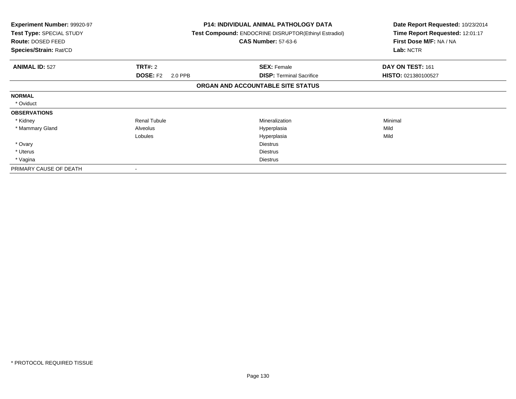| <b>Experiment Number: 99920-97</b><br>Test Type: SPECIAL STUDY<br>Route: DOSED FEED<br>Species/Strain: Rat/CD |                            | <b>P14: INDIVIDUAL ANIMAL PATHOLOGY DATA</b><br><b>Test Compound: ENDOCRINE DISRUPTOR (Ethinyl Estradiol)</b><br><b>CAS Number: 57-63-6</b> | Date Report Requested: 10/23/2014<br>Time Report Requested: 12:01:17<br>First Dose M/F: NA / NA<br>Lab: NCTR |
|---------------------------------------------------------------------------------------------------------------|----------------------------|---------------------------------------------------------------------------------------------------------------------------------------------|--------------------------------------------------------------------------------------------------------------|
| <b>ANIMAL ID: 527</b>                                                                                         | <b>TRT#: 2</b>             | <b>SEX: Female</b>                                                                                                                          | DAY ON TEST: 161                                                                                             |
|                                                                                                               | <b>DOSE: F2</b><br>2.0 PPB | <b>DISP:</b> Terminal Sacrifice                                                                                                             | HISTO: 021380100527                                                                                          |
|                                                                                                               |                            | ORGAN AND ACCOUNTABLE SITE STATUS                                                                                                           |                                                                                                              |
| <b>NORMAL</b>                                                                                                 |                            |                                                                                                                                             |                                                                                                              |
| * Oviduct                                                                                                     |                            |                                                                                                                                             |                                                                                                              |
| <b>OBSERVATIONS</b>                                                                                           |                            |                                                                                                                                             |                                                                                                              |
| * Kidney                                                                                                      | <b>Renal Tubule</b>        | Mineralization                                                                                                                              | Minimal                                                                                                      |
| * Mammary Gland                                                                                               | Alveolus                   | Hyperplasia                                                                                                                                 | Mild                                                                                                         |
|                                                                                                               | Lobules                    | Hyperplasia                                                                                                                                 | Mild                                                                                                         |
| * Ovary                                                                                                       |                            | <b>Diestrus</b>                                                                                                                             |                                                                                                              |
| * Uterus                                                                                                      |                            | <b>Diestrus</b>                                                                                                                             |                                                                                                              |
| * Vagina                                                                                                      |                            | <b>Diestrus</b>                                                                                                                             |                                                                                                              |
| PRIMARY CAUSE OF DEATH                                                                                        |                            |                                                                                                                                             |                                                                                                              |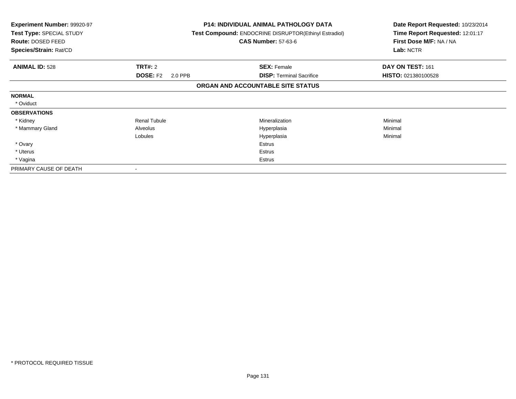| <b>Experiment Number: 99920-97</b><br>Test Type: SPECIAL STUDY<br>Route: DOSED FEED<br>Species/Strain: Rat/CD |                            | <b>P14: INDIVIDUAL ANIMAL PATHOLOGY DATA</b><br><b>Test Compound: ENDOCRINE DISRUPTOR(Ethinyl Estradiol)</b><br><b>CAS Number: 57-63-6</b> | Date Report Requested: 10/23/2014<br>Time Report Requested: 12:01:17<br>First Dose M/F: NA / NA<br>Lab: NCTR |
|---------------------------------------------------------------------------------------------------------------|----------------------------|--------------------------------------------------------------------------------------------------------------------------------------------|--------------------------------------------------------------------------------------------------------------|
| <b>ANIMAL ID: 528</b>                                                                                         | <b>TRT#: 2</b>             | <b>SEX: Female</b>                                                                                                                         | DAY ON TEST: 161                                                                                             |
|                                                                                                               | <b>DOSE: F2</b><br>2.0 PPB | <b>DISP:</b> Terminal Sacrifice                                                                                                            | <b>HISTO: 021380100528</b>                                                                                   |
|                                                                                                               |                            | ORGAN AND ACCOUNTABLE SITE STATUS                                                                                                          |                                                                                                              |
| <b>NORMAL</b>                                                                                                 |                            |                                                                                                                                            |                                                                                                              |
| * Oviduct                                                                                                     |                            |                                                                                                                                            |                                                                                                              |
| <b>OBSERVATIONS</b>                                                                                           |                            |                                                                                                                                            |                                                                                                              |
| * Kidney                                                                                                      | <b>Renal Tubule</b>        | Mineralization                                                                                                                             | Minimal                                                                                                      |
| * Mammary Gland                                                                                               | Alveolus                   | Hyperplasia                                                                                                                                | Minimal                                                                                                      |
|                                                                                                               | Lobules                    | Hyperplasia                                                                                                                                | Minimal                                                                                                      |
| * Ovary                                                                                                       |                            | <b>Estrus</b>                                                                                                                              |                                                                                                              |
| * Uterus                                                                                                      |                            | Estrus                                                                                                                                     |                                                                                                              |
| * Vagina                                                                                                      |                            | Estrus                                                                                                                                     |                                                                                                              |
| PRIMARY CAUSE OF DEATH                                                                                        |                            |                                                                                                                                            |                                                                                                              |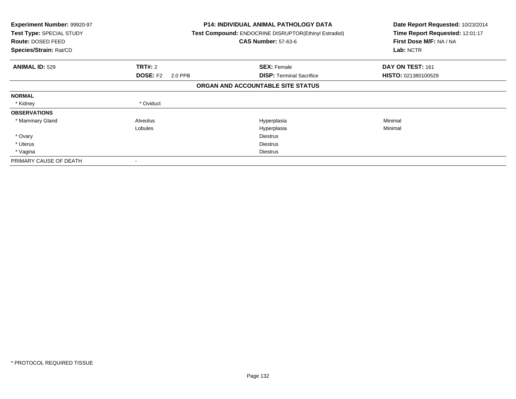| Experiment Number: 99920-97<br><b>Test Type: SPECIAL STUDY</b><br>Route: DOSED FEED<br>Species/Strain: Rat/CD |                            | <b>P14: INDIVIDUAL ANIMAL PATHOLOGY DATA</b><br><b>Test Compound: ENDOCRINE DISRUPTOR(Ethinyl Estradiol)</b><br><b>CAS Number: 57-63-6</b> | Date Report Requested: 10/23/2014<br>Time Report Requested: 12:01:17<br>First Dose M/F: NA / NA<br>Lab: NCTR |
|---------------------------------------------------------------------------------------------------------------|----------------------------|--------------------------------------------------------------------------------------------------------------------------------------------|--------------------------------------------------------------------------------------------------------------|
| <b>ANIMAL ID: 529</b>                                                                                         | <b>TRT#: 2</b>             | <b>SEX: Female</b>                                                                                                                         | DAY ON TEST: 161                                                                                             |
|                                                                                                               | <b>DOSE: F2</b><br>2.0 PPB | <b>DISP:</b> Terminal Sacrifice                                                                                                            | HISTO: 021380100529                                                                                          |
|                                                                                                               |                            | ORGAN AND ACCOUNTABLE SITE STATUS                                                                                                          |                                                                                                              |
| <b>NORMAL</b>                                                                                                 |                            |                                                                                                                                            |                                                                                                              |
| * Kidney                                                                                                      | * Oviduct                  |                                                                                                                                            |                                                                                                              |
| <b>OBSERVATIONS</b>                                                                                           |                            |                                                                                                                                            |                                                                                                              |
| * Mammary Gland                                                                                               | Alveolus                   | Hyperplasia                                                                                                                                | Minimal                                                                                                      |
|                                                                                                               | Lobules                    | Hyperplasia                                                                                                                                | Minimal                                                                                                      |
| * Ovary                                                                                                       |                            | <b>Diestrus</b>                                                                                                                            |                                                                                                              |
| * Uterus                                                                                                      |                            | <b>Diestrus</b>                                                                                                                            |                                                                                                              |
| * Vagina                                                                                                      |                            | <b>Diestrus</b>                                                                                                                            |                                                                                                              |
| PRIMARY CAUSE OF DEATH                                                                                        | $\overline{\phantom{a}}$   |                                                                                                                                            |                                                                                                              |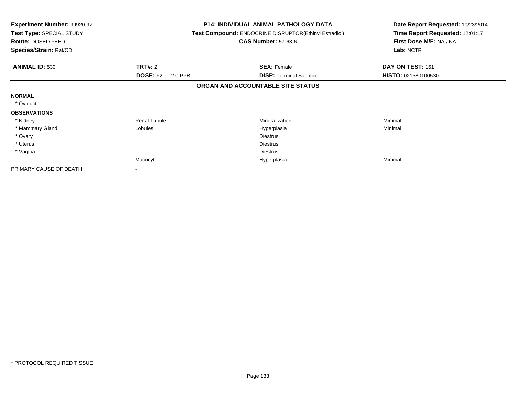| Experiment Number: 99920-97<br>Test Type: SPECIAL STUDY<br>Route: DOSED FEED<br>Species/Strain: Rat/CD |                            | <b>P14: INDIVIDUAL ANIMAL PATHOLOGY DATA</b><br><b>Test Compound: ENDOCRINE DISRUPTOR(Ethinyl Estradiol)</b><br><b>CAS Number: 57-63-6</b> | Date Report Requested: 10/23/2014<br>Time Report Requested: 12:01:17<br>First Dose M/F: NA / NA<br>Lab: NCTR |
|--------------------------------------------------------------------------------------------------------|----------------------------|--------------------------------------------------------------------------------------------------------------------------------------------|--------------------------------------------------------------------------------------------------------------|
| <b>ANIMAL ID: 530</b>                                                                                  | <b>TRT#: 2</b>             | <b>SEX: Female</b>                                                                                                                         | DAY ON TEST: 161                                                                                             |
|                                                                                                        | <b>DOSE: F2</b><br>2.0 PPB | <b>DISP:</b> Terminal Sacrifice                                                                                                            | <b>HISTO: 021380100530</b>                                                                                   |
|                                                                                                        |                            | ORGAN AND ACCOUNTABLE SITE STATUS                                                                                                          |                                                                                                              |
| <b>NORMAL</b>                                                                                          |                            |                                                                                                                                            |                                                                                                              |
| * Oviduct                                                                                              |                            |                                                                                                                                            |                                                                                                              |
| <b>OBSERVATIONS</b>                                                                                    |                            |                                                                                                                                            |                                                                                                              |
| * Kidney                                                                                               | <b>Renal Tubule</b>        | Mineralization                                                                                                                             | Minimal                                                                                                      |
| * Mammary Gland                                                                                        | Lobules                    | Hyperplasia                                                                                                                                | Minimal                                                                                                      |
| * Ovary                                                                                                |                            | <b>Diestrus</b>                                                                                                                            |                                                                                                              |
| * Uterus                                                                                               |                            | <b>Diestrus</b>                                                                                                                            |                                                                                                              |
| * Vagina                                                                                               |                            | <b>Diestrus</b>                                                                                                                            |                                                                                                              |
|                                                                                                        | Mucocyte                   | Hyperplasia                                                                                                                                | Minimal                                                                                                      |
| PRIMARY CAUSE OF DEATH                                                                                 |                            |                                                                                                                                            |                                                                                                              |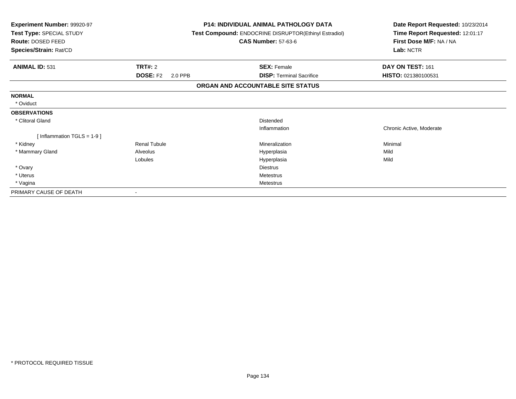| <b>Experiment Number: 99920-97</b><br>Test Type: SPECIAL STUDY<br>Route: DOSED FEED<br>Species/Strain: Rat/CD |                            | <b>P14: INDIVIDUAL ANIMAL PATHOLOGY DATA</b><br><b>Test Compound: ENDOCRINE DISRUPTOR(Ethinyl Estradiol)</b><br><b>CAS Number: 57-63-6</b> | Date Report Requested: 10/23/2014<br>Time Report Requested: 12:01:17<br>First Dose M/F: NA / NA<br>Lab: NCTR |
|---------------------------------------------------------------------------------------------------------------|----------------------------|--------------------------------------------------------------------------------------------------------------------------------------------|--------------------------------------------------------------------------------------------------------------|
| <b>ANIMAL ID: 531</b>                                                                                         | TRT#: 2                    | <b>SEX: Female</b>                                                                                                                         | DAY ON TEST: 161                                                                                             |
|                                                                                                               | <b>DOSE: F2</b><br>2.0 PPB | <b>DISP: Terminal Sacrifice</b>                                                                                                            | HISTO: 021380100531                                                                                          |
|                                                                                                               |                            | ORGAN AND ACCOUNTABLE SITE STATUS                                                                                                          |                                                                                                              |
| <b>NORMAL</b>                                                                                                 |                            |                                                                                                                                            |                                                                                                              |
| * Oviduct                                                                                                     |                            |                                                                                                                                            |                                                                                                              |
| <b>OBSERVATIONS</b>                                                                                           |                            |                                                                                                                                            |                                                                                                              |
| * Clitoral Gland                                                                                              |                            | Distended                                                                                                                                  |                                                                                                              |
|                                                                                                               |                            | Inflammation                                                                                                                               | Chronic Active, Moderate                                                                                     |
| [Inflammation TGLS = $1-9$ ]                                                                                  |                            |                                                                                                                                            |                                                                                                              |
| * Kidney                                                                                                      | <b>Renal Tubule</b>        | Mineralization                                                                                                                             | Minimal                                                                                                      |
| * Mammary Gland                                                                                               | Alveolus                   | Hyperplasia                                                                                                                                | Mild                                                                                                         |
|                                                                                                               | Lobules                    | Hyperplasia                                                                                                                                | Mild                                                                                                         |
| * Ovary                                                                                                       |                            | <b>Diestrus</b>                                                                                                                            |                                                                                                              |
| * Uterus                                                                                                      |                            | <b>Metestrus</b>                                                                                                                           |                                                                                                              |
| * Vagina                                                                                                      |                            | <b>Metestrus</b>                                                                                                                           |                                                                                                              |
| PRIMARY CAUSE OF DEATH                                                                                        |                            |                                                                                                                                            |                                                                                                              |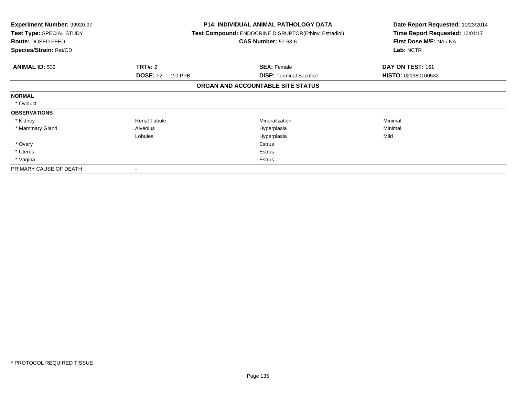| <b>Experiment Number: 99920-97</b><br>Test Type: SPECIAL STUDY<br>Route: DOSED FEED<br>Species/Strain: Rat/CD |                            | <b>P14: INDIVIDUAL ANIMAL PATHOLOGY DATA</b><br><b>Test Compound: ENDOCRINE DISRUPTOR(Ethinyl Estradiol)</b><br><b>CAS Number: 57-63-6</b> | Date Report Requested: 10/23/2014<br>Time Report Requested: 12:01:17<br>First Dose M/F: NA / NA<br>Lab: NCTR |
|---------------------------------------------------------------------------------------------------------------|----------------------------|--------------------------------------------------------------------------------------------------------------------------------------------|--------------------------------------------------------------------------------------------------------------|
| <b>ANIMAL ID: 532</b>                                                                                         | <b>TRT#: 2</b>             | <b>SEX: Female</b>                                                                                                                         | DAY ON TEST: 161                                                                                             |
|                                                                                                               | <b>DOSE: F2</b><br>2.0 PPB | <b>DISP:</b> Terminal Sacrifice                                                                                                            | HISTO: 021380100532                                                                                          |
|                                                                                                               |                            | ORGAN AND ACCOUNTABLE SITE STATUS                                                                                                          |                                                                                                              |
| <b>NORMAL</b>                                                                                                 |                            |                                                                                                                                            |                                                                                                              |
| * Oviduct                                                                                                     |                            |                                                                                                                                            |                                                                                                              |
| <b>OBSERVATIONS</b>                                                                                           |                            |                                                                                                                                            |                                                                                                              |
| * Kidney                                                                                                      | <b>Renal Tubule</b>        | Mineralization                                                                                                                             | Minimal                                                                                                      |
| * Mammary Gland                                                                                               | Alveolus                   | Hyperplasia                                                                                                                                | Minimal                                                                                                      |
|                                                                                                               | Lobules                    | Hyperplasia                                                                                                                                | Mild                                                                                                         |
| * Ovary                                                                                                       |                            | <b>Estrus</b>                                                                                                                              |                                                                                                              |
| * Uterus                                                                                                      |                            | Estrus                                                                                                                                     |                                                                                                              |
| * Vagina                                                                                                      |                            | Estrus                                                                                                                                     |                                                                                                              |
| PRIMARY CAUSE OF DEATH                                                                                        |                            |                                                                                                                                            |                                                                                                              |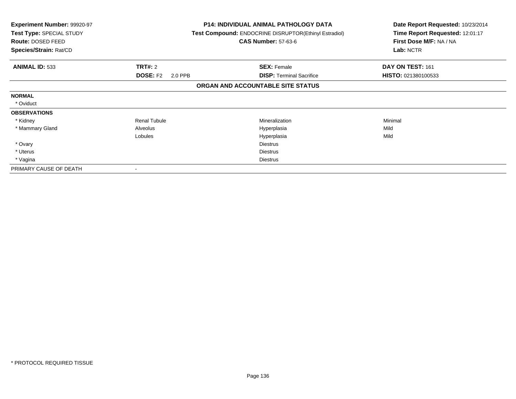| <b>Experiment Number: 99920-97</b><br>Test Type: SPECIAL STUDY<br>Route: DOSED FEED<br>Species/Strain: Rat/CD |                            | <b>P14: INDIVIDUAL ANIMAL PATHOLOGY DATA</b><br><b>Test Compound: ENDOCRINE DISRUPTOR (Ethinyl Estradiol)</b><br><b>CAS Number: 57-63-6</b> | Date Report Requested: 10/23/2014<br>Time Report Requested: 12:01:17<br>First Dose M/F: NA / NA<br>Lab: NCTR |
|---------------------------------------------------------------------------------------------------------------|----------------------------|---------------------------------------------------------------------------------------------------------------------------------------------|--------------------------------------------------------------------------------------------------------------|
| <b>ANIMAL ID: 533</b>                                                                                         | <b>TRT#: 2</b>             | <b>SEX: Female</b>                                                                                                                          | DAY ON TEST: 161                                                                                             |
|                                                                                                               | <b>DOSE: F2</b><br>2.0 PPB | <b>DISP:</b> Terminal Sacrifice                                                                                                             | HISTO: 021380100533                                                                                          |
|                                                                                                               |                            | ORGAN AND ACCOUNTABLE SITE STATUS                                                                                                           |                                                                                                              |
| <b>NORMAL</b>                                                                                                 |                            |                                                                                                                                             |                                                                                                              |
| * Oviduct                                                                                                     |                            |                                                                                                                                             |                                                                                                              |
| <b>OBSERVATIONS</b>                                                                                           |                            |                                                                                                                                             |                                                                                                              |
| * Kidney                                                                                                      | <b>Renal Tubule</b>        | Mineralization                                                                                                                              | Minimal                                                                                                      |
| * Mammary Gland                                                                                               | Alveolus                   | Hyperplasia                                                                                                                                 | Mild                                                                                                         |
|                                                                                                               | Lobules                    | Hyperplasia                                                                                                                                 | Mild                                                                                                         |
| * Ovary                                                                                                       |                            | <b>Diestrus</b>                                                                                                                             |                                                                                                              |
| * Uterus                                                                                                      |                            | <b>Diestrus</b>                                                                                                                             |                                                                                                              |
| * Vagina                                                                                                      |                            | <b>Diestrus</b>                                                                                                                             |                                                                                                              |
| PRIMARY CAUSE OF DEATH                                                                                        |                            |                                                                                                                                             |                                                                                                              |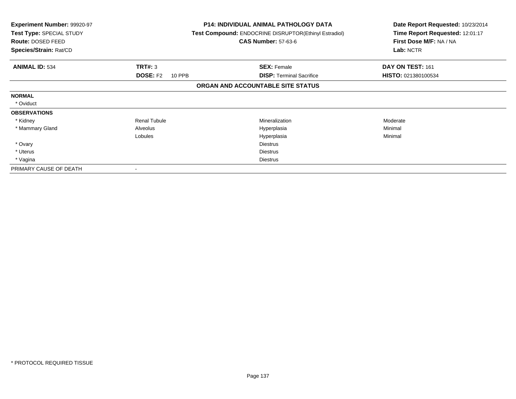| <b>Experiment Number: 99920-97</b><br>Test Type: SPECIAL STUDY<br>Route: DOSED FEED<br>Species/Strain: Rat/CD |                           | <b>P14: INDIVIDUAL ANIMAL PATHOLOGY DATA</b><br><b>Test Compound: ENDOCRINE DISRUPTOR (Ethinyl Estradiol)</b><br><b>CAS Number: 57-63-6</b> | Date Report Requested: 10/23/2014<br>Time Report Requested: 12:01:17<br>First Dose M/F: NA / NA<br>Lab: NCTR |
|---------------------------------------------------------------------------------------------------------------|---------------------------|---------------------------------------------------------------------------------------------------------------------------------------------|--------------------------------------------------------------------------------------------------------------|
| <b>ANIMAL ID: 534</b>                                                                                         | <b>TRT#: 3</b>            | <b>SEX: Female</b>                                                                                                                          | DAY ON TEST: 161                                                                                             |
|                                                                                                               | <b>DOSE: F2</b><br>10 PPB | <b>DISP:</b> Terminal Sacrifice                                                                                                             | HISTO: 021380100534                                                                                          |
|                                                                                                               |                           | ORGAN AND ACCOUNTABLE SITE STATUS                                                                                                           |                                                                                                              |
| <b>NORMAL</b>                                                                                                 |                           |                                                                                                                                             |                                                                                                              |
| * Oviduct                                                                                                     |                           |                                                                                                                                             |                                                                                                              |
| <b>OBSERVATIONS</b>                                                                                           |                           |                                                                                                                                             |                                                                                                              |
| * Kidney                                                                                                      | <b>Renal Tubule</b>       | <b>Mineralization</b>                                                                                                                       | Moderate                                                                                                     |
| * Mammary Gland                                                                                               | Alveolus                  | Hyperplasia                                                                                                                                 | Minimal                                                                                                      |
|                                                                                                               | Lobules                   | Hyperplasia                                                                                                                                 | Minimal                                                                                                      |
| * Ovary                                                                                                       |                           | <b>Diestrus</b>                                                                                                                             |                                                                                                              |
| * Uterus                                                                                                      |                           | <b>Diestrus</b>                                                                                                                             |                                                                                                              |
| * Vagina                                                                                                      |                           | <b>Diestrus</b>                                                                                                                             |                                                                                                              |
| PRIMARY CAUSE OF DEATH                                                                                        |                           |                                                                                                                                             |                                                                                                              |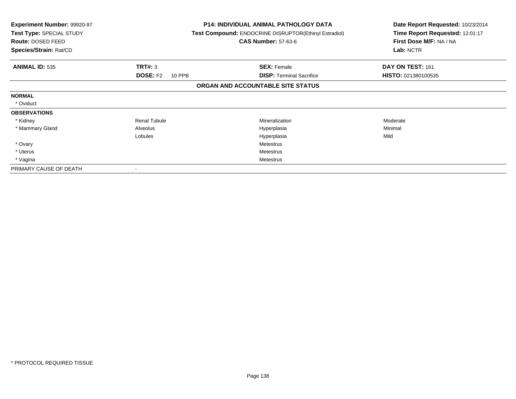| <b>Experiment Number: 99920-97</b><br>Test Type: SPECIAL STUDY<br><b>Route: DOSED FEED</b><br>Species/Strain: Rat/CD |                           | <b>P14: INDIVIDUAL ANIMAL PATHOLOGY DATA</b><br>Test Compound: ENDOCRINE DISRUPTOR(Ethinyl Estradiol)<br><b>CAS Number: 57-63-6</b> | Date Report Requested: 10/23/2014<br>Time Report Requested: 12:01:17<br>First Dose M/F: NA / NA<br>Lab: NCTR |
|----------------------------------------------------------------------------------------------------------------------|---------------------------|-------------------------------------------------------------------------------------------------------------------------------------|--------------------------------------------------------------------------------------------------------------|
| <b>ANIMAL ID: 535</b>                                                                                                | <b>TRT#: 3</b>            | <b>SEX: Female</b>                                                                                                                  | DAY ON TEST: 161                                                                                             |
|                                                                                                                      | <b>DOSE: F2</b><br>10 PPB | <b>DISP:</b> Terminal Sacrifice                                                                                                     | HISTO: 021380100535                                                                                          |
|                                                                                                                      |                           | ORGAN AND ACCOUNTABLE SITE STATUS                                                                                                   |                                                                                                              |
| <b>NORMAL</b>                                                                                                        |                           |                                                                                                                                     |                                                                                                              |
| * Oviduct                                                                                                            |                           |                                                                                                                                     |                                                                                                              |
| <b>OBSERVATIONS</b>                                                                                                  |                           |                                                                                                                                     |                                                                                                              |
| * Kidney                                                                                                             | <b>Renal Tubule</b>       | <b>Mineralization</b>                                                                                                               | Moderate                                                                                                     |
| * Mammary Gland                                                                                                      | Alveolus                  | Hyperplasia                                                                                                                         | Minimal                                                                                                      |
|                                                                                                                      | Lobules                   | Hyperplasia                                                                                                                         | Mild                                                                                                         |
| * Ovary                                                                                                              |                           | <b>Metestrus</b>                                                                                                                    |                                                                                                              |
| * Uterus                                                                                                             |                           | <b>Metestrus</b>                                                                                                                    |                                                                                                              |
| * Vagina                                                                                                             |                           | Metestrus                                                                                                                           |                                                                                                              |
| PRIMARY CAUSE OF DEATH                                                                                               |                           |                                                                                                                                     |                                                                                                              |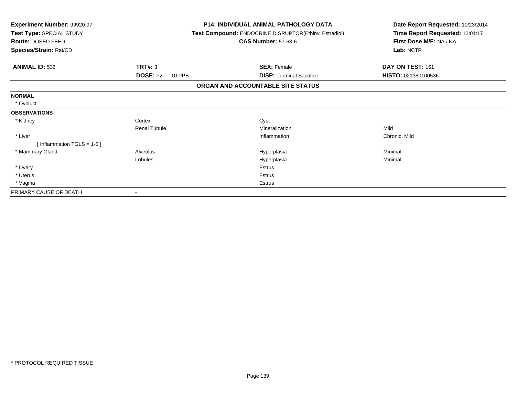| <b>Experiment Number: 99920-97</b><br>Test Type: SPECIAL STUDY<br>Route: DOSED FEED<br>Species/Strain: Rat/CD | <b>P14: INDIVIDUAL ANIMAL PATHOLOGY DATA</b><br>Test Compound: ENDOCRINE DISRUPTOR(Ethinyl Estradiol)<br><b>CAS Number: 57-63-6</b> |                                   | Date Report Requested: 10/23/2014<br>Time Report Requested: 12:01:17<br>First Dose M/F: NA / NA<br>Lab: NCTR |
|---------------------------------------------------------------------------------------------------------------|-------------------------------------------------------------------------------------------------------------------------------------|-----------------------------------|--------------------------------------------------------------------------------------------------------------|
| <b>ANIMAL ID: 536</b>                                                                                         | TRT#: 3                                                                                                                             | <b>SEX: Female</b>                | DAY ON TEST: 161                                                                                             |
|                                                                                                               | <b>DOSE: F2</b><br><b>10 PPB</b>                                                                                                    | <b>DISP: Terminal Sacrifice</b>   | HISTO: 021380100536                                                                                          |
|                                                                                                               |                                                                                                                                     | ORGAN AND ACCOUNTABLE SITE STATUS |                                                                                                              |
| <b>NORMAL</b>                                                                                                 |                                                                                                                                     |                                   |                                                                                                              |
| * Oviduct                                                                                                     |                                                                                                                                     |                                   |                                                                                                              |
| <b>OBSERVATIONS</b>                                                                                           |                                                                                                                                     |                                   |                                                                                                              |
| * Kidney                                                                                                      | Cortex                                                                                                                              | Cyst                              |                                                                                                              |
|                                                                                                               | <b>Renal Tubule</b>                                                                                                                 | Mineralization                    | Mild                                                                                                         |
| * Liver                                                                                                       |                                                                                                                                     | Inflammation                      | Chronic, Mild                                                                                                |
| [Inflammation TGLS = $1-5$ ]                                                                                  |                                                                                                                                     |                                   |                                                                                                              |
| * Mammary Gland                                                                                               | Alveolus                                                                                                                            | Hyperplasia                       | Minimal                                                                                                      |
|                                                                                                               | Lobules                                                                                                                             | Hyperplasia                       | Minimal                                                                                                      |
| * Ovary                                                                                                       |                                                                                                                                     | <b>Estrus</b>                     |                                                                                                              |
| * Uterus                                                                                                      |                                                                                                                                     | <b>Estrus</b>                     |                                                                                                              |
| * Vagina                                                                                                      |                                                                                                                                     | Estrus                            |                                                                                                              |
| PRIMARY CAUSE OF DEATH                                                                                        |                                                                                                                                     |                                   |                                                                                                              |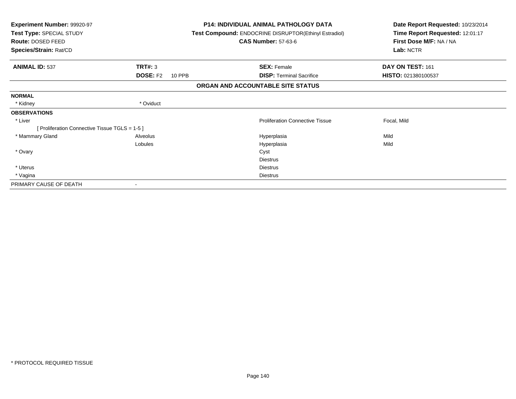| <b>Experiment Number: 99920-97</b><br>Test Type: SPECIAL STUDY<br>Route: DOSED FEED |                           | <b>P14: INDIVIDUAL ANIMAL PATHOLOGY DATA</b><br>Test Compound: ENDOCRINE DISRUPTOR(Ethinyl Estradiol)<br><b>CAS Number: 57-63-6</b> | Date Report Requested: 10/23/2014<br>Time Report Requested: 12:01:17<br>First Dose M/F: NA / NA |
|-------------------------------------------------------------------------------------|---------------------------|-------------------------------------------------------------------------------------------------------------------------------------|-------------------------------------------------------------------------------------------------|
| Species/Strain: Rat/CD                                                              |                           |                                                                                                                                     | Lab: NCTR                                                                                       |
| <b>ANIMAL ID: 537</b>                                                               | <b>TRT#: 3</b>            | <b>SEX: Female</b>                                                                                                                  | DAY ON TEST: 161                                                                                |
|                                                                                     | <b>DOSE: F2</b><br>10 PPB | <b>DISP: Terminal Sacrifice</b>                                                                                                     | HISTO: 021380100537                                                                             |
|                                                                                     |                           | ORGAN AND ACCOUNTABLE SITE STATUS                                                                                                   |                                                                                                 |
| <b>NORMAL</b>                                                                       |                           |                                                                                                                                     |                                                                                                 |
| * Kidney                                                                            | * Oviduct                 |                                                                                                                                     |                                                                                                 |
| <b>OBSERVATIONS</b>                                                                 |                           |                                                                                                                                     |                                                                                                 |
| * Liver                                                                             |                           | <b>Proliferation Connective Tissue</b>                                                                                              | Focal, Mild                                                                                     |
| [ Proliferation Connective Tissue TGLS = 1-5 ]                                      |                           |                                                                                                                                     |                                                                                                 |
| * Mammary Gland                                                                     | Alveolus                  | Hyperplasia                                                                                                                         | Mild                                                                                            |
|                                                                                     | Lobules                   | Hyperplasia                                                                                                                         | Mild                                                                                            |
| * Ovary                                                                             |                           | Cyst                                                                                                                                |                                                                                                 |
|                                                                                     |                           | <b>Diestrus</b>                                                                                                                     |                                                                                                 |
| * Uterus                                                                            |                           | <b>Diestrus</b>                                                                                                                     |                                                                                                 |
| * Vagina                                                                            |                           | <b>Diestrus</b>                                                                                                                     |                                                                                                 |
| PRIMARY CAUSE OF DEATH                                                              |                           |                                                                                                                                     |                                                                                                 |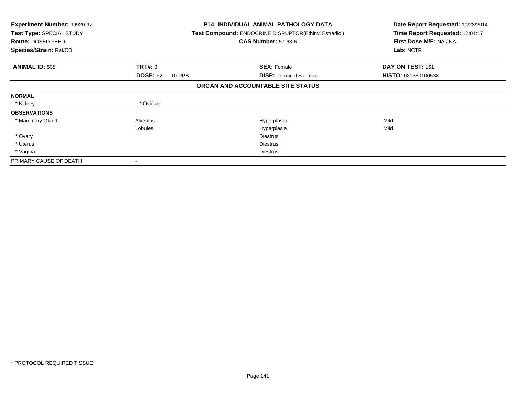| <b>Experiment Number: 99920-97</b><br><b>Test Type: SPECIAL STUDY</b><br>Route: DOSED FEED<br>Species/Strain: Rat/CD |                           | <b>P14: INDIVIDUAL ANIMAL PATHOLOGY DATA</b><br>Test Compound: ENDOCRINE DISRUPTOR(Ethinyl Estradiol)<br><b>CAS Number: 57-63-6</b> | Date Report Requested: 10/23/2014<br>Time Report Requested: 12:01:17<br>First Dose M/F: NA / NA<br>Lab: NCTR |
|----------------------------------------------------------------------------------------------------------------------|---------------------------|-------------------------------------------------------------------------------------------------------------------------------------|--------------------------------------------------------------------------------------------------------------|
| <b>ANIMAL ID: 538</b>                                                                                                | TRT#: 3                   | <b>SEX: Female</b>                                                                                                                  | DAY ON TEST: 161                                                                                             |
|                                                                                                                      | <b>DOSE: F2</b><br>10 PPB | <b>DISP: Terminal Sacrifice</b>                                                                                                     | <b>HISTO: 021380100538</b>                                                                                   |
|                                                                                                                      |                           | ORGAN AND ACCOUNTABLE SITE STATUS                                                                                                   |                                                                                                              |
| <b>NORMAL</b>                                                                                                        |                           |                                                                                                                                     |                                                                                                              |
| * Kidney                                                                                                             | * Oviduct                 |                                                                                                                                     |                                                                                                              |
| <b>OBSERVATIONS</b>                                                                                                  |                           |                                                                                                                                     |                                                                                                              |
| * Mammary Gland                                                                                                      | Alveolus                  | Hyperplasia                                                                                                                         | Mild                                                                                                         |
|                                                                                                                      | Lobules                   | Hyperplasia                                                                                                                         | Mild                                                                                                         |
| * Ovary                                                                                                              |                           | <b>Diestrus</b>                                                                                                                     |                                                                                                              |
| * Uterus                                                                                                             |                           | <b>Diestrus</b>                                                                                                                     |                                                                                                              |
| * Vagina                                                                                                             |                           | <b>Diestrus</b>                                                                                                                     |                                                                                                              |
| PRIMARY CAUSE OF DEATH                                                                                               |                           |                                                                                                                                     |                                                                                                              |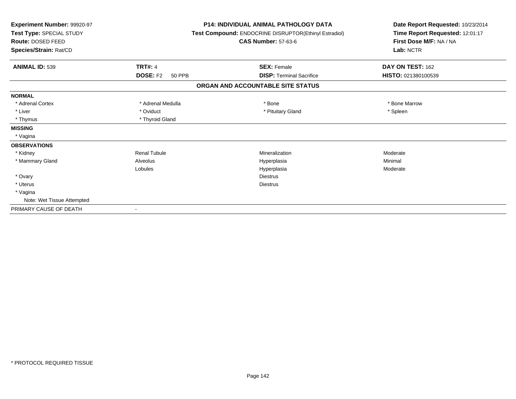| Experiment Number: 99920-97<br>Test Type: SPECIAL STUDY<br>Route: DOSED FEED<br>Species/Strain: Rat/CD |                                  | <b>P14: INDIVIDUAL ANIMAL PATHOLOGY DATA</b><br>Test Compound: ENDOCRINE DISRUPTOR(Ethinyl Estradiol)<br><b>CAS Number: 57-63-6</b> | Date Report Requested: 10/23/2014<br>Time Report Requested: 12:01:17<br>First Dose M/F: NA / NA<br>Lab: NCTR |
|--------------------------------------------------------------------------------------------------------|----------------------------------|-------------------------------------------------------------------------------------------------------------------------------------|--------------------------------------------------------------------------------------------------------------|
| <b>ANIMAL ID: 539</b>                                                                                  | <b>TRT#: 4</b>                   | <b>SEX: Female</b>                                                                                                                  | DAY ON TEST: 162                                                                                             |
|                                                                                                        | <b>DOSE: F2</b><br><b>50 PPB</b> | <b>DISP: Terminal Sacrifice</b>                                                                                                     | HISTO: 021380100539                                                                                          |
|                                                                                                        |                                  | ORGAN AND ACCOUNTABLE SITE STATUS                                                                                                   |                                                                                                              |
| <b>NORMAL</b>                                                                                          |                                  |                                                                                                                                     |                                                                                                              |
| * Adrenal Cortex                                                                                       | * Adrenal Medulla                | * Bone                                                                                                                              | * Bone Marrow                                                                                                |
| * Liver                                                                                                | * Oviduct                        | * Pituitary Gland                                                                                                                   | * Spleen                                                                                                     |
| * Thymus                                                                                               | * Thyroid Gland                  |                                                                                                                                     |                                                                                                              |
| <b>MISSING</b>                                                                                         |                                  |                                                                                                                                     |                                                                                                              |
| * Vagina                                                                                               |                                  |                                                                                                                                     |                                                                                                              |
| <b>OBSERVATIONS</b>                                                                                    |                                  |                                                                                                                                     |                                                                                                              |
| * Kidney                                                                                               | <b>Renal Tubule</b>              | Mineralization                                                                                                                      | Moderate                                                                                                     |
| * Mammary Gland                                                                                        | Alveolus                         | Hyperplasia                                                                                                                         | Minimal                                                                                                      |
|                                                                                                        | Lobules                          | Hyperplasia                                                                                                                         | Moderate                                                                                                     |
| * Ovary                                                                                                |                                  | <b>Diestrus</b>                                                                                                                     |                                                                                                              |
| * Uterus                                                                                               |                                  | <b>Diestrus</b>                                                                                                                     |                                                                                                              |
| * Vagina                                                                                               |                                  |                                                                                                                                     |                                                                                                              |
| Note: Wet Tissue Attempted                                                                             |                                  |                                                                                                                                     |                                                                                                              |
| PRIMARY CAUSE OF DEATH                                                                                 |                                  |                                                                                                                                     |                                                                                                              |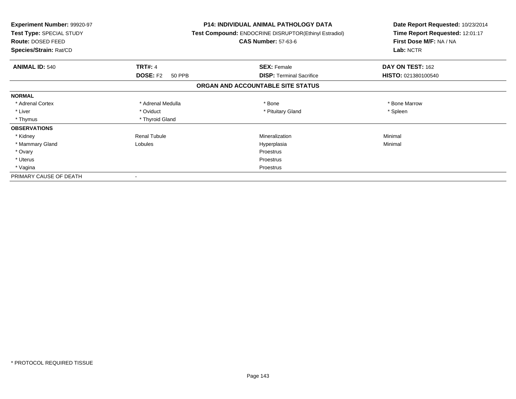| <b>Experiment Number: 99920-97</b><br>Test Type: SPECIAL STUDY<br>Route: DOSED FEED<br>Species/Strain: Rat/CD |                           | <b>P14: INDIVIDUAL ANIMAL PATHOLOGY DATA</b><br>Test Compound: ENDOCRINE DISRUPTOR(Ethinyl Estradiol)<br><b>CAS Number: 57-63-6</b> | Date Report Requested: 10/23/2014<br>Time Report Requested: 12:01:17<br>First Dose M/F: NA / NA<br>Lab: NCTR |
|---------------------------------------------------------------------------------------------------------------|---------------------------|-------------------------------------------------------------------------------------------------------------------------------------|--------------------------------------------------------------------------------------------------------------|
|                                                                                                               |                           |                                                                                                                                     |                                                                                                              |
| <b>ANIMAL ID: 540</b>                                                                                         | <b>TRT#: 4</b>            | <b>SEX: Female</b>                                                                                                                  | DAY ON TEST: 162                                                                                             |
|                                                                                                               | <b>DOSE: F2</b><br>50 PPB | <b>DISP: Terminal Sacrifice</b>                                                                                                     | HISTO: 021380100540                                                                                          |
|                                                                                                               |                           | ORGAN AND ACCOUNTABLE SITE STATUS                                                                                                   |                                                                                                              |
| <b>NORMAL</b>                                                                                                 |                           |                                                                                                                                     |                                                                                                              |
| * Adrenal Cortex                                                                                              | * Adrenal Medulla         | * Bone                                                                                                                              | * Bone Marrow                                                                                                |
| * Liver                                                                                                       | * Oviduct                 | * Pituitary Gland                                                                                                                   | * Spleen                                                                                                     |
| * Thymus                                                                                                      | * Thyroid Gland           |                                                                                                                                     |                                                                                                              |
| <b>OBSERVATIONS</b>                                                                                           |                           |                                                                                                                                     |                                                                                                              |
| * Kidney                                                                                                      | <b>Renal Tubule</b>       | Mineralization                                                                                                                      | Minimal                                                                                                      |
| * Mammary Gland                                                                                               | Lobules                   | Hyperplasia                                                                                                                         | Minimal                                                                                                      |
| * Ovary                                                                                                       |                           | <b>Proestrus</b>                                                                                                                    |                                                                                                              |
| * Uterus                                                                                                      |                           | Proestrus                                                                                                                           |                                                                                                              |
| * Vagina                                                                                                      |                           | Proestrus                                                                                                                           |                                                                                                              |
| PRIMARY CAUSE OF DEATH                                                                                        |                           |                                                                                                                                     |                                                                                                              |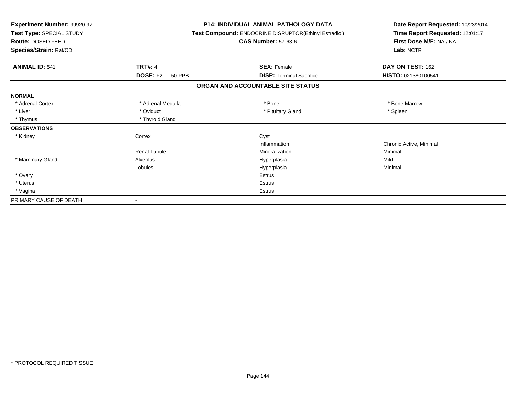| Experiment Number: 99920-97<br>Test Type: SPECIAL STUDY<br><b>Route: DOSED FEED</b><br>Species/Strain: Rat/CD | <b>P14: INDIVIDUAL ANIMAL PATHOLOGY DATA</b><br>Test Compound: ENDOCRINE DISRUPTOR(Ethinyl Estradiol)<br><b>CAS Number: 57-63-6</b> |                                   | Date Report Requested: 10/23/2014<br>Time Report Requested: 12:01:17<br>First Dose M/F: NA / NA<br>Lab: NCTR |
|---------------------------------------------------------------------------------------------------------------|-------------------------------------------------------------------------------------------------------------------------------------|-----------------------------------|--------------------------------------------------------------------------------------------------------------|
| <b>ANIMAL ID: 541</b>                                                                                         | <b>TRT#: 4</b>                                                                                                                      | <b>SEX: Female</b>                | DAY ON TEST: 162                                                                                             |
|                                                                                                               | <b>DOSE: F2</b><br><b>50 PPB</b>                                                                                                    | <b>DISP: Terminal Sacrifice</b>   | HISTO: 021380100541                                                                                          |
|                                                                                                               |                                                                                                                                     | ORGAN AND ACCOUNTABLE SITE STATUS |                                                                                                              |
| <b>NORMAL</b>                                                                                                 |                                                                                                                                     |                                   |                                                                                                              |
| * Adrenal Cortex                                                                                              | * Adrenal Medulla                                                                                                                   | * Bone                            | * Bone Marrow                                                                                                |
| * Liver                                                                                                       | * Oviduct                                                                                                                           | * Pituitary Gland                 | * Spleen                                                                                                     |
| * Thymus                                                                                                      | * Thyroid Gland                                                                                                                     |                                   |                                                                                                              |
| <b>OBSERVATIONS</b>                                                                                           |                                                                                                                                     |                                   |                                                                                                              |
| * Kidney                                                                                                      | Cortex                                                                                                                              | Cyst                              |                                                                                                              |
|                                                                                                               |                                                                                                                                     | Inflammation                      | Chronic Active, Minimal                                                                                      |
|                                                                                                               | <b>Renal Tubule</b>                                                                                                                 | Mineralization                    | Minimal                                                                                                      |
| * Mammary Gland                                                                                               | Alveolus                                                                                                                            | Hyperplasia                       | Mild                                                                                                         |
|                                                                                                               | Lobules                                                                                                                             | Hyperplasia                       | Minimal                                                                                                      |
| * Ovary                                                                                                       |                                                                                                                                     | <b>Estrus</b>                     |                                                                                                              |
| * Uterus                                                                                                      |                                                                                                                                     | <b>Estrus</b>                     |                                                                                                              |
| * Vagina                                                                                                      |                                                                                                                                     | Estrus                            |                                                                                                              |
| PRIMARY CAUSE OF DEATH                                                                                        |                                                                                                                                     |                                   |                                                                                                              |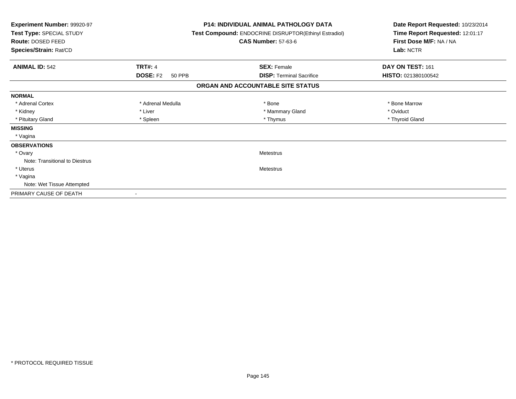| <b>Experiment Number: 99920-97</b><br>Test Type: SPECIAL STUDY<br>Route: DOSED FEED<br>Species/Strain: Rat/CD |                           | <b>P14: INDIVIDUAL ANIMAL PATHOLOGY DATA</b><br>Test Compound: ENDOCRINE DISRUPTOR(Ethinyl Estradiol)<br><b>CAS Number: 57-63-6</b> | Date Report Requested: 10/23/2014<br>Time Report Requested: 12:01:17<br>First Dose M/F: NA / NA<br>Lab: NCTR |
|---------------------------------------------------------------------------------------------------------------|---------------------------|-------------------------------------------------------------------------------------------------------------------------------------|--------------------------------------------------------------------------------------------------------------|
| <b>ANIMAL ID: 542</b>                                                                                         | <b>TRT#: 4</b>            | <b>SEX: Female</b>                                                                                                                  | DAY ON TEST: 161                                                                                             |
|                                                                                                               | <b>DOSE: F2</b><br>50 PPB | <b>DISP:</b> Terminal Sacrifice                                                                                                     | HISTO: 021380100542                                                                                          |
|                                                                                                               |                           | ORGAN AND ACCOUNTABLE SITE STATUS                                                                                                   |                                                                                                              |
| <b>NORMAL</b>                                                                                                 |                           |                                                                                                                                     |                                                                                                              |
| * Adrenal Cortex                                                                                              | * Adrenal Medulla         | * Bone                                                                                                                              | * Bone Marrow                                                                                                |
| * Kidney                                                                                                      | * Liver                   | * Mammary Gland                                                                                                                     | * Oviduct                                                                                                    |
| * Pituitary Gland                                                                                             | * Spleen                  | * Thymus                                                                                                                            | * Thyroid Gland                                                                                              |
| <b>MISSING</b>                                                                                                |                           |                                                                                                                                     |                                                                                                              |
| * Vagina                                                                                                      |                           |                                                                                                                                     |                                                                                                              |
| <b>OBSERVATIONS</b>                                                                                           |                           |                                                                                                                                     |                                                                                                              |
| * Ovary                                                                                                       |                           | Metestrus                                                                                                                           |                                                                                                              |
| Note: Transitional to Diestrus                                                                                |                           |                                                                                                                                     |                                                                                                              |
| * Uterus                                                                                                      |                           | Metestrus                                                                                                                           |                                                                                                              |
| * Vagina                                                                                                      |                           |                                                                                                                                     |                                                                                                              |
| Note: Wet Tissue Attempted                                                                                    |                           |                                                                                                                                     |                                                                                                              |
| PRIMARY CAUSE OF DEATH                                                                                        | $\overline{\phantom{a}}$  |                                                                                                                                     |                                                                                                              |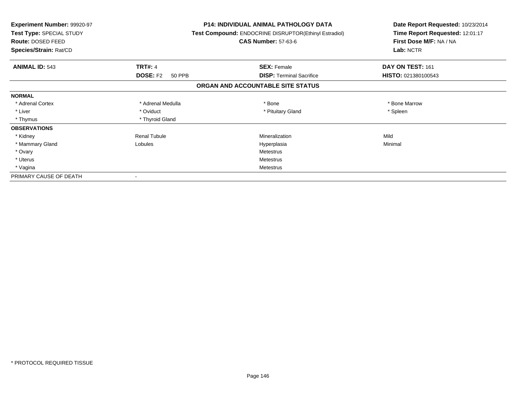| <b>Experiment Number: 99920-97</b><br>Test Type: SPECIAL STUDY<br><b>Route: DOSED FEED</b><br>Species/Strain: Rat/CD |                           | <b>P14: INDIVIDUAL ANIMAL PATHOLOGY DATA</b><br><b>Test Compound: ENDOCRINE DISRUPTOR(Ethinyl Estradiol)</b><br><b>CAS Number: 57-63-6</b> | Date Report Requested: 10/23/2014<br>Time Report Requested: 12:01:17<br>First Dose M/F: NA / NA<br>Lab: NCTR |  |
|----------------------------------------------------------------------------------------------------------------------|---------------------------|--------------------------------------------------------------------------------------------------------------------------------------------|--------------------------------------------------------------------------------------------------------------|--|
| <b>ANIMAL ID: 543</b>                                                                                                | <b>TRT#: 4</b>            | <b>SEX: Female</b>                                                                                                                         | DAY ON TEST: 161                                                                                             |  |
|                                                                                                                      | <b>DOSE: F2</b><br>50 PPB | <b>DISP:</b> Terminal Sacrifice                                                                                                            | HISTO: 021380100543                                                                                          |  |
|                                                                                                                      |                           | ORGAN AND ACCOUNTABLE SITE STATUS                                                                                                          |                                                                                                              |  |
| <b>NORMAL</b>                                                                                                        |                           |                                                                                                                                            |                                                                                                              |  |
| * Adrenal Cortex                                                                                                     | * Adrenal Medulla         | * Bone                                                                                                                                     | * Bone Marrow                                                                                                |  |
| * Liver                                                                                                              | * Oviduct                 | * Pituitary Gland                                                                                                                          | * Spleen                                                                                                     |  |
| * Thymus                                                                                                             | * Thyroid Gland           |                                                                                                                                            |                                                                                                              |  |
| <b>OBSERVATIONS</b>                                                                                                  |                           |                                                                                                                                            |                                                                                                              |  |
| * Kidney                                                                                                             | <b>Renal Tubule</b>       | Mineralization                                                                                                                             | Mild                                                                                                         |  |
| * Mammary Gland                                                                                                      | Lobules                   | Hyperplasia                                                                                                                                | Minimal                                                                                                      |  |
| * Ovary                                                                                                              |                           | Metestrus                                                                                                                                  |                                                                                                              |  |
| * Uterus                                                                                                             |                           | Metestrus                                                                                                                                  |                                                                                                              |  |
| * Vagina                                                                                                             |                           | Metestrus                                                                                                                                  |                                                                                                              |  |
| PRIMARY CAUSE OF DEATH                                                                                               |                           |                                                                                                                                            |                                                                                                              |  |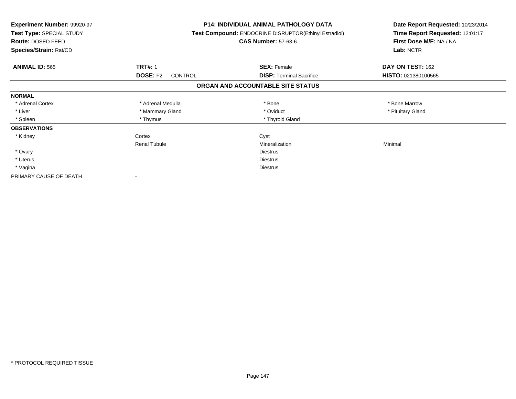| <b>Experiment Number: 99920-97</b><br>Test Type: SPECIAL STUDY<br>Route: DOSED FEED<br>Species/Strain: Rat/CD |                                   | <b>P14: INDIVIDUAL ANIMAL PATHOLOGY DATA</b><br>Test Compound: ENDOCRINE DISRUPTOR(Ethinyl Estradiol)<br><b>CAS Number: 57-63-6</b> | Date Report Requested: 10/23/2014<br>Time Report Requested: 12:01:17<br>First Dose M/F: NA / NA<br>Lab: NCTR |
|---------------------------------------------------------------------------------------------------------------|-----------------------------------|-------------------------------------------------------------------------------------------------------------------------------------|--------------------------------------------------------------------------------------------------------------|
| <b>ANIMAL ID: 565</b>                                                                                         | <b>TRT#: 1</b>                    | <b>SEX: Female</b>                                                                                                                  | DAY ON TEST: 162                                                                                             |
|                                                                                                               | <b>DOSE: F2</b><br><b>CONTROL</b> | <b>DISP:</b> Terminal Sacrifice                                                                                                     | HISTO: 021380100565                                                                                          |
|                                                                                                               |                                   | ORGAN AND ACCOUNTABLE SITE STATUS                                                                                                   |                                                                                                              |
| <b>NORMAL</b>                                                                                                 |                                   |                                                                                                                                     |                                                                                                              |
| * Adrenal Cortex                                                                                              | * Adrenal Medulla                 | * Bone                                                                                                                              | * Bone Marrow                                                                                                |
| * Liver                                                                                                       | * Mammary Gland                   | * Oviduct                                                                                                                           | * Pituitary Gland                                                                                            |
| * Spleen                                                                                                      | * Thymus                          | * Thyroid Gland                                                                                                                     |                                                                                                              |
| <b>OBSERVATIONS</b>                                                                                           |                                   |                                                                                                                                     |                                                                                                              |
| * Kidney                                                                                                      | Cortex                            | Cyst                                                                                                                                |                                                                                                              |
|                                                                                                               | <b>Renal Tubule</b>               | Mineralization                                                                                                                      | Minimal                                                                                                      |
| * Ovary                                                                                                       |                                   | <b>Diestrus</b>                                                                                                                     |                                                                                                              |
| * Uterus                                                                                                      |                                   | <b>Diestrus</b>                                                                                                                     |                                                                                                              |
| * Vagina                                                                                                      |                                   | Diestrus                                                                                                                            |                                                                                                              |
| PRIMARY CAUSE OF DEATH                                                                                        |                                   |                                                                                                                                     |                                                                                                              |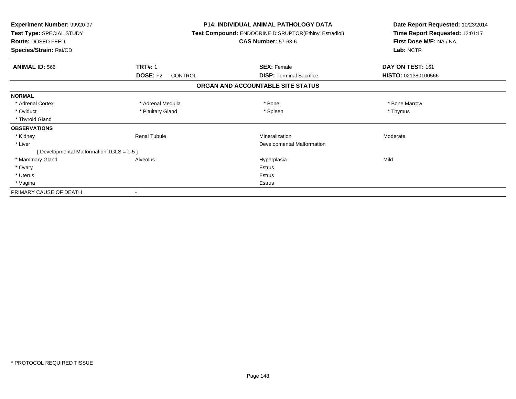| <b>Experiment Number: 99920-97</b><br>Test Type: SPECIAL STUDY<br>Route: DOSED FEED<br>Species/Strain: Rat/CD |                            | <b>P14: INDIVIDUAL ANIMAL PATHOLOGY DATA</b><br>Test Compound: ENDOCRINE DISRUPTOR(Ethinyl Estradiol)<br><b>CAS Number: 57-63-6</b> | Date Report Requested: 10/23/2014<br>Time Report Requested: 12:01:17<br>First Dose M/F: NA / NA<br>Lab: NCTR |
|---------------------------------------------------------------------------------------------------------------|----------------------------|-------------------------------------------------------------------------------------------------------------------------------------|--------------------------------------------------------------------------------------------------------------|
| <b>ANIMAL ID: 566</b>                                                                                         | <b>TRT#: 1</b>             | <b>SEX: Female</b>                                                                                                                  | DAY ON TEST: 161                                                                                             |
|                                                                                                               | <b>DOSE: F2</b><br>CONTROL | <b>DISP:</b> Terminal Sacrifice                                                                                                     | HISTO: 021380100566                                                                                          |
|                                                                                                               |                            | ORGAN AND ACCOUNTABLE SITE STATUS                                                                                                   |                                                                                                              |
| <b>NORMAL</b>                                                                                                 |                            |                                                                                                                                     |                                                                                                              |
| * Adrenal Cortex                                                                                              | * Adrenal Medulla          | * Bone                                                                                                                              | * Bone Marrow                                                                                                |
| * Oviduct                                                                                                     | * Pituitary Gland          | * Spleen                                                                                                                            | * Thymus                                                                                                     |
| * Thyroid Gland                                                                                               |                            |                                                                                                                                     |                                                                                                              |
| <b>OBSERVATIONS</b>                                                                                           |                            |                                                                                                                                     |                                                                                                              |
| * Kidney                                                                                                      | <b>Renal Tubule</b>        | Mineralization                                                                                                                      | Moderate                                                                                                     |
| * Liver                                                                                                       |                            | Developmental Malformation                                                                                                          |                                                                                                              |
| [ Developmental Malformation TGLS = 1-5 ]                                                                     |                            |                                                                                                                                     |                                                                                                              |
| * Mammary Gland                                                                                               | Alveolus                   | Hyperplasia                                                                                                                         | Mild                                                                                                         |
| * Ovary                                                                                                       |                            | <b>Estrus</b>                                                                                                                       |                                                                                                              |
| * Uterus                                                                                                      |                            | <b>Estrus</b>                                                                                                                       |                                                                                                              |
| * Vagina                                                                                                      |                            | <b>Estrus</b>                                                                                                                       |                                                                                                              |
| PRIMARY CAUSE OF DEATH                                                                                        |                            |                                                                                                                                     |                                                                                                              |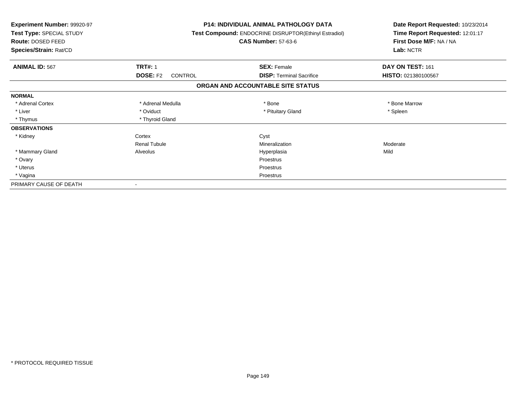| Experiment Number: 99920-97<br>Test Type: SPECIAL STUDY<br>Route: DOSED FEED<br>Species/Strain: Rat/CD |                                   | <b>P14: INDIVIDUAL ANIMAL PATHOLOGY DATA</b><br>Test Compound: ENDOCRINE DISRUPTOR(Ethinyl Estradiol)<br><b>CAS Number: 57-63-6</b> | Date Report Requested: 10/23/2014<br>Time Report Requested: 12:01:17<br>First Dose M/F: NA / NA<br>Lab: NCTR |
|--------------------------------------------------------------------------------------------------------|-----------------------------------|-------------------------------------------------------------------------------------------------------------------------------------|--------------------------------------------------------------------------------------------------------------|
| <b>ANIMAL ID: 567</b>                                                                                  | <b>TRT#: 1</b>                    | <b>SEX: Female</b>                                                                                                                  | DAY ON TEST: 161                                                                                             |
|                                                                                                        | <b>DOSE: F2</b><br><b>CONTROL</b> | <b>DISP: Terminal Sacrifice</b>                                                                                                     | HISTO: 021380100567                                                                                          |
|                                                                                                        |                                   | ORGAN AND ACCOUNTABLE SITE STATUS                                                                                                   |                                                                                                              |
| <b>NORMAL</b>                                                                                          |                                   |                                                                                                                                     |                                                                                                              |
| * Adrenal Cortex                                                                                       | * Adrenal Medulla                 | * Bone                                                                                                                              | * Bone Marrow                                                                                                |
| * Liver                                                                                                | * Oviduct                         | * Pituitary Gland                                                                                                                   | * Spleen                                                                                                     |
| * Thymus                                                                                               | * Thyroid Gland                   |                                                                                                                                     |                                                                                                              |
| <b>OBSERVATIONS</b>                                                                                    |                                   |                                                                                                                                     |                                                                                                              |
| * Kidney                                                                                               | Cortex                            | Cyst                                                                                                                                |                                                                                                              |
|                                                                                                        | <b>Renal Tubule</b>               | Mineralization                                                                                                                      | Moderate                                                                                                     |
| * Mammary Gland                                                                                        | Alveolus                          | Hyperplasia                                                                                                                         | Mild                                                                                                         |
| * Ovary                                                                                                |                                   | Proestrus                                                                                                                           |                                                                                                              |
| * Uterus                                                                                               |                                   | Proestrus                                                                                                                           |                                                                                                              |
| * Vagina                                                                                               |                                   | Proestrus                                                                                                                           |                                                                                                              |
| PRIMARY CAUSE OF DEATH                                                                                 |                                   |                                                                                                                                     |                                                                                                              |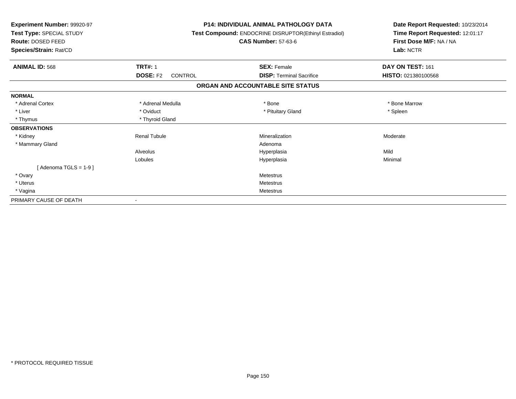| <b>Experiment Number: 99920-97</b><br>Test Type: SPECIAL STUDY<br>Route: DOSED FEED<br>Species/Strain: Rat/CD |                                   | <b>P14: INDIVIDUAL ANIMAL PATHOLOGY DATA</b><br>Test Compound: ENDOCRINE DISRUPTOR(Ethinyl Estradiol)<br><b>CAS Number: 57-63-6</b> | Date Report Requested: 10/23/2014<br>Time Report Requested: 12:01:17<br>First Dose M/F: NA / NA<br>Lab: NCTR |
|---------------------------------------------------------------------------------------------------------------|-----------------------------------|-------------------------------------------------------------------------------------------------------------------------------------|--------------------------------------------------------------------------------------------------------------|
| <b>ANIMAL ID: 568</b>                                                                                         | <b>TRT#: 1</b>                    | <b>SEX: Female</b>                                                                                                                  | DAY ON TEST: 161                                                                                             |
|                                                                                                               | <b>DOSE: F2</b><br><b>CONTROL</b> | <b>DISP: Terminal Sacrifice</b>                                                                                                     | HISTO: 021380100568                                                                                          |
|                                                                                                               |                                   | ORGAN AND ACCOUNTABLE SITE STATUS                                                                                                   |                                                                                                              |
| <b>NORMAL</b>                                                                                                 |                                   |                                                                                                                                     |                                                                                                              |
| * Adrenal Cortex                                                                                              | * Adrenal Medulla                 | * Bone                                                                                                                              | * Bone Marrow                                                                                                |
| * Liver                                                                                                       | * Oviduct                         | * Pituitary Gland                                                                                                                   | * Spleen                                                                                                     |
| * Thymus                                                                                                      | * Thyroid Gland                   |                                                                                                                                     |                                                                                                              |
| <b>OBSERVATIONS</b>                                                                                           |                                   |                                                                                                                                     |                                                                                                              |
| * Kidney                                                                                                      | <b>Renal Tubule</b>               | Mineralization                                                                                                                      | Moderate                                                                                                     |
| * Mammary Gland                                                                                               |                                   | Adenoma                                                                                                                             |                                                                                                              |
|                                                                                                               | Alveolus                          | Hyperplasia                                                                                                                         | Mild                                                                                                         |
|                                                                                                               | Lobules                           | Hyperplasia                                                                                                                         | Minimal                                                                                                      |
| [Adenoma TGLS = $1-9$ ]                                                                                       |                                   |                                                                                                                                     |                                                                                                              |
| * Ovary                                                                                                       |                                   | <b>Metestrus</b>                                                                                                                    |                                                                                                              |
| * Uterus                                                                                                      |                                   | <b>Metestrus</b>                                                                                                                    |                                                                                                              |
| * Vagina                                                                                                      |                                   | <b>Metestrus</b>                                                                                                                    |                                                                                                              |
| PRIMARY CAUSE OF DEATH                                                                                        |                                   |                                                                                                                                     |                                                                                                              |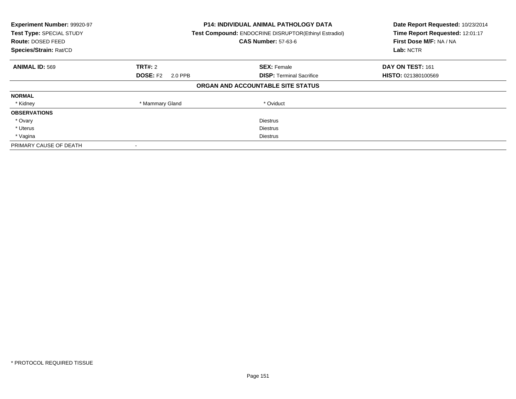| Experiment Number: 99920-97<br>Test Type: SPECIAL STUDY<br>Route: DOSED FEED<br>Species/Strain: Rat/CD |                            | <b>P14: INDIVIDUAL ANIMAL PATHOLOGY DATA</b><br>Test Compound: ENDOCRINE DISRUPTOR(Ethinyl Estradiol)<br><b>CAS Number: 57-63-6</b> | Date Report Requested: 10/23/2014<br>Time Report Requested: 12:01:17<br>First Dose M/F: NA / NA<br>Lab: NCTR |
|--------------------------------------------------------------------------------------------------------|----------------------------|-------------------------------------------------------------------------------------------------------------------------------------|--------------------------------------------------------------------------------------------------------------|
| <b>ANIMAL ID: 569</b>                                                                                  | <b>TRT#: 2</b>             | <b>SEX: Female</b>                                                                                                                  | DAY ON TEST: 161                                                                                             |
|                                                                                                        | <b>DOSE: F2</b><br>2.0 PPB | <b>DISP: Terminal Sacrifice</b>                                                                                                     | <b>HISTO: 021380100569</b>                                                                                   |
|                                                                                                        |                            | ORGAN AND ACCOUNTABLE SITE STATUS                                                                                                   |                                                                                                              |
| <b>NORMAL</b>                                                                                          |                            |                                                                                                                                     |                                                                                                              |
| * Kidney                                                                                               | * Mammary Gland            | * Oviduct                                                                                                                           |                                                                                                              |
| <b>OBSERVATIONS</b>                                                                                    |                            |                                                                                                                                     |                                                                                                              |
| * Ovary                                                                                                |                            | <b>Diestrus</b>                                                                                                                     |                                                                                                              |
| * Uterus                                                                                               |                            | <b>Diestrus</b>                                                                                                                     |                                                                                                              |
| * Vagina                                                                                               | Diestrus                   |                                                                                                                                     |                                                                                                              |
| PRIMARY CAUSE OF DEATH                                                                                 |                            |                                                                                                                                     |                                                                                                              |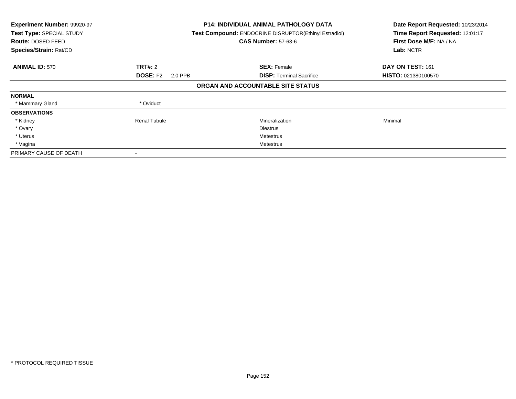| Experiment Number: 99920-97<br>Test Type: SPECIAL STUDY<br>Route: DOSED FEED<br>Species/Strain: Rat/CD |                            | <b>P14: INDIVIDUAL ANIMAL PATHOLOGY DATA</b><br>Test Compound: ENDOCRINE DISRUPTOR(Ethinyl Estradiol)<br><b>CAS Number: 57-63-6</b> | Date Report Requested: 10/23/2014<br>Time Report Requested: 12:01:17<br>First Dose M/F: NA / NA<br>Lab: NCTR |
|--------------------------------------------------------------------------------------------------------|----------------------------|-------------------------------------------------------------------------------------------------------------------------------------|--------------------------------------------------------------------------------------------------------------|
| <b>ANIMAL ID: 570</b>                                                                                  | <b>TRT#: 2</b>             | <b>SEX: Female</b>                                                                                                                  | DAY ON TEST: 161                                                                                             |
|                                                                                                        | <b>DOSE: F2</b><br>2.0 PPB | <b>DISP:</b> Terminal Sacrifice                                                                                                     | HISTO: 021380100570                                                                                          |
|                                                                                                        |                            | ORGAN AND ACCOUNTABLE SITE STATUS                                                                                                   |                                                                                                              |
| <b>NORMAL</b>                                                                                          |                            |                                                                                                                                     |                                                                                                              |
| * Mammary Gland                                                                                        | * Oviduct                  |                                                                                                                                     |                                                                                                              |
| <b>OBSERVATIONS</b>                                                                                    |                            |                                                                                                                                     |                                                                                                              |
| * Kidney                                                                                               | <b>Renal Tubule</b>        | Mineralization                                                                                                                      | Minimal                                                                                                      |
| * Ovary                                                                                                |                            | <b>Diestrus</b>                                                                                                                     |                                                                                                              |
| * Uterus                                                                                               |                            | Metestrus                                                                                                                           |                                                                                                              |
| * Vagina                                                                                               |                            | Metestrus                                                                                                                           |                                                                                                              |
| PRIMARY CAUSE OF DEATH                                                                                 |                            |                                                                                                                                     |                                                                                                              |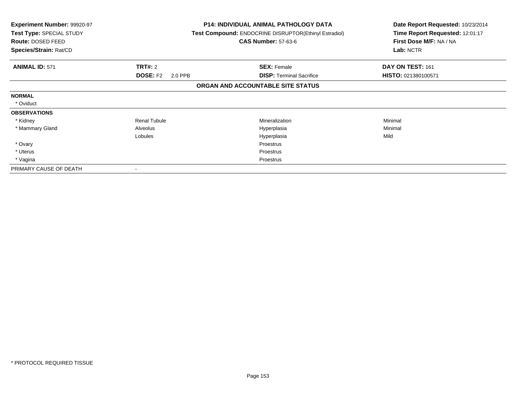| <b>Experiment Number: 99920-97</b><br>Test Type: SPECIAL STUDY<br>Route: DOSED FEED<br>Species/Strain: Rat/CD |                            | <b>P14: INDIVIDUAL ANIMAL PATHOLOGY DATA</b><br><b>Test Compound: ENDOCRINE DISRUPTOR(Ethinyl Estradiol)</b><br><b>CAS Number: 57-63-6</b> | Date Report Requested: 10/23/2014<br>Time Report Requested: 12:01:17<br>First Dose M/F: NA / NA<br>Lab: NCTR |
|---------------------------------------------------------------------------------------------------------------|----------------------------|--------------------------------------------------------------------------------------------------------------------------------------------|--------------------------------------------------------------------------------------------------------------|
| <b>ANIMAL ID: 571</b>                                                                                         | <b>TRT#: 2</b>             | <b>SEX: Female</b>                                                                                                                         | DAY ON TEST: 161                                                                                             |
|                                                                                                               | <b>DOSE: F2</b><br>2.0 PPB | <b>DISP:</b> Terminal Sacrifice                                                                                                            | HISTO: 021380100571                                                                                          |
|                                                                                                               |                            | ORGAN AND ACCOUNTABLE SITE STATUS                                                                                                          |                                                                                                              |
| <b>NORMAL</b>                                                                                                 |                            |                                                                                                                                            |                                                                                                              |
| * Oviduct                                                                                                     |                            |                                                                                                                                            |                                                                                                              |
| <b>OBSERVATIONS</b>                                                                                           |                            |                                                                                                                                            |                                                                                                              |
| * Kidney                                                                                                      | <b>Renal Tubule</b>        | Mineralization                                                                                                                             | Minimal                                                                                                      |
| * Mammary Gland                                                                                               | Alveolus                   | Hyperplasia                                                                                                                                | Minimal                                                                                                      |
|                                                                                                               | Lobules                    | Hyperplasia                                                                                                                                | Mild                                                                                                         |
| * Ovary                                                                                                       |                            | Proestrus                                                                                                                                  |                                                                                                              |
| * Uterus                                                                                                      |                            | Proestrus                                                                                                                                  |                                                                                                              |
| * Vagina                                                                                                      |                            | Proestrus                                                                                                                                  |                                                                                                              |
| PRIMARY CAUSE OF DEATH                                                                                        |                            |                                                                                                                                            |                                                                                                              |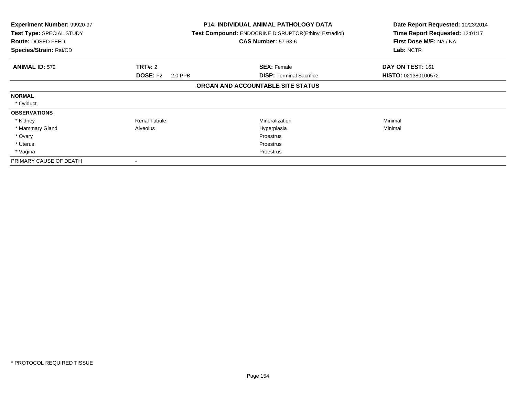| <b>Experiment Number: 99920-97</b><br>Test Type: SPECIAL STUDY<br><b>Route: DOSED FEED</b><br>Species/Strain: Rat/CD |                            | <b>P14: INDIVIDUAL ANIMAL PATHOLOGY DATA</b><br>Test Compound: ENDOCRINE DISRUPTOR(Ethinyl Estradiol)<br><b>CAS Number: 57-63-6</b> | Date Report Requested: 10/23/2014<br>Time Report Requested: 12:01:17<br>First Dose M/F: NA / NA<br>Lab: NCTR |
|----------------------------------------------------------------------------------------------------------------------|----------------------------|-------------------------------------------------------------------------------------------------------------------------------------|--------------------------------------------------------------------------------------------------------------|
| <b>ANIMAL ID: 572</b>                                                                                                | <b>TRT#: 2</b>             | <b>SEX: Female</b>                                                                                                                  | DAY ON TEST: 161                                                                                             |
|                                                                                                                      | <b>DOSE: F2</b><br>2.0 PPB | <b>DISP: Terminal Sacrifice</b>                                                                                                     | <b>HISTO: 021380100572</b>                                                                                   |
|                                                                                                                      |                            | ORGAN AND ACCOUNTABLE SITE STATUS                                                                                                   |                                                                                                              |
| <b>NORMAL</b>                                                                                                        |                            |                                                                                                                                     |                                                                                                              |
| * Oviduct                                                                                                            |                            |                                                                                                                                     |                                                                                                              |
| <b>OBSERVATIONS</b>                                                                                                  |                            |                                                                                                                                     |                                                                                                              |
| * Kidney                                                                                                             | <b>Renal Tubule</b>        | <b>Mineralization</b>                                                                                                               | Minimal                                                                                                      |
| * Mammary Gland                                                                                                      | Alveolus                   | Hyperplasia                                                                                                                         | Minimal                                                                                                      |
| * Ovary                                                                                                              |                            | <b>Proestrus</b>                                                                                                                    |                                                                                                              |
| * Uterus                                                                                                             |                            | Proestrus                                                                                                                           |                                                                                                              |
| * Vagina                                                                                                             |                            | Proestrus                                                                                                                           |                                                                                                              |
| PRIMARY CAUSE OF DEATH                                                                                               |                            |                                                                                                                                     |                                                                                                              |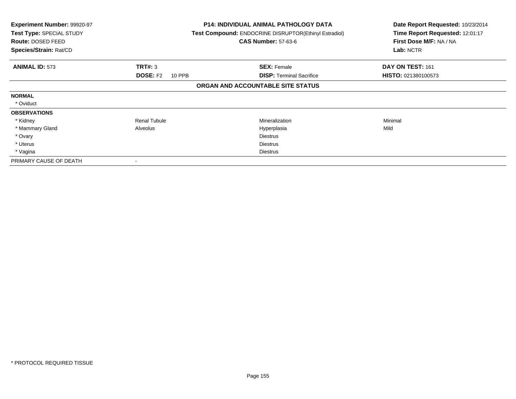| <b>Experiment Number: 99920-97</b><br>Test Type: SPECIAL STUDY<br><b>Route: DOSED FEED</b><br>Species/Strain: Rat/CD |                           | <b>P14: INDIVIDUAL ANIMAL PATHOLOGY DATA</b><br>Test Compound: ENDOCRINE DISRUPTOR(Ethinyl Estradiol)<br><b>CAS Number: 57-63-6</b> | Date Report Requested: 10/23/2014<br>Time Report Requested: 12:01:17<br>First Dose M/F: NA / NA<br>Lab: NCTR |
|----------------------------------------------------------------------------------------------------------------------|---------------------------|-------------------------------------------------------------------------------------------------------------------------------------|--------------------------------------------------------------------------------------------------------------|
| <b>ANIMAL ID: 573</b>                                                                                                | TRT#: 3                   | <b>SEX: Female</b>                                                                                                                  | DAY ON TEST: 161                                                                                             |
|                                                                                                                      | <b>DOSE: F2</b><br>10 PPB | <b>DISP: Terminal Sacrifice</b>                                                                                                     | <b>HISTO: 021380100573</b>                                                                                   |
|                                                                                                                      |                           | ORGAN AND ACCOUNTABLE SITE STATUS                                                                                                   |                                                                                                              |
| <b>NORMAL</b>                                                                                                        |                           |                                                                                                                                     |                                                                                                              |
| * Oviduct                                                                                                            |                           |                                                                                                                                     |                                                                                                              |
| <b>OBSERVATIONS</b>                                                                                                  |                           |                                                                                                                                     |                                                                                                              |
| * Kidney                                                                                                             | <b>Renal Tubule</b>       | <b>Mineralization</b>                                                                                                               | Minimal                                                                                                      |
| * Mammary Gland                                                                                                      | Alveolus                  | Hyperplasia                                                                                                                         | Mild                                                                                                         |
| * Ovary                                                                                                              |                           | <b>Diestrus</b>                                                                                                                     |                                                                                                              |
| * Uterus                                                                                                             |                           | <b>Diestrus</b>                                                                                                                     |                                                                                                              |
| * Vagina                                                                                                             |                           | <b>Diestrus</b>                                                                                                                     |                                                                                                              |
| PRIMARY CAUSE OF DEATH                                                                                               |                           |                                                                                                                                     |                                                                                                              |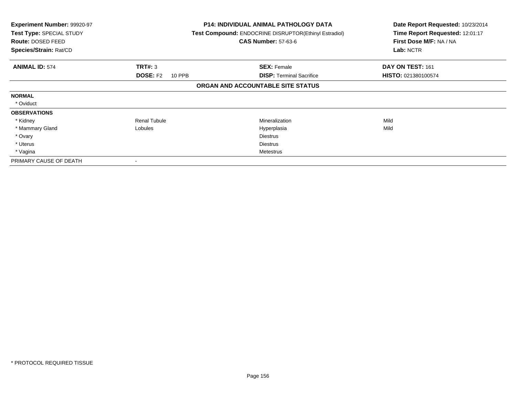| Experiment Number: 99920-97<br>Test Type: SPECIAL STUDY<br>Route: DOSED FEED<br>Species/Strain: Rat/CD |                           | <b>P14: INDIVIDUAL ANIMAL PATHOLOGY DATA</b><br>Test Compound: ENDOCRINE DISRUPTOR(Ethinyl Estradiol)<br><b>CAS Number: 57-63-6</b> | Date Report Requested: 10/23/2014<br>Time Report Requested: 12:01:17<br>First Dose M/F: NA / NA<br>Lab: NCTR |
|--------------------------------------------------------------------------------------------------------|---------------------------|-------------------------------------------------------------------------------------------------------------------------------------|--------------------------------------------------------------------------------------------------------------|
| <b>ANIMAL ID: 574</b>                                                                                  | TRT#: 3                   | <b>SEX: Female</b>                                                                                                                  | DAY ON TEST: 161                                                                                             |
|                                                                                                        | <b>DOSE: F2</b><br>10 PPB | <b>DISP:</b> Terminal Sacrifice                                                                                                     | HISTO: 021380100574                                                                                          |
|                                                                                                        |                           | ORGAN AND ACCOUNTABLE SITE STATUS                                                                                                   |                                                                                                              |
| <b>NORMAL</b>                                                                                          |                           |                                                                                                                                     |                                                                                                              |
| * Oviduct                                                                                              |                           |                                                                                                                                     |                                                                                                              |
| <b>OBSERVATIONS</b>                                                                                    |                           |                                                                                                                                     |                                                                                                              |
| * Kidney                                                                                               | <b>Renal Tubule</b>       | Mineralization                                                                                                                      | Mild                                                                                                         |
| * Mammary Gland                                                                                        | Lobules                   | Hyperplasia                                                                                                                         | Mild                                                                                                         |
| * Ovary                                                                                                |                           | <b>Diestrus</b>                                                                                                                     |                                                                                                              |
| * Uterus                                                                                               |                           | Diestrus                                                                                                                            |                                                                                                              |
| * Vagina                                                                                               |                           | Metestrus                                                                                                                           |                                                                                                              |
| PRIMARY CAUSE OF DEATH                                                                                 |                           |                                                                                                                                     |                                                                                                              |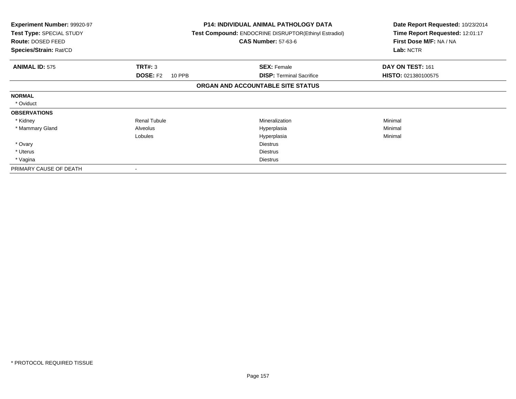| <b>Experiment Number: 99920-97</b><br>Test Type: SPECIAL STUDY<br>Route: DOSED FEED<br>Species/Strain: Rat/CD |                           | <b>P14: INDIVIDUAL ANIMAL PATHOLOGY DATA</b><br><b>Test Compound: ENDOCRINE DISRUPTOR(Ethinyl Estradiol)</b><br><b>CAS Number: 57-63-6</b> | Date Report Requested: 10/23/2014<br>Time Report Requested: 12:01:17<br>First Dose M/F: NA / NA<br>Lab: NCTR |
|---------------------------------------------------------------------------------------------------------------|---------------------------|--------------------------------------------------------------------------------------------------------------------------------------------|--------------------------------------------------------------------------------------------------------------|
| <b>ANIMAL ID: 575</b>                                                                                         | TRT#: 3                   | <b>SEX: Female</b>                                                                                                                         | DAY ON TEST: 161                                                                                             |
|                                                                                                               | <b>DOSE: F2</b><br>10 PPB | <b>DISP:</b> Terminal Sacrifice                                                                                                            | HISTO: 021380100575                                                                                          |
|                                                                                                               |                           | ORGAN AND ACCOUNTABLE SITE STATUS                                                                                                          |                                                                                                              |
| <b>NORMAL</b>                                                                                                 |                           |                                                                                                                                            |                                                                                                              |
| * Oviduct                                                                                                     |                           |                                                                                                                                            |                                                                                                              |
| <b>OBSERVATIONS</b>                                                                                           |                           |                                                                                                                                            |                                                                                                              |
| * Kidney                                                                                                      | <b>Renal Tubule</b>       | <b>Mineralization</b>                                                                                                                      | Minimal                                                                                                      |
| * Mammary Gland                                                                                               | Alveolus                  | Hyperplasia                                                                                                                                | Minimal                                                                                                      |
|                                                                                                               | Lobules                   | Hyperplasia                                                                                                                                | Minimal                                                                                                      |
| * Ovary                                                                                                       |                           | <b>Diestrus</b>                                                                                                                            |                                                                                                              |
| * Uterus                                                                                                      |                           | <b>Diestrus</b>                                                                                                                            |                                                                                                              |
| * Vagina                                                                                                      |                           | <b>Diestrus</b>                                                                                                                            |                                                                                                              |
| PRIMARY CAUSE OF DEATH                                                                                        |                           |                                                                                                                                            |                                                                                                              |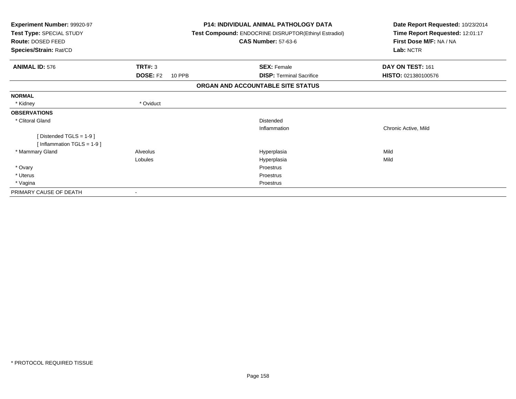| <b>Experiment Number: 99920-97</b><br>Test Type: SPECIAL STUDY<br>Route: DOSED FEED<br>Species/Strain: Rat/CD |                                  | <b>P14: INDIVIDUAL ANIMAL PATHOLOGY DATA</b><br>Test Compound: ENDOCRINE DISRUPTOR(Ethinyl Estradiol)<br><b>CAS Number: 57-63-6</b> | Date Report Requested: 10/23/2014<br>Time Report Requested: 12:01:17<br>First Dose M/F: NA / NA<br>Lab: NCTR |
|---------------------------------------------------------------------------------------------------------------|----------------------------------|-------------------------------------------------------------------------------------------------------------------------------------|--------------------------------------------------------------------------------------------------------------|
| <b>ANIMAL ID: 576</b>                                                                                         | TRT#: 3                          | <b>SEX: Female</b>                                                                                                                  | DAY ON TEST: 161                                                                                             |
|                                                                                                               | <b>DOSE: F2</b><br><b>10 PPB</b> | <b>DISP: Terminal Sacrifice</b>                                                                                                     | HISTO: 021380100576                                                                                          |
|                                                                                                               |                                  | ORGAN AND ACCOUNTABLE SITE STATUS                                                                                                   |                                                                                                              |
| <b>NORMAL</b>                                                                                                 |                                  |                                                                                                                                     |                                                                                                              |
| * Kidney                                                                                                      | * Oviduct                        |                                                                                                                                     |                                                                                                              |
| <b>OBSERVATIONS</b>                                                                                           |                                  |                                                                                                                                     |                                                                                                              |
| * Clitoral Gland                                                                                              |                                  | Distended                                                                                                                           |                                                                                                              |
|                                                                                                               |                                  | Inflammation                                                                                                                        | Chronic Active, Mild                                                                                         |
| [Distended TGLS = $1-9$ ]<br>[Inflammation TGLS = $1-9$ ]                                                     |                                  |                                                                                                                                     |                                                                                                              |
| * Mammary Gland                                                                                               | Alveolus                         | Hyperplasia                                                                                                                         | Mild                                                                                                         |
|                                                                                                               | <b>Lobules</b>                   | Hyperplasia                                                                                                                         | Mild                                                                                                         |
| * Ovary                                                                                                       |                                  | Proestrus                                                                                                                           |                                                                                                              |
| * Uterus                                                                                                      |                                  | Proestrus                                                                                                                           |                                                                                                              |
| * Vagina                                                                                                      |                                  | Proestrus                                                                                                                           |                                                                                                              |
| PRIMARY CAUSE OF DEATH                                                                                        |                                  |                                                                                                                                     |                                                                                                              |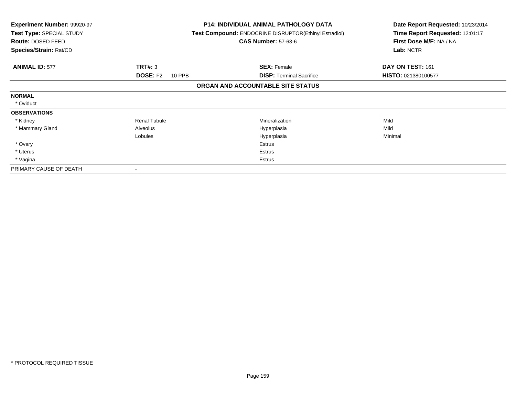| <b>Experiment Number: 99920-97</b><br>Test Type: SPECIAL STUDY<br>Route: DOSED FEED<br>Species/Strain: Rat/CD |                           | <b>P14: INDIVIDUAL ANIMAL PATHOLOGY DATA</b><br><b>Test Compound: ENDOCRINE DISRUPTOR(Ethinyl Estradiol)</b><br><b>CAS Number: 57-63-6</b> | Date Report Requested: 10/23/2014<br>Time Report Requested: 12:01:17<br>First Dose M/F: NA / NA<br>Lab: NCTR |
|---------------------------------------------------------------------------------------------------------------|---------------------------|--------------------------------------------------------------------------------------------------------------------------------------------|--------------------------------------------------------------------------------------------------------------|
| <b>ANIMAL ID: 577</b>                                                                                         | <b>TRT#: 3</b>            | <b>SEX: Female</b>                                                                                                                         | DAY ON TEST: 161                                                                                             |
|                                                                                                               | <b>DOSE: F2</b><br>10 PPB | <b>DISP:</b> Terminal Sacrifice                                                                                                            | HISTO: 021380100577                                                                                          |
|                                                                                                               |                           | ORGAN AND ACCOUNTABLE SITE STATUS                                                                                                          |                                                                                                              |
| <b>NORMAL</b>                                                                                                 |                           |                                                                                                                                            |                                                                                                              |
| * Oviduct                                                                                                     |                           |                                                                                                                                            |                                                                                                              |
| <b>OBSERVATIONS</b>                                                                                           |                           |                                                                                                                                            |                                                                                                              |
| * Kidney                                                                                                      | <b>Renal Tubule</b>       | Mineralization                                                                                                                             | Mild                                                                                                         |
| * Mammary Gland                                                                                               | Alveolus                  | Hyperplasia                                                                                                                                | Mild                                                                                                         |
|                                                                                                               | Lobules                   | Hyperplasia                                                                                                                                | Minimal                                                                                                      |
| * Ovary                                                                                                       |                           | Estrus                                                                                                                                     |                                                                                                              |
| * Uterus                                                                                                      |                           | Estrus                                                                                                                                     |                                                                                                              |
| * Vagina                                                                                                      |                           | Estrus                                                                                                                                     |                                                                                                              |
| PRIMARY CAUSE OF DEATH                                                                                        |                           |                                                                                                                                            |                                                                                                              |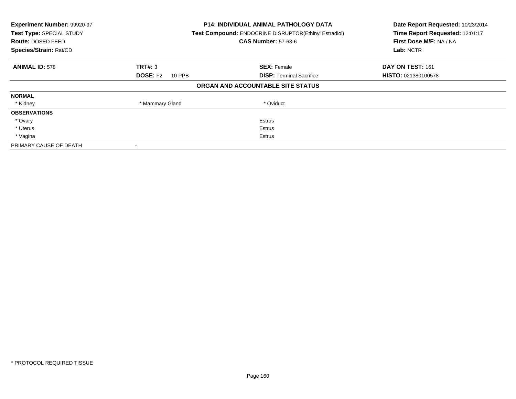| Experiment Number: 99920-97<br>Test Type: SPECIAL STUDY<br>Route: DOSED FEED<br>Species/Strain: Rat/CD |                           | <b>P14: INDIVIDUAL ANIMAL PATHOLOGY DATA</b><br><b>Test Compound: ENDOCRINE DISRUPTOR(Ethinyl Estradiol)</b><br><b>CAS Number: 57-63-6</b> | Date Report Requested: 10/23/2014<br>Time Report Requested: 12:01:17<br>First Dose M/F: NA / NA<br>Lab: NCTR |
|--------------------------------------------------------------------------------------------------------|---------------------------|--------------------------------------------------------------------------------------------------------------------------------------------|--------------------------------------------------------------------------------------------------------------|
| <b>ANIMAL ID: 578</b>                                                                                  | TRT#: 3                   | <b>SEX: Female</b>                                                                                                                         | DAY ON TEST: 161                                                                                             |
|                                                                                                        | <b>DOSE: F2</b><br>10 PPB | <b>DISP:</b> Terminal Sacrifice                                                                                                            | <b>HISTO: 021380100578</b>                                                                                   |
|                                                                                                        |                           | ORGAN AND ACCOUNTABLE SITE STATUS                                                                                                          |                                                                                                              |
| <b>NORMAL</b>                                                                                          |                           |                                                                                                                                            |                                                                                                              |
| * Kidney                                                                                               | * Mammary Gland           | * Oviduct                                                                                                                                  |                                                                                                              |
| <b>OBSERVATIONS</b>                                                                                    |                           |                                                                                                                                            |                                                                                                              |
| * Ovary                                                                                                |                           | Estrus                                                                                                                                     |                                                                                                              |
| * Uterus                                                                                               |                           | Estrus                                                                                                                                     |                                                                                                              |
| * Vagina                                                                                               |                           | Estrus                                                                                                                                     |                                                                                                              |
| PRIMARY CAUSE OF DEATH                                                                                 |                           |                                                                                                                                            |                                                                                                              |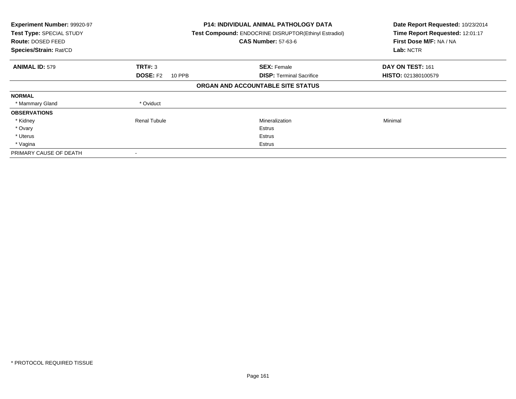| Experiment Number: 99920-97<br>Test Type: SPECIAL STUDY<br><b>Route: DOSED FEED</b><br>Species/Strain: Rat/CD |                           | <b>P14: INDIVIDUAL ANIMAL PATHOLOGY DATA</b><br>Test Compound: ENDOCRINE DISRUPTOR(Ethinyl Estradiol)<br><b>CAS Number: 57-63-6</b> | Date Report Requested: 10/23/2014<br>Time Report Requested: 12:01:17<br>First Dose M/F: NA / NA<br>Lab: NCTR |
|---------------------------------------------------------------------------------------------------------------|---------------------------|-------------------------------------------------------------------------------------------------------------------------------------|--------------------------------------------------------------------------------------------------------------|
| <b>ANIMAL ID: 579</b>                                                                                         | TRT#: 3                   | <b>SEX: Female</b>                                                                                                                  | DAY ON TEST: 161                                                                                             |
|                                                                                                               | <b>DOSE: F2</b><br>10 PPB | <b>DISP:</b> Terminal Sacrifice                                                                                                     | <b>HISTO: 021380100579</b>                                                                                   |
|                                                                                                               |                           | ORGAN AND ACCOUNTABLE SITE STATUS                                                                                                   |                                                                                                              |
| <b>NORMAL</b>                                                                                                 |                           |                                                                                                                                     |                                                                                                              |
| * Mammary Gland                                                                                               | * Oviduct                 |                                                                                                                                     |                                                                                                              |
| <b>OBSERVATIONS</b>                                                                                           |                           |                                                                                                                                     |                                                                                                              |
| * Kidney                                                                                                      | <b>Renal Tubule</b>       | Mineralization                                                                                                                      | Minimal                                                                                                      |
| * Ovary                                                                                                       |                           | Estrus                                                                                                                              |                                                                                                              |
| * Uterus                                                                                                      |                           | Estrus                                                                                                                              |                                                                                                              |
| * Vagina                                                                                                      |                           | Estrus                                                                                                                              |                                                                                                              |
| PRIMARY CAUSE OF DEATH                                                                                        |                           |                                                                                                                                     |                                                                                                              |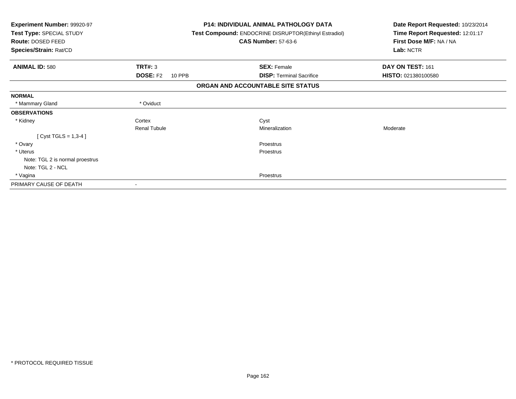| <b>Experiment Number: 99920-97</b><br>Test Type: SPECIAL STUDY<br>Route: DOSED FEED |                           | <b>P14: INDIVIDUAL ANIMAL PATHOLOGY DATA</b><br>Test Compound: ENDOCRINE DISRUPTOR(Ethinyl Estradiol)<br><b>CAS Number: 57-63-6</b> | Date Report Requested: 10/23/2014<br>Time Report Requested: 12:01:17<br>First Dose M/F: NA / NA |
|-------------------------------------------------------------------------------------|---------------------------|-------------------------------------------------------------------------------------------------------------------------------------|-------------------------------------------------------------------------------------------------|
| Species/Strain: Rat/CD                                                              |                           |                                                                                                                                     | Lab: NCTR                                                                                       |
| <b>ANIMAL ID: 580</b>                                                               | TRT#: 3                   | <b>SEX: Female</b>                                                                                                                  | DAY ON TEST: 161                                                                                |
|                                                                                     | <b>DOSE: F2</b><br>10 PPB | <b>DISP: Terminal Sacrifice</b>                                                                                                     | HISTO: 021380100580                                                                             |
|                                                                                     |                           | ORGAN AND ACCOUNTABLE SITE STATUS                                                                                                   |                                                                                                 |
| <b>NORMAL</b>                                                                       |                           |                                                                                                                                     |                                                                                                 |
| * Mammary Gland                                                                     | * Oviduct                 |                                                                                                                                     |                                                                                                 |
| <b>OBSERVATIONS</b>                                                                 |                           |                                                                                                                                     |                                                                                                 |
| * Kidney                                                                            | Cortex                    | Cyst                                                                                                                                |                                                                                                 |
|                                                                                     | <b>Renal Tubule</b>       | Mineralization                                                                                                                      | Moderate                                                                                        |
| [ Cyst TGLS = $1,3-4$ ]                                                             |                           |                                                                                                                                     |                                                                                                 |
| * Ovary                                                                             |                           | Proestrus                                                                                                                           |                                                                                                 |
| * Uterus                                                                            |                           | Proestrus                                                                                                                           |                                                                                                 |
| Note: TGL 2 is normal proestrus                                                     |                           |                                                                                                                                     |                                                                                                 |
| Note: TGL 2 - NCL                                                                   |                           |                                                                                                                                     |                                                                                                 |
| * Vagina                                                                            |                           | Proestrus                                                                                                                           |                                                                                                 |
| PRIMARY CAUSE OF DEATH                                                              |                           |                                                                                                                                     |                                                                                                 |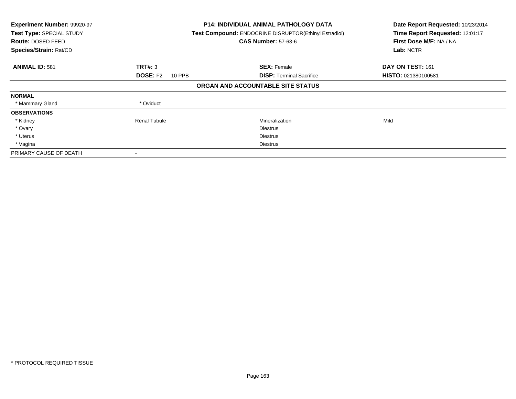| Experiment Number: 99920-97<br>Test Type: SPECIAL STUDY<br>Route: DOSED FEED<br>Species/Strain: Rat/CD |                                  | <b>P14: INDIVIDUAL ANIMAL PATHOLOGY DATA</b><br>Test Compound: ENDOCRINE DISRUPTOR(Ethinyl Estradiol)<br><b>CAS Number: 57-63-6</b> | Date Report Requested: 10/23/2014<br>Time Report Requested: 12:01:17<br>First Dose M/F: NA / NA<br>Lab: NCTR |
|--------------------------------------------------------------------------------------------------------|----------------------------------|-------------------------------------------------------------------------------------------------------------------------------------|--------------------------------------------------------------------------------------------------------------|
| <b>ANIMAL ID: 581</b>                                                                                  | TRT#: 3                          | <b>SEX: Female</b>                                                                                                                  | DAY ON TEST: 161                                                                                             |
|                                                                                                        | <b>DOSE: F2</b><br><b>10 PPB</b> | <b>DISP:</b> Terminal Sacrifice                                                                                                     | HISTO: 021380100581                                                                                          |
|                                                                                                        |                                  | ORGAN AND ACCOUNTABLE SITE STATUS                                                                                                   |                                                                                                              |
| <b>NORMAL</b>                                                                                          |                                  |                                                                                                                                     |                                                                                                              |
| * Mammary Gland                                                                                        | * Oviduct                        |                                                                                                                                     |                                                                                                              |
| <b>OBSERVATIONS</b>                                                                                    |                                  |                                                                                                                                     |                                                                                                              |
| * Kidney                                                                                               | <b>Renal Tubule</b>              | Mineralization                                                                                                                      | Mild                                                                                                         |
| * Ovary                                                                                                |                                  | <b>Diestrus</b>                                                                                                                     |                                                                                                              |
| * Uterus                                                                                               |                                  | <b>Diestrus</b>                                                                                                                     |                                                                                                              |
| * Vagina                                                                                               |                                  | Diestrus                                                                                                                            |                                                                                                              |
| PRIMARY CAUSE OF DEATH                                                                                 |                                  |                                                                                                                                     |                                                                                                              |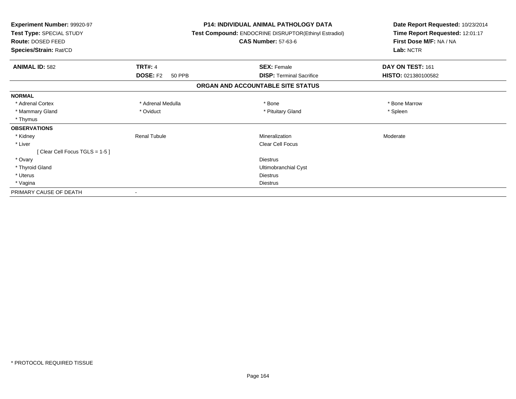| Experiment Number: 99920-97<br>Test Type: SPECIAL STUDY<br>Route: DOSED FEED<br>Species/Strain: Rat/CD |                                  | <b>P14: INDIVIDUAL ANIMAL PATHOLOGY DATA</b><br>Test Compound: ENDOCRINE DISRUPTOR(Ethinyl Estradiol)<br><b>CAS Number: 57-63-6</b> |                                   | Date Report Requested: 10/23/2014<br>Time Report Requested: 12:01:17<br>First Dose M/F: NA / NA<br>Lab: NCTR |
|--------------------------------------------------------------------------------------------------------|----------------------------------|-------------------------------------------------------------------------------------------------------------------------------------|-----------------------------------|--------------------------------------------------------------------------------------------------------------|
| <b>ANIMAL ID: 582</b>                                                                                  | <b>TRT#: 4</b>                   |                                                                                                                                     | <b>SEX: Female</b>                | DAY ON TEST: 161                                                                                             |
|                                                                                                        | <b>DOSE: F2</b><br><b>50 PPB</b> |                                                                                                                                     | <b>DISP:</b> Terminal Sacrifice   | HISTO: 021380100582                                                                                          |
|                                                                                                        |                                  |                                                                                                                                     | ORGAN AND ACCOUNTABLE SITE STATUS |                                                                                                              |
| <b>NORMAL</b>                                                                                          |                                  |                                                                                                                                     |                                   |                                                                                                              |
| * Adrenal Cortex                                                                                       | * Adrenal Medulla                |                                                                                                                                     | * Bone                            | * Bone Marrow                                                                                                |
| * Mammary Gland                                                                                        | * Oviduct                        |                                                                                                                                     | * Pituitary Gland                 | * Spleen                                                                                                     |
| * Thymus                                                                                               |                                  |                                                                                                                                     |                                   |                                                                                                              |
| <b>OBSERVATIONS</b>                                                                                    |                                  |                                                                                                                                     |                                   |                                                                                                              |
| * Kidney                                                                                               | <b>Renal Tubule</b>              |                                                                                                                                     | Mineralization                    | Moderate                                                                                                     |
| * Liver                                                                                                |                                  |                                                                                                                                     | <b>Clear Cell Focus</b>           |                                                                                                              |
| [Clear Cell Focus TGLS = 1-5]                                                                          |                                  |                                                                                                                                     |                                   |                                                                                                              |
| * Ovary                                                                                                |                                  |                                                                                                                                     | <b>Diestrus</b>                   |                                                                                                              |
| * Thyroid Gland                                                                                        |                                  |                                                                                                                                     | Ultimobranchial Cyst              |                                                                                                              |
| * Uterus                                                                                               |                                  |                                                                                                                                     | <b>Diestrus</b>                   |                                                                                                              |
| * Vagina                                                                                               |                                  |                                                                                                                                     | <b>Diestrus</b>                   |                                                                                                              |
| PRIMARY CAUSE OF DEATH                                                                                 |                                  |                                                                                                                                     |                                   |                                                                                                              |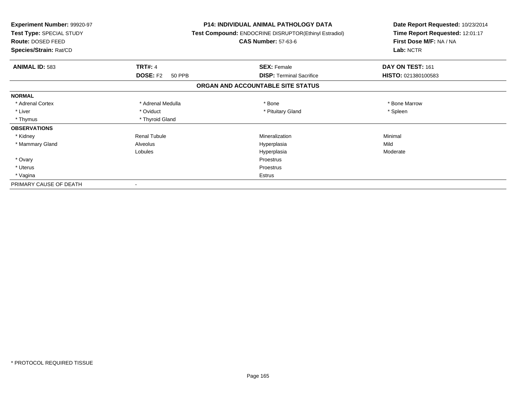| Experiment Number: 99920-97<br>Test Type: SPECIAL STUDY<br>Route: DOSED FEED<br>Species/Strain: Rat/CD |                           | <b>P14: INDIVIDUAL ANIMAL PATHOLOGY DATA</b><br><b>Test Compound: ENDOCRINE DISRUPTOR(Ethinyl Estradiol)</b><br><b>CAS Number: 57-63-6</b> | Date Report Requested: 10/23/2014<br>Time Report Requested: 12:01:17<br>First Dose M/F: NA / NA<br>Lab: NCTR |
|--------------------------------------------------------------------------------------------------------|---------------------------|--------------------------------------------------------------------------------------------------------------------------------------------|--------------------------------------------------------------------------------------------------------------|
| <b>ANIMAL ID: 583</b>                                                                                  | <b>TRT#: 4</b>            | <b>SEX: Female</b>                                                                                                                         | DAY ON TEST: 161                                                                                             |
|                                                                                                        | <b>DOSE: F2</b><br>50 PPB | <b>DISP: Terminal Sacrifice</b>                                                                                                            | HISTO: 021380100583                                                                                          |
|                                                                                                        |                           | ORGAN AND ACCOUNTABLE SITE STATUS                                                                                                          |                                                                                                              |
| <b>NORMAL</b>                                                                                          |                           |                                                                                                                                            |                                                                                                              |
| * Adrenal Cortex                                                                                       | * Adrenal Medulla         | * Bone                                                                                                                                     | * Bone Marrow                                                                                                |
| * Liver                                                                                                | * Oviduct                 | * Pituitary Gland                                                                                                                          | * Spleen                                                                                                     |
| * Thymus                                                                                               | * Thyroid Gland           |                                                                                                                                            |                                                                                                              |
| <b>OBSERVATIONS</b>                                                                                    |                           |                                                                                                                                            |                                                                                                              |
| * Kidney                                                                                               | <b>Renal Tubule</b>       | Mineralization                                                                                                                             | Minimal                                                                                                      |
| * Mammary Gland                                                                                        | Alveolus                  | Hyperplasia                                                                                                                                | Mild                                                                                                         |
|                                                                                                        | Lobules                   | Hyperplasia                                                                                                                                | Moderate                                                                                                     |
| * Ovary                                                                                                |                           | Proestrus                                                                                                                                  |                                                                                                              |
| * Uterus                                                                                               |                           | Proestrus                                                                                                                                  |                                                                                                              |
| * Vagina                                                                                               |                           | Estrus                                                                                                                                     |                                                                                                              |
| PRIMARY CAUSE OF DEATH                                                                                 |                           |                                                                                                                                            |                                                                                                              |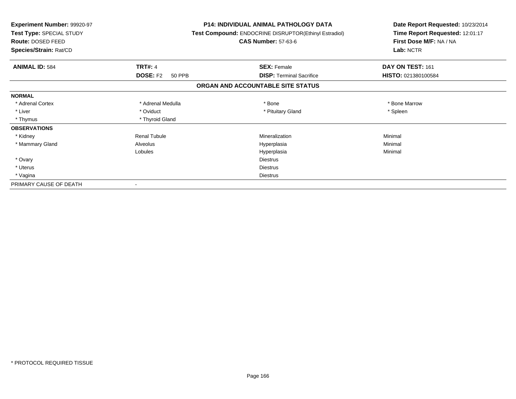| Experiment Number: 99920-97<br>Test Type: SPECIAL STUDY<br>Route: DOSED FEED<br>Species/Strain: Rat/CD |                           | <b>P14: INDIVIDUAL ANIMAL PATHOLOGY DATA</b><br>Test Compound: ENDOCRINE DISRUPTOR(Ethinyl Estradiol)<br><b>CAS Number: 57-63-6</b> | Date Report Requested: 10/23/2014<br>Time Report Requested: 12:01:17<br>First Dose M/F: NA / NA<br>Lab: NCTR |
|--------------------------------------------------------------------------------------------------------|---------------------------|-------------------------------------------------------------------------------------------------------------------------------------|--------------------------------------------------------------------------------------------------------------|
| <b>ANIMAL ID: 584</b>                                                                                  | <b>TRT#: 4</b>            | <b>SEX: Female</b>                                                                                                                  | DAY ON TEST: 161                                                                                             |
|                                                                                                        | <b>DOSE: F2</b><br>50 PPB | <b>DISP: Terminal Sacrifice</b>                                                                                                     | HISTO: 021380100584                                                                                          |
|                                                                                                        |                           | ORGAN AND ACCOUNTABLE SITE STATUS                                                                                                   |                                                                                                              |
| <b>NORMAL</b>                                                                                          |                           |                                                                                                                                     |                                                                                                              |
| * Adrenal Cortex                                                                                       | * Adrenal Medulla         | * Bone                                                                                                                              | * Bone Marrow                                                                                                |
| * Liver                                                                                                | * Oviduct                 | * Pituitary Gland                                                                                                                   | * Spleen                                                                                                     |
| * Thymus                                                                                               | * Thyroid Gland           |                                                                                                                                     |                                                                                                              |
| <b>OBSERVATIONS</b>                                                                                    |                           |                                                                                                                                     |                                                                                                              |
| * Kidney                                                                                               | <b>Renal Tubule</b>       | Mineralization                                                                                                                      | Minimal                                                                                                      |
| * Mammary Gland                                                                                        | Alveolus                  | Hyperplasia                                                                                                                         | Minimal                                                                                                      |
|                                                                                                        | Lobules                   | Hyperplasia                                                                                                                         | Minimal                                                                                                      |
| * Ovary                                                                                                |                           | <b>Diestrus</b>                                                                                                                     |                                                                                                              |
| * Uterus                                                                                               |                           | <b>Diestrus</b>                                                                                                                     |                                                                                                              |
| * Vagina                                                                                               |                           | <b>Diestrus</b>                                                                                                                     |                                                                                                              |
| PRIMARY CAUSE OF DEATH                                                                                 |                           |                                                                                                                                     |                                                                                                              |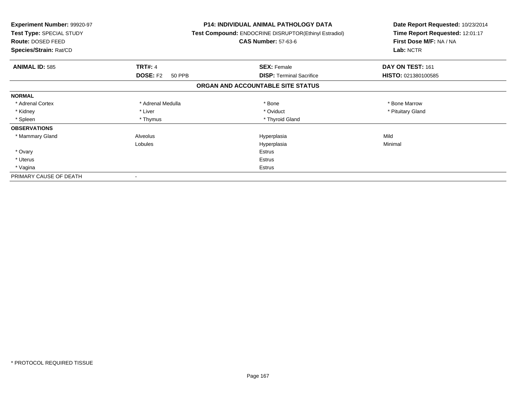| <b>Experiment Number: 99920-97</b><br>Test Type: SPECIAL STUDY<br>Route: DOSED FEED<br>Species/Strain: Rat/CD |                           | <b>P14: INDIVIDUAL ANIMAL PATHOLOGY DATA</b><br>Test Compound: ENDOCRINE DISRUPTOR(Ethinyl Estradiol)<br><b>CAS Number: 57-63-6</b> | Date Report Requested: 10/23/2014<br>Time Report Requested: 12:01:17<br>First Dose M/F: NA / NA<br>Lab: NCTR |
|---------------------------------------------------------------------------------------------------------------|---------------------------|-------------------------------------------------------------------------------------------------------------------------------------|--------------------------------------------------------------------------------------------------------------|
| <b>ANIMAL ID: 585</b>                                                                                         | <b>TRT#: 4</b>            | <b>SEX: Female</b>                                                                                                                  | DAY ON TEST: 161                                                                                             |
|                                                                                                               | <b>DOSE: F2</b><br>50 PPB | <b>DISP:</b> Terminal Sacrifice                                                                                                     | HISTO: 021380100585                                                                                          |
|                                                                                                               |                           | ORGAN AND ACCOUNTABLE SITE STATUS                                                                                                   |                                                                                                              |
| <b>NORMAL</b>                                                                                                 |                           |                                                                                                                                     |                                                                                                              |
| * Adrenal Cortex                                                                                              | * Adrenal Medulla         | * Bone                                                                                                                              | * Bone Marrow                                                                                                |
| * Kidney                                                                                                      | * Liver                   | * Oviduct                                                                                                                           | * Pituitary Gland                                                                                            |
| * Spleen                                                                                                      | * Thymus                  | * Thyroid Gland                                                                                                                     |                                                                                                              |
| <b>OBSERVATIONS</b>                                                                                           |                           |                                                                                                                                     |                                                                                                              |
| * Mammary Gland                                                                                               | Alveolus                  | Hyperplasia                                                                                                                         | Mild                                                                                                         |
|                                                                                                               | Lobules                   | Hyperplasia                                                                                                                         | Minimal                                                                                                      |
| * Ovary                                                                                                       |                           | Estrus                                                                                                                              |                                                                                                              |
| * Uterus                                                                                                      |                           | Estrus                                                                                                                              |                                                                                                              |
| * Vagina                                                                                                      |                           | Estrus                                                                                                                              |                                                                                                              |
| PRIMARY CAUSE OF DEATH                                                                                        |                           |                                                                                                                                     |                                                                                                              |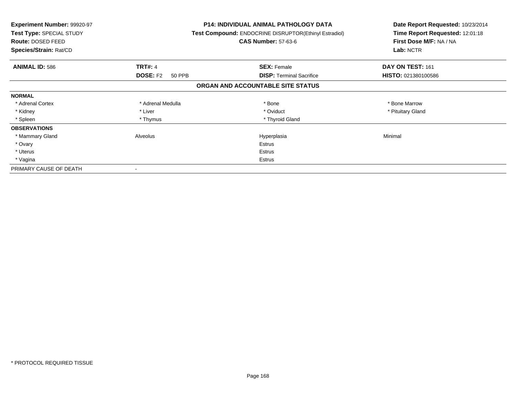| <b>Experiment Number: 99920-97</b><br>Test Type: SPECIAL STUDY<br>Route: DOSED FEED<br>Species/Strain: Rat/CD |                           | <b>P14: INDIVIDUAL ANIMAL PATHOLOGY DATA</b><br>Test Compound: ENDOCRINE DISRUPTOR(Ethinyl Estradiol)<br><b>CAS Number: 57-63-6</b> | Date Report Requested: 10/23/2014<br>Time Report Requested: 12:01:18<br>First Dose M/F: NA / NA<br>Lab: NCTR |
|---------------------------------------------------------------------------------------------------------------|---------------------------|-------------------------------------------------------------------------------------------------------------------------------------|--------------------------------------------------------------------------------------------------------------|
| <b>ANIMAL ID: 586</b>                                                                                         | <b>TRT#: 4</b>            | <b>SEX: Female</b>                                                                                                                  | DAY ON TEST: 161                                                                                             |
|                                                                                                               | <b>DOSE: F2</b><br>50 PPB | <b>DISP:</b> Terminal Sacrifice                                                                                                     | HISTO: 021380100586                                                                                          |
|                                                                                                               |                           | ORGAN AND ACCOUNTABLE SITE STATUS                                                                                                   |                                                                                                              |
| <b>NORMAL</b>                                                                                                 |                           |                                                                                                                                     |                                                                                                              |
| * Adrenal Cortex                                                                                              | * Adrenal Medulla         | * Bone                                                                                                                              | * Bone Marrow                                                                                                |
| * Kidney                                                                                                      | * Liver                   | * Oviduct                                                                                                                           | * Pituitary Gland                                                                                            |
| * Spleen                                                                                                      | * Thymus                  | * Thyroid Gland                                                                                                                     |                                                                                                              |
| <b>OBSERVATIONS</b>                                                                                           |                           |                                                                                                                                     |                                                                                                              |
| * Mammary Gland                                                                                               | Alveolus                  | Hyperplasia                                                                                                                         | Minimal                                                                                                      |
| * Ovary                                                                                                       |                           | Estrus                                                                                                                              |                                                                                                              |
| * Uterus                                                                                                      |                           | Estrus                                                                                                                              |                                                                                                              |
| * Vagina                                                                                                      |                           | Estrus                                                                                                                              |                                                                                                              |
| PRIMARY CAUSE OF DEATH                                                                                        |                           |                                                                                                                                     |                                                                                                              |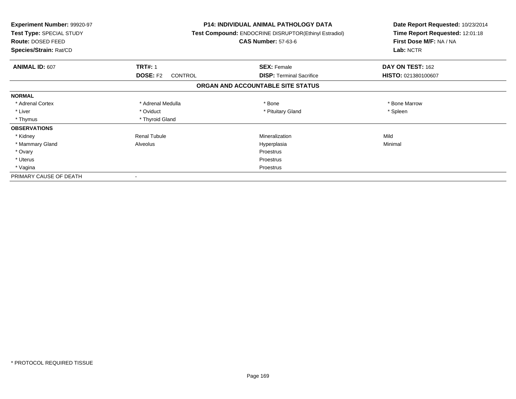| <b>Experiment Number: 99920-97</b><br>Test Type: SPECIAL STUDY<br>Route: DOSED FEED<br>Species/Strain: Rat/CD |                                   | <b>P14: INDIVIDUAL ANIMAL PATHOLOGY DATA</b><br>Test Compound: ENDOCRINE DISRUPTOR(Ethinyl Estradiol)<br><b>CAS Number: 57-63-6</b> | Date Report Requested: 10/23/2014<br>Time Report Requested: 12:01:18<br>First Dose M/F: NA / NA<br>Lab: NCTR |
|---------------------------------------------------------------------------------------------------------------|-----------------------------------|-------------------------------------------------------------------------------------------------------------------------------------|--------------------------------------------------------------------------------------------------------------|
| <b>ANIMAL ID: 607</b>                                                                                         | <b>TRT#: 1</b>                    | <b>SEX: Female</b>                                                                                                                  | DAY ON TEST: 162                                                                                             |
|                                                                                                               | <b>DOSE: F2</b><br><b>CONTROL</b> | <b>DISP: Terminal Sacrifice</b>                                                                                                     | HISTO: 021380100607                                                                                          |
|                                                                                                               |                                   | ORGAN AND ACCOUNTABLE SITE STATUS                                                                                                   |                                                                                                              |
| <b>NORMAL</b>                                                                                                 |                                   |                                                                                                                                     |                                                                                                              |
| * Adrenal Cortex                                                                                              | * Adrenal Medulla                 | * Bone                                                                                                                              | * Bone Marrow                                                                                                |
| * Liver                                                                                                       | * Oviduct                         | * Pituitary Gland                                                                                                                   | * Spleen                                                                                                     |
| * Thymus                                                                                                      | * Thyroid Gland                   |                                                                                                                                     |                                                                                                              |
| <b>OBSERVATIONS</b>                                                                                           |                                   |                                                                                                                                     |                                                                                                              |
| * Kidney                                                                                                      | <b>Renal Tubule</b>               | Mineralization                                                                                                                      | Mild                                                                                                         |
| * Mammary Gland                                                                                               | Alveolus                          | Hyperplasia                                                                                                                         | Minimal                                                                                                      |
| * Ovary                                                                                                       |                                   | Proestrus                                                                                                                           |                                                                                                              |
| * Uterus                                                                                                      |                                   | Proestrus                                                                                                                           |                                                                                                              |
| * Vagina                                                                                                      |                                   | Proestrus                                                                                                                           |                                                                                                              |
| PRIMARY CAUSE OF DEATH                                                                                        |                                   |                                                                                                                                     |                                                                                                              |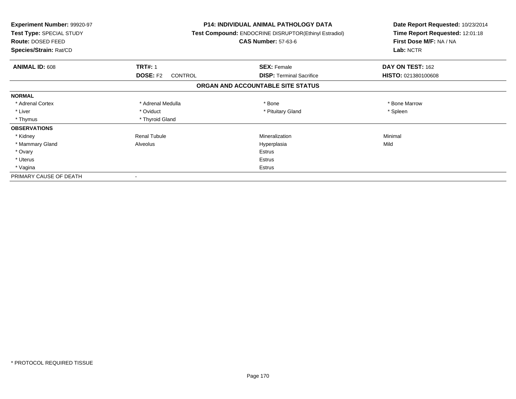| <b>Experiment Number: 99920-97</b><br>Test Type: SPECIAL STUDY<br>Route: DOSED FEED<br>Species/Strain: Rat/CD |                                   | <b>P14: INDIVIDUAL ANIMAL PATHOLOGY DATA</b><br>Test Compound: ENDOCRINE DISRUPTOR(Ethinyl Estradiol)<br><b>CAS Number: 57-63-6</b> | Date Report Requested: 10/23/2014<br>Time Report Requested: 12:01:18<br>First Dose M/F: NA / NA<br>Lab: NCTR |
|---------------------------------------------------------------------------------------------------------------|-----------------------------------|-------------------------------------------------------------------------------------------------------------------------------------|--------------------------------------------------------------------------------------------------------------|
| <b>ANIMAL ID: 608</b>                                                                                         | <b>TRT#: 1</b>                    | <b>SEX: Female</b>                                                                                                                  | DAY ON TEST: 162                                                                                             |
|                                                                                                               | <b>DOSE: F2</b><br><b>CONTROL</b> | <b>DISP: Terminal Sacrifice</b>                                                                                                     | HISTO: 021380100608                                                                                          |
|                                                                                                               |                                   | ORGAN AND ACCOUNTABLE SITE STATUS                                                                                                   |                                                                                                              |
| <b>NORMAL</b>                                                                                                 |                                   |                                                                                                                                     |                                                                                                              |
| * Adrenal Cortex                                                                                              | * Adrenal Medulla                 | * Bone                                                                                                                              | * Bone Marrow                                                                                                |
| * Liver                                                                                                       | * Oviduct                         | * Pituitary Gland                                                                                                                   | * Spleen                                                                                                     |
| * Thymus                                                                                                      | * Thyroid Gland                   |                                                                                                                                     |                                                                                                              |
| <b>OBSERVATIONS</b>                                                                                           |                                   |                                                                                                                                     |                                                                                                              |
| * Kidney                                                                                                      | <b>Renal Tubule</b>               | Mineralization                                                                                                                      | Minimal                                                                                                      |
| * Mammary Gland                                                                                               | Alveolus                          | Hyperplasia                                                                                                                         | Mild                                                                                                         |
| * Ovary                                                                                                       |                                   | <b>Estrus</b>                                                                                                                       |                                                                                                              |
| * Uterus                                                                                                      |                                   | Estrus                                                                                                                              |                                                                                                              |
| * Vagina                                                                                                      |                                   | Estrus                                                                                                                              |                                                                                                              |
| PRIMARY CAUSE OF DEATH                                                                                        |                                   |                                                                                                                                     |                                                                                                              |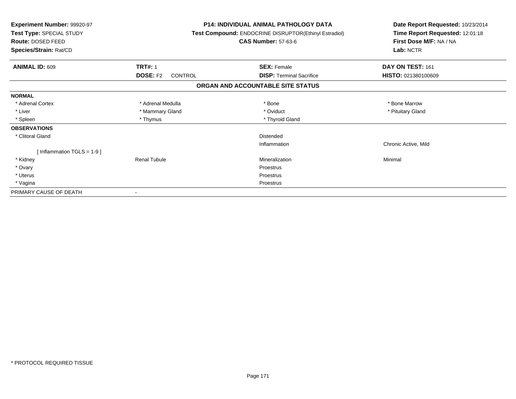| Experiment Number: 99920-97<br>Test Type: SPECIAL STUDY<br>Route: DOSED FEED<br>Species/Strain: Rat/CD |                            | <b>P14: INDIVIDUAL ANIMAL PATHOLOGY DATA</b><br>Test Compound: ENDOCRINE DISRUPTOR(Ethinyl Estradiol)<br><b>CAS Number: 57-63-6</b> | Date Report Requested: 10/23/2014<br>Time Report Requested: 12:01:18<br>First Dose M/F: NA / NA<br>Lab: NCTR |
|--------------------------------------------------------------------------------------------------------|----------------------------|-------------------------------------------------------------------------------------------------------------------------------------|--------------------------------------------------------------------------------------------------------------|
| <b>ANIMAL ID: 609</b>                                                                                  | <b>TRT#: 1</b>             | <b>SEX: Female</b>                                                                                                                  | DAY ON TEST: 161                                                                                             |
|                                                                                                        | <b>DOSE: F2</b><br>CONTROL | <b>DISP:</b> Terminal Sacrifice                                                                                                     | HISTO: 021380100609                                                                                          |
|                                                                                                        |                            | ORGAN AND ACCOUNTABLE SITE STATUS                                                                                                   |                                                                                                              |
| <b>NORMAL</b>                                                                                          |                            |                                                                                                                                     |                                                                                                              |
| * Adrenal Cortex                                                                                       | * Adrenal Medulla          | * Bone                                                                                                                              | * Bone Marrow                                                                                                |
| * Liver                                                                                                | * Mammary Gland            | * Oviduct                                                                                                                           | * Pituitary Gland                                                                                            |
| * Spleen                                                                                               | * Thymus                   | * Thyroid Gland                                                                                                                     |                                                                                                              |
| <b>OBSERVATIONS</b>                                                                                    |                            |                                                                                                                                     |                                                                                                              |
| * Clitoral Gland                                                                                       |                            | <b>Distended</b>                                                                                                                    |                                                                                                              |
|                                                                                                        |                            | Inflammation                                                                                                                        | Chronic Active, Mild                                                                                         |
| [Inflammation TGLS = $1-9$ ]                                                                           |                            |                                                                                                                                     |                                                                                                              |
| * Kidney                                                                                               | <b>Renal Tubule</b>        | Mineralization                                                                                                                      | Minimal                                                                                                      |
| * Ovary                                                                                                |                            | Proestrus                                                                                                                           |                                                                                                              |
| * Uterus                                                                                               |                            | Proestrus                                                                                                                           |                                                                                                              |
| * Vagina                                                                                               |                            | Proestrus                                                                                                                           |                                                                                                              |
| PRIMARY CAUSE OF DEATH                                                                                 |                            |                                                                                                                                     |                                                                                                              |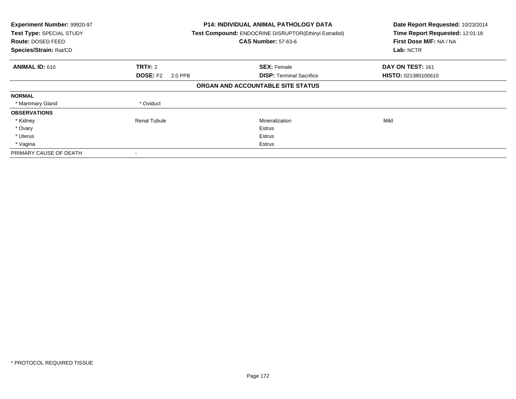| Experiment Number: 99920-97<br>Test Type: SPECIAL STUDY<br>Route: DOSED FEED<br>Species/Strain: Rat/CD |                            | <b>P14: INDIVIDUAL ANIMAL PATHOLOGY DATA</b><br>Test Compound: ENDOCRINE DISRUPTOR(Ethinyl Estradiol)<br><b>CAS Number: 57-63-6</b> | Date Report Requested: 10/23/2014<br>Time Report Requested: 12:01:18<br>First Dose M/F: NA / NA<br>Lab: NCTR |
|--------------------------------------------------------------------------------------------------------|----------------------------|-------------------------------------------------------------------------------------------------------------------------------------|--------------------------------------------------------------------------------------------------------------|
| <b>ANIMAL ID: 610</b>                                                                                  | <b>TRT#: 2</b>             | <b>SEX: Female</b>                                                                                                                  | DAY ON TEST: 161                                                                                             |
|                                                                                                        | <b>DOSE: F2</b><br>2.0 PPB | <b>DISP:</b> Terminal Sacrifice                                                                                                     | HISTO: 021380100610                                                                                          |
|                                                                                                        |                            | ORGAN AND ACCOUNTABLE SITE STATUS                                                                                                   |                                                                                                              |
| <b>NORMAL</b>                                                                                          |                            |                                                                                                                                     |                                                                                                              |
| * Mammary Gland                                                                                        | * Oviduct                  |                                                                                                                                     |                                                                                                              |
| <b>OBSERVATIONS</b>                                                                                    |                            |                                                                                                                                     |                                                                                                              |
| * Kidney                                                                                               | <b>Renal Tubule</b>        | Mineralization                                                                                                                      | Mild                                                                                                         |
| * Ovary                                                                                                |                            | Estrus                                                                                                                              |                                                                                                              |
| * Uterus                                                                                               |                            | Estrus                                                                                                                              |                                                                                                              |
| * Vagina                                                                                               |                            | Estrus                                                                                                                              |                                                                                                              |
| PRIMARY CAUSE OF DEATH                                                                                 |                            |                                                                                                                                     |                                                                                                              |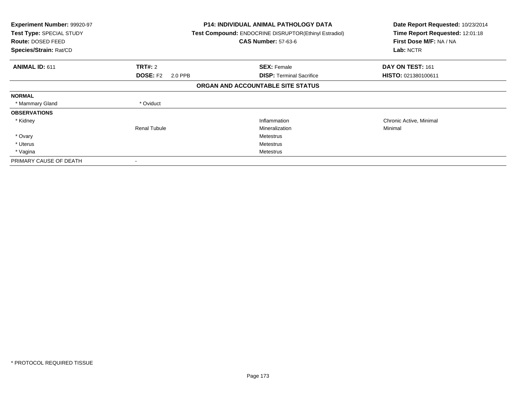| <b>Experiment Number: 99920-97</b><br>Test Type: SPECIAL STUDY<br>Route: DOSED FEED<br>Species/Strain: Rat/CD |                            | <b>P14: INDIVIDUAL ANIMAL PATHOLOGY DATA</b><br><b>Test Compound: ENDOCRINE DISRUPTOR (Ethinyl Estradiol)</b><br><b>CAS Number: 57-63-6</b> | Date Report Requested: 10/23/2014<br>Time Report Requested: 12:01:18<br>First Dose M/F: NA / NA<br>Lab: NCTR |
|---------------------------------------------------------------------------------------------------------------|----------------------------|---------------------------------------------------------------------------------------------------------------------------------------------|--------------------------------------------------------------------------------------------------------------|
| <b>ANIMAL ID: 611</b>                                                                                         | <b>TRT#: 2</b>             | <b>SEX: Female</b>                                                                                                                          | DAY ON TEST: 161                                                                                             |
|                                                                                                               | <b>DOSE: F2</b><br>2.0 PPB | <b>DISP:</b> Terminal Sacrifice                                                                                                             | HISTO: 021380100611                                                                                          |
|                                                                                                               |                            | ORGAN AND ACCOUNTABLE SITE STATUS                                                                                                           |                                                                                                              |
| <b>NORMAL</b>                                                                                                 |                            |                                                                                                                                             |                                                                                                              |
| * Mammary Gland                                                                                               | * Oviduct                  |                                                                                                                                             |                                                                                                              |
| <b>OBSERVATIONS</b>                                                                                           |                            |                                                                                                                                             |                                                                                                              |
| * Kidney                                                                                                      |                            | Inflammation                                                                                                                                | Chronic Active, Minimal                                                                                      |
|                                                                                                               | <b>Renal Tubule</b>        | Mineralization                                                                                                                              | Minimal                                                                                                      |
| * Ovary                                                                                                       |                            | <b>Metestrus</b>                                                                                                                            |                                                                                                              |
| * Uterus                                                                                                      |                            | Metestrus                                                                                                                                   |                                                                                                              |
| * Vagina                                                                                                      |                            | Metestrus                                                                                                                                   |                                                                                                              |
| PRIMARY CAUSE OF DEATH                                                                                        | $\,$                       |                                                                                                                                             |                                                                                                              |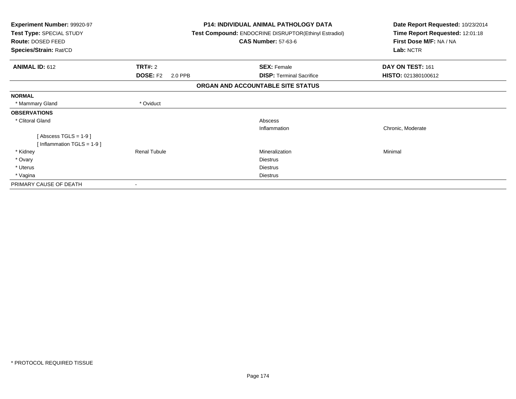| Experiment Number: 99920-97<br>Test Type: SPECIAL STUDY |                            | <b>P14: INDIVIDUAL ANIMAL PATHOLOGY DATA</b><br>Test Compound: ENDOCRINE DISRUPTOR(Ethinyl Estradiol) | Date Report Requested: 10/23/2014<br>Time Report Requested: 12:01:18 |  |
|---------------------------------------------------------|----------------------------|-------------------------------------------------------------------------------------------------------|----------------------------------------------------------------------|--|
| Route: DOSED FEED                                       |                            | <b>CAS Number: 57-63-6</b>                                                                            | First Dose M/F: NA / NA                                              |  |
| Species/Strain: Rat/CD                                  |                            |                                                                                                       | Lab: NCTR                                                            |  |
| <b>ANIMAL ID: 612</b>                                   | <b>TRT#: 2</b>             | <b>SEX: Female</b>                                                                                    | DAY ON TEST: 161                                                     |  |
|                                                         | <b>DOSE: F2</b><br>2.0 PPB | <b>DISP: Terminal Sacrifice</b>                                                                       | HISTO: 021380100612                                                  |  |
|                                                         |                            | ORGAN AND ACCOUNTABLE SITE STATUS                                                                     |                                                                      |  |
| <b>NORMAL</b>                                           |                            |                                                                                                       |                                                                      |  |
| * Mammary Gland                                         | * Oviduct                  |                                                                                                       |                                                                      |  |
| <b>OBSERVATIONS</b>                                     |                            |                                                                                                       |                                                                      |  |
| * Clitoral Gland                                        |                            | Abscess                                                                                               |                                                                      |  |
|                                                         |                            | Inflammation                                                                                          | Chronic, Moderate                                                    |  |
| [Abscess TGLS = $1-9$ ]                                 |                            |                                                                                                       |                                                                      |  |
| [Inflammation TGLS = $1-9$ ]                            |                            |                                                                                                       |                                                                      |  |
| * Kidney                                                | <b>Renal Tubule</b>        | Mineralization                                                                                        | Minimal                                                              |  |
| * Ovary                                                 |                            | <b>Diestrus</b>                                                                                       |                                                                      |  |
| * Uterus                                                |                            | <b>Diestrus</b>                                                                                       |                                                                      |  |
| * Vagina                                                |                            | <b>Diestrus</b>                                                                                       |                                                                      |  |
| PRIMARY CAUSE OF DEATH                                  |                            |                                                                                                       |                                                                      |  |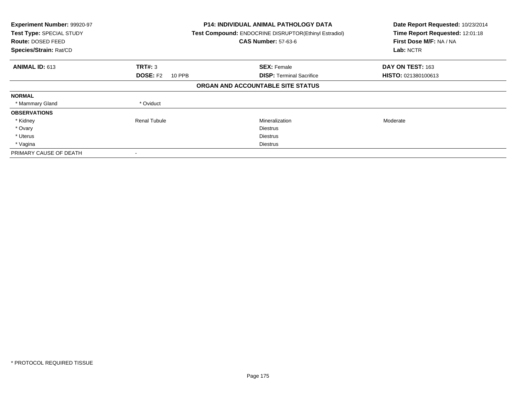| Experiment Number: 99920-97<br>Test Type: SPECIAL STUDY<br><b>Route: DOSED FEED</b><br>Species/Strain: Rat/CD |                           | <b>P14: INDIVIDUAL ANIMAL PATHOLOGY DATA</b><br>Test Compound: ENDOCRINE DISRUPTOR(Ethinyl Estradiol)<br><b>CAS Number: 57-63-6</b> | Date Report Requested: 10/23/2014<br>Time Report Requested: 12:01:18<br>First Dose M/F: NA / NA<br>Lab: NCTR |
|---------------------------------------------------------------------------------------------------------------|---------------------------|-------------------------------------------------------------------------------------------------------------------------------------|--------------------------------------------------------------------------------------------------------------|
| <b>ANIMAL ID: 613</b>                                                                                         | TRT#: 3                   | <b>SEX: Female</b>                                                                                                                  | DAY ON TEST: 163                                                                                             |
|                                                                                                               | <b>DOSE: F2</b><br>10 PPB | <b>DISP:</b> Terminal Sacrifice                                                                                                     | HISTO: 021380100613                                                                                          |
|                                                                                                               |                           | ORGAN AND ACCOUNTABLE SITE STATUS                                                                                                   |                                                                                                              |
| <b>NORMAL</b>                                                                                                 |                           |                                                                                                                                     |                                                                                                              |
| * Mammary Gland                                                                                               | * Oviduct                 |                                                                                                                                     |                                                                                                              |
| <b>OBSERVATIONS</b>                                                                                           |                           |                                                                                                                                     |                                                                                                              |
| * Kidney                                                                                                      | <b>Renal Tubule</b>       | Mineralization                                                                                                                      | Moderate                                                                                                     |
| * Ovary                                                                                                       |                           | <b>Diestrus</b>                                                                                                                     |                                                                                                              |
| * Uterus                                                                                                      |                           | Diestrus                                                                                                                            |                                                                                                              |
| * Vagina                                                                                                      |                           | Diestrus                                                                                                                            |                                                                                                              |
| PRIMARY CAUSE OF DEATH                                                                                        |                           |                                                                                                                                     |                                                                                                              |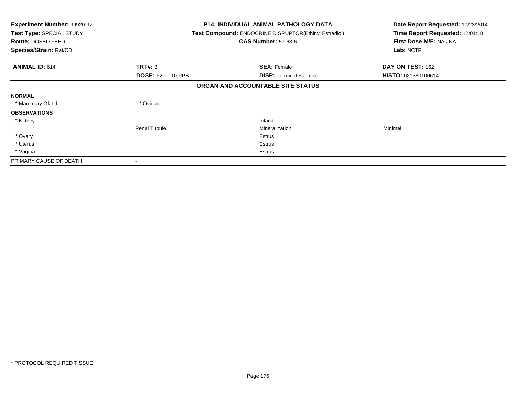| <b>Experiment Number: 99920-97</b><br>Test Type: SPECIAL STUDY<br>Route: DOSED FEED<br>Species/Strain: Rat/CD |                                  | <b>P14: INDIVIDUAL ANIMAL PATHOLOGY DATA</b><br><b>Test Compound: ENDOCRINE DISRUPTOR(Ethinyl Estradiol)</b><br><b>CAS Number: 57-63-6</b> | Date Report Requested: 10/23/2014<br>Time Report Requested: 12:01:18<br>First Dose M/F: NA / NA<br>Lab: NCTR |
|---------------------------------------------------------------------------------------------------------------|----------------------------------|--------------------------------------------------------------------------------------------------------------------------------------------|--------------------------------------------------------------------------------------------------------------|
| <b>ANIMAL ID: 614</b>                                                                                         | TRT#: 3                          | <b>SEX: Female</b>                                                                                                                         | DAY ON TEST: 162                                                                                             |
|                                                                                                               | <b>DOSE: F2</b><br><b>10 PPB</b> | <b>DISP:</b> Terminal Sacrifice                                                                                                            | HISTO: 021380100614                                                                                          |
|                                                                                                               |                                  | ORGAN AND ACCOUNTABLE SITE STATUS                                                                                                          |                                                                                                              |
| <b>NORMAL</b>                                                                                                 |                                  |                                                                                                                                            |                                                                                                              |
| * Mammary Gland                                                                                               | * Oviduct                        |                                                                                                                                            |                                                                                                              |
| <b>OBSERVATIONS</b>                                                                                           |                                  |                                                                                                                                            |                                                                                                              |
| * Kidney                                                                                                      |                                  | Infarct                                                                                                                                    |                                                                                                              |
|                                                                                                               | <b>Renal Tubule</b>              | Mineralization                                                                                                                             | Minimal                                                                                                      |
| * Ovary                                                                                                       |                                  | Estrus                                                                                                                                     |                                                                                                              |
| * Uterus                                                                                                      |                                  | Estrus                                                                                                                                     |                                                                                                              |
| * Vagina                                                                                                      |                                  | Estrus                                                                                                                                     |                                                                                                              |
| PRIMARY CAUSE OF DEATH                                                                                        |                                  |                                                                                                                                            |                                                                                                              |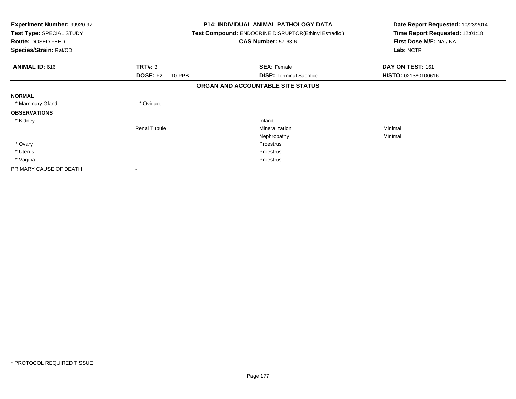| <b>Experiment Number: 99920-97</b><br>Test Type: SPECIAL STUDY<br>Route: DOSED FEED<br>Species/Strain: Rat/CD |                                  | <b>P14: INDIVIDUAL ANIMAL PATHOLOGY DATA</b><br><b>Test Compound: ENDOCRINE DISRUPTOR (Ethinyl Estradiol)</b><br><b>CAS Number: 57-63-6</b> | Date Report Requested: 10/23/2014<br>Time Report Requested: 12:01:18<br>First Dose M/F: NA / NA<br>Lab: NCTR |
|---------------------------------------------------------------------------------------------------------------|----------------------------------|---------------------------------------------------------------------------------------------------------------------------------------------|--------------------------------------------------------------------------------------------------------------|
| <b>ANIMAL ID: 616</b>                                                                                         | <b>TRT#: 3</b>                   | <b>SEX: Female</b>                                                                                                                          | DAY ON TEST: 161                                                                                             |
|                                                                                                               | <b>DOSE: F2</b><br><b>10 PPB</b> | <b>DISP:</b> Terminal Sacrifice                                                                                                             | HISTO: 021380100616                                                                                          |
|                                                                                                               |                                  | ORGAN AND ACCOUNTABLE SITE STATUS                                                                                                           |                                                                                                              |
| <b>NORMAL</b>                                                                                                 |                                  |                                                                                                                                             |                                                                                                              |
| * Mammary Gland                                                                                               | * Oviduct                        |                                                                                                                                             |                                                                                                              |
| <b>OBSERVATIONS</b>                                                                                           |                                  |                                                                                                                                             |                                                                                                              |
| * Kidney                                                                                                      |                                  | Infarct                                                                                                                                     |                                                                                                              |
|                                                                                                               | <b>Renal Tubule</b>              | Mineralization                                                                                                                              | Minimal                                                                                                      |
|                                                                                                               |                                  | Nephropathy                                                                                                                                 | Minimal                                                                                                      |
| * Ovary                                                                                                       |                                  | Proestrus                                                                                                                                   |                                                                                                              |
| * Uterus                                                                                                      |                                  | Proestrus                                                                                                                                   |                                                                                                              |
| * Vagina                                                                                                      |                                  | Proestrus                                                                                                                                   |                                                                                                              |
| PRIMARY CAUSE OF DEATH                                                                                        |                                  |                                                                                                                                             |                                                                                                              |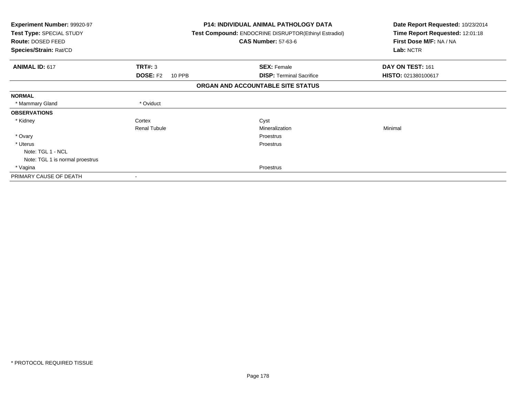| Experiment Number: 99920-97<br>Test Type: SPECIAL STUDY<br>Route: DOSED FEED<br>Species/Strain: Rat/CD |        | <b>P14: INDIVIDUAL ANIMAL PATHOLOGY DATA</b><br>Test Compound: ENDOCRINE DISRUPTOR(Ethinyl Estradiol)<br><b>CAS Number: 57-63-6</b> | Date Report Requested: 10/23/2014<br>Time Report Requested: 12:01:18<br>First Dose M/F: NA / NA<br>Lab: NCTR |
|--------------------------------------------------------------------------------------------------------|--------|-------------------------------------------------------------------------------------------------------------------------------------|--------------------------------------------------------------------------------------------------------------|
| <b>ANIMAL ID: 617</b><br>TRT#: 3                                                                       |        | <b>SEX: Female</b>                                                                                                                  | DAY ON TEST: 161                                                                                             |
| <b>DOSE: F2</b>                                                                                        | 10 PPB | <b>DISP:</b> Terminal Sacrifice                                                                                                     | HISTO: 021380100617                                                                                          |
|                                                                                                        |        | ORGAN AND ACCOUNTABLE SITE STATUS                                                                                                   |                                                                                                              |
| <b>NORMAL</b>                                                                                          |        |                                                                                                                                     |                                                                                                              |
| * Oviduct<br>* Mammary Gland                                                                           |        |                                                                                                                                     |                                                                                                              |
| <b>OBSERVATIONS</b>                                                                                    |        |                                                                                                                                     |                                                                                                              |
| Cortex<br>* Kidney                                                                                     |        | Cyst                                                                                                                                |                                                                                                              |
| <b>Renal Tubule</b>                                                                                    |        | Mineralization                                                                                                                      | Minimal                                                                                                      |
| * Ovary                                                                                                |        | Proestrus                                                                                                                           |                                                                                                              |
| * Uterus                                                                                               |        | Proestrus                                                                                                                           |                                                                                                              |
| Note: TGL 1 - NCL                                                                                      |        |                                                                                                                                     |                                                                                                              |
| Note: TGL 1 is normal proestrus                                                                        |        |                                                                                                                                     |                                                                                                              |
| * Vagina                                                                                               |        | Proestrus                                                                                                                           |                                                                                                              |
| PRIMARY CAUSE OF DEATH                                                                                 |        |                                                                                                                                     |                                                                                                              |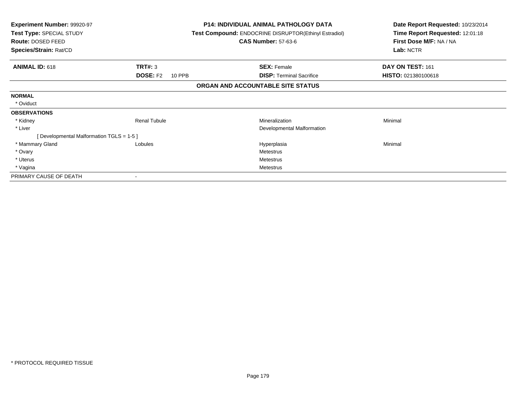| Experiment Number: 99920-97<br>Test Type: SPECIAL STUDY<br>Route: DOSED FEED<br>Species/Strain: Rat/CD |                           | <b>P14: INDIVIDUAL ANIMAL PATHOLOGY DATA</b><br>Test Compound: ENDOCRINE DISRUPTOR(Ethinyl Estradiol)<br><b>CAS Number: 57-63-6</b> | Date Report Requested: 10/23/2014<br>Time Report Requested: 12:01:18<br>First Dose M/F: NA / NA<br>Lab: NCTR |
|--------------------------------------------------------------------------------------------------------|---------------------------|-------------------------------------------------------------------------------------------------------------------------------------|--------------------------------------------------------------------------------------------------------------|
| <b>ANIMAL ID: 618</b>                                                                                  | TRT#: 3                   | <b>SEX: Female</b>                                                                                                                  | DAY ON TEST: 161                                                                                             |
|                                                                                                        | <b>DOSE: F2</b><br>10 PPB | <b>DISP:</b> Terminal Sacrifice                                                                                                     | HISTO: 021380100618                                                                                          |
|                                                                                                        |                           | ORGAN AND ACCOUNTABLE SITE STATUS                                                                                                   |                                                                                                              |
| <b>NORMAL</b>                                                                                          |                           |                                                                                                                                     |                                                                                                              |
| * Oviduct                                                                                              |                           |                                                                                                                                     |                                                                                                              |
| <b>OBSERVATIONS</b>                                                                                    |                           |                                                                                                                                     |                                                                                                              |
| * Kidney                                                                                               | <b>Renal Tubule</b>       | Mineralization                                                                                                                      | Minimal                                                                                                      |
| * Liver                                                                                                |                           | Developmental Malformation                                                                                                          |                                                                                                              |
| [ Developmental Malformation TGLS = 1-5 ]                                                              |                           |                                                                                                                                     |                                                                                                              |
| * Mammary Gland                                                                                        | Lobules                   | Hyperplasia                                                                                                                         | Minimal                                                                                                      |
| * Ovary                                                                                                |                           | Metestrus                                                                                                                           |                                                                                                              |
| * Uterus                                                                                               |                           | Metestrus                                                                                                                           |                                                                                                              |
| * Vagina                                                                                               |                           | Metestrus                                                                                                                           |                                                                                                              |
| PRIMARY CAUSE OF DEATH                                                                                 |                           |                                                                                                                                     |                                                                                                              |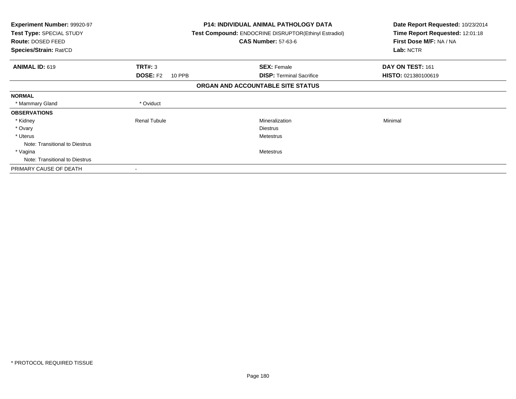| <b>Experiment Number: 99920-97</b><br>Test Type: SPECIAL STUDY<br>Route: DOSED FEED<br>Species/Strain: Rat/CD |                           | <b>P14: INDIVIDUAL ANIMAL PATHOLOGY DATA</b><br>Test Compound: ENDOCRINE DISRUPTOR(Ethinyl Estradiol)<br><b>CAS Number: 57-63-6</b> | Date Report Requested: 10/23/2014<br>Time Report Requested: 12:01:18<br>First Dose M/F: NA / NA<br>Lab: NCTR |
|---------------------------------------------------------------------------------------------------------------|---------------------------|-------------------------------------------------------------------------------------------------------------------------------------|--------------------------------------------------------------------------------------------------------------|
| <b>ANIMAL ID: 619</b>                                                                                         | TRT#: 3                   | <b>SEX: Female</b>                                                                                                                  | DAY ON TEST: 161                                                                                             |
|                                                                                                               | <b>DOSE: F2</b><br>10 PPB | <b>DISP: Terminal Sacrifice</b>                                                                                                     | HISTO: 021380100619                                                                                          |
|                                                                                                               |                           | ORGAN AND ACCOUNTABLE SITE STATUS                                                                                                   |                                                                                                              |
| <b>NORMAL</b>                                                                                                 |                           |                                                                                                                                     |                                                                                                              |
| * Mammary Gland                                                                                               | * Oviduct                 |                                                                                                                                     |                                                                                                              |
| <b>OBSERVATIONS</b>                                                                                           |                           |                                                                                                                                     |                                                                                                              |
| * Kidney                                                                                                      | <b>Renal Tubule</b>       | Mineralization                                                                                                                      | Minimal                                                                                                      |
| * Ovary                                                                                                       |                           | <b>Diestrus</b>                                                                                                                     |                                                                                                              |
| * Uterus                                                                                                      |                           | <b>Metestrus</b>                                                                                                                    |                                                                                                              |
| Note: Transitional to Diestrus                                                                                |                           |                                                                                                                                     |                                                                                                              |
| * Vagina                                                                                                      |                           | Metestrus                                                                                                                           |                                                                                                              |
| Note: Transitional to Diestrus                                                                                |                           |                                                                                                                                     |                                                                                                              |
| PRIMARY CAUSE OF DEATH                                                                                        |                           |                                                                                                                                     |                                                                                                              |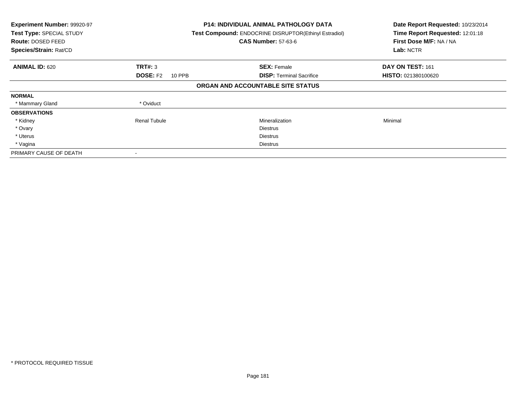| Experiment Number: 99920-97<br>Test Type: SPECIAL STUDY<br><b>Route: DOSED FEED</b><br>Species/Strain: Rat/CD |                           | <b>P14: INDIVIDUAL ANIMAL PATHOLOGY DATA</b><br>Test Compound: ENDOCRINE DISRUPTOR(Ethinyl Estradiol)<br><b>CAS Number: 57-63-6</b> | Date Report Requested: 10/23/2014<br>Time Report Requested: 12:01:18<br>First Dose M/F: NA / NA<br>Lab: NCTR |
|---------------------------------------------------------------------------------------------------------------|---------------------------|-------------------------------------------------------------------------------------------------------------------------------------|--------------------------------------------------------------------------------------------------------------|
| <b>ANIMAL ID: 620</b>                                                                                         | TRT#: 3                   | <b>SEX: Female</b>                                                                                                                  | DAY ON TEST: 161                                                                                             |
|                                                                                                               | <b>DOSE: F2</b><br>10 PPB | <b>DISP:</b> Terminal Sacrifice                                                                                                     | <b>HISTO: 021380100620</b>                                                                                   |
|                                                                                                               |                           | ORGAN AND ACCOUNTABLE SITE STATUS                                                                                                   |                                                                                                              |
| <b>NORMAL</b>                                                                                                 |                           |                                                                                                                                     |                                                                                                              |
| * Mammary Gland                                                                                               | * Oviduct                 |                                                                                                                                     |                                                                                                              |
| <b>OBSERVATIONS</b>                                                                                           |                           |                                                                                                                                     |                                                                                                              |
| * Kidney                                                                                                      | <b>Renal Tubule</b>       | Mineralization                                                                                                                      | Minimal                                                                                                      |
| * Ovary                                                                                                       |                           | <b>Diestrus</b>                                                                                                                     |                                                                                                              |
| * Uterus                                                                                                      |                           | Diestrus                                                                                                                            |                                                                                                              |
| * Vagina                                                                                                      |                           | Diestrus                                                                                                                            |                                                                                                              |
| PRIMARY CAUSE OF DEATH                                                                                        |                           |                                                                                                                                     |                                                                                                              |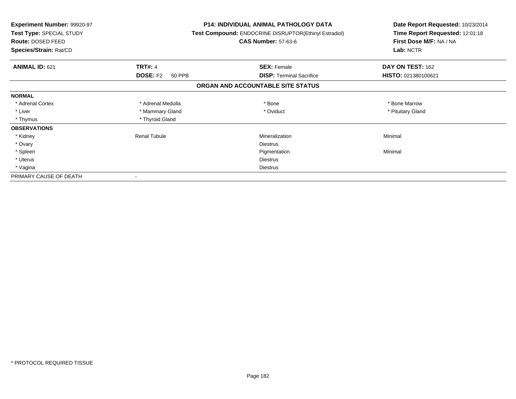| <b>Experiment Number: 99920-97</b><br>Test Type: SPECIAL STUDY<br>Route: DOSED FEED<br>Species/Strain: Rat/CD |                           | <b>P14: INDIVIDUAL ANIMAL PATHOLOGY DATA</b><br>Test Compound: ENDOCRINE DISRUPTOR(Ethinyl Estradiol)<br><b>CAS Number: 57-63-6</b> | Date Report Requested: 10/23/2014<br>Time Report Requested: 12:01:18<br>First Dose M/F: NA / NA<br>Lab: NCTR |
|---------------------------------------------------------------------------------------------------------------|---------------------------|-------------------------------------------------------------------------------------------------------------------------------------|--------------------------------------------------------------------------------------------------------------|
| <b>ANIMAL ID: 621</b>                                                                                         | <b>TRT#: 4</b>            | <b>SEX: Female</b>                                                                                                                  | DAY ON TEST: 162                                                                                             |
|                                                                                                               | <b>DOSE: F2</b><br>50 PPB | <b>DISP:</b> Terminal Sacrifice                                                                                                     | HISTO: 021380100621                                                                                          |
|                                                                                                               |                           | ORGAN AND ACCOUNTABLE SITE STATUS                                                                                                   |                                                                                                              |
| <b>NORMAL</b>                                                                                                 |                           |                                                                                                                                     |                                                                                                              |
| * Adrenal Cortex                                                                                              | * Adrenal Medulla         | * Bone                                                                                                                              | * Bone Marrow                                                                                                |
| * Liver                                                                                                       | * Mammary Gland           | * Oviduct                                                                                                                           | * Pituitary Gland                                                                                            |
| * Thymus                                                                                                      | * Thyroid Gland           |                                                                                                                                     |                                                                                                              |
| <b>OBSERVATIONS</b>                                                                                           |                           |                                                                                                                                     |                                                                                                              |
| * Kidney                                                                                                      | <b>Renal Tubule</b>       | Mineralization                                                                                                                      | Minimal                                                                                                      |
| * Ovary                                                                                                       |                           | Diestrus                                                                                                                            |                                                                                                              |
| * Spleen                                                                                                      |                           | Pigmentation                                                                                                                        | Minimal                                                                                                      |
| * Uterus                                                                                                      |                           | <b>Diestrus</b>                                                                                                                     |                                                                                                              |
| * Vagina                                                                                                      |                           | Diestrus                                                                                                                            |                                                                                                              |
| PRIMARY CAUSE OF DEATH                                                                                        |                           |                                                                                                                                     |                                                                                                              |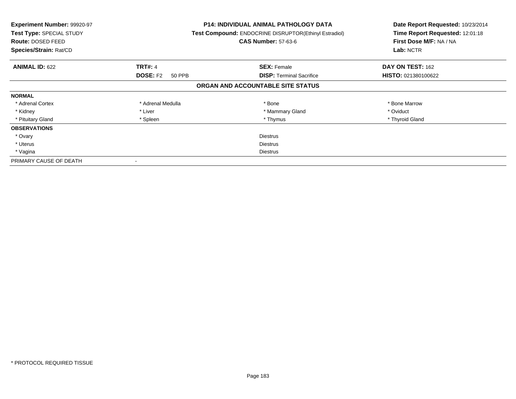| Experiment Number: 99920-97<br><b>Test Type: SPECIAL STUDY</b><br><b>Route: DOSED FEED</b><br>Species/Strain: Rat/CD |                           | <b>P14: INDIVIDUAL ANIMAL PATHOLOGY DATA</b><br>Test Compound: ENDOCRINE DISRUPTOR(Ethinyl Estradiol)<br><b>CAS Number: 57-63-6</b> | Date Report Requested: 10/23/2014<br>Time Report Requested: 12:01:18<br>First Dose M/F: NA / NA<br>Lab: NCTR |
|----------------------------------------------------------------------------------------------------------------------|---------------------------|-------------------------------------------------------------------------------------------------------------------------------------|--------------------------------------------------------------------------------------------------------------|
| <b>ANIMAL ID: 622</b>                                                                                                | <b>TRT#: 4</b>            | <b>SEX: Female</b>                                                                                                                  | DAY ON TEST: 162                                                                                             |
|                                                                                                                      | <b>DOSE: F2</b><br>50 PPB | <b>DISP:</b> Terminal Sacrifice                                                                                                     | HISTO: 021380100622                                                                                          |
|                                                                                                                      |                           | ORGAN AND ACCOUNTABLE SITE STATUS                                                                                                   |                                                                                                              |
| <b>NORMAL</b>                                                                                                        |                           |                                                                                                                                     |                                                                                                              |
| * Adrenal Cortex                                                                                                     | * Adrenal Medulla         | * Bone                                                                                                                              | * Bone Marrow                                                                                                |
| * Kidney                                                                                                             | * Liver                   | * Mammary Gland                                                                                                                     | * Oviduct                                                                                                    |
| * Pituitary Gland                                                                                                    | * Spleen                  | * Thymus                                                                                                                            | * Thyroid Gland                                                                                              |
| <b>OBSERVATIONS</b>                                                                                                  |                           |                                                                                                                                     |                                                                                                              |
| * Ovary                                                                                                              |                           | <b>Diestrus</b>                                                                                                                     |                                                                                                              |
| * Uterus                                                                                                             | <b>Diestrus</b>           |                                                                                                                                     |                                                                                                              |
| * Vagina                                                                                                             | Diestrus                  |                                                                                                                                     |                                                                                                              |
| PRIMARY CAUSE OF DEATH                                                                                               |                           |                                                                                                                                     |                                                                                                              |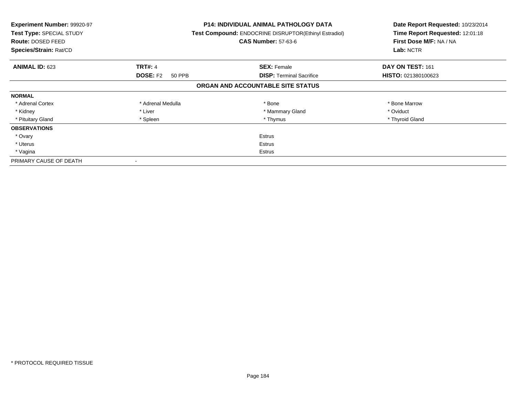| Experiment Number: 99920-97<br><b>Test Type: SPECIAL STUDY</b><br>Route: DOSED FEED<br>Species/Strain: Rat/CD |                           | <b>P14: INDIVIDUAL ANIMAL PATHOLOGY DATA</b><br>Test Compound: ENDOCRINE DISRUPTOR(Ethinyl Estradiol)<br><b>CAS Number: 57-63-6</b> | Date Report Requested: 10/23/2014<br>Time Report Requested: 12:01:18<br>First Dose M/F: NA / NA<br>Lab: NCTR |
|---------------------------------------------------------------------------------------------------------------|---------------------------|-------------------------------------------------------------------------------------------------------------------------------------|--------------------------------------------------------------------------------------------------------------|
| <b>ANIMAL ID: 623</b>                                                                                         | <b>TRT#: 4</b>            | <b>SEX: Female</b>                                                                                                                  | DAY ON TEST: 161                                                                                             |
|                                                                                                               | <b>DOSE: F2</b><br>50 PPB | <b>DISP:</b> Terminal Sacrifice                                                                                                     | HISTO: 021380100623                                                                                          |
|                                                                                                               |                           | ORGAN AND ACCOUNTABLE SITE STATUS                                                                                                   |                                                                                                              |
| <b>NORMAL</b>                                                                                                 |                           |                                                                                                                                     |                                                                                                              |
| * Adrenal Cortex                                                                                              | * Adrenal Medulla         | * Bone                                                                                                                              | * Bone Marrow                                                                                                |
| * Kidney                                                                                                      | * Liver                   | * Mammary Gland                                                                                                                     | * Oviduct                                                                                                    |
| * Pituitary Gland                                                                                             | * Spleen                  | * Thymus                                                                                                                            | * Thyroid Gland                                                                                              |
| <b>OBSERVATIONS</b>                                                                                           |                           |                                                                                                                                     |                                                                                                              |
| * Ovary                                                                                                       |                           | <b>Estrus</b>                                                                                                                       |                                                                                                              |
| * Uterus                                                                                                      | <b>Estrus</b>             |                                                                                                                                     |                                                                                                              |
| * Vagina                                                                                                      | Estrus                    |                                                                                                                                     |                                                                                                              |
| PRIMARY CAUSE OF DEATH                                                                                        |                           |                                                                                                                                     |                                                                                                              |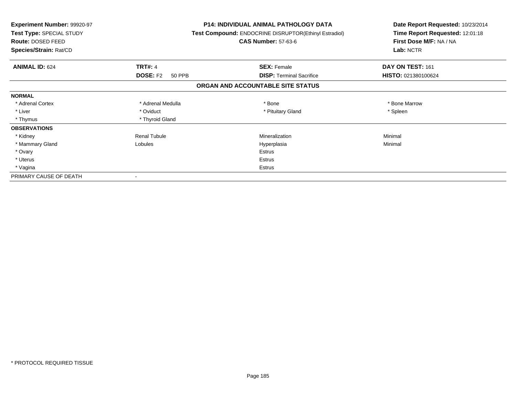| <b>Experiment Number: 99920-97</b><br>Test Type: SPECIAL STUDY<br>Route: DOSED FEED<br>Species/Strain: Rat/CD |                           | <b>P14: INDIVIDUAL ANIMAL PATHOLOGY DATA</b><br>Test Compound: ENDOCRINE DISRUPTOR(Ethinyl Estradiol)<br><b>CAS Number: 57-63-6</b> | Date Report Requested: 10/23/2014<br>Time Report Requested: 12:01:18<br>First Dose M/F: NA / NA<br>Lab: NCTR |
|---------------------------------------------------------------------------------------------------------------|---------------------------|-------------------------------------------------------------------------------------------------------------------------------------|--------------------------------------------------------------------------------------------------------------|
| <b>ANIMAL ID: 624</b>                                                                                         | <b>TRT#: 4</b>            | <b>SEX: Female</b>                                                                                                                  | DAY ON TEST: 161                                                                                             |
|                                                                                                               | <b>DOSE: F2</b><br>50 PPB | <b>DISP: Terminal Sacrifice</b>                                                                                                     | HISTO: 021380100624                                                                                          |
|                                                                                                               |                           | ORGAN AND ACCOUNTABLE SITE STATUS                                                                                                   |                                                                                                              |
| <b>NORMAL</b>                                                                                                 |                           |                                                                                                                                     |                                                                                                              |
| * Adrenal Cortex                                                                                              | * Adrenal Medulla         | * Bone                                                                                                                              | * Bone Marrow                                                                                                |
| * Liver                                                                                                       | * Oviduct                 | * Pituitary Gland                                                                                                                   | * Spleen                                                                                                     |
| * Thymus                                                                                                      | * Thyroid Gland           |                                                                                                                                     |                                                                                                              |
| <b>OBSERVATIONS</b>                                                                                           |                           |                                                                                                                                     |                                                                                                              |
| * Kidney                                                                                                      | <b>Renal Tubule</b>       | Mineralization                                                                                                                      | Minimal                                                                                                      |
| * Mammary Gland                                                                                               | Lobules                   | Hyperplasia                                                                                                                         | Minimal                                                                                                      |
| * Ovary                                                                                                       |                           | <b>Estrus</b>                                                                                                                       |                                                                                                              |
| * Uterus                                                                                                      |                           | Estrus                                                                                                                              |                                                                                                              |
| * Vagina                                                                                                      |                           | Estrus                                                                                                                              |                                                                                                              |
| PRIMARY CAUSE OF DEATH                                                                                        |                           |                                                                                                                                     |                                                                                                              |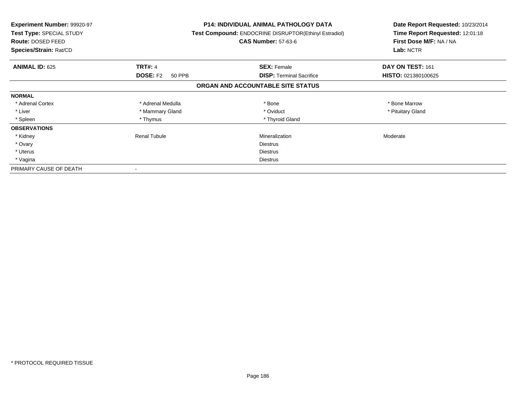| <b>Experiment Number: 99920-97</b><br>Test Type: SPECIAL STUDY<br><b>Route: DOSED FEED</b><br>Species/Strain: Rat/CD |                           | <b>P14: INDIVIDUAL ANIMAL PATHOLOGY DATA</b><br>Test Compound: ENDOCRINE DISRUPTOR(Ethinyl Estradiol)<br><b>CAS Number: 57-63-6</b> | Date Report Requested: 10/23/2014<br>Time Report Requested: 12:01:18<br>First Dose M/F: NA / NA<br>Lab: NCTR |
|----------------------------------------------------------------------------------------------------------------------|---------------------------|-------------------------------------------------------------------------------------------------------------------------------------|--------------------------------------------------------------------------------------------------------------|
| <b>ANIMAL ID: 625</b>                                                                                                | <b>TRT#: 4</b>            | <b>SEX: Female</b>                                                                                                                  | DAY ON TEST: 161                                                                                             |
|                                                                                                                      | <b>DOSE: F2</b><br>50 PPB | <b>DISP:</b> Terminal Sacrifice                                                                                                     | HISTO: 021380100625                                                                                          |
|                                                                                                                      |                           | ORGAN AND ACCOUNTABLE SITE STATUS                                                                                                   |                                                                                                              |
| <b>NORMAL</b>                                                                                                        |                           |                                                                                                                                     |                                                                                                              |
| * Adrenal Cortex                                                                                                     | * Adrenal Medulla         | * Bone                                                                                                                              | * Bone Marrow                                                                                                |
| * Liver                                                                                                              | * Mammary Gland           | * Oviduct                                                                                                                           | * Pituitary Gland                                                                                            |
| * Spleen                                                                                                             | * Thymus                  | * Thyroid Gland                                                                                                                     |                                                                                                              |
| <b>OBSERVATIONS</b>                                                                                                  |                           |                                                                                                                                     |                                                                                                              |
| * Kidney                                                                                                             | Renal Tubule              | Mineralization                                                                                                                      | Moderate                                                                                                     |
| * Ovary                                                                                                              |                           | <b>Diestrus</b>                                                                                                                     |                                                                                                              |
| * Uterus                                                                                                             |                           | Diestrus                                                                                                                            |                                                                                                              |
| * Vagina                                                                                                             |                           | Diestrus                                                                                                                            |                                                                                                              |
| PRIMARY CAUSE OF DEATH                                                                                               |                           |                                                                                                                                     |                                                                                                              |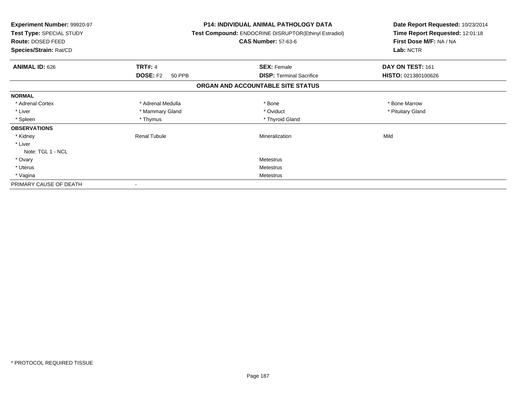| <b>Experiment Number: 99920-97</b><br>Test Type: SPECIAL STUDY<br>Route: DOSED FEED<br>Species/Strain: Rat/CD |                           | <b>P14: INDIVIDUAL ANIMAL PATHOLOGY DATA</b><br>Test Compound: ENDOCRINE DISRUPTOR(Ethinyl Estradiol)<br><b>CAS Number: 57-63-6</b> | Date Report Requested: 10/23/2014<br>Time Report Requested: 12:01:18<br>First Dose M/F: NA / NA<br>Lab: NCTR |
|---------------------------------------------------------------------------------------------------------------|---------------------------|-------------------------------------------------------------------------------------------------------------------------------------|--------------------------------------------------------------------------------------------------------------|
| <b>ANIMAL ID: 626</b>                                                                                         | <b>TRT#: 4</b>            | <b>SEX: Female</b>                                                                                                                  | DAY ON TEST: 161                                                                                             |
|                                                                                                               | <b>DOSE: F2</b><br>50 PPB | <b>DISP: Terminal Sacrifice</b>                                                                                                     | HISTO: 021380100626                                                                                          |
|                                                                                                               |                           | ORGAN AND ACCOUNTABLE SITE STATUS                                                                                                   |                                                                                                              |
| <b>NORMAL</b>                                                                                                 |                           |                                                                                                                                     |                                                                                                              |
| * Adrenal Cortex                                                                                              | * Adrenal Medulla         | * Bone                                                                                                                              | * Bone Marrow                                                                                                |
| * Liver                                                                                                       | * Mammary Gland           | * Oviduct                                                                                                                           | * Pituitary Gland                                                                                            |
| * Spleen                                                                                                      | * Thymus                  | * Thyroid Gland                                                                                                                     |                                                                                                              |
| <b>OBSERVATIONS</b>                                                                                           |                           |                                                                                                                                     |                                                                                                              |
| * Kidney                                                                                                      | <b>Renal Tubule</b>       | Mineralization                                                                                                                      | Mild                                                                                                         |
| * Liver                                                                                                       |                           |                                                                                                                                     |                                                                                                              |
| Note: TGL 1 - NCL                                                                                             |                           |                                                                                                                                     |                                                                                                              |
| * Ovary                                                                                                       |                           | Metestrus                                                                                                                           |                                                                                                              |
| * Uterus                                                                                                      |                           | Metestrus                                                                                                                           |                                                                                                              |
| * Vagina                                                                                                      |                           | Metestrus                                                                                                                           |                                                                                                              |
| PRIMARY CAUSE OF DEATH                                                                                        |                           |                                                                                                                                     |                                                                                                              |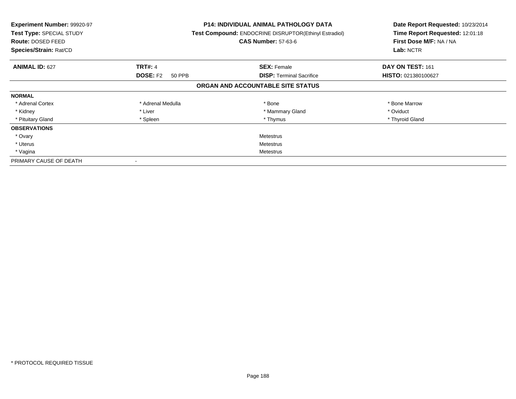| Experiment Number: 99920-97<br><b>Test Type: SPECIAL STUDY</b><br><b>Route: DOSED FEED</b><br>Species/Strain: Rat/CD |                           | <b>P14: INDIVIDUAL ANIMAL PATHOLOGY DATA</b><br>Test Compound: ENDOCRINE DISRUPTOR(Ethinyl Estradiol)<br><b>CAS Number: 57-63-6</b> | Date Report Requested: 10/23/2014<br>Time Report Requested: 12:01:18<br>First Dose M/F: NA / NA<br>Lab: NCTR |
|----------------------------------------------------------------------------------------------------------------------|---------------------------|-------------------------------------------------------------------------------------------------------------------------------------|--------------------------------------------------------------------------------------------------------------|
| <b>ANIMAL ID: 627</b>                                                                                                | <b>TRT#: 4</b>            | <b>SEX: Female</b>                                                                                                                  | DAY ON TEST: 161                                                                                             |
|                                                                                                                      | <b>DOSE: F2</b><br>50 PPB | <b>DISP:</b> Terminal Sacrifice                                                                                                     | HISTO: 021380100627                                                                                          |
|                                                                                                                      |                           | ORGAN AND ACCOUNTABLE SITE STATUS                                                                                                   |                                                                                                              |
| <b>NORMAL</b>                                                                                                        |                           |                                                                                                                                     |                                                                                                              |
| * Adrenal Cortex                                                                                                     | * Adrenal Medulla         | * Bone                                                                                                                              | * Bone Marrow                                                                                                |
| * Kidney                                                                                                             | * Liver                   | * Mammary Gland                                                                                                                     | * Oviduct                                                                                                    |
| * Pituitary Gland                                                                                                    | * Spleen                  | * Thymus                                                                                                                            | * Thyroid Gland                                                                                              |
| <b>OBSERVATIONS</b>                                                                                                  |                           |                                                                                                                                     |                                                                                                              |
| * Ovary                                                                                                              |                           | Metestrus                                                                                                                           |                                                                                                              |
| * Uterus                                                                                                             | Metestrus                 |                                                                                                                                     |                                                                                                              |
| * Vagina                                                                                                             | Metestrus                 |                                                                                                                                     |                                                                                                              |
| PRIMARY CAUSE OF DEATH                                                                                               |                           |                                                                                                                                     |                                                                                                              |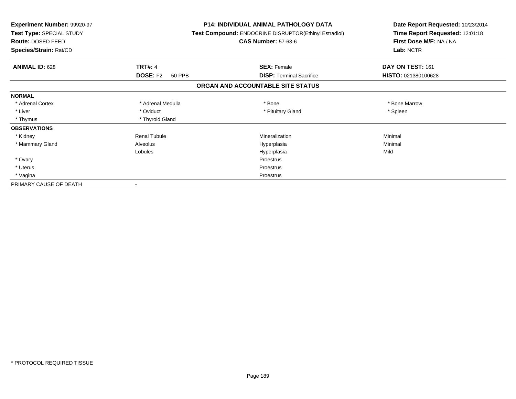| Experiment Number: 99920-97<br>Test Type: SPECIAL STUDY<br>Route: DOSED FEED<br>Species/Strain: Rat/CD |                           | <b>P14: INDIVIDUAL ANIMAL PATHOLOGY DATA</b><br>Test Compound: ENDOCRINE DISRUPTOR(Ethinyl Estradiol)<br><b>CAS Number: 57-63-6</b> | Date Report Requested: 10/23/2014<br>Time Report Requested: 12:01:18<br>First Dose M/F: NA / NA<br>Lab: NCTR |  |
|--------------------------------------------------------------------------------------------------------|---------------------------|-------------------------------------------------------------------------------------------------------------------------------------|--------------------------------------------------------------------------------------------------------------|--|
| <b>ANIMAL ID: 628</b>                                                                                  | <b>TRT#: 4</b>            | <b>SEX: Female</b>                                                                                                                  | DAY ON TEST: 161                                                                                             |  |
|                                                                                                        | <b>DOSE: F2</b><br>50 PPB | <b>DISP: Terminal Sacrifice</b>                                                                                                     | HISTO: 021380100628                                                                                          |  |
|                                                                                                        |                           | ORGAN AND ACCOUNTABLE SITE STATUS                                                                                                   |                                                                                                              |  |
| <b>NORMAL</b>                                                                                          |                           |                                                                                                                                     |                                                                                                              |  |
| * Adrenal Cortex                                                                                       | * Adrenal Medulla         | * Bone                                                                                                                              | * Bone Marrow                                                                                                |  |
| * Liver                                                                                                | * Oviduct                 | * Pituitary Gland                                                                                                                   | * Spleen                                                                                                     |  |
| * Thymus                                                                                               | * Thyroid Gland           |                                                                                                                                     |                                                                                                              |  |
| <b>OBSERVATIONS</b>                                                                                    |                           |                                                                                                                                     |                                                                                                              |  |
| * Kidney                                                                                               | <b>Renal Tubule</b>       | Mineralization                                                                                                                      | Minimal                                                                                                      |  |
| * Mammary Gland                                                                                        | Alveolus                  | Hyperplasia                                                                                                                         | Minimal                                                                                                      |  |
|                                                                                                        | Lobules                   | Hyperplasia                                                                                                                         | Mild                                                                                                         |  |
| * Ovary                                                                                                |                           | Proestrus                                                                                                                           |                                                                                                              |  |
| * Uterus                                                                                               |                           | Proestrus                                                                                                                           |                                                                                                              |  |
| * Vagina                                                                                               |                           | Proestrus                                                                                                                           |                                                                                                              |  |
| PRIMARY CAUSE OF DEATH                                                                                 |                           |                                                                                                                                     |                                                                                                              |  |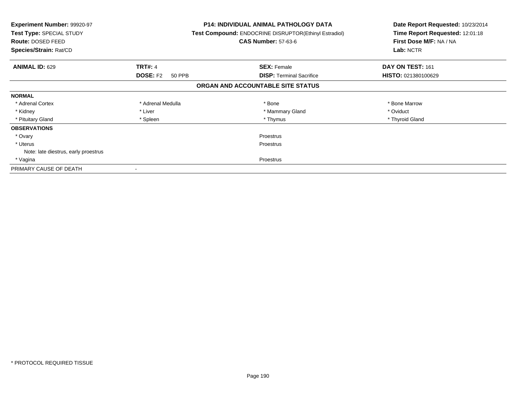| <b>Experiment Number: 99920-97</b><br>Test Type: SPECIAL STUDY<br><b>Route: DOSED FEED</b><br>Species/Strain: Rat/CD |                           | <b>P14: INDIVIDUAL ANIMAL PATHOLOGY DATA</b><br>Test Compound: ENDOCRINE DISRUPTOR(Ethinyl Estradiol)<br><b>CAS Number: 57-63-6</b> | Date Report Requested: 10/23/2014<br>Time Report Requested: 12:01:18<br>First Dose M/F: NA / NA<br>Lab: NCTR |
|----------------------------------------------------------------------------------------------------------------------|---------------------------|-------------------------------------------------------------------------------------------------------------------------------------|--------------------------------------------------------------------------------------------------------------|
| <b>ANIMAL ID: 629</b>                                                                                                | <b>TRT#: 4</b>            | <b>SEX: Female</b>                                                                                                                  | DAY ON TEST: 161                                                                                             |
|                                                                                                                      | <b>DOSE: F2</b><br>50 PPB | <b>DISP:</b> Terminal Sacrifice                                                                                                     | HISTO: 021380100629                                                                                          |
|                                                                                                                      |                           | ORGAN AND ACCOUNTABLE SITE STATUS                                                                                                   |                                                                                                              |
| <b>NORMAL</b>                                                                                                        |                           |                                                                                                                                     |                                                                                                              |
| * Adrenal Cortex                                                                                                     | * Adrenal Medulla         | * Bone                                                                                                                              | * Bone Marrow                                                                                                |
| * Kidney                                                                                                             | * Liver                   | * Mammary Gland                                                                                                                     | * Oviduct                                                                                                    |
| * Pituitary Gland                                                                                                    | * Spleen                  | * Thymus                                                                                                                            | * Thyroid Gland                                                                                              |
| <b>OBSERVATIONS</b>                                                                                                  |                           |                                                                                                                                     |                                                                                                              |
| * Ovary                                                                                                              |                           | Proestrus                                                                                                                           |                                                                                                              |
| * Uterus                                                                                                             | Proestrus                 |                                                                                                                                     |                                                                                                              |
| Note: late diestrus, early proestrus                                                                                 |                           |                                                                                                                                     |                                                                                                              |
| * Vagina                                                                                                             | Proestrus                 |                                                                                                                                     |                                                                                                              |
| PRIMARY CAUSE OF DEATH                                                                                               |                           |                                                                                                                                     |                                                                                                              |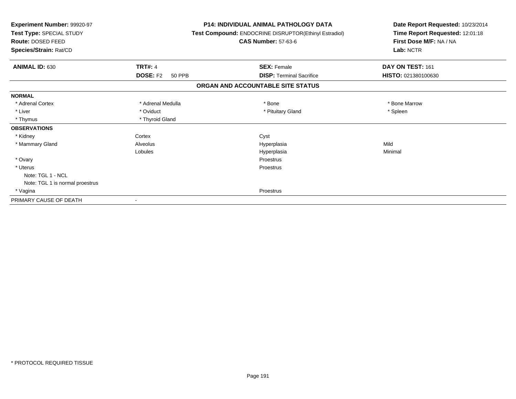| <b>Experiment Number: 99920-97</b><br>Test Type: SPECIAL STUDY<br><b>Route: DOSED FEED</b><br>Species/Strain: Rat/CD |                           | <b>P14: INDIVIDUAL ANIMAL PATHOLOGY DATA</b><br>Test Compound: ENDOCRINE DISRUPTOR(Ethinyl Estradiol)<br><b>CAS Number: 57-63-6</b> | Date Report Requested: 10/23/2014<br>Time Report Requested: 12:01:18<br>First Dose M/F: NA / NA<br>Lab: NCTR |  |
|----------------------------------------------------------------------------------------------------------------------|---------------------------|-------------------------------------------------------------------------------------------------------------------------------------|--------------------------------------------------------------------------------------------------------------|--|
| <b>ANIMAL ID: 630</b>                                                                                                | <b>TRT#: 4</b>            | <b>SEX: Female</b>                                                                                                                  | DAY ON TEST: 161                                                                                             |  |
|                                                                                                                      | <b>DOSE: F2</b><br>50 PPB | <b>DISP: Terminal Sacrifice</b>                                                                                                     | HISTO: 021380100630                                                                                          |  |
|                                                                                                                      |                           | ORGAN AND ACCOUNTABLE SITE STATUS                                                                                                   |                                                                                                              |  |
| <b>NORMAL</b>                                                                                                        |                           |                                                                                                                                     |                                                                                                              |  |
| * Adrenal Cortex                                                                                                     | * Adrenal Medulla         | * Bone                                                                                                                              | * Bone Marrow                                                                                                |  |
| * Liver                                                                                                              | * Oviduct                 | * Pituitary Gland                                                                                                                   | * Spleen                                                                                                     |  |
| * Thymus                                                                                                             | * Thyroid Gland           |                                                                                                                                     |                                                                                                              |  |
| <b>OBSERVATIONS</b>                                                                                                  |                           |                                                                                                                                     |                                                                                                              |  |
| * Kidney                                                                                                             | Cortex                    | Cyst                                                                                                                                |                                                                                                              |  |
| * Mammary Gland                                                                                                      | Alveolus                  | Hyperplasia                                                                                                                         | Mild                                                                                                         |  |
|                                                                                                                      | Lobules                   | Hyperplasia                                                                                                                         | Minimal                                                                                                      |  |
| * Ovary                                                                                                              |                           | Proestrus                                                                                                                           |                                                                                                              |  |
| * Uterus                                                                                                             |                           | Proestrus                                                                                                                           |                                                                                                              |  |
| Note: TGL 1 - NCL                                                                                                    |                           |                                                                                                                                     |                                                                                                              |  |
| Note: TGL 1 is normal proestrus                                                                                      |                           |                                                                                                                                     |                                                                                                              |  |
| * Vagina                                                                                                             |                           | Proestrus                                                                                                                           |                                                                                                              |  |
| PRIMARY CAUSE OF DEATH                                                                                               |                           |                                                                                                                                     |                                                                                                              |  |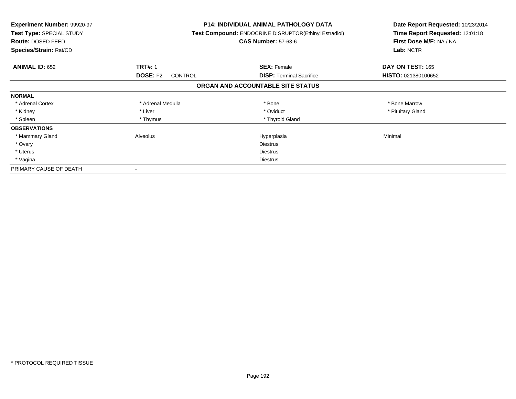| <b>Experiment Number: 99920-97</b><br>Test Type: SPECIAL STUDY<br>Route: DOSED FEED<br>Species/Strain: Rat/CD |                            | P14: INDIVIDUAL ANIMAL PATHOLOGY DATA<br>Test Compound: ENDOCRINE DISRUPTOR(Ethinyl Estradiol)<br><b>CAS Number: 57-63-6</b> | Date Report Requested: 10/23/2014<br>Time Report Requested: 12:01:18<br>First Dose M/F: NA / NA<br>Lab: NCTR |
|---------------------------------------------------------------------------------------------------------------|----------------------------|------------------------------------------------------------------------------------------------------------------------------|--------------------------------------------------------------------------------------------------------------|
| <b>ANIMAL ID: 652</b>                                                                                         | <b>TRT#: 1</b>             | <b>SEX: Female</b>                                                                                                           | DAY ON TEST: 165                                                                                             |
|                                                                                                               | <b>DOSE: F2</b><br>CONTROL | <b>DISP:</b> Terminal Sacrifice                                                                                              | HISTO: 021380100652                                                                                          |
|                                                                                                               |                            | ORGAN AND ACCOUNTABLE SITE STATUS                                                                                            |                                                                                                              |
| <b>NORMAL</b>                                                                                                 |                            |                                                                                                                              |                                                                                                              |
| * Adrenal Cortex                                                                                              | * Adrenal Medulla          | * Bone                                                                                                                       | * Bone Marrow                                                                                                |
| * Kidney                                                                                                      | * Liver                    | * Oviduct                                                                                                                    | * Pituitary Gland                                                                                            |
| * Spleen                                                                                                      | * Thymus                   | * Thyroid Gland                                                                                                              |                                                                                                              |
| <b>OBSERVATIONS</b>                                                                                           |                            |                                                                                                                              |                                                                                                              |
| * Mammary Gland                                                                                               | Alveolus                   | Hyperplasia                                                                                                                  | Minimal                                                                                                      |
| * Ovary                                                                                                       |                            | <b>Diestrus</b>                                                                                                              |                                                                                                              |
| * Uterus                                                                                                      |                            | Diestrus                                                                                                                     |                                                                                                              |
| * Vagina                                                                                                      |                            | Diestrus                                                                                                                     |                                                                                                              |
| PRIMARY CAUSE OF DEATH                                                                                        |                            |                                                                                                                              |                                                                                                              |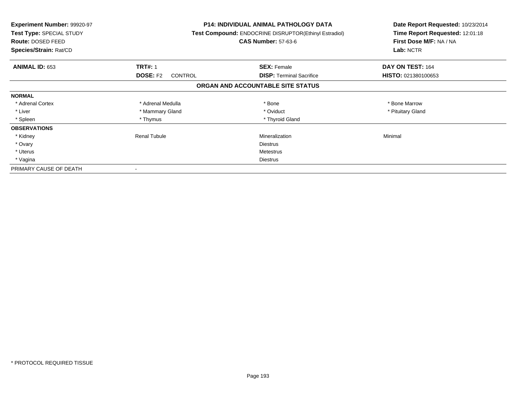| <b>Experiment Number: 99920-97</b><br>Test Type: SPECIAL STUDY<br><b>Route: DOSED FEED</b><br>Species/Strain: Rat/CD |                            | <b>P14: INDIVIDUAL ANIMAL PATHOLOGY DATA</b><br>Test Compound: ENDOCRINE DISRUPTOR(Ethinyl Estradiol)<br><b>CAS Number: 57-63-6</b> | Date Report Requested: 10/23/2014<br>Time Report Requested: 12:01:18<br>First Dose M/F: NA / NA<br>Lab: NCTR |
|----------------------------------------------------------------------------------------------------------------------|----------------------------|-------------------------------------------------------------------------------------------------------------------------------------|--------------------------------------------------------------------------------------------------------------|
| <b>ANIMAL ID: 653</b>                                                                                                | <b>TRT#: 1</b>             | <b>SEX: Female</b>                                                                                                                  | DAY ON TEST: 164                                                                                             |
|                                                                                                                      | <b>DOSE: F2</b><br>CONTROL | <b>DISP:</b> Terminal Sacrifice                                                                                                     | HISTO: 021380100653                                                                                          |
|                                                                                                                      |                            | ORGAN AND ACCOUNTABLE SITE STATUS                                                                                                   |                                                                                                              |
| <b>NORMAL</b>                                                                                                        |                            |                                                                                                                                     |                                                                                                              |
| * Adrenal Cortex                                                                                                     | * Adrenal Medulla          | * Bone                                                                                                                              | * Bone Marrow                                                                                                |
| * Liver                                                                                                              | * Mammary Gland            | * Oviduct                                                                                                                           | * Pituitary Gland                                                                                            |
| * Spleen                                                                                                             | * Thymus                   | * Thyroid Gland                                                                                                                     |                                                                                                              |
| <b>OBSERVATIONS</b>                                                                                                  |                            |                                                                                                                                     |                                                                                                              |
| * Kidney                                                                                                             | Renal Tubule               | Mineralization                                                                                                                      | Minimal                                                                                                      |
| * Ovary                                                                                                              |                            | <b>Diestrus</b>                                                                                                                     |                                                                                                              |
| * Uterus                                                                                                             |                            | Metestrus                                                                                                                           |                                                                                                              |
| * Vagina                                                                                                             |                            | Diestrus                                                                                                                            |                                                                                                              |
| PRIMARY CAUSE OF DEATH                                                                                               |                            |                                                                                                                                     |                                                                                                              |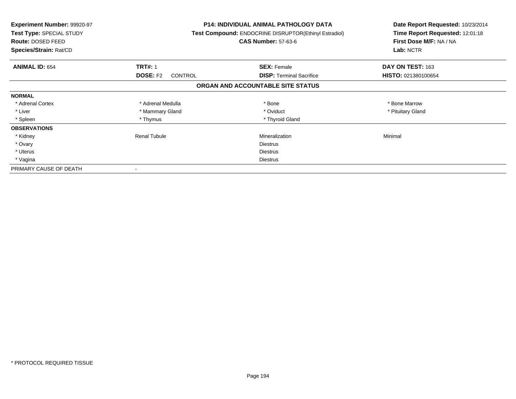| <b>Experiment Number: 99920-97</b><br>Test Type: SPECIAL STUDY<br><b>Route: DOSED FEED</b><br>Species/Strain: Rat/CD |                            | <b>P14: INDIVIDUAL ANIMAL PATHOLOGY DATA</b><br>Test Compound: ENDOCRINE DISRUPTOR(Ethinyl Estradiol)<br><b>CAS Number: 57-63-6</b> | Date Report Requested: 10/23/2014<br>Time Report Requested: 12:01:18<br>First Dose M/F: NA / NA<br>Lab: NCTR |
|----------------------------------------------------------------------------------------------------------------------|----------------------------|-------------------------------------------------------------------------------------------------------------------------------------|--------------------------------------------------------------------------------------------------------------|
| <b>ANIMAL ID: 654</b>                                                                                                | <b>TRT#: 1</b>             | <b>SEX: Female</b>                                                                                                                  | DAY ON TEST: 163                                                                                             |
|                                                                                                                      | <b>DOSE: F2</b><br>CONTROL | <b>DISP:</b> Terminal Sacrifice                                                                                                     | HISTO: 021380100654                                                                                          |
|                                                                                                                      |                            | ORGAN AND ACCOUNTABLE SITE STATUS                                                                                                   |                                                                                                              |
| <b>NORMAL</b>                                                                                                        |                            |                                                                                                                                     |                                                                                                              |
| * Adrenal Cortex                                                                                                     | * Adrenal Medulla          | * Bone                                                                                                                              | * Bone Marrow                                                                                                |
| * Liver                                                                                                              | * Mammary Gland            | * Oviduct                                                                                                                           | * Pituitary Gland                                                                                            |
| * Spleen                                                                                                             | * Thymus                   | * Thyroid Gland                                                                                                                     |                                                                                                              |
| <b>OBSERVATIONS</b>                                                                                                  |                            |                                                                                                                                     |                                                                                                              |
| * Kidney                                                                                                             | Renal Tubule               | Mineralization                                                                                                                      | Minimal                                                                                                      |
| * Ovary                                                                                                              |                            | <b>Diestrus</b>                                                                                                                     |                                                                                                              |
| * Uterus                                                                                                             |                            | Diestrus                                                                                                                            |                                                                                                              |
| * Vagina                                                                                                             |                            | Diestrus                                                                                                                            |                                                                                                              |
| PRIMARY CAUSE OF DEATH                                                                                               |                            |                                                                                                                                     |                                                                                                              |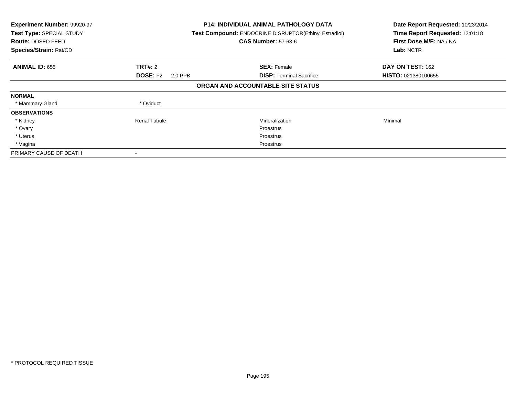| Experiment Number: 99920-97<br>Test Type: SPECIAL STUDY<br><b>Route: DOSED FEED</b><br>Species/Strain: Rat/CD |                            | <b>P14: INDIVIDUAL ANIMAL PATHOLOGY DATA</b><br>Test Compound: ENDOCRINE DISRUPTOR(Ethinyl Estradiol)<br><b>CAS Number: 57-63-6</b> | Date Report Requested: 10/23/2014<br>Time Report Requested: 12:01:18<br>First Dose M/F: NA / NA<br>Lab: NCTR |
|---------------------------------------------------------------------------------------------------------------|----------------------------|-------------------------------------------------------------------------------------------------------------------------------------|--------------------------------------------------------------------------------------------------------------|
| <b>ANIMAL ID: 655</b>                                                                                         | <b>TRT#: 2</b>             | <b>SEX: Female</b>                                                                                                                  | DAY ON TEST: 162                                                                                             |
|                                                                                                               | <b>DOSE: F2</b><br>2.0 PPB | <b>DISP:</b> Terminal Sacrifice                                                                                                     | HISTO: 021380100655                                                                                          |
|                                                                                                               |                            | ORGAN AND ACCOUNTABLE SITE STATUS                                                                                                   |                                                                                                              |
| <b>NORMAL</b>                                                                                                 |                            |                                                                                                                                     |                                                                                                              |
| * Mammary Gland                                                                                               | * Oviduct                  |                                                                                                                                     |                                                                                                              |
| <b>OBSERVATIONS</b>                                                                                           |                            |                                                                                                                                     |                                                                                                              |
| * Kidney                                                                                                      | Renal Tubule               | Mineralization                                                                                                                      | Minimal                                                                                                      |
| * Ovary                                                                                                       |                            | Proestrus                                                                                                                           |                                                                                                              |
| * Uterus                                                                                                      |                            | Proestrus                                                                                                                           |                                                                                                              |
| * Vagina                                                                                                      |                            | Proestrus                                                                                                                           |                                                                                                              |
| PRIMARY CAUSE OF DEATH                                                                                        |                            |                                                                                                                                     |                                                                                                              |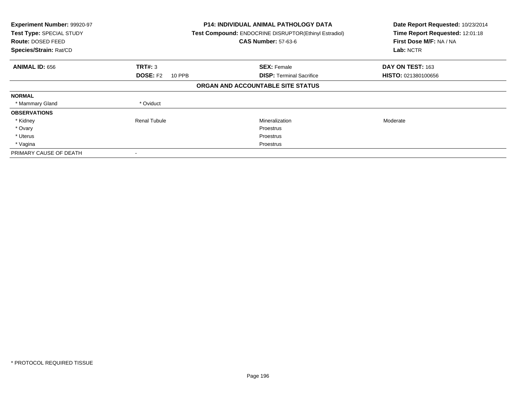| Experiment Number: 99920-97<br>Test Type: SPECIAL STUDY<br><b>Route: DOSED FEED</b><br>Species/Strain: Rat/CD |                           | <b>P14: INDIVIDUAL ANIMAL PATHOLOGY DATA</b><br>Test Compound: ENDOCRINE DISRUPTOR(Ethinyl Estradiol)<br><b>CAS Number: 57-63-6</b> | Date Report Requested: 10/23/2014<br>Time Report Requested: 12:01:18<br>First Dose M/F: NA / NA<br>Lab: NCTR |
|---------------------------------------------------------------------------------------------------------------|---------------------------|-------------------------------------------------------------------------------------------------------------------------------------|--------------------------------------------------------------------------------------------------------------|
| <b>ANIMAL ID: 656</b>                                                                                         | TRT#: 3                   | <b>SEX: Female</b>                                                                                                                  | DAY ON TEST: 163                                                                                             |
|                                                                                                               | <b>DOSE: F2</b><br>10 PPB | <b>DISP:</b> Terminal Sacrifice                                                                                                     | <b>HISTO: 021380100656</b>                                                                                   |
|                                                                                                               |                           | ORGAN AND ACCOUNTABLE SITE STATUS                                                                                                   |                                                                                                              |
| <b>NORMAL</b>                                                                                                 |                           |                                                                                                                                     |                                                                                                              |
| * Mammary Gland                                                                                               | * Oviduct                 |                                                                                                                                     |                                                                                                              |
| <b>OBSERVATIONS</b>                                                                                           |                           |                                                                                                                                     |                                                                                                              |
| * Kidney                                                                                                      | <b>Renal Tubule</b>       | Mineralization                                                                                                                      | Moderate                                                                                                     |
| * Ovary                                                                                                       |                           | Proestrus                                                                                                                           |                                                                                                              |
| * Uterus                                                                                                      |                           | Proestrus                                                                                                                           |                                                                                                              |
| * Vagina                                                                                                      |                           | Proestrus                                                                                                                           |                                                                                                              |
| PRIMARY CAUSE OF DEATH                                                                                        |                           |                                                                                                                                     |                                                                                                              |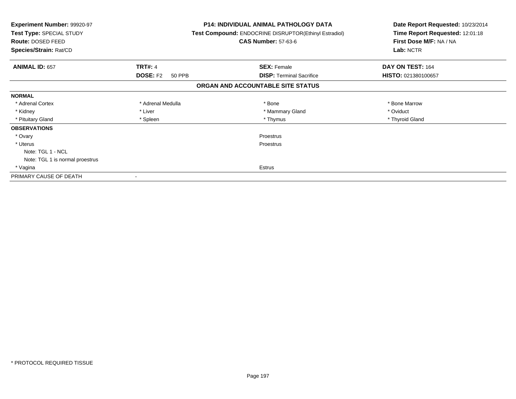| <b>Experiment Number: 99920-97</b><br>Test Type: SPECIAL STUDY<br>Route: DOSED FEED<br>Species/Strain: Rat/CD |                           | <b>P14: INDIVIDUAL ANIMAL PATHOLOGY DATA</b><br><b>Test Compound: ENDOCRINE DISRUPTOR(Ethinyl Estradiol)</b><br><b>CAS Number: 57-63-6</b> | Date Report Requested: 10/23/2014<br>Time Report Requested: 12:01:18<br>First Dose M/F: NA / NA<br>Lab: NCTR |  |
|---------------------------------------------------------------------------------------------------------------|---------------------------|--------------------------------------------------------------------------------------------------------------------------------------------|--------------------------------------------------------------------------------------------------------------|--|
| <b>ANIMAL ID: 657</b>                                                                                         | <b>TRT#: 4</b>            | <b>SEX: Female</b>                                                                                                                         | DAY ON TEST: 164                                                                                             |  |
|                                                                                                               | <b>DOSE: F2</b><br>50 PPB | <b>DISP:</b> Terminal Sacrifice                                                                                                            | HISTO: 021380100657                                                                                          |  |
|                                                                                                               |                           | ORGAN AND ACCOUNTABLE SITE STATUS                                                                                                          |                                                                                                              |  |
| <b>NORMAL</b>                                                                                                 |                           |                                                                                                                                            |                                                                                                              |  |
| * Adrenal Cortex                                                                                              | * Adrenal Medulla         | * Bone                                                                                                                                     | * Bone Marrow                                                                                                |  |
| * Kidney                                                                                                      | * Liver                   | * Mammary Gland                                                                                                                            | * Oviduct                                                                                                    |  |
| * Pituitary Gland                                                                                             | * Spleen                  | * Thymus                                                                                                                                   | * Thyroid Gland                                                                                              |  |
| <b>OBSERVATIONS</b>                                                                                           |                           |                                                                                                                                            |                                                                                                              |  |
| * Ovary                                                                                                       |                           | Proestrus                                                                                                                                  |                                                                                                              |  |
| * Uterus                                                                                                      |                           | Proestrus                                                                                                                                  |                                                                                                              |  |
| Note: TGL 1 - NCL                                                                                             |                           |                                                                                                                                            |                                                                                                              |  |
| Note: TGL 1 is normal proestrus                                                                               |                           |                                                                                                                                            |                                                                                                              |  |
| * Vagina                                                                                                      |                           | Estrus                                                                                                                                     |                                                                                                              |  |
| PRIMARY CAUSE OF DEATH                                                                                        |                           |                                                                                                                                            |                                                                                                              |  |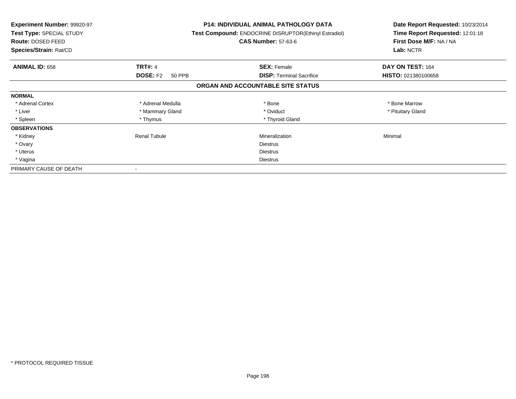| Experiment Number: 99920-97<br><b>Test Type: SPECIAL STUDY</b><br>Route: DOSED FEED<br>Species/Strain: Rat/CD |                           | <b>P14: INDIVIDUAL ANIMAL PATHOLOGY DATA</b><br>Test Compound: ENDOCRINE DISRUPTOR(Ethinyl Estradiol)<br><b>CAS Number: 57-63-6</b> | Date Report Requested: 10/23/2014<br>Time Report Requested: 12:01:18<br>First Dose M/F: NA / NA<br>Lab: NCTR |
|---------------------------------------------------------------------------------------------------------------|---------------------------|-------------------------------------------------------------------------------------------------------------------------------------|--------------------------------------------------------------------------------------------------------------|
| <b>ANIMAL ID: 658</b>                                                                                         | <b>TRT#: 4</b>            | <b>SEX: Female</b>                                                                                                                  | DAY ON TEST: 164                                                                                             |
|                                                                                                               | <b>DOSE: F2</b><br>50 PPB | <b>DISP: Terminal Sacrifice</b>                                                                                                     | HISTO: 021380100658                                                                                          |
|                                                                                                               |                           | ORGAN AND ACCOUNTABLE SITE STATUS                                                                                                   |                                                                                                              |
| <b>NORMAL</b>                                                                                                 |                           |                                                                                                                                     |                                                                                                              |
| * Adrenal Cortex                                                                                              | * Adrenal Medulla         | * Bone                                                                                                                              | * Bone Marrow                                                                                                |
| * Liver                                                                                                       | * Mammary Gland           | * Oviduct                                                                                                                           | * Pituitary Gland                                                                                            |
| * Spleen                                                                                                      | * Thymus                  | * Thyroid Gland                                                                                                                     |                                                                                                              |
| <b>OBSERVATIONS</b>                                                                                           |                           |                                                                                                                                     |                                                                                                              |
| * Kidney                                                                                                      | <b>Renal Tubule</b>       | Mineralization                                                                                                                      | Minimal                                                                                                      |
| * Ovary                                                                                                       |                           | <b>Diestrus</b>                                                                                                                     |                                                                                                              |
| * Uterus                                                                                                      |                           | Diestrus                                                                                                                            |                                                                                                              |
| * Vagina                                                                                                      |                           | <b>Diestrus</b>                                                                                                                     |                                                                                                              |
| PRIMARY CAUSE OF DEATH                                                                                        |                           |                                                                                                                                     |                                                                                                              |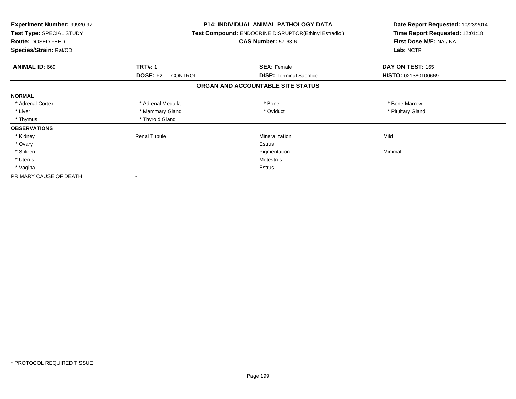| <b>Experiment Number: 99920-97</b><br>Test Type: SPECIAL STUDY<br>Route: DOSED FEED<br>Species/Strain: Rat/CD |                                   | <b>P14: INDIVIDUAL ANIMAL PATHOLOGY DATA</b><br>Test Compound: ENDOCRINE DISRUPTOR(Ethinyl Estradiol)<br><b>CAS Number: 57-63-6</b> | Date Report Requested: 10/23/2014<br>Time Report Requested: 12:01:18<br>First Dose M/F: NA / NA<br>Lab: NCTR |
|---------------------------------------------------------------------------------------------------------------|-----------------------------------|-------------------------------------------------------------------------------------------------------------------------------------|--------------------------------------------------------------------------------------------------------------|
| ANIMAL ID: 669                                                                                                | <b>TRT#: 1</b>                    | <b>SEX: Female</b>                                                                                                                  | DAY ON TEST: 165                                                                                             |
|                                                                                                               | <b>DOSE: F2</b><br><b>CONTROL</b> | <b>DISP:</b> Terminal Sacrifice                                                                                                     | HISTO: 021380100669                                                                                          |
|                                                                                                               |                                   | ORGAN AND ACCOUNTABLE SITE STATUS                                                                                                   |                                                                                                              |
| <b>NORMAL</b>                                                                                                 |                                   |                                                                                                                                     |                                                                                                              |
| * Adrenal Cortex                                                                                              | * Adrenal Medulla                 | * Bone                                                                                                                              | * Bone Marrow                                                                                                |
| * Liver                                                                                                       | * Mammary Gland                   | * Oviduct                                                                                                                           | * Pituitary Gland                                                                                            |
| * Thymus                                                                                                      | * Thyroid Gland                   |                                                                                                                                     |                                                                                                              |
| <b>OBSERVATIONS</b>                                                                                           |                                   |                                                                                                                                     |                                                                                                              |
| * Kidney                                                                                                      | <b>Renal Tubule</b>               | Mineralization                                                                                                                      | Mild                                                                                                         |
| * Ovary                                                                                                       |                                   | <b>Estrus</b>                                                                                                                       |                                                                                                              |
| * Spleen                                                                                                      |                                   | Pigmentation                                                                                                                        | Minimal                                                                                                      |
| * Uterus                                                                                                      |                                   | Metestrus                                                                                                                           |                                                                                                              |
| * Vagina                                                                                                      |                                   | Estrus                                                                                                                              |                                                                                                              |
| PRIMARY CAUSE OF DEATH                                                                                        |                                   |                                                                                                                                     |                                                                                                              |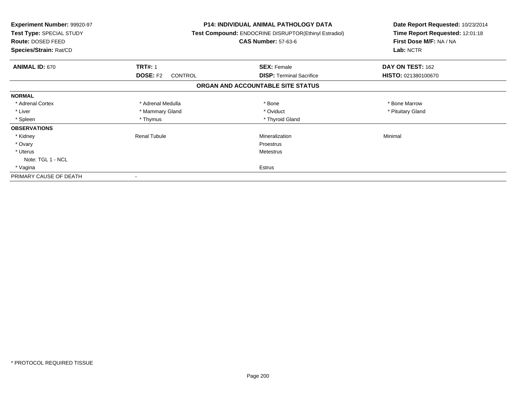| <b>Experiment Number: 99920-97</b><br>Test Type: SPECIAL STUDY<br><b>Route: DOSED FEED</b><br>Species/Strain: Rat/CD |                                   | <b>P14: INDIVIDUAL ANIMAL PATHOLOGY DATA</b><br><b>Test Compound: ENDOCRINE DISRUPTOR(Ethinyl Estradiol)</b><br><b>CAS Number: 57-63-6</b> | Date Report Requested: 10/23/2014<br>Time Report Requested: 12:01:18<br>First Dose M/F: NA / NA<br>Lab: NCTR |
|----------------------------------------------------------------------------------------------------------------------|-----------------------------------|--------------------------------------------------------------------------------------------------------------------------------------------|--------------------------------------------------------------------------------------------------------------|
| <b>ANIMAL ID: 670</b>                                                                                                | <b>TRT#: 1</b>                    | <b>SEX: Female</b>                                                                                                                         | DAY ON TEST: 162                                                                                             |
|                                                                                                                      | <b>DOSE: F2</b><br><b>CONTROL</b> | <b>DISP: Terminal Sacrifice</b>                                                                                                            | HISTO: 021380100670                                                                                          |
|                                                                                                                      |                                   | ORGAN AND ACCOUNTABLE SITE STATUS                                                                                                          |                                                                                                              |
| <b>NORMAL</b>                                                                                                        |                                   |                                                                                                                                            |                                                                                                              |
| * Adrenal Cortex                                                                                                     | * Adrenal Medulla                 | * Bone                                                                                                                                     | * Bone Marrow                                                                                                |
| * Liver                                                                                                              | * Mammary Gland                   | * Oviduct                                                                                                                                  | * Pituitary Gland                                                                                            |
| * Spleen                                                                                                             | * Thymus                          | * Thyroid Gland                                                                                                                            |                                                                                                              |
| <b>OBSERVATIONS</b>                                                                                                  |                                   |                                                                                                                                            |                                                                                                              |
| * Kidney                                                                                                             | <b>Renal Tubule</b>               | Mineralization                                                                                                                             | Minimal                                                                                                      |
| * Ovary                                                                                                              |                                   | Proestrus                                                                                                                                  |                                                                                                              |
| * Uterus                                                                                                             |                                   | Metestrus                                                                                                                                  |                                                                                                              |
| Note: TGL 1 - NCL                                                                                                    |                                   |                                                                                                                                            |                                                                                                              |
| * Vagina                                                                                                             |                                   | Estrus                                                                                                                                     |                                                                                                              |
| PRIMARY CAUSE OF DEATH                                                                                               |                                   |                                                                                                                                            |                                                                                                              |